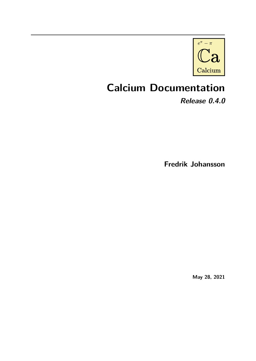

# **Calcium Documentation**

**Release 0.4.0**

**Fredrik Johansson**

**May 28, 2021**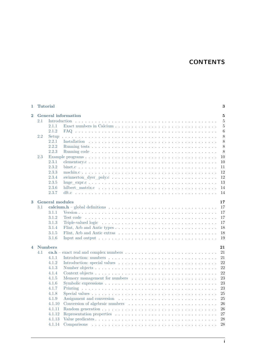# **CONTENTS**

| 1                       | <b>Tutorial</b>                 |                        |                                                                                                                      | 3              |  |  |  |  |  |  |
|-------------------------|---------------------------------|------------------------|----------------------------------------------------------------------------------------------------------------------|----------------|--|--|--|--|--|--|
| $\overline{\mathbf{2}}$ | <b>General information</b><br>5 |                        |                                                                                                                      |                |  |  |  |  |  |  |
|                         | 2.1                             | <b>Introduction</b>    |                                                                                                                      | $\overline{5}$ |  |  |  |  |  |  |
|                         |                                 | 2.1.1                  |                                                                                                                      | 5              |  |  |  |  |  |  |
|                         |                                 | 2.1.2                  |                                                                                                                      | 6              |  |  |  |  |  |  |
|                         | 2.2                             | Setup                  |                                                                                                                      | 8              |  |  |  |  |  |  |
|                         |                                 | 2.2.1                  |                                                                                                                      | 8              |  |  |  |  |  |  |
|                         |                                 | 2.2.2                  |                                                                                                                      | 8              |  |  |  |  |  |  |
|                         |                                 | 2.2.3                  |                                                                                                                      | 8              |  |  |  |  |  |  |
|                         | 2.3                             |                        |                                                                                                                      | 10             |  |  |  |  |  |  |
|                         |                                 | 2.3.1                  |                                                                                                                      | 10             |  |  |  |  |  |  |
|                         |                                 | 2.3.2                  |                                                                                                                      | 11             |  |  |  |  |  |  |
|                         |                                 | 2.3.3                  |                                                                                                                      | 12             |  |  |  |  |  |  |
|                         |                                 | 2.3.4                  |                                                                                                                      | 12             |  |  |  |  |  |  |
|                         |                                 | 2.3.5                  |                                                                                                                      | 13             |  |  |  |  |  |  |
|                         |                                 | 2.3.6                  |                                                                                                                      | 14             |  |  |  |  |  |  |
|                         |                                 | 2.3.7                  |                                                                                                                      | 14             |  |  |  |  |  |  |
|                         |                                 |                        |                                                                                                                      |                |  |  |  |  |  |  |
| 3                       |                                 | <b>General modules</b> |                                                                                                                      | 17             |  |  |  |  |  |  |
|                         | 3.1                             |                        | calcium.h – global definitions $\dots \dots \dots \dots \dots \dots \dots \dots \dots \dots \dots \dots \dots \dots$ | 17             |  |  |  |  |  |  |
|                         |                                 | 3.1.1                  |                                                                                                                      | 17             |  |  |  |  |  |  |
|                         |                                 | 3.1.2                  |                                                                                                                      | 17             |  |  |  |  |  |  |
|                         |                                 | 3.1.3                  | Triple-valued logic $\dots \dots \dots \dots \dots \dots \dots \dots \dots \dots \dots \dots \dots \dots \dots$      | 17             |  |  |  |  |  |  |
|                         |                                 | 3.1.4                  |                                                                                                                      | 18             |  |  |  |  |  |  |
|                         |                                 | 3.1.5                  |                                                                                                                      | 18             |  |  |  |  |  |  |
|                         |                                 | 3.1.6                  | Input and output $\ldots \ldots \ldots \ldots \ldots \ldots \ldots \ldots \ldots \ldots \ldots \ldots$               | 19             |  |  |  |  |  |  |
| $\overline{\mathbf{4}}$ | <b>Numbers</b><br>21            |                        |                                                                                                                      |                |  |  |  |  |  |  |
|                         | 4.1                             | ca.h                   |                                                                                                                      | 21             |  |  |  |  |  |  |
|                         |                                 | 4.1.1                  |                                                                                                                      | 21             |  |  |  |  |  |  |
|                         |                                 | 4.1.2                  |                                                                                                                      | 22             |  |  |  |  |  |  |
|                         |                                 | 4.1.3                  |                                                                                                                      | 22             |  |  |  |  |  |  |
|                         |                                 | 4.1.4                  |                                                                                                                      | 22             |  |  |  |  |  |  |
|                         |                                 | 4.1.5                  | Memory management for numbers                                                                                        | 23             |  |  |  |  |  |  |
|                         |                                 | 4.1.6                  |                                                                                                                      | 23             |  |  |  |  |  |  |
|                         |                                 | 4.1.7                  |                                                                                                                      | 23             |  |  |  |  |  |  |
|                         |                                 |                        |                                                                                                                      |                |  |  |  |  |  |  |
|                         |                                 | 4.1.8                  |                                                                                                                      | 25             |  |  |  |  |  |  |
|                         |                                 | 4.1.9                  |                                                                                                                      | 25             |  |  |  |  |  |  |
|                         |                                 | 4.1.10                 |                                                                                                                      | 26             |  |  |  |  |  |  |
|                         |                                 | 4.1.11                 |                                                                                                                      | 26             |  |  |  |  |  |  |
|                         |                                 | 4.1.12                 |                                                                                                                      | 27             |  |  |  |  |  |  |
|                         |                                 | 4.1.13                 |                                                                                                                      | 28             |  |  |  |  |  |  |
|                         |                                 | 4.1.14                 | Comparisons<br><u>. Kanada kalendar kanada kanada kanada kanada kanada kanada kan</u>                                | 28             |  |  |  |  |  |  |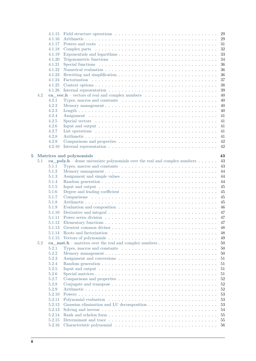|                |     | 4.1.15 | 29                                                                                                                  |
|----------------|-----|--------|---------------------------------------------------------------------------------------------------------------------|
|                |     | 4.1.16 | 29                                                                                                                  |
|                |     | 4.1.17 | 31                                                                                                                  |
|                |     | 4.1.18 | 32                                                                                                                  |
|                |     | 4.1.19 | 33                                                                                                                  |
|                |     | 4.1.20 | 34                                                                                                                  |
|                |     | 4.1.21 | 36                                                                                                                  |
|                |     | 4.1.22 | 36                                                                                                                  |
|                |     | 4.1.23 | 36                                                                                                                  |
|                |     | 4.1.24 | 37                                                                                                                  |
|                |     | 4.1.25 | 38                                                                                                                  |
|                |     | 4.1.26 | 39                                                                                                                  |
|                | 4.2 |        | 40                                                                                                                  |
|                |     | 4.2.1  | 40<br>Types, macros and constants $\dots \dots \dots \dots \dots \dots \dots \dots \dots \dots \dots \dots$         |
|                |     | 4.2.2  | 40                                                                                                                  |
|                |     | 4.2.3  | 40                                                                                                                  |
|                |     | 4.2.4  | 41                                                                                                                  |
|                |     | 4.2.5  | 41                                                                                                                  |
|                |     | 4.2.6  | Input and output $\ldots \ldots \ldots \ldots \ldots \ldots \ldots \ldots \ldots \ldots \ldots \ldots$<br>41        |
|                |     | 4.2.7  |                                                                                                                     |
|                |     |        | 41                                                                                                                  |
|                |     | 4.2.8  | 41                                                                                                                  |
|                |     | 4.2.9  | 42                                                                                                                  |
|                |     | 4.2.10 | 42                                                                                                                  |
| $\overline{5}$ |     |        | 43<br>Matrices and polynomials                                                                                      |
|                | 5.1 |        | 43<br>$ca\_poly.h$ – dense univariate polynomials over the real and complex numbers $\dots \dots$                   |
|                |     | 5.1.1  | 43                                                                                                                  |
|                |     | 5.1.2  | 44                                                                                                                  |
|                |     | 5.1.3  | 44                                                                                                                  |
|                |     | 5.1.4  | 44                                                                                                                  |
|                |     | 5.1.5  | 45                                                                                                                  |
|                |     |        | Input and output $\ldots \ldots \ldots \ldots \ldots \ldots \ldots \ldots \ldots \ldots \ldots \ldots$              |
|                |     | 5.1.6  | 45                                                                                                                  |
|                |     | 5.1.7  | 45                                                                                                                  |
|                |     | 5.1.8  | 45                                                                                                                  |
|                |     | 5.1.9  | Evaluation and composition $\ldots \ldots \ldots \ldots \ldots \ldots \ldots \ldots \ldots \ldots$<br>46            |
|                |     | 5.1.10 | Derivative and integral $\dots \dots \dots \dots \dots \dots \dots \dots \dots \dots \dots \dots \dots$<br>47       |
|                |     | 5.1.11 | 47                                                                                                                  |
|                |     | 5.1.12 | 47                                                                                                                  |
|                |     | 5.1.13 | 48                                                                                                                  |
|                |     | 5.1.14 | 48                                                                                                                  |
|                |     | 5.1.15 | 49                                                                                                                  |
|                | 5.2 |        | 50<br>$ca\_mat.h$ – matrices over the real and complex numbers $\dots \dots \dots \dots \dots \dots$                |
|                |     | 5.2.1  | 50<br>Types, macros and constants $\dots \dots \dots \dots \dots \dots \dots \dots \dots \dots \dots$               |
|                |     | 5.2.2  | 50                                                                                                                  |
|                |     | 5.2.3  | 51                                                                                                                  |
|                |     | 5.2.4  | 51                                                                                                                  |
|                |     | 5.2.5  | 51<br>Input and output $\ldots \ldots \ldots \ldots \ldots \ldots \ldots \ldots \ldots \ldots \ldots \ldots \ldots$ |
|                |     | 5.2.6  | 51                                                                                                                  |
|                |     | 5.2.7  | 52                                                                                                                  |
|                |     | 5.2.8  | 52                                                                                                                  |
|                |     | 5.2.9  | 52                                                                                                                  |
|                |     | 5.2.10 | 53                                                                                                                  |
|                |     | 5.2.11 | 53                                                                                                                  |
|                |     | 5.2.12 | 53                                                                                                                  |
|                |     | 5.2.13 | 54                                                                                                                  |
|                |     | 5.2.14 | 55                                                                                                                  |
|                |     | 5.2.15 | 55                                                                                                                  |
|                |     | 5.2.16 | 56                                                                                                                  |
|                |     |        |                                                                                                                     |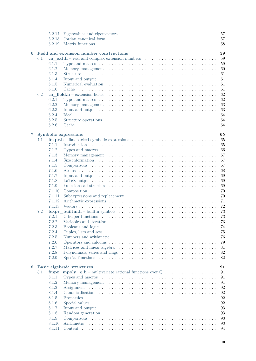|                |     | 5.2.17 | 57                                                                                                                  |
|----------------|-----|--------|---------------------------------------------------------------------------------------------------------------------|
|                |     | 5.2.18 |                                                                                                                     |
|                |     | 5.2.19 | 58                                                                                                                  |
|                |     |        |                                                                                                                     |
| 6              |     |        | Field and extension number constructions<br>59                                                                      |
|                | 6.1 |        | 59                                                                                                                  |
|                |     | 6.1.1  | 59                                                                                                                  |
|                |     | 6.1.2  | 60                                                                                                                  |
|                |     | 6.1.3  | 61                                                                                                                  |
|                |     | 6.1.4  | Input and output $\ldots \ldots \ldots \ldots \ldots \ldots \ldots \ldots \ldots \ldots \ldots \ldots$<br>61        |
|                |     | 6.1.5  | 61                                                                                                                  |
|                |     | 6.1.6  | 61                                                                                                                  |
|                | 6.2 |        | 62                                                                                                                  |
|                |     | 6.2.1  | 62                                                                                                                  |
|                |     | 6.2.2  | 63                                                                                                                  |
|                |     | 6.2.3  | Input and output $\ldots \ldots \ldots \ldots \ldots \ldots \ldots \ldots \ldots \ldots \ldots \ldots$<br>63        |
|                |     | 6.2.4  | 64                                                                                                                  |
|                |     | 6.2.5  | 64                                                                                                                  |
|                |     | 6.2.6  | 64<br>Cache                                                                                                         |
|                |     |        |                                                                                                                     |
| $\overline{7}$ |     |        | <b>Symbolic expressions</b><br>65                                                                                   |
|                | 7.1 |        | 65                                                                                                                  |
|                |     | 7.1.1  | 65                                                                                                                  |
|                |     | 7.1.2  | Types and macros $\dots \dots \dots \dots \dots \dots \dots \dots \dots \dots \dots \dots \dots \dots$<br>66        |
|                |     | 7.1.3  | 67                                                                                                                  |
|                |     | 7.1.4  | 67                                                                                                                  |
|                |     | 7.1.5  | 67                                                                                                                  |
|                |     | 7.1.6  | 68                                                                                                                  |
|                |     | 7.1.7  | 69<br>Input and output $\ldots \ldots \ldots \ldots \ldots \ldots \ldots \ldots \ldots \ldots \ldots \ldots \ldots$ |
|                |     | 7.1.8  | 69                                                                                                                  |
|                |     | 7.1.9  | 69                                                                                                                  |
|                |     | 7.1.10 | 70                                                                                                                  |
|                |     |        |                                                                                                                     |
|                |     | 7.1.11 | 70                                                                                                                  |
|                |     | 7.1.12 | 71                                                                                                                  |
|                |     | 7.1.13 | 72                                                                                                                  |
|                | 7.2 |        | 73                                                                                                                  |
|                |     | 7.2.1  | 73                                                                                                                  |
|                |     | 7.2.2  | 73                                                                                                                  |
|                |     | 7.2.3  | 74                                                                                                                  |
|                |     | 7.2.4  | Tuples, lists and sets $\dots \dots \dots \dots \dots \dots \dots \dots \dots \dots \dots \dots \dots \dots$<br>75  |
|                |     | 7.2.5  | 76                                                                                                                  |
|                |     | 7.2.6  | 79                                                                                                                  |
|                |     | 7.2.7  | 81                                                                                                                  |
|                |     | 7.2.8  | 82                                                                                                                  |
|                |     | 7.2.9  | 82                                                                                                                  |
|                |     |        |                                                                                                                     |
| 8              |     |        | Basic algebraic structures<br>91                                                                                    |
|                | 8.1 |        | <b>fmpz_mpoly_q.h</b> – multivariate rational functions over $Q \dots \dots \dots \dots \dots$<br>91                |
|                |     | 8.1.1  | 91<br>Types and macros $\dots \dots \dots \dots \dots \dots \dots \dots \dots \dots \dots \dots \dots \dots$        |
|                |     | 8.1.2  | 91                                                                                                                  |
|                |     | 8.1.3  | 92                                                                                                                  |
|                |     | 8.1.4  | 92                                                                                                                  |
|                |     | 8.1.5  | 92                                                                                                                  |
|                |     | 8.1.6  | 92                                                                                                                  |
|                |     | 8.1.7  | 93<br>Input and output $\ldots \ldots \ldots \ldots \ldots \ldots \ldots \ldots \ldots \ldots \ldots \ldots \ldots$ |
|                |     | 8.1.8  | 93                                                                                                                  |
|                |     | 8.1.9  | 93<br>Comparisons                                                                                                   |
|                |     | 8.1.10 | 93                                                                                                                  |
|                |     | 8.1.11 | 94                                                                                                                  |
|                |     |        |                                                                                                                     |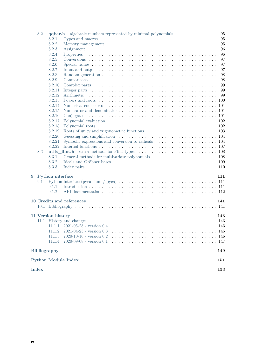|   | 8.2          |                     | $q$ qbar.h – algebraic numbers represented by minimal polynomials $\dots \dots \dots \dots$                            | 95 |
|---|--------------|---------------------|------------------------------------------------------------------------------------------------------------------------|----|
|   |              | 8.2.1               | Types and macros $\dots \dots \dots \dots \dots \dots \dots \dots \dots \dots \dots \dots \dots \dots$                 | 95 |
|   |              | 8.2.2               |                                                                                                                        | 95 |
|   |              | 8.2.3               |                                                                                                                        | 96 |
|   |              | 8.2.4               |                                                                                                                        | 96 |
|   |              | 8.2.5               |                                                                                                                        | 97 |
|   |              | 8.2.6               |                                                                                                                        | 97 |
|   |              | 8.2.7               |                                                                                                                        | 97 |
|   |              | 8.2.8               |                                                                                                                        | 98 |
|   |              | 8.2.9               |                                                                                                                        | 98 |
|   |              | 8.2.10              |                                                                                                                        | 99 |
|   |              | 8.2.11              |                                                                                                                        | 99 |
|   |              | 8.2.12              | 99                                                                                                                     |    |
|   |              | 8.2.13              |                                                                                                                        |    |
|   |              | 8.2.14              |                                                                                                                        |    |
|   |              | 8.2.15              |                                                                                                                        |    |
|   |              | 8.2.16              |                                                                                                                        |    |
|   |              | 8.2.17              |                                                                                                                        |    |
|   |              | 8.2.18              |                                                                                                                        |    |
|   |              | 8.2.19              |                                                                                                                        |    |
|   |              | 8.2.20              |                                                                                                                        |    |
|   |              | 8.2.21              | Symbolic expressions and conversion to radicals $\dots \dots \dots \dots \dots \dots \dots \dots \dots \dots 104$      |    |
|   |              | 8.2.22              |                                                                                                                        |    |
|   | 8.3          |                     |                                                                                                                        |    |
|   |              | 8.3.1               |                                                                                                                        |    |
|   |              | 8.3.2               |                                                                                                                        |    |
|   |              | 8.3.3               |                                                                                                                        |    |
| 9 |              | Python interface    | 111                                                                                                                    |    |
|   | 9.1          |                     | Python interface (pycalcium / pyca) $\ldots \ldots \ldots \ldots \ldots \ldots \ldots \ldots \ldots \ldots \ldots 111$ |    |
|   |              | 9.1.1               |                                                                                                                        |    |
|   |              | 9.1.2               |                                                                                                                        |    |
|   |              |                     |                                                                                                                        |    |
|   |              |                     | <b>10 Credits and references</b><br>141                                                                                |    |
|   |              |                     |                                                                                                                        |    |
|   |              | 11 Version history  | 143                                                                                                                    |    |
|   |              |                     |                                                                                                                        |    |
|   |              | 11.1.1              | $2021 - 05 - 28$ - version $0.4$                                                                                       |    |
|   |              | 11.1.2              | $2021 - 04 - 23$ - version $0.3$                                                                                       |    |
|   |              | 11.1.3              | $2020 - 10 - 16$ - version $0.2$                                                                                       |    |
|   |              | 11.1.4              | 2020-09-08 - version $0.1$                                                                                             |    |
|   |              | <b>Bibliography</b> | 149                                                                                                                    |    |
|   |              |                     |                                                                                                                        |    |
|   |              |                     | <b>Python Module Index</b><br>151                                                                                      |    |
|   | <b>Index</b> |                     | 153                                                                                                                    |    |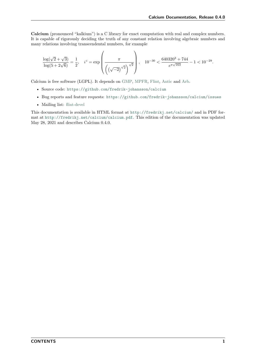**Calcium** (pronounced "kalkium") is a C library for exact computation with real and complex numbers. It is capable of rigorously deciding the truth of any constant relation involving algebraic numbers and many relations involving transcendental numbers, for example

$$
\frac{\log(\sqrt{2}+\sqrt{3})}{\log(5+2\sqrt{6})}=\frac{1}{2},\quad i^i=\exp\left(\frac{\pi}{\left(\left(\sqrt{-2}\right)^{\sqrt{2}}\right)^{\sqrt{2}}}\right),\quad 10^{-30}<\frac{640320^3+744}{e^{\pi\sqrt{163}}}-1<10^{-29}.
$$

Calcium is free software (LGPL). It depends on [GMP,](https://gmplib.org/) [MPFR,](https://mpfr.org/) [Flint,](http://flintlib.org/) [Antic](https://github.com/wbhart/antic/) and [Arb.](http://arblib.org/)

- Source code: <https://github.com/fredrik-johansson/calcium>
- Bug reports and feature requests: <https://github.com/fredrik-johansson/calcium/issues>
- Mailing list: [flint-devel](https://groups.google.com/d/forum/flint-devel)

This documentation is available in HTML format at <http://fredrikj.net/calcium/> and in PDF format at <http://fredrikj.net/calcium/calcium.pdf>. This edition of the documentation was updated May 28, 2021 and describes Calcium 0.4.0.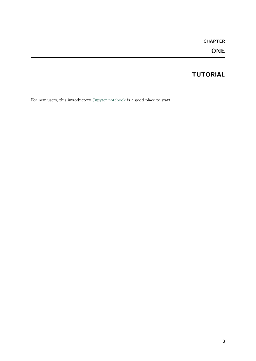# **CHAPTER ONE**

# **TUTORIAL**

<span id="page-8-0"></span>For new users, this introductory [Jupyter notebook](https://fredrikj.net/calcium/introduction_ipynb.html) is a good place to start.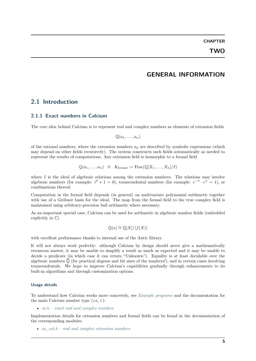# **GENERAL INFORMATION**

# <span id="page-10-1"></span><span id="page-10-0"></span>**2.1 Introduction**

### <span id="page-10-2"></span>**2.1.1 Exact numbers in Calcium**

The core idea behind Calcium is to represent real and complex numbers as elements of extension fields

 $\mathbb{Q}(a_1, \ldots, a_n)$ 

of the rational numbers, where the extension numbers  $a_k$  are described by symbolic expressions (which may depend on other fields recursively). The system constructs such fields automatically as needed to represent the results of computations. Any extension field is isomorphic to a formal field

$$
\mathbb{Q}(a_1,\ldots,a_n) \cong K_{\text{formal}} := \text{Frac}(\mathbb{Q}[X_1,\ldots,X_n]/I)
$$

where  $I$  is the ideal of algebraic relations among the extension numbers. The relations may involve algebraic numbers (for example:  $i^2 + 1 = 0$ ), transcendental numbers (for example:  $e^{-\pi} \cdot e^{\pi} = 1$ ), or combinations thereof.

Computation in the formal field depends (in general) on multivariate polynomial arithmetic together with use of a Gröbner basis for the ideal. The map from the formal field to the true complex field is maintained using arbitrary-precision ball arithmetic where necessary.

As an important special case, Calcium can be used for arithmetic in algebraic number fields (embedded explicitly in  $\mathbb{C}$ )

$$
\mathbb{Q}(a) \cong \mathbb{Q}[X]/\langle f(X) \rangle
$$

with excellent performance thanks to internal use of the Antic library.

It will not always work perfectly: although Calcium by design should never give a mathematically erroneous answer, it may be unable to simplify a result as much as expected and it may be unable to decide a predicate (in which case it can return "Unknown"). Equality is at least decidable over the algebraic numbers  $\overline{Q}$  (for practical degrees and bit sizes of the numbers!), and in certain cases involving transcendentals. We hope to improve Calcium's capabilities gradually through enhancements to its built-in algorithms and through customization options.

#### **Usage details**

To understand how Calcium works more concretely, see *[Example programs](#page-15-0)* and the documentation for the main Calcium number type (*[ca\\_t](#page-27-3)* ):

• *[ca.h – exact real and complex numbers](#page-26-1)*

Implementation details for extension numbers and formal fields can be found in the documentation of the corresponding modules:

• *[ca\\_ext.h – real and complex extension numbers](#page-64-1)*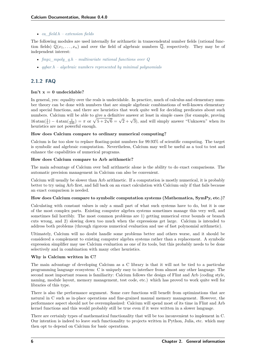• *[ca\\_field.h – extension fields](#page-67-0)*

The following modules are used internally for arithmetic in transcendental number fields (rational function fields)  $\mathbb{Q}(x_1, \ldots, x_n)$  and over the field of algebraic numbers  $\overline{\mathbb{Q}}$ , respectively. They may be of independent interest:

- *[fmpz\\_mpoly\\_q.h multivariate rational functions over Q](#page-96-1)*
- *[qqbar.h algebraic numbers represented by minimal polynomials](#page-100-0)*

# <span id="page-11-0"></span>**2.1.2 FAQ**

# **Isn't x = 0 undecidable?**

In general, yes: equality over the reals is undecidable. In practice, much of calculus and elementary number theory can be done with numbers that are simple algebraic combinations of well-known elementary and special functions, and there are heuristics that work quite well for deciding predicates about such numbers. Calcium will be able to give a definitive answer at least in simple cases (for example, proving 16 atan( $\frac{1}{5}$ ) – 4 atan( $\frac{1}{239}$ ) =  $\pi$  or  $\sqrt{5+2\sqrt{6}} = \sqrt{2} + \sqrt{3}$ ), and will simply answer "Unknown" when its heuristics are not powerful enough.

### **How does Calcium compare to ordinary numerical computing?**

Calcium is far too slow to replace floating-point numbers for 99.93% of scientific computing. The target is symbolic and algebraic computation. Nevertheless, Calcium may well be useful as a tool to test and enhance the capabilities of numerical programs.

### **How does Calcium compare to Arb arithmetic?**

The main advantage of Calcium over ball arithmetic alone is the ability to do exact comparisons. The automatic precision management in Calcium can also be convenient.

Calcium will usually be slower than Arb arithmetic. If a computation is mostly numerical, it is probably better to try using Arb first, and fall back on an exact calculation with Calcium only if that fails because an exact comparison is needed.

#### **How does Calcium compare to symbolic computation systems (Mathematica, SymPy, etc.)?**

Calculating with constant values is only a small part of what such systems have to do, but it is one of the most complex parts. Existing computer algebra systems sometimes manage this very well, and sometimes fail horribly. The most common problems are 1) getting numerical error bounds or branch cuts wrong, and 2) slowing down too much when the expressions get large. Calcium is intended to address both problems (through rigorous numerical evaluation and use of fast polynomial arithmetic).

Ultimately, Calcium will no doubt handle some problems better and others worse, and it should be considered a complement to existing computer algebra systems rather than a replacement. A symbolic expression simplifier may use Calcium evaluation as one of its tools, but this probably needs to be done selectively and in combination with many other heuristics.

# **Why is Calcium written in C?**

The main advantage of developing Calcium as a C library is that it will not be tied to a particular programming language ecosystem: C is uniquely easy to interface from almost any other language. The second most important reason is familiarity: Calcium follows the design of Flint and Arb (coding style, naming, module layout, memory management, test code, etc.) which has proved to work quite well for libraries of this type.

There is also the performance argument. Some core functions will benefit from optimizations that are natural in C such as in-place operations and fine-grained manual memory management. However, the performance aspect should not be overemphasized: Calcium will spend most of its time in Flint and Arb kernel functions and this would probably still be true even if it were written in a slower language.

There are certainly types of mathematical functionality that will be too inconvenient to implement in C. Our intention is indeed to leave such functionality to projects written in Python, Julia, etc. which may then opt to depend on Calcium for basic operations.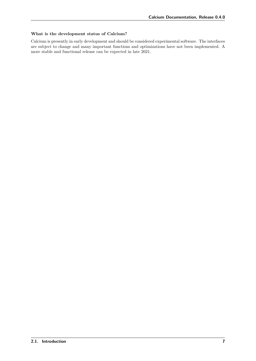# **What is the development status of Calcium?**

Calcium is presently in early development and should be considered experimental software. The interfaces are subject to change and many important functions and optimizations have not been implemented. A more stable and functional release can be expected in late 2021.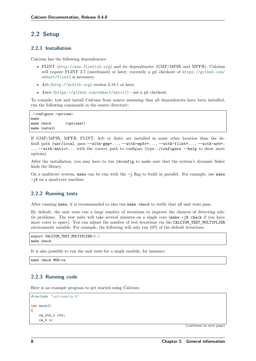# <span id="page-13-0"></span>**2.2 Setup**

# <span id="page-13-1"></span>**2.2.1 Installation**

Calcium has the following dependencies:

- FLINT (<http://www.flintlib.org>) and its dependencies (GMP/MPIR and MPFR). Calcium will require FLINT 2.7 (unreleased) or later; currently a git checkout of [https://github.com/](https://github.com/wbhart/flint2) [wbhart/flint2](https://github.com/wbhart/flint2) is necessary.
- Arb (<http://arblib.org>) version 2.18.1 or later.
- Antic (<https://github.com/wbhart/antic/>) use a git checkout.

To compile, test and install Calcium from source assuming that all dependencies have been installed, run the following commands in the source directory:

./configure <options> make make check (optional) make install

If GMP/MPIR, MPFR, FLINT, Arb or Antic are installed in some other location than the default path /usr/local, pass --with-gmp=..., --with-mpfr=..., --with-flint=..., --with-arb=. .., --with-antic=... with the correct path to configure (type ./configure --help to show more options).

After the installation, you may have to run ldconfig to make sure that the system's dynamic linker finds the library.

On a multicore system, make can be run with the  $-i$  flag to build in parallel. For example, use make -j4 on a quad-core machine.

# <span id="page-13-2"></span>**2.2.2 Running tests**

After running make, it is recommended to also run make check to verify that all unit tests pass.

By default, the unit tests run a large number of iterations to improve the chances of detecting subtle problems. The test suite will take several minutes on a single core (make -jN check if you have more cores to spare). You can adjust the number of test iterations via the CALCIUM\_TEST\_MULTIPLIER environment variable. For example, the following will only run 10% of the default iterations:

```
export CALCIUM_TEST_MULTIPLIER=0.1
make check
```
It is also possible to run the unit tests for a single module, for instance:

make check MOD=ca

# <span id="page-13-3"></span>**2.2.3 Running code**

Here is an example program to get started using Calcium:

```
# include "calcium/ca.h"
int main()
{
    ca_ctx_t ctx;
    ca_t x;
```
(continues on next page)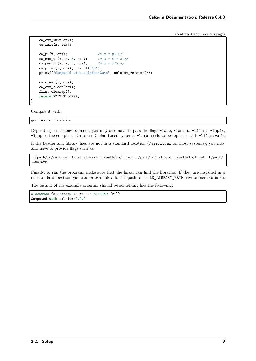(continued from previous page)

```
ca_ctx_init(ctx);
    ca_init(x, ctx);
   ca_pi(x, ctx); /* x = pi */ca_sub_ui(x, x, 3, ctx); /* x = x - 3 */<br>ca_pow_ui(x, x, 2, ctx); /* x = x^2 */ca_{pow_ui(x, x, 2, ctx);}ca_print(x, ctx); printf("\n");
   printf("Computed with calcium-%s\n", calcium_version());
    ca_clear(x, ctx);
   ca_ctx_clear(ctx);
   flint_cleanup();
    return EXIT_SUCCESS;
}
```
Compile it with:

gcc test.c -lcalcium

Depending on the environment, you may also have to pass the flags -larb, -lantic, -lflint, -lmpfr, -lgmp to the compiler. On some Debian based systems, -larb needs to be replaced with -lflint-arb.

If the header and library files are not in a standard location (/usr/local on most systems), you may also have to provide flags such as:

-I/path/to/calcium -I/path/to/arb -I/path/to/flint -L/path/to/calcium -L/path/to/flint -L/path/ *˓*<sup>→</sup>to/arb

Finally, to run the program, make sure that the linker can find the libraries. If they are installed in a nonstandard location, you can for example add this path to the LD\_LIBRARY\_PATH environment variable.

The output of the example program should be something like the following:

```
0.0200485 {a^2-6*a+9 where a = 3.14159 [Pi]}
Computed with calcium-0.0.0
```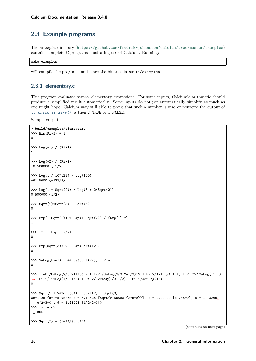# <span id="page-15-0"></span>**2.3 Example programs**

The *examples* directory (<https://github.com/fredrik-johansson/calcium/tree/master/examples>) contains complete C programs illustrating use of Calcium. Running:

make examples

will compile the programs and place the binaries in build/examples.

# <span id="page-15-1"></span>**2.3.1 elementary.c**

This program evaluates several elementary expressions. For some inputs, Calcium's arithmetic should produce a simplified result automatically. Some inputs do not yet automatically simplify as much as one might hope. Calcium may still able to prove that such a number is zero or nonzero; the output of *[ca\\_check\\_is\\_zero\(\)](#page-33-2)* is then T\_TRUE or T\_FALSE.

Sample output:

```
> build/examples/elementary
>>> Exp(Pi*I) + 1
\Omega>>> Log(-1) / (Pi*I)
1
>>> Log(-I) / (Pi*I)
-0.500000 \{-1/2\}>>> Log(1 / 10^123) / Log(100)
-61.5000 \{-123/2\}>>> Log(1 + Sqrt(2)) / Log(3 + 2*Sqrt(2))
0.500000 {1/2}
>>> Sqrt(2)*Sqrt(3) - Sqrt(6)
\Omega>>> Exp(1+Sqrt(2)) * Exp(1-Sqrt(2)) / (Exp(1)^2)
1
>>> I^I - Exp(-Pi/2)
\Omega>>> Exp(Sqrt(3))^2 - Exp(Sqrt(12))
\Omega>>> 2*Log(Pi*I) - 4*Log(Sqrt(Pi)) - Pi*I\Omega>>> -I*Pi/8*Log(2/3-2*I/3)^2 + I*Pi/8*Log(2/3+2*I/3)^2 + Pi^2/12*Log(-1-I) + Pi^2/12*Log(-1+I)␣
˓→+ Pi^2/12*Log(1/3-I/3) + Pi^2/12*Log(1/3+I/3) - Pi^2/48*Log(18)
\Omega>>> Sqrt(5 + 2*Sqrt(6)) - Sqrt(2) - Sqrt(3)
0e-1126 {a-c-d where a = 3.14626 [Sqrt(9.89898 {2*b+5})], b = 2.44949 [b^2-6=0], c = 1.73205
˓→[c^2-3=0], d = 1.41421 [d^2-2=0]}
>>> Is zero?
T_TRUE
>>> Sqrt(I) - (1+I)/Sqrt(2)
```
(continues on next page)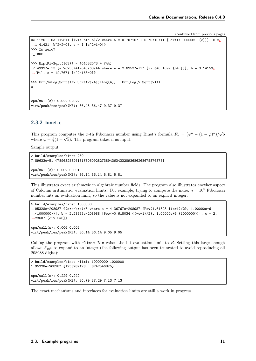(continued from previous page)

```
0e-1126 + 0e-1126*I ((2*a-b*c-b)/2 where a = 0.707107 + 0.707107*I [Sqrt(1.00000*I \{c\})], b =
˓→1.41421 [b^2-2=0], c = I [c^2+1=0]}
>>> Is zero?
T_TRUE
>>> Exp(Pi*Sqrt(163)) - (640320^3 + 744)
-7.49927e-13 {a-262537412640768744 where a = 2.62537e+17 [Exp(40.1092 {b*c})], b = 3.14159␣
\rightarrow[Pi], c = 12.7671 [c<sup>2</sup>-163=0]}
>>> Erf(2*Log(Sqrt(1/2-Sqrt(2)/4))+Log(4)) - Erf(Log(2-Sqrt(2)))
\Omegacpu/wall(s): 0.022 0.022
virt/peak/res/peak(MB): 36.45 36.47 9.37 9.37
```
# <span id="page-16-0"></span>**2.3.2 binet.c**

This program computes the *n*-th Fibonacci number using Binet's formula  $F_n = (\varphi^n - (1 - \varphi)^n)/\sqrt{\pi}$  $\mathfrak{\zeta}$ This program computes the *n*-th Fibonacci number<br>where  $\varphi = \frac{1}{2}(1 + \sqrt{5})$ . The program takes *n* as input.

Sample output:

```
> build/examples/binet 250
7.89633e+51 {7896325826131730509282738943634332893686268675876375}
cpu/wall(s): 0.002 0.001
virt/peak/res/peak(MB): 36.14 36.14 5.81 5.81
```
This illustrates exact arithmetic in algebraic number fields. The program also illustrates another aspect of Calcium arithmetic: evaluation limits. For example, trying to compute the index  $n = 10^6$  Fibonacci number hits an evaluation limit, so the value is not expanded to an explicit integer:

```
> build/examples/binet 1000000
1.95328e+208987 {(a*c-b*c)/5 where a = 4.36767e+208987 [Pow(1.61803 {(c+1)/2}, 1.00000e+6
˓→{1000000})], b = 2.28955e-208988 [Pow(-0.618034 {(-c+1)/2}, 1.00000e+6 {1000000})], c = 2.
˓→23607 [c^2-5=0]}
cpu/wall(s): 0.006 0.005
virt/peak/res/peak(MB): 36.14 36.14 9.05 9.05
```
Calling the program with -limit B n raises the bit evaluation limit to *B*. Setting this large enough allows  $F_{10^6}$  to expand to an integer (the following output has been truncated to avoid reproducing all 208988 digits):

```
> build/examples/binet -limit 10000000 1000000
1.95328e+208987 {1953282128...8242546875}
cpu/wall(s): 0.229 0.242
virt/peak/res/peak(MB): 36.79 37.29 7.13 7.13
```
The exact mechanisms and interfaces for evaluation limits are still a work in progress.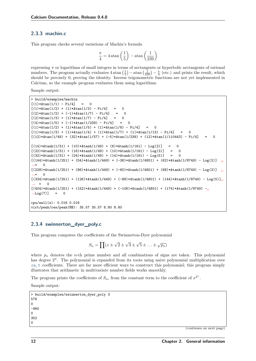# <span id="page-17-0"></span>**2.3.3 machin.c**

This program checks several variations of Machin's formula

$$
\frac{\pi}{4} = 4 \operatorname{atan}\left(\frac{1}{5}\right) - \operatorname{atan}\left(\frac{1}{239}\right)
$$

expressing  $\pi$  or logarithms of small integers in terms of arctangents or hyperbolic arctangents of rational numbers. The program actually evaluates  $4 \tan\left(\frac{1}{5}\right) - \tan\left(\frac{1}{239}\right) - \frac{\pi}{4}$  (etc.) and prints the result, which should be precisely 0, proving the identity. Inverse trigonometric functions are not yet implemented in Calcium, so the example program evaluates them using logarithms.

Sample output:

```
> build/examples/machin
[(1)*Atan(1/1) - Pi/4] = 0[(1)*Atan(1/2) + (1)*Atan(1/3) - Pi/4] = 0[(2)*Atan(1/2) + (-1)*Atan(1/7) - Pi/4] = 0[(2)*Atan(1/3) + (1)*Atan(1/7) - Pi/4] = 0[(4)*Atan(1/5) + (-1)*Atan(1/239) - Pi/4] = 0[(1)*Atan(1/2) + (1)*Atan(1/5) + (1)*Atan(1/8) - Pi/4] = 0[(1)*Atan(1/3) + (1)*Atan(1/4) + (1)*Atan(1/7) + (1)*Atan(1/13) - Pi/4] = 0[(12)*Atan(1/49) + (32)*Atan(1/57) + (-5)*Atan(1/239) + (12)*Atan(1/110443) - Pi/4][(14)*Atanh(1/31) + (10)*Atanh(1/49) + (6)*Atanh(1/161) - Log(2)] = 0[(22)*Atanh(1/31) + (16)*Atanh(1/49) + (10)*Atanh(1/161) - Log(3)] = 0[(32)*Atanh(1/31) + (24)*Atanh(1/49) + (14)*Atanh(1/161) - Log(5)] = 0[(144)*Atanh(1/251) + (54)*Atanh(1/449) + (-38)*Atanh(1/4801) + (62)*Atanh(1/8749) - Log(2)]˓→= 0
[(228)*4\tanh(1/251) + (86)*4\tanh(1/449) + (-60)*4\tanh(1/4801) + (98)*4\tanh(1/8749) - \text{Log}(3)]˓→= 0
[(334)*Atanh(1/251) + (126)*Atanh(1/449) + (-88)*Atanh(1/4801) + (144)*Atanh(1/8749) - Log(5)]˓→ = 0
[(404)*Atanh(1/251) + (152)*Atanh(1/449) + (-106)*Atanh(1/4801) + (174)*Atanh(1/8749) -\frac{1}{160}\rightarrowLog(7)] = 0
cpu/wall(s): 0.016 0.016
virt/peak/res/peak(MB): 35.57 35.57 8.80 8.80
```
# <span id="page-17-1"></span>**2.3.4 swinnerton\_dyer\_poly.c**

This program computes the coefficients of the Swinnerton-Dyer polynomial

$$
S_n = \prod (x \pm \sqrt{2} \pm \sqrt{3} \pm \sqrt{5} \pm \ldots \pm \sqrt{p_n})
$$

where  $p_n$  denotes the *n*-th prime number and all combinations of signs are taken. This polynomial has degree  $2^n$ . The polynomial is expanded from its roots using naive polynomial multiplication over *[ca\\_t](#page-27-3)* coefficients. There are far more efficient ways to construct this polynomial; this program simply illustrates that arithmetic in multivariate number fields works smoothly.

The program prints the coefficients of  $S_n$ , from the constant term to the coefficient of  $x^{2^n}$ .

Sample output:

```
> build/examples/swinnerton_dyer_poly 3
576
\Omega-960
\Omega352
\Omega
```
(continues on next page)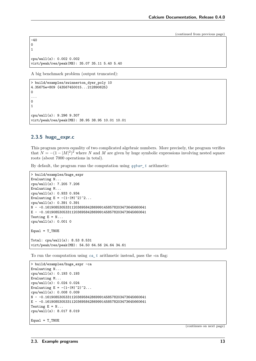(continued from previous page)

```
-40
0
1
cpu/wall(s): 0.002 0.002
virt/peak/res/peak(MB): 35.07 35.11 5.40 5.40
```
A big benchmark problem (output truncated):

```
> build/examples/swinnerton_dyer_poly 10
4.35675e+809 {43567450015...212890625}
0
...
0
1
cpu/wall(s): 9.296 9.307
virt/peak/res/peak(MB): 38.95 38.95 10.01 10.01
```
# <span id="page-18-0"></span>**2.3.5 huge\_expr.c**

This program proves equality of two complicated algebraic numbers. More precisely, the program verifies that  $N = -(1 - |M|^2)^2$  where *N* and *M* are given by huge symbolic expressions involving nested square roots (about 7000 operations in total).

By default, the program runs the computation using *[qqbar\\_t](#page-100-3)* arithmetic:

```
> build/examples/huge_expr
Evaluating N...
cpu/wall(s): 7.205 7.206
Evaluating M...
cpu/wall(s): 0.933 0.934
Evaluating E = -(1-|M|^2)^2...
cpu/wall(s): 0.391 0.391
N ~ -0.16190853053311203695842869991458578203473645660641
E ~ -0.16190853053311203695842869991458578203473645660641
Testing E = N...cpu/wall(s): 0.001 0
Equal = T_TRUETotal: cpu/wall(s): 8.53 8.531
virt/peak/res/peak(MB): 54.50 64.56 24.64 34.61
```
To run the computation using *[ca\\_t](#page-27-3)* arithmetic instead, pass the -ca flag:

```
> build/examples/huge_expr -ca
Evaluating N...
cpu/wall(s): 0.193 0.193
Evaluating M...
cpu/wall(s): 0.024 0.024
Evaluating E = -(1-|M|^2)^2...
cpu/wall(s): 0.008 0.009
N ~ -0.16190853053311203695842869991458578203473645660641
E ~ -0.16190853053311203695842869991458578203473645660641
Testing E = N...cpu/wall(s): 8.017 8.019
Equal = T_TRUE
```
(continues on next page)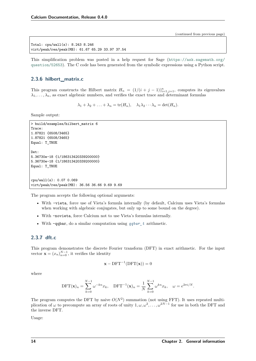(continued from previous page)

```
Total: cpu/wall(s): 8.243 8.246
virt/peak/res/peak(MB): 61.67 65.29 33.97 37.54
```
This simplification problem was posted in a help request for Sage ([https://ask.sagemath.org/](https://ask.sagemath.org/question/52653) [question/52653](https://ask.sagemath.org/question/52653)). The C code has been generated from the symbolic expressions using a Python script.

# <span id="page-19-0"></span>**2.3.6 hilbert\_matrix.c**

This program constructs the Hilbert matrix  $H_n = (1/(i+j-1))_{i=1,j=1}^n$ , computes its eigenvalues  $\lambda_1, \ldots, \lambda_n$ , as exact algebraic numbers, and verifies the exact trace and determinant formulas

 $\lambda_1 + \lambda_2 + \ldots + \lambda_n = \text{tr}(H_n), \quad \lambda_1 \lambda_2 \cdots \lambda_n = \text{det}(H_n).$ 

Sample output:

```
> build/examples/hilbert_matrix 6
Trace:
1.87821 {6508/3465}
1.87821 {6508/3465}
Equal: T_TRUE
Det:
5.36730e-18 {1/186313420339200000}
5.36730e-18 {1/186313420339200000}
Equal: T_TRUE
cpu/wall(s): 0.07 0.069
virt/peak/res/peak(MB): 36.56 36.66 9.69 9.69
```
The program accepts the following optional arguments:

- With -vieta, force use of Vieta's formula internally (by default, Calcium uses Vieta's formulas when working with algebraic conjugates, but only up to some bound on the degree).
- With -novieta, force Calcium not to use Vieta's formulas internally.
- With -qqbar, do a similar computation using *[qqbar\\_t](#page-100-3)* arithmetic.

# <span id="page-19-1"></span>**2.3.7 dft.c**

This program demonstrates the discrete Fourier transform (DFT) in exact arithmetic. For the input vector  $\mathbf{x} = (x_n)_{n=0}^{N-1}$ , it verifies the identity

$$
\mathbf{x} - DFT^{-1}(DFT(\mathbf{x})) = 0
$$

where

$$
\text{DFT}(\mathbf{x})_n = \sum_{k=0}^{N-1} \omega^{-kn} x_k, \quad \text{DFT}^{-1}(\mathbf{x})_n = \frac{1}{N} \sum_{k=0}^{N-1} \omega^{kn} x_k, \quad \omega = e^{2\pi i/N}.
$$

The program computes the DFT by naive  $O(N^2)$  summation (not using FFT). It uses repeated multiplication of  $\omega$  to precompute an array of roots of unity  $1, \omega, \omega^2, \ldots, \omega^{2N-1}$  for use in both the DFT and the inverse DFT.

Usage: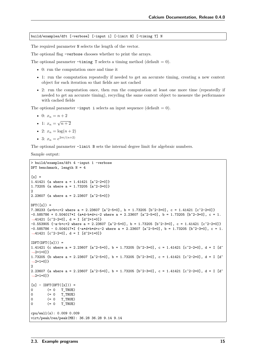build/examples/dft [-verbose] [-input i] [-limit B] [-timing T] N

The required parameter N selects the length of the vector.

The optional flag -verbose chooses whether to print the arrays.

The optional parameter  $-\text{tining }$  T selects a timing method (default = 0).

- 0: run the computation once and time it
- 1: run the computation repeatedly if needed to get an accurate timing, creating a new context object for each iteration so that fields are not cached
- 2: run the computation once, then run the computation at least one more time (repeatedly if needed to get an accurate timing), recycling the same context object to measure the performance with cached fields

The optional parameter  $-i$ nput i selects an input sequence (default = 0).

- 0:  $x_n = n + 2$
- 1:  $x_n = \sqrt{n+2}$
- 2:  $x_n = \log(n+2)$
- 3:  $x_n = e^{2\pi i/(n+2)}$

The optional parameter -limit B sets the internal degree limit for algebraic numbers.

Sample output:

```
> build/examples/dft 4 -input 1 -verbose
DFT benchmark, length N = 4\lceil x \rceil =1.41421 {a where a = 1.41421 [a^2-2=0]}
1.73205 {a where a = 1.73205 [a^2-3=0]}
2
2.23607 {a where a = 2.23607 [a^2-5=0]}
DFT([x]) =7.38233 \{a+b+c+2 where a = 2.23607 [a^2-5=0], b = 1.73205 [b^2-3=0], c = 1.41421 [c^2-2=0]-0.585786 + 0.504017 * I {a*d-b*d+c-2 where a = 2.23607 [a^2-5=0], b = 1.73205 [b^2-3=0], c = 1.
\rightarrow41421 [c<sup>\uparrow</sup>2-2=0], d = I [d<sup>\uparrow</sup>2+1=0]}
-0.553905 {-a-b+c+2 where a = 2.23607 [a^2-5=0], b = 1.73205 [b^2-3=0], c = 1.41421 [c^2-2=0]}
-0.585786 - 0.504017 * I {-a*d+b*d+c-2 where a = 2.23607 [a^2-5=0], b = 1.73205 [b^2-3=0], c = 1.
\rightarrow41421 [c<sup>\uparrow</sup>2-2=0], d = I [d<sup>\uparrow</sup>2+1=0]}
IDFT(DFT([x])) =1.41421 {c where a = 2.23607 [a^2-5=0], b = 1.73205 [b^2-3=0], c = 1.41421 [c^2-2=0], d = I [d^
\rightarrow 2+1=0] }
1.73205 {b where a = 2.23607 [a^2-5=0], b = 1.73205 [b^2-3=0], c = 1.41421 [c^2-2=0], d = I [d^
˓→2+1=0]}
\overline{2}2.23607 {a where a = 2.23607 [a^2-5=0], b = 1.73205 [b^2-3=0], c = 1.41421 [c^2-2=0], d = I [d^
\rightarrow 2+1=0] }
[x] - IDFT(DFT([x])) =0 \qquad (= 0 \quad T \text{ TRUE})0 (= 0 T_TRUE)
0 (= 0 T_TRUE)
0 (= 0 T_TRUE)
cpu/wall(s): 0.009 0.009
virt/peak/res/peak(MB): 36.28 36.28 9.14 9.14
```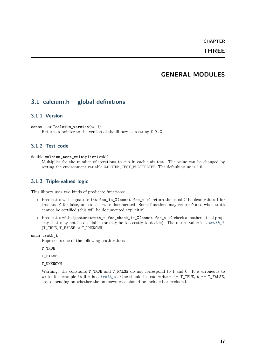# **CHAPTER THREE**

# **GENERAL MODULES**

# <span id="page-22-1"></span><span id="page-22-0"></span>**3.1 calcium.h – global definitions**

# <span id="page-22-2"></span>**3.1.1 Version**

**const** char \***calcium\_version**(void) Returns a pointer to the version of the library as a string X.Y.Z.

# <span id="page-22-3"></span>**3.1.2 Test code**

double **calcium\_test\_multiplier**(void)

Multiplier for the number of iterations to run in each unit test. The value can be changed by setting the environment variable CALCIUM TEST MULTIPLIER. The default value is 1.0.

# <span id="page-22-4"></span>**3.1.3 Triple-valued logic**

This library uses two kinds of predicate functions:

- Predicates with signature int foo\_is\_X(const foo\_t x) return the usual C boolean values 1 for true and 0 for false, unless otherwise documented. Some functions may return 0 also when truth cannot be certified (this will be documented explicitly).
- Predicates with signature truth t foo check is X(const foo t x) check a mathematical property that may not be decidable (or may be too costly to decide). The return value is a *[truth\\_t](#page-22-5)* (T\_TRUE, T\_FALSE or T\_UNKNOWN).

<span id="page-22-5"></span>**enum truth\_t**

Represents one of the following truth values:

**T\_TRUE**

**T\_FALSE**

**T\_UNKNOWN**

Warning: the constants  $T$ -TRUE and  $T$ -FALSE do not correspond to 1 and 0. It is erroneous to write, for example !t if t is a  $truth_t$ . One should instead write t !=  $T$ \_TRUE, t ==  $T$ \_FALSE, etc. depending on whether the unknown case should be included or excluded.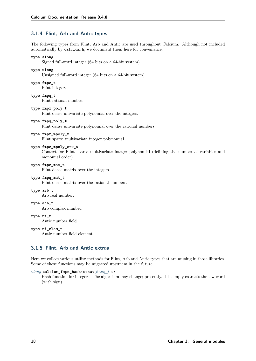# <span id="page-23-0"></span>**3.1.4 Flint, Arb and Antic types**

The following types from Flint, Arb and Antic are used throughout Calcium. Although not included automatically by calcium.h, we document them here for convenience.

#### <span id="page-23-4"></span>**type slong**

Signed full-word integer (64 bits on a 64-bit system).

#### <span id="page-23-2"></span>**type ulong**

Unsigned full-word integer (64 bits on a 64-bit system).

<span id="page-23-3"></span>**type fmpz\_t**

Flint integer.

<span id="page-23-7"></span>**type fmpq\_t** Flint rational number.

**type fmpz\_poly\_t**

Flint dense univariate polynomial over the integers.

#### **type fmpq\_poly\_t**

Flint dense univariate polynomial over the rational numbers.

#### **type fmpz\_mpoly\_t**

Flint sparse multivariate integer polynomial.

#### **type fmpz\_mpoly\_ctx\_t**

Context for Flint sparse multivariate integer polynomial (defining the number of variables and monomial order).

#### **type fmpz\_mat\_t**

Flint dense matrix over the integers.

#### **type fmpq\_mat\_t**

Flint dense matrix over the rational numbers.

#### <span id="page-23-5"></span>**type arb\_t**

Arb real number.

#### <span id="page-23-6"></span>**type acb\_t**

Arb complex number.

#### **type nf\_t**

Antic number field.

# <span id="page-23-8"></span>**type nf\_elem\_t**

Antic number field element.

# <span id="page-23-1"></span>**3.1.5 Flint, Arb and Antic extras**

Here we collect various utility methods for Flint, Arb and Antic types that are missing in those libraries. Some of these functions may be migrated upstream in the future.

#### *[ulong](#page-23-2)* **calcium\_fmpz\_hash**(**const** *[fmpz\\_t](#page-23-3) x*)

Hash function for integers. The algorithm may change; presently, this simply extracts the low word (with sign).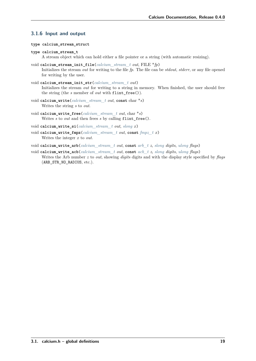# <span id="page-24-0"></span>**3.1.6 Input and output**

- **type calcium\_stream\_struct**
- <span id="page-24-1"></span>**type calcium\_stream\_t** A stream object which can hold either a file pointer or a string (with automatic resizing).
- void **calcium\_stream\_init\_file**(*[calcium\\_stream\\_t](#page-24-1) out*, FILE \**fp*) Initializes the stream *out* for writing to the file *fp*. The file can be *stdout*, *stderr*, or any file opened for writing by the user.
- void **calcium\_stream\_init\_str**(*[calcium\\_stream\\_t](#page-24-1) out*) Initializes the stream *out* for writing to a string in memory. When finished, the user should free the string (the *s* member of *out* with flint\_free()).
- void **calcium\_write**(*[calcium\\_stream\\_t](#page-24-1) out*, **const** char \**s*) Writes the string *s* to *out*.
- void **calcium\_write\_free**(*[calcium\\_stream\\_t](#page-24-1) out*, char \**s*) Writes *s* to *out* and then frees *s* by calling flint\_free().
- void **calcium\_write\_si**(*[calcium\\_stream\\_t](#page-24-1) out*, *[slong](#page-23-4) x*)
- void **calcium\_write\_fmpz**(*[calcium\\_stream\\_t](#page-24-1) out*, **const** *[fmpz\\_t](#page-23-3) x*) Writes the integer *x* to *out*.
- void **calcium\_write\_arb**(*[calcium\\_stream\\_t](#page-24-1) out*, **const** *[arb\\_t](#page-23-5) z*, *[slong](#page-23-4) digits*, *[ulong](#page-23-2) flags*)
- void **calcium\_write\_acb**(*[calcium\\_stream\\_t](#page-24-1) out*, **const** *[acb\\_t](#page-23-6) z*, *[slong](#page-23-4) digits*, *[ulong](#page-23-2) flags*) Writes the Arb number *z* to *out*, showing *digits* digits and with the display style specified by *flags* (ARB\_STR\_NO\_RADIUS, etc.).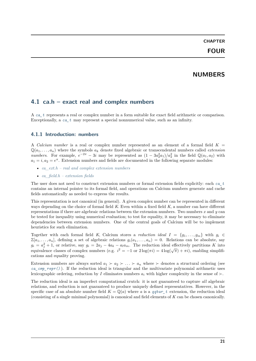# **NUMBERS**

# <span id="page-26-1"></span><span id="page-26-0"></span>**4.1 ca.h – exact real and complex numbers**

A *[ca\\_t](#page-27-3)* represents a real or complex number in a form suitable for exact field arithmetic or comparison. Exceptionally, a *[ca\\_t](#page-27-3)* may represent a special nonnumerical value, such as an infinity.

### <span id="page-26-2"></span>**4.1.1 Introduction: numbers**

A *Calcium number* is a real or complex number represented as an element of a formal field  $K =$  $\mathbb{Q}(a_1, \ldots, a_n)$  where the symbols  $a_k$  denote fixed algebraic or transcendental numbers called *extension numbers.* For example,  $e^{-2\pi} - 3i$  may be represented as  $(1 - 3a_2^2 a_1)/a_2^2$  in the field  $\mathbb{Q}(a_1, a_2)$  with  $a_1 = i, a_2 = e^{\pi}$ . Extension numbers and fields are documented in the following separate modules:

- *[ca\\_ext.h real and complex extension numbers](#page-64-1)*
- *[ca\\_field.h extension fields](#page-67-0)*

The user does not need to construct extension numbers or formal extension fields explicitly: each *[ca\\_t](#page-27-3)* contains an internal pointer to its formal field, and operations on Calcium numbers generate and cache fields automatically as needed to express the results.

This representation is not canonical (in general). A given complex number can be represented in different ways depending on the choice of formal field *K*. Even within a fixed field *K*, a number can have different representations if there are algebraic relations between the extension numbers. Two numbers *x* and *y* can be tested for inequality using numerical evaluation; to test for equality, it may be necessary to eliminate dependencies between extension numbers. One of the central goals of Calcium will be to implement heuristics for such elimination.

Together with each formal field *K*, Calcium stores a *reduction ideal*  $I = \{g_1, \ldots, g_m\}$  with  $g_i \in$  $\mathbb{Z}[a_1,\ldots,a_n]$ , defining a set of algebraic relations  $g_i(a_1,\ldots,a_n) = 0$ . Relations can be absolute, say  $g_i = a_j^2 + 1$ , or relative, say  $g_i = 2a_j - 4a_k - a_l a_m$ . The reduction ideal effectively partitions K into  $g_i = a_j + 1$ , or relative, say  $g_i = 2a_j - 4a_k - a_l a_m$ . The reduction ideal encervery partitions in line cations and equality proving.

Extension numbers are always sorted  $a_1 \succ a_2 \succ \ldots \succ a_n$  where  $\succ$  denotes a structural ordering (see *[ca\\_cmp\\_repr\(\)](#page-32-1)* ). If the reduction ideal is triangular and the multivariate polynomial arithmetic uses lexicographic ordering, reduction by *I* eliminates numbers  $a_i$  with higher complexity in the sense of  $\succ$ .

The reduction ideal is an imperfect computational crutch: it is not guaranteed to capture *all* algebraic relations, and reduction is not guaranteed to produce uniquely defined representatives. However, in the specific case of an absolute number field  $K = \mathbb{Q}(a)$  where a is a *[qqbar\\_t](#page-100-3)* extension, the reduction ideal (consisting of a single minimal polynomial) is canonical and field elements of *K* can be chosen canonically.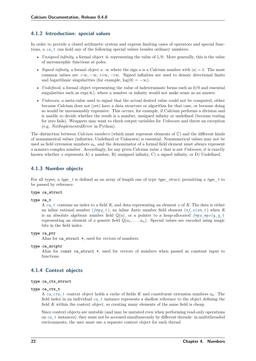### <span id="page-27-0"></span>**4.1.2 Introduction: special values**

In order to provide a closed arithmetic system and express limiting cases of operators and special functions, a *[ca\\_t](#page-27-3)* can hold any of the following special values besides ordinary numbers:

- *Unsigned infinity*, a formal object  $\tilde{\infty}$  representing the value of 1/0. More generally, this is the value of meromorphic functions at poles.
- *Signed infinity*, a formal object  $a \cdot \infty$  where the sign  $a$  is a Calcium number with  $|a| = 1$ . The most common values are  $+\infty, -\infty, +i\infty, -i\infty$ . Signed infinities are used to denote directional limits and logarithmic singularities (for example,  $log(0) = -\infty$ ).
- *Undefined*, a formal object representing the value of indeterminate forms such as 0*/*0 and essential singularities such as  $\exp(\tilde{\infty})$ , where a number or infinity would not make sense as an answer.
- *Unknown*, a meta-value used to signal that the actual desired value could not be computed, either because Calcium does not (yet) have a data structure or algorithm for that case, or because doing so would be unreasonably expensive. This occurs, for example, if Calcium performs a division and is unable to decide whether the result is a number, unsigned infinity or undefined (because testing for zero fails). Wrappers may want to check output variables for *Unknown* and throw an exception (e.g. *NotImplementedError* in Python).

The distinction between *Calcium numbers* (which must represent elements of C) and the different kinds of nonnumerical values (infinities, Undefined or Unknown) is essential. Nonnumerical values may not be used as field extension numbers  $a_k$ , and the denominator of a formal field element must always represent a nonzero complex number. Accordingly, for any given Calcium value *x* that is not *Unknown*, it is exactly known whether *x* represents A) a number, B) unsigned infinity, C) a signed infinity, or D) Undefined.

### <span id="page-27-1"></span>**4.1.3 Number objects**

For all types, a *type\_t* is defined as an array of length one of type *type\_struct*, permitting a *type\_t* to be passed by reference.

#### **type ca\_struct**

#### <span id="page-27-3"></span>**type ca\_t**

A *[ca\\_t](#page-27-3)* contains an index to a field *K*, and data representing an element *x* of *K*. The data is either an inline rational number (*[fmpq\\_t](#page-23-7)* ), an inline Antic number field element (*[nf\\_elem\\_t](#page-23-8)* ) when *K* is an absolute algebraic number field  $\mathbb{Q}(a)$ , or a pointer to a heap-allocated  $fmpz$  mpoly q t representing an element of a generic field  $\mathbb{Q}(a_1, \ldots, a_n)$ . Special values are encoded using magic bits in the field index.

#### **type ca\_ptr**

Alias for ca\_struct \*, used for vectors of numbers.

#### **type ca\_srcptr**

Alias for const ca\_struct \*, used for vectors of numbers when passed as constant input to functions.

# <span id="page-27-2"></span>**4.1.4 Context objects**

#### <span id="page-27-4"></span>**type ca\_ctx\_struct**

#### **type ca\_ctx\_t**

A ca<sub>ctx</sub> t context object holds a cache of fields K and constituent extension numbers  $a_k$ . The field index in an individual *[ca\\_t](#page-27-3)* instance represents a shallow reference to the object defining the field *K* within the context object, so creating many elements of the same field is cheap.

Since context objects are mutable (and may be mutated even when performing read-only operations on *[ca\\_t](#page-27-3)* instances), they must not be accessed simultaneously by different threads: in multithreaded environments, the user must use a separate context object for each thread.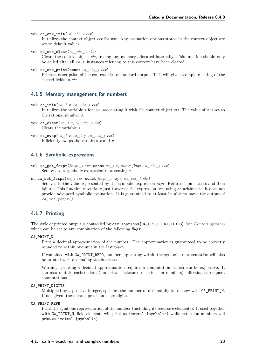```
void ca_ctx_init(ca_ctx_t ctx)
```
Initializes the context object *ctx* for use. Any evaluation options stored in the context object are set to default values.

void **ca\_ctx\_clear**(*[ca\\_ctx\\_t](#page-27-4) ctx*)

Clears the context object *ctx*, freeing any memory allocated internally. This function should only be called after all *[ca\\_t](#page-27-3)* instances referring to this context have been cleared.

```
void ca_ctx_print(const ca_ctx_t ctx)
```
Prints a description of the context *ctx* to standard output. This will give a complete listing of the cached fields in *ctx*.

#### <span id="page-28-0"></span>**4.1.5 Memory management for numbers**

void **ca\_init**(*[ca\\_t](#page-27-3) x*, *[ca\\_ctx\\_t](#page-27-4) ctx*)

Initializes the variable  $x$  for use, associating it with the context object  $\mathit{ctx}$ . The value of  $x$  is set to the rational number 0.

- void **ca\_clear**(*[ca\\_t](#page-27-3) x*, *[ca\\_ctx\\_t](#page-27-4) ctx*) Clears the variable *x*.
- void  $ca\_swap$ (*[ca\\_t](#page-27-3) x, ca\_t y, [ca\\_ctx\\_t](#page-27-4) ctx*) Efficiently swaps the variables *x* and *y*.

### <span id="page-28-1"></span>**4.1.6 Symbolic expressions**

<span id="page-28-3"></span>void **ca\_get\_fexpr**(*[fexpr\\_t](#page-71-1) res*, **const** *[ca\\_t](#page-27-3) x*, *[ulong](#page-23-2) flags*, *[ca\\_ctx\\_t](#page-27-4) ctx*) Sets *res* to a symbolic expression representing *x*.

```
int ca_set_fexpr(ca_t res, const fexpr_t expr, ca_ctx_t ctx)
```
Sets *res* to the value represented by the symbolic expression *expr*. Returns 1 on success and 0 on failure. This function essentially just traverses the expression tree using ca arithmetic; it does not provide advanced symbolic evaluation. It is guaranteed to at least be able to parse the output of *[ca\\_get\\_fexpr\(\)](#page-28-3)* .

# <span id="page-28-2"></span>**4.1.7 Printing**

The style of printed output is controlled by ctx->options[CA\_OPT\_PRINT\_FLAGS] (see *[Context options](#page-43-0)*) which can be set to any combination of the following flags:

#### **CA\_PRINT\_N**

Print a decimal approximation of the number. The approximation is guaranteed to be correctly rounded to within one unit in the last place.

If combined with CA\_PRINT\_REPR, numbers appearing within the symbolic representation will also be printed with decimal approximations.

Warning: printing a decimal approximation requires a computation, which can be expensive. It can also mutate cached data (numerical enclosures of extension numbers), affecting subsequent computations.

#### **CA\_PRINT\_DIGITS**

Multiplied by a positive integer, specifies the number of decimal digits to show with CA\_PRINT\_N. If not given, the default precision is six digits.

#### **CA\_PRINT\_REPR**

Print the symbolic representation of the number (including its recursive elements). If used together with CA\_PRINT\_N, field elements will print as decimal {symbolic} while extension numbers will print as decimal [symbolic].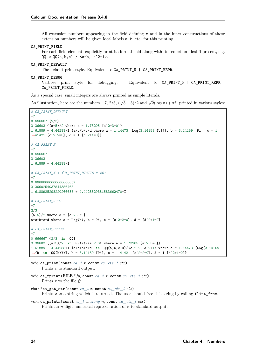All extension numbers appearing in the field defining x and in the inner constructions of those extension numbers will be given local labels a, b, etc. for this printing.

#### **CA\_PRINT\_FIELD**

For each field element, explicitly print its formal field along with its reduction ideal if present, e.g.  $QQ$  or  $QQ(a, b, c)$  /  $\langle a-b, c^2+1\rangle$ .

#### **CA\_PRINT\_DEFAULT**

The default print style. Equivalent to CA\_PRINT\_N | CA\_PRINT\_REPR.

#### **CA\_PRINT\_DEBUG**

Verbose print style for debugging. Equivalent to CA\_PRINT\_N | CA\_PRINT\_REPR | CA\_PRINT\_FIELD.

As a special case, small integers are always printed as simple literals.

As illustration, here are the numbers −7, 2*/*3, (  $\sqrt{3} + 5/2$  and  $\sqrt{2}(\log(\pi) + \pi i)$  printed in various styles:

```
# CA_PRINT_DEFAULT
-70.666667 {2/3}
3.36603 {(a+5)/2 where a = 1.73205 [a^2-3=0]}
1.61889 + 4.44288*I {a*c+b*c*d where a = 1.14473 [Log(3.14159 {b})], b = 3.14159 [Pi], c = 1.
\rightarrow41421 [c<sup>\sim</sup>2-2=0], d = I [d<sup>\sim</sup>2+1=0]}
# CA_PRINT_N
-7
0.666667
3.36603
1.61889 + 4.44288*I
# CA_PRINT_N | (CA_PRINT_DIGITS * 20)
-70.66666666666666666667
3.3660254037844386468
1.6188925298220266685 + 4.4428829381583662470*I
# CA_PRINT_REPR
-7
2/3
(a+5)/2 where a = [a^2-3=0]a * c + b * c * d where a = Log(b), b = Pi, c = [c^2-2=0], d = [d^2+1=0]# CA_PRINT_DEBUG
-7
0.666667 {2/3 in QQ}
3.36603 {(a+5)/2 in QQ(a)/<a^2-3> where a = 1.73205 [a^2-3=0]}
1.61889 + 4.44288*I {a*c+b*c*d in QQ(a,b,c,d)/<c^2-2, d^2+1> where a = 1.14473 [Log(3.14159
˓→{b in QQ(b)})], b = 3.14159 [Pi], c = 1.41421 [c^2-2=0], d = I [d^2+1=0]}
```
void **ca\_print**(**const** *[ca\\_t](#page-27-3) x*, **const** *[ca\\_ctx\\_t](#page-27-4) ctx*) Prints *x* to standard output. void **ca\_fprint**(FILE \**fp*, **const** *[ca\\_t](#page-27-3) x*, **const** *[ca\\_ctx\\_t](#page-27-4) ctx*)

Prints *x* to the file *fp*.

- char \***ca\_get\_str**(**const** *[ca\\_t](#page-27-3) x*, **const** *[ca\\_ctx\\_t](#page-27-4) ctx*) Prints *x* to a string which is returned. The user should free this string by calling flint free.
- void **ca\_printn**(**const** *[ca\\_t](#page-27-3) x*, *[slong](#page-23-4) n*, **const** *[ca\\_ctx\\_t](#page-27-4) ctx*) Prints an *n*-digit numerical representation of *x* to standard output.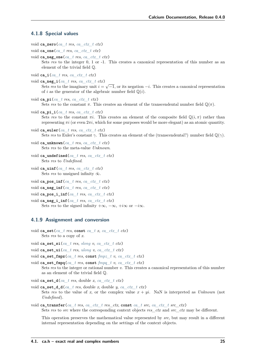#### <span id="page-30-0"></span>**4.1.8 Special values**

- void **ca\_zero**(*[ca\\_t](#page-27-3) res*, *[ca\\_ctx\\_t](#page-27-4) ctx*)
- void **ca\_one**(*[ca\\_t](#page-27-3) res*, *[ca\\_ctx\\_t](#page-27-4) ctx*)
- void **ca\_neg\_one**(*[ca\\_t](#page-27-3) res*, *[ca\\_ctx\\_t](#page-27-4) ctx*) Sets res to the integer 0, 1 or -1. This creates a canonical representation of this number as an element of the trivial field Q.
- void **ca\_i**(*[ca\\_t](#page-27-3) res*, *[ca\\_ctx\\_t](#page-27-4) ctx*)
- void **ca\_neg\_i**(*[ca\\_t](#page-27-3) res*, *[ca\\_ctx\\_t](#page-27-4) ctx*) Sets *res* to the imaginary unit = √ −1, or its negation −. This creates a canonical representation of *i* as the generator of the algebraic number field  $\mathbb{Q}(i)$ .
- void ca  $pi$  (*[ca\\_t](#page-27-3) res*, *[ca\\_ctx\\_t](#page-27-4)\_ctx*) Sets res to the constant  $\pi$ . This creates an element of the transcendental number field  $\mathbb{Q}(\pi)$ .
- void **ca\_pi\_i**(*[ca\\_t](#page-27-3) res*, *[ca\\_ctx\\_t](#page-27-4) ctx*) Sets res to the constant  $\pi i$ . This creates an element of the composite field  $\mathbb{Q}(i,\pi)$  rather than representing  $\pi i$  (or even  $2\pi i$ , which for some purposes would be more elegant) as an atomic quantity.
- void **ca\_euler**(*[ca\\_t](#page-27-3) res*, *[ca\\_ctx\\_t](#page-27-4) ctx*) Sets res to Euler's constant  $\gamma$ . This creates an element of the (transcendental?) number field  $\mathbb{Q}(\gamma)$ .
- void **ca\_unknown**(*[ca\\_t](#page-27-3) res*, *[ca\\_ctx\\_t](#page-27-4) ctx*) Sets *res* to the meta-value *Unknown*.
- void **ca\_undefined**(*[ca\\_t](#page-27-3) res*, *[ca\\_ctx\\_t](#page-27-4) ctx*) Sets *res* to *Undefined*.
- void **ca\_uinf**(*[ca\\_t](#page-27-3) res*, *[ca\\_ctx\\_t](#page-27-4) ctx*) Sets *res* to unsigned infinity  $\tilde{\infty}$ .
- void **ca\_pos\_inf**(*[ca\\_t](#page-27-3) res*, *[ca\\_ctx\\_t](#page-27-4) ctx*)
- void ca\_neg\_inf( $ca$  *t res*,  $ca$   $ctx$  *t*  $ctx$ )
- void **ca\_pos\_i\_inf**(*[ca\\_t](#page-27-3) res*, *[ca\\_ctx\\_t](#page-27-4) ctx*)
- void **ca\_neg\_i\_inf**(*[ca\\_t](#page-27-3) res*, *[ca\\_ctx\\_t](#page-27-4) ctx*) Sets *res* to the signed infinity  $+\infty$ ,  $-\infty$ ,  $+i\infty$  or  $-i\infty$ .

#### <span id="page-30-1"></span>**4.1.9 Assignment and conversion**

- void **ca\_set**(*[ca\\_t](#page-27-3) res*, **const** *[ca\\_t](#page-27-3) x*, *[ca\\_ctx\\_t](#page-27-4) ctx*) Sets *res* to a copy of *x*.
- void **ca\_set\_si**(*[ca\\_t](#page-27-3) res*, *[slong](#page-23-4) v*, *[ca\\_ctx\\_t](#page-27-4) ctx*)
- void **ca\_set\_ui**(*[ca\\_t](#page-27-3) res*, *[ulong](#page-23-2) v*, *[ca\\_ctx\\_t](#page-27-4) ctx*)
- void **ca\_set\_fmpz**(*[ca\\_t](#page-27-3) res*, **const** *[fmpz\\_t](#page-23-3) v*, *[ca\\_ctx\\_t](#page-27-4) ctx*)
- void **ca\_set\_fmpq**(*[ca\\_t](#page-27-3) res*, **const** *[fmpq\\_t](#page-23-7) v*, *[ca\\_ctx\\_t](#page-27-4) ctx*) Sets *res* to the integer or rational number *v*. This creates a canonical representation of this number as an element of the trivial field Q.
- void ca\_set\_d( $ca$   $t$  *res*, double *x*,  $ca$   $ctx$   $t$   $ctx$ )
- void **ca\_set\_d\_d**(*[ca\\_t](#page-27-3) res*, double *x*, double *y*, *[ca\\_ctx\\_t](#page-27-4) ctx*) Sets res to the value of x, or the complex value  $x + yi$ . NaN is interpreted as *Unknown* (not *Undefined*).
- void **ca\_transfer**(*[ca\\_t](#page-27-3) res*, *[ca\\_ctx\\_t](#page-27-4) res\_ctx*, **const** *[ca\\_t](#page-27-3) src*, *[ca\\_ctx\\_t](#page-27-4) src\_ctx*) Sets *res* to *src* where the corresponding context objects *res\_ctx* and *src\_ctx* may be different.

This operation preserves the mathematical value represented by *src*, but may result in a different internal representation depending on the settings of the context objects.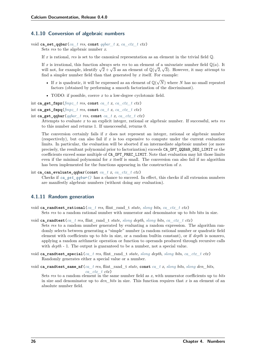# <span id="page-31-0"></span>**4.1.10 Conversion of algebraic numbers**

```
void ca_set_qqbar(ca_t res, const qqbar_t x, ca_ctx_t ctx)
     Sets res to the algebraic number x.
```
If *x* is rational, *res* is set to the canonical representation as an element in the trivial field Q.

If *x* is irrational, this function always sets *res* to an element of a univariate number field  $\mathbb{Q}(a)$ . It If x is irrational, this function always sets res to an element of a univariate number neid  $\mathbb{Q}(d)$ . It will not, for example, identify  $\sqrt{2} + \sqrt{3}$  as an element of  $\mathbb{Q}(\sqrt{2}, \sqrt{3})$ . However, it may attempt to find a simpler number field than that generated by *x* itself. For example:

- If *x* is quadratic, it will be expressed as an element of  $\mathbb{Q}(\sqrt{\mathbb{Q}(\sqrt{a})})$ ) where *N* has no small repeated factors (obtained by performing a smooth factorization of the discriminant).
- <span id="page-31-2"></span>• TODO: if possible, coerce *x* to a low-degree cyclotomic field.

int  $\text{ca\_get\_fmpz}(fmpz \text{ } t \text{ } res, \text{ const } ca \text{ } t \text{ } x, \text{ } ca \text{ } ctx \text{ } t \text{ } ctx)$ 

```
int ca\_get\_fmpq(fmpz \ t \ res, const \ ca \ t \ x, ca \ ctx \ t \ ctx)
```

```
int ca_get_qqbar(qqbar_t res, const ca_t x, ca_ctx_t ctx)
```
Attempts to evaluate *x* to an explicit integer, rational or algebraic number. If successful, sets *res* to this number and returns 1. If unsuccessful, returns 0.

The conversion certainly fails if *x* does not represent an integer, rational or algebraic number (respectively), but can also fail if *x* is too expensive to compute under the current evaluation limits. In particular, the evaluation will be aborted if an intermediate algebraic number (or more precisely, the resultant polynomial prior to factorization) exceeds CA\_OPT\_QQBAR\_DEG\_LIMIT or the coefficients exceed some multiple of CA\_OPT\_PREC\_LIMIT. Note that evaluation may hit those limits even if the minimal polynomial for *x* itself is small. The conversion can also fail if no algorithm has been implemented for the functions appearing in the construction of *x*.

```
int ca_can_evaluate_qqbar(const ca_t x, ca_ctx_t ctx)
```
Checks if *ca\_get\_ggbar()* has a chance to succeed. In effect, this checks if all extension numbers are manifestly algebraic numbers (without doing any evaluation).

# <span id="page-31-1"></span>**4.1.11 Random generation**

- void **ca\_randtest\_rational**(*[ca\\_t](#page-27-3) res*, flint\_rand\_t *state*, *[slong](#page-23-4) bits*, *[ca\\_ctx\\_t](#page-27-4) ctx*)
	- Sets *res* to a random rational number with numerator and denominator up to *bits* bits in size.
- void **ca\_randtest**(*[ca\\_t](#page-27-3) res*, flint\_rand\_t *state*, *[slong](#page-23-4) depth*, *[slong](#page-23-4) bits*, *[ca\\_ctx\\_t](#page-27-4) ctx*) Sets *res* to a random number generated by evaluating a random expression. The algorithm randomly selects between generating a "simple" number (a random rational number or quadratic field element with coefficients up to *bits* in size, or a random builtin constant), or if *depth* is nonzero, applying a random arithmetic operation or function to operands produced through recursive calls with *depth* - 1. The output is guaranteed to be a number, not a special value.
- void **ca\_randtest\_special**(*[ca\\_t](#page-27-3) res*, flint\_rand\_t *state*, *[slong](#page-23-4) depth*, *[slong](#page-23-4) bits*, *[ca\\_ctx\\_t](#page-27-4) ctx*) Randomly generates either a special value or a number.

void ca randtest same nf  $(ca$   $t$   $res$ , flint  $rand$   $t$  *state*, const  $ca$   $tx$ , *[slong](#page-23-4) bits*, *slong den bits*, *[ca\\_ctx\\_t](#page-27-4) ctx*)

Sets *res* to a random element in the same number field as *x*, with numerator coefficients up to *bits* in size and denominator up to *den\_bits* in size. This function requires that *x* is an element of an absolute number field.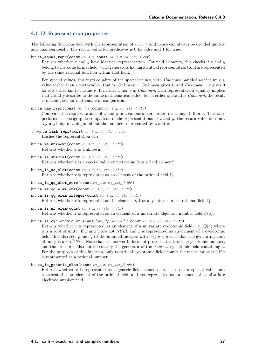# <span id="page-32-0"></span>**4.1.12 Representation properties**

The following functions deal with the representation of a *[ca\\_t](#page-27-3)* and hence can always be decided quickly and unambiguously. The return value for predicates is 0 for false and 1 for true.

```
int ca_equal_repr(const ca_t x, const ca_t y, ca_ctx_t ctx)
```
Returns whether *x* and *y* have identical representation. For field elements, this checks if *x* and *y* belong to the same formal field (with generators having identical representation) and are represented by the same rational function within that field.

For special values, this tests equality of the special values, with *Unknown* handled as if it were a value rather than a meta-value: that is,  $Unknown = Unknown$  gives 1, and  $Unknown = y$  gives 0 for any other kind of value *y*. If neither *x* nor *y* is *Unknown*, then representation equality implies that *x* and *y* describe to the same mathematical value, but if either operand is *Unknown*, the result is meaningless for mathematical comparison.

```
int ca_{\text{comp\_repr}}(const \text{ } ca \text{ } t \text{ } x \text{, const } ca \text{ } t \text{ } y \text{, } ca \text{ } ctx \text{ } t \text{ } ctx)
```
Compares the representations of *x* and *y* in a canonical sort order, returning -1, 0 or 1. This only performs a lexicographic comparison of the representations of *x* and *y*; the return value does not say anything meaningful about the numbers represented by *x* and *y*.

- *[ulong](#page-23-2)* **ca\_hash\_repr**(**const** *[ca\\_t](#page-27-3) x*, *[ca\\_ctx\\_t](#page-27-4) ctx*) Hashes the representation of *x*.
- int ca\_is\_unknown(const *[ca\\_t](#page-27-3) x*, *[ca\\_ctx\\_t](#page-27-4) ctx*) Returns whether *x* is Unknown.
- int **ca\_is\_special**(**const** *[ca\\_t](#page-27-3) x*, *[ca\\_ctx\\_t](#page-27-4) ctx*) Returns whether *x* is a special value or metavalue (not a field element).
- int **ca\_is\_qq\_elem**(**const** *[ca\\_t](#page-27-3) x*, *[ca\\_ctx\\_t](#page-27-4) ctx*) Returns whether *x* is represented as an element of the rational field Q.
- int **ca\_is\_qq\_elem\_zero**(**const** *[ca\\_t](#page-27-3) x*, *[ca\\_ctx\\_t](#page-27-4) ctx*)
- int ca\_is\_qq\_elem\_one(const *[ca\\_t](#page-27-3) x*, *[ca\\_ctx\\_t](#page-27-4) ctx*)
- int ca\_is\_qq\_elem\_integer(const *[ca\\_t](#page-27-3) x*, *[ca\\_ctx\\_t](#page-27-4) ctx*) Returns whether  $x$  is represented as the element  $0, 1$  or any integer in the rational field  $\mathbb{Q}$ .
- int **ca\_is\_nf\_elem**(**const** *[ca\\_t](#page-27-3) x*, *[ca\\_ctx\\_t](#page-27-4) ctx*) Returns whether *x* is represented as an element of a univariate algebraic number field  $\mathbb{Q}(a)$ .

#### int **ca\_is\_cyclotomic\_nf\_elem**(*[slong](#page-23-4)* \**p*, *[ulong](#page-23-2)* \**q*, **const** *[ca\\_t](#page-27-3) x*, *[ca\\_ctx\\_t](#page-27-4) ctx*)

Returns whether x is represented as an element of a univariate cyclotomic field, i.e.  $\mathbb{Q}(a)$  where *a* is a root of unity. If *p* and *q* are not *NULL* and *x* is represented as an element of a cyclotomic field, this also sets p and q to the minimal integers with  $0 \leq p < q$  such that the generating root of unity is  $a = e^{2\pi i p/q}$ . Note that the answer 0 does not prove that x is not a cyclotomic number, and the order *q* is also not necessarily the generator of the *smallest* cyclotomic field containing *x*. For the purposes of this function, only nontrivial cyclotomic fields count; the return value is 0 if *x* is represented as a rational number.

```
int ca_is_generic_elem(const ca_t x, ca_ctx_t ctx)
```
Returns whether *x* is represented as a generic field element; i.e. it is not a special value, not represented as an element of the rational field, and not represented as an element of a univariate algebraic number field.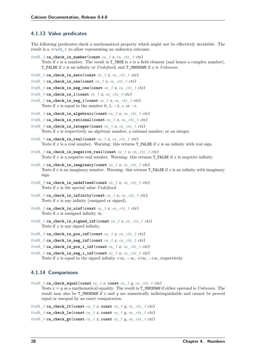# <span id="page-33-0"></span>**4.1.13 Value predicates**

The following predicates check a mathematical property which might not be effectively decidable. The result is a *[truth\\_t](#page-22-5)* to allow representing an unknown outcome.

```
truth_t ca_check_is_number(const ca_t x, ca_ctx_t ctx)
     Tests if x is a number. The result is TTRUE is x is a field element (and hence a complex number),
     T_FALSE if x is an infinity or Undefined, and T_UNKNOWN if x is Unknown.
```
<span id="page-33-2"></span>*[truth\\_t](#page-22-5)* **ca\_check\_is\_zero**(**const** *[ca\\_t](#page-27-3) x*, *[ca\\_ctx\\_t](#page-27-4) ctx*)

```
truth t ca_check_is_one(const ca t x, ca ctx t ctx)
```
*truth*  $t$  **ca** check is neg one(const  $ca$   $t$  *x*,  $ca$   $ctx$   $t$   $ctx$ )

```
truth t ca check is i(const ca_t x, ca_ctx_t_ctx)
```
*[truth\\_t](#page-22-5)* **ca\_check\_is\_neg\_i**(**const** *[ca\\_t](#page-27-3) x*, *[ca\\_ctx\\_t](#page-27-4) ctx*) Tests if *x* is equal to the number 0, 1,  $-1$ , *i*, or  $-i$ .

*[truth\\_t](#page-22-5)* **ca\_check\_is\_algebraic**(**const** *[ca\\_t](#page-27-3) x*, *[ca\\_ctx\\_t](#page-27-4) ctx*)

```
truth_t ca_check_is_rational(const ca_t x, ca_ctx_t ctx)
```
*[truth\\_t](#page-22-5)* **ca\_check\_is\_integer**(**const** *[ca\\_t](#page-27-3) x*, *[ca\\_ctx\\_t](#page-27-4) ctx*) Tests if *x* is respectively an algebraic number, a rational number, or an integer.

 $truth$   $t$  **ca\_check\_is\_real(const**  $ca$   $tx$ ,  $ca$   $ctx$   $t$   $ctx)$ Tests if *x* is a real number. Warning: this returns **T\_FALSE** if *x* is an infinity with real sign.

- *[truth\\_t](#page-22-5)* **ca\_check\_is\_negative\_real**(**const** *[ca\\_t](#page-27-3) x*, *[ca\\_ctx\\_t](#page-27-4) ctx*) Tests if *x* is a negative real number. Warning: this returns T\_FALSE if *x* is negative infinity.
- *[truth\\_t](#page-22-5)* **ca\_check\_is\_imaginary**(**const** *[ca\\_t](#page-27-3) x*, *[ca\\_ctx\\_t](#page-27-4) ctx*) Tests if *x* is an imaginary number. Warning: this returns T\_FALSE if *x* is an infinity with imaginary sign.
- *[truth\\_t](#page-22-5)* **ca\_check\_is\_undefined**(**const** *[ca\\_t](#page-27-3) x*, *[ca\\_ctx\\_t](#page-27-4) ctx*) Tests if *x* is the special value *Undefined*.
- *truth*  $t$  **ca** check is infinity(const *[ca\\_t](#page-27-3) x*, *[ca\\_ctx\\_t](#page-27-4) ctx*) Tests if *x* is any infinity (unsigned or signed).
- $truth$   $t$  **ca\_check\_is\_uinf**(const  $ca$   $t$   $x$ ,  $ca$   $ctx$   $t$   $ctx$ ) Tests if  $x$  is unsigned infinity  $\tilde{\infty}$ .
- *[truth\\_t](#page-22-5)* **ca\_check\_is\_signed\_inf**(**const** *[ca\\_t](#page-27-3) x*, *[ca\\_ctx\\_t](#page-27-4) ctx*) Tests if *x* is any signed infinity.
- *[truth\\_t](#page-22-5)* **ca\_check\_is\_pos\_inf**(**const** *[ca\\_t](#page-27-3) x*, *[ca\\_ctx\\_t](#page-27-4) ctx*)
- *[truth\\_t](#page-22-5)* **ca\_check\_is\_neg\_inf**(**const** *[ca\\_t](#page-27-3) x*, *[ca\\_ctx\\_t](#page-27-4) ctx*)
- *[truth\\_t](#page-22-5)* **ca\_check\_is\_pos\_i\_inf**(**const** *[ca\\_t](#page-27-3) x*, *[ca\\_ctx\\_t](#page-27-4) ctx*)

*[truth\\_t](#page-22-5)* **ca\_check\_is\_neg\_i\_inf**(**const** *[ca\\_t](#page-27-3) x*, *[ca\\_ctx\\_t](#page-27-4) ctx*) Tests if *x* is equal to the signed infinity  $+\infty$ ,  $-\infty$ ,  $+i\infty$ ,  $-i\infty$ , respectively.

# <span id="page-33-1"></span>**4.1.14 Comparisons**

*[truth\\_t](#page-22-5)* **ca\_check\_equal**(**const** *[ca\\_t](#page-27-3) x*, **const** *[ca\\_t](#page-27-3) y*, *[ca\\_ctx\\_t](#page-27-4) ctx*)

Tests  $x = y$  as a mathematical equality. The result is  $T$ <sub>UNKNOWN</sub> if either operand is *Unknown*. The result may also be T\_UNKNOWN if *x* and *y* are numerically indistinguishable and cannot be proved equal or unequal by an exact computation.

*truth*  $t$  **ca\_check\_lt**(const  $ca$   $t$   $x$ , const  $ca$   $t$   $y$ ,  $ca$   $ctx$   $t$   $ctx$ ) *truth*  $t$  **ca** check le(const  $ca$   $t$   $x$ , const  $ca$   $t$   $y$ ,  $ca$   $ctx$   $t$   $ctx$ ) *truth*  $t$  **ca\_check\_gt**(const  $ca$   $t$   $x$ , const  $ca$   $t$   $y$ ,  $ca$   $ctx$   $t$   $ctx$ )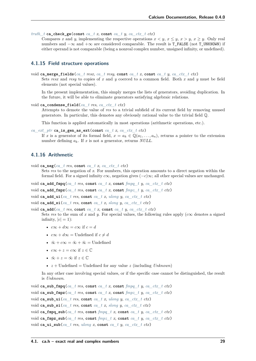*truth*  $t$  **ca** check ge(const *ca*  $t$  *x*, const *ca*  $t$  *y*, *ca ctx*  $t$  *ctx*)

Compares x and y, implementing the respective operations  $x \leq y, x \leq y, x \geq y$ . Only real numbers and  $-\infty$  and  $+\infty$  are considered comparable. The result is T\_FALSE (not T\_UNKNOWN) if either operand is not comparable (being a nonreal complex number, unsigned infinity, or undefined).

#### <span id="page-34-0"></span>**4.1.15 Field structure operations**

void **ca\_merge\_fields**(*[ca\\_t](#page-27-3) resx*, *[ca\\_t](#page-27-3) resy*, **const** *[ca\\_t](#page-27-3) x*, **const** *[ca\\_t](#page-27-3) y*, *[ca\\_ctx\\_t](#page-27-4) ctx*)

Sets *resx* and *resy* to copies of *x* and *y* coerced to a common field. Both *x* and *y* must be field elements (not special values).

In the present implementation, this simply merges the lists of generators, avoiding duplication. In the future, it will be able to eliminate generators satisfying algebraic relations.

```
void ca_condense_field(ca_t res, ca_ctx_t ctx)
```
Attempts to demote the value of *res* to a trivial subfield of its current field by removing unused generators. In particular, this demotes any obviously rational value to the trivial field Q.

This function is applied automatically in most operations (arithmetic operations, etc.).

```
ca_ext_ptr ca_is_gen_as_ext(const ca_tca_ctx_t ctx)
```
If *x* is a generator of its formal field,  $x = a_k \in \mathbb{Q}(a_1, \ldots, a_n)$ , returns a pointer to the extension number defining  $a_k$ . If x is not a generator, returns *NULL*.

# <span id="page-34-1"></span>**4.1.16 Arithmetic**

```
void ca_neg(ca_t res, const ca_t x, ca_ctx_t ctx)
```
Sets *res* to the negation of *x*. For numbers, this operation amounts to a direct negation within the formal field. For a signed infinity  $c\infty$ , negation gives  $(-c)\infty$ ; all other special values are unchanged.

- void **ca\_add\_fmpq**(*[ca\\_t](#page-27-3) res*, **const** *[ca\\_t](#page-27-3) x*, **const** *[fmpq\\_t](#page-23-7) y*, *[ca\\_ctx\\_t](#page-27-4) ctx*)
- void **ca\_add\_fmpz**(*[ca\\_t](#page-27-3) res*, **const** *[ca\\_t](#page-27-3) x*, **const** *[fmpz\\_t](#page-23-3) y*, *[ca\\_ctx\\_t](#page-27-4) ctx*)

```
void ca_add_ui(ca_t res, const ca_t x, ulong y, ca_ctx_t ctx)
```

```
void ca_add_si(ca t res, const ca t x, slong y, ca ctx t ctx)
```
void **ca\_add**( $ca$  *t res*, **const**  $ca$  *t**x***, <b>const**  $ca$  *t**y*,  $ca$   $ctx$  *t* $ctx$ **)** Sets res to the sum of x and  $y$ . For special values, the following rules apply  $(c\infty)$  denotes a signed infinity,  $|c| = 1$ :

- $c\infty + d\infty = c\infty$  if  $c = d$
- $c\infty + d\infty =$  Undefined if  $c \neq d$
- $\tilde{\infty} + c\infty = \tilde{\infty} + \tilde{\infty} =$  Undefined
- $c\infty + z = c\infty$  if  $z \in \mathbb{C}$
- $\tilde{\infty} + z = \tilde{\infty}$  if  $z \in \mathbb{C}$
- $z +$  Undefined = Undefined for any value *z* (including *Unknown*)

In any other case involving special values, or if the specific case cannot be distinguished, the result is *Unknown*.

```
void ca_sub_fmpq(ca_t res, const ca_t x, const fmpq_t y, ca_ctx_t ctx)
void ca_sub_fmpz(ca_t res, const ca_t x, const fmpz_t y, ca_ctx_t ctx)
void ca_sub_ui(ca t res, const ca t x, ulong y, ca ctx t ctx)
void ca_sub_si(ca t res, const ca t x, slong y, ca ctx t ctx)
void ca_fmpq_sub(ca_t res, const fmpq_t x, const ca_t y, ca_ctx_t ctx)
void ca_fmpz_sub(ca_t res, const fmpz_t x, const ca_t y, ca_ctx_t ctx)
void ca_ui_sub(ca_t res, ulong x, const ca_t y, ca_ctx_t ctx)
```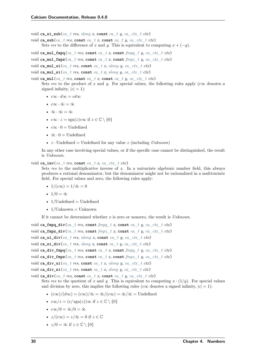void ca\_si\_sub( $ca$   $t$  *res*,  $slong x$  $slong x$ , const  $ca$   $t y$ ,  $ca$   $ctx$   $t ctx$ )

- void **ca\_sub**(*[ca\\_t](#page-27-3) res*, **const** *[ca\\_t](#page-27-3) x*, **const** *[ca\\_t](#page-27-3) y*, *[ca\\_ctx\\_t](#page-27-4) ctx*) Sets *res* to the difference of *x* and *y*. This is equivalent to computing  $x + (-y)$ .
- void **ca\_mul\_fmpq**(*[ca\\_t](#page-27-3) res*, **const** *[ca\\_t](#page-27-3) x*, **const** *[fmpq\\_t](#page-23-7) y*, *[ca\\_ctx\\_t](#page-27-4) ctx*)
- void **ca\_mul\_fmpz**(*[ca\\_t](#page-27-3) res*, **const** *[ca\\_t](#page-27-3) x*, **const** *[fmpz\\_t](#page-23-3) y*, *[ca\\_ctx\\_t](#page-27-4) ctx*)
- void **ca\_mul\_ui**(*[ca\\_t](#page-27-3) res*, **const** *[ca\\_t](#page-27-3) x*, *[ulong](#page-23-2) y*, *[ca\\_ctx\\_t](#page-27-4) ctx*)
- void **ca\_mul\_si**(*[ca\\_t](#page-27-3) res*, **const** *[ca\\_t](#page-27-3) x*, *[slong](#page-23-4) y*, *[ca\\_ctx\\_t](#page-27-4) ctx*)
- void **ca\_mul**(*[ca\\_t](#page-27-3) res*, **const** *[ca\\_t](#page-27-3) x*, **const** *[ca\\_t](#page-27-3) y*, *[ca\\_ctx\\_t](#page-27-4) ctx*) Sets res to the product of x and y. For special values, the following rules apply ( $c\infty$  denotes a signed infinity,  $|c| = 1$ :
	- $c\infty \cdot d\infty = cd\infty$
	- $c\infty \cdot \tilde{\infty} = \tilde{\infty}$
	- $\tilde{\infty} \cdot \tilde{\infty} = \tilde{\infty}$
	- $c\infty \cdot z = \text{sgn}(z)c\infty$  if  $z \in \mathbb{C} \setminus \{0\}$
	- $c\infty \cdot 0 =$  Undefined
	- $\tilde{\infty} \cdot 0 =$  Undefined
	- $z \cdot$  Undefined = Undefined for any value  $z$  (including *Unknown*)

In any other case involving special values, or if the specific case cannot be distinguished, the result is *Unknown*.

void  $ca\_inv(ca + res$ ,  $const$  *[ca\\_t](#page-27-3) x*, *[ca\\_ctx\\_t](#page-27-4) ctx*)

Sets *res* to the multiplicative inverse of *x*. In a univariate algebraic number field, this always produces a rational denominator, but the denominator might not be rationalized in a multivariate field. For special values and zero, the following rules apply:

- $1/(c\infty) = 1/\tilde{\infty} = 0$
- $1/0 = \tilde{\infty}$
- $1/U$ ndefined  $=$  Undefined
- $\bullet$  1/Unknown = Unknown

If it cannot be determined whether *x* is zero or nonzero, the result is *Unknown*.

```
void ca_fmpq_div(ca_t res, const fmpq_t x, const ca_t y, ca_ctx_t ctx)
void ca fmpz div(ca_t res, const fmpz t x, const ca_t y, ca_ctx_t ctx)
void ca_ui_div(ca_t res, ulong x, const ca_t y, ca_ctx_t ctx)
void ca_si_div(ca_t res, slong x, const ca_t y, ca_ctx_t ctx)
void ca_div_fmpq(ca_t res, const ca_t x, const fmpq_t y, ca_ctx_t ctx)
void ca_div_fmpz(ca_t res, const ca_t x, const fmpz_t y, ca_ctx_t ctx)
void ca_div_ui(ca_t res, const ca_t x, ulong y, ca_ctx_t ctx)
void ca_div_si(ca_t res, const ca_t x, slong y, ca_ctx_t ctx)
void ca_div(ca_t res, const ca_t x, const ca_t y, ca_ctx_t ctx)
```
Sets res to the quotient of x and y. This is equivalent to computing  $x \cdot (1/y)$ . For special values and division by zero, this implies the following rules ( $c\infty$  denotes a signed infinity,  $|c| = 1$ ):

- $(c\infty)/(d\infty) = (c\infty)/\tilde{\infty} = \tilde{\infty}/(c\infty) = \tilde{\infty}/\tilde{\infty} = \text{Undefined}$
- $c\infty/z = (c/\operatorname{sgn}(z))\infty$  if  $z \in \mathbb{C} \setminus \{0\}$
- $c\infty/0 = \tilde{\infty}/0 = \tilde{\infty}$
- $z/(c\infty) = z/\tilde{\infty} = 0$  if  $z \in \mathbb{C}$
- $z/0 = \tilde{\infty}$  if  $z \in \mathbb{C} \setminus \{0\}$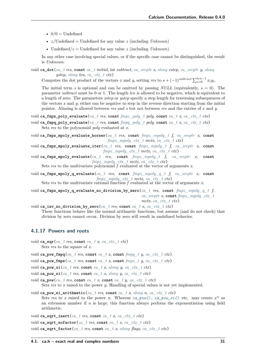- $\bullet$  0/0 = Undefined
- $z$ /Undefined = Undefined for any value *z* (including *Unknown*)
- Undefined  $/z =$  Undefined for any value  $z$  (including *Unknown*)

In any other case involving special values, or if the specific case cannot be distinguished, the result is *Unknown*.

void **ca\_dot**(*[ca\\_t](#page-27-0) res*, **const** *[ca\\_t](#page-27-0) initial*, int *subtract*, *[ca\\_srcptr](#page-27-1) x*, *[slong](#page-23-0) xstep*, *[ca\\_srcptr](#page-27-1) y*, *[slong](#page-23-0) ystep*, *[slong](#page-23-0) len*, *[ca\\_ctx\\_t](#page-27-2) ctx*)

Computes the dot product of the vectors *x* and *y*, setting *res* to  $s + (-1)^{subtract} \sum_{i=0}^{len-1} x_i y_i$ .

The initial term *s* is optional and can be omitted by passing *NULL* (equivalently,  $s = 0$ ). The parameter *subtract* must be 0 or 1. The length *len* is allowed to be negative, which is equivalent to a length of zero. The parameters *xstep* or *ystep* specify a step length for traversing subsequences of the vectors  $x$  and  $y$ ; either can be negative to step in the reverse direction starting from the initial pointer. Aliasing is allowed between *res* and *s* but not between *res* and the entries of *x* and *y*.

void **ca\_fmpz\_poly\_evaluate**(*[ca\\_t](#page-27-0) res*, **const** *[fmpz\\_poly\\_t](#page-23-1) poly*, **const** *[ca\\_t](#page-27-0) x*, *[ca\\_ctx\\_t](#page-27-2) ctx*)

void **ca\_fmpq\_poly\_evaluate**(*[ca\\_t](#page-27-0) res*, **const** *[fmpq\\_poly\\_t](#page-23-2) poly*, **const** *[ca\\_t](#page-27-0) x*, *[ca\\_ctx\\_t](#page-27-2) ctx*) Sets *res* to the polynomial *poly* evaluated at *x*.

- void **ca\_fmpz\_mpoly\_evaluate\_horner**(*[ca\\_t](#page-27-0) res*, **const** *[fmpz\\_mpoly\\_t](#page-23-3) f*, *[ca\\_srcptr](#page-27-1) x*, **const** *[fmpz\\_mpoly\\_ctx\\_t](#page-23-4) mctx*, *[ca\\_ctx\\_t](#page-27-2) ctx*)
- void **ca\_fmpz\_mpoly\_evaluate\_iter**(*[ca\\_t](#page-27-0) res*, **const** *[fmpz\\_mpoly\\_t](#page-23-3) f*, *[ca\\_srcptr](#page-27-1) x*, **const** *[fmpz\\_mpoly\\_ctx\\_t](#page-23-4) mctx*, *[ca\\_ctx\\_t](#page-27-2) ctx*)

void **ca\_fmpz\_mpoly\_evaluate**(*[ca\\_t](#page-27-0) res*, **const** *[fmpz\\_mpoly\\_t](#page-23-3) f*, *[ca\\_srcptr](#page-27-1) x*, **const** *[fmpz\\_mpoly\\_ctx\\_t](#page-23-4) mctx*, *[ca\\_ctx\\_t](#page-27-2) ctx*)

Sets *res* to the multivariate polynomial  $\overline{f}$  evaluated at the vector of arguments *x*.

void **ca\_fmpz\_mpoly\_q\_evaluate**(*[ca\\_t](#page-27-0) res*, **const** *[fmpz\\_mpoly\\_q\\_t](#page-96-0) f*, *[ca\\_srcptr](#page-27-1) x*, **const** *[fmpz\\_mpoly\\_ctx\\_t](#page-23-4) mctx*, *[ca\\_ctx\\_t](#page-27-2) ctx*)

Sets *res* to the multivariate rational function *f* evaluated at the vector of arguments *x*.

void **ca\_fmpz\_mpoly\_q\_evaluate\_no\_division\_by\_zero**(*[ca\\_t](#page-27-0) res*, **const** *[fmpz\\_mpoly\\_q\\_t](#page-96-0) f*, *[ca\\_srcptr](#page-27-1) x*, **const** *[fmpz\\_mpoly\\_ctx\\_t](#page-23-4) mctx*, *[ca\\_ctx\\_t](#page-27-2) ctx*)

void ca\_inv\_no\_division\_by\_zero( $ca$   $t$  *res*, const  $ca$   $t$  *x*,  $ca$   $ctx$   $t$   $ctx$ )

<span id="page-36-1"></span>These functions behave like the normal arithmetic functions, but assume (and do not check) that division by zero cannot occur. Division by zero will result in undefined behavior.

### **4.1.17 Powers and roots**

void **ca\_sqr**(*[ca\\_t](#page-27-0) res*, **const** *[ca\\_t](#page-27-0) x*, *[ca\\_ctx\\_t](#page-27-2) ctx*) Sets *res* to the square of *x*.

void **ca\_pow\_fmpq**(*[ca\\_t](#page-27-0) res*, **const** *[ca\\_t](#page-27-0) x*, **const** *[fmpq\\_t](#page-23-5) y*, *[ca\\_ctx\\_t](#page-27-2) ctx*)

void ca pow fmpz $(ca$  *t res*, const *ca*  $t$  *x*, const  $fmpz$   $t$  *y*, *[ca\\_ctx\\_t](#page-27-2)*  $ctx$ )

void **ca\_pow\_ui**(*[ca\\_t](#page-27-0) res*, **const** *[ca\\_t](#page-27-0) x*, *[ulong](#page-23-7) y*, *[ca\\_ctx\\_t](#page-27-2) ctx*)

<span id="page-36-0"></span>void **ca\_pow\_si**(*[ca\\_t](#page-27-0) res*, **const** *[ca\\_t](#page-27-0) x*, *[slong](#page-23-0) y*, *[ca\\_ctx\\_t](#page-27-2) ctx*)

- void ca pow( $ca$   $t$  *res*, const  $ca$   $t$  *x*, const  $ca$   $t$  *y*,  $ca$   $ctx$   $t$   $ctx$ ) Sets *res* to *x* raised to the power *y*. Handling of special values is not yet implemented.
- void **ca\_pow\_si\_arithmetic**(*[ca\\_t](#page-27-0) res*, **const** *[ca\\_t](#page-27-0) x*, *[slong](#page-23-0) n*, *[ca\\_ctx\\_t](#page-27-2) ctx*) Sets res to x raised to the power *n*. Whereas  $ca\_pow($ ,  $ca\_pow\_si($ ) etc. may create  $x^n$  as an extension number if  $n$  is large, this function always perform the exponentiation using field arithmetic.

```
void ca_sqrt_inert(ca_t res, const ca_t x, ca_ctx_t ctx)
```

```
void ca_sqrt_nofactor(ca_t res, const ca_t x, ca_ctx_t ctx)
```
void **ca\_sqrt\_factor**(*[ca\\_t](#page-27-0) res*, **const** *[ca\\_t](#page-27-0) x*, *[ulong](#page-23-7) flags*, *[ca\\_ctx\\_t](#page-27-2) ctx*)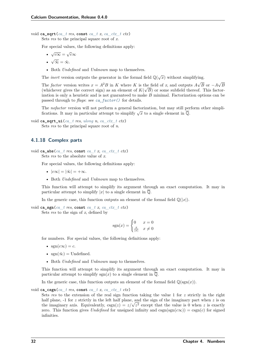void ca\_sqrt $(ca \t tres, \text{const } ca \t tr, ca \t ctx \t t \t ctx)$ 

Sets *res* to the principal square root of *x*.

For special values, the following definitions apply:

- $\sqrt{c\infty} = \sqrt{c\infty}$
- √  $\tilde{\infty} = \tilde{\infty}.$
- Both *Undefined* and *Unknown* map to themselves.

The *inert* version outputs the generator in the formal field  $\mathbb{Q}(\sqrt{x})$  without simplifying.

The *factor* version writes  $x = A^2 B$  in K where K is the field of x, and outputs  $A\sqrt{A}$ B or  $-A$ the field of x, and outputs  $A\sqrt{B}$  or  $-A\sqrt{B}$ (whichever gives the correct sign) as an element of  $K(\sqrt{B})$  or some subfield thereof. This factorization is only a heuristic and is not guaranteed to make  $B$  minimal. Factorization options can be passed through to *flags*: see *[ca\\_factor\(\)](#page-42-0)* for details.

The *nofactor* version will not perform a general factorization, but may still perform other simpli-The *notator* version will not perform a general factorization, but may still perfections. It may in particular attempt to simplify  $\sqrt{x}$  to a single element in  $\overline{Q}$ .

# Sets *res* to the principal square root of *n*.

# **4.1.18 Complex parts**

void **ca\_abs**(*[ca\\_t](#page-27-0) res*, **const** *[ca\\_t](#page-27-0) x*, *[ca\\_ctx\\_t](#page-27-2) ctx*) Sets *res* to the absolute value of *x*.

For special values, the following definitions apply:

- $|c\infty| = |\tilde{\infty}| = +\infty$ .
- Both *Undefined* and *Unknown* map to themselves.

This function will attempt to simplify its argument through an exact computation. It may in particular attempt to simplify |x| to a single element in  $\overline{Q}$ .

In the generic case, this function outputs an element of the formal field  $\mathbb{Q}(|x|)$ .

void **ca\_sgn**(*[ca\\_t](#page-27-0) res*, **const** *[ca\\_t](#page-27-0) x*, *[ca\\_ctx\\_t](#page-27-2) ctx*) Sets *res* to the sign of *x*, defined by

$$
sgn(x) = \begin{cases} 0 & x = 0\\ \frac{x}{|x|} & x \neq 0 \end{cases}
$$

for numbers. For special values, the following definitions apply:

- $sgn(c\infty) = c$ .
- $sgn(\tilde{\infty}) =$  Undefined.
- Both *Undefined* and *Unknown* map to themselves.

This function will attempt to simplify its argument through an exact computation. It may in particular attempt to simplify sgn(x) to a single element in  $\overline{Q}$ .

In the generic case, this function outputs an element of the formal field  $\mathbb{Q}(\text{sgn}(x))$ .

void ca\_csgn( $ca$   $t$  *res*, const  $ca$   $t$  *x*,  $ca$   $ctx$   $t$   $ctx$ )

Sets *res* to the extension of the real sign function taking the value 1 for  $z$  strictly in the right half plane,  $-1$  for *z* strictly in the left half plane, and the sign of the imaginary part when *z* is on half plane, -1 for *z* strictly in the left half plane, and the sign of the imaginary part when *z* is on the imaginary axis. Equivalently,  $csgn(z) = z/\sqrt{z^2}$  except that the value is 0 when *z* is exactly zero. This function gives *Undefined* for unsigned infinity and  $csgn(sgn(c\infty)) = csgn(c)$  for signed infinities.

void **ca\_sqrt\_ui**(*[ca\\_t](#page-27-0) res*, *[ulong](#page-23-7) n*, *[ca\\_ctx\\_t](#page-27-2) ctx*)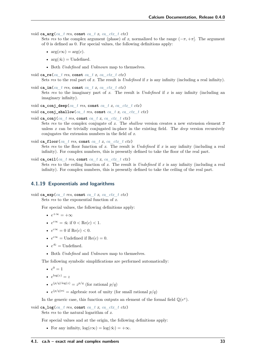```
void ca_arg(ca \t tres, const \t ca \t tx, ca \t ctx \t t \t ctx)
```
Sets *res* to the complex argument (phase) of *x*, normalized to the range  $(-\pi, +\pi]$ . The argument of 0 is defined as 0. For special values, the following definitions apply:

- $arg(c\infty) = arg(c)$ .
- $arg(\tilde{\infty}) = Undefined.$
- Both *Undefined* and *Unknown* map to themselves.
- void **ca\_re**(*[ca\\_t](#page-27-0) res*, **const** *[ca\\_t](#page-27-0) x*, *[ca\\_ctx\\_t](#page-27-2) ctx*) Sets *res* to the real part of *x*. The result is *Undefined* if *x* is any infinity (including a real infinity).
- void ca im $(ca \text{ } t \text{ } res, \text{ const } ca \text{ } t \text{ } x, \text{ } ca \text{ } ctx \text{ } t \text{ } ctx)$ Sets *res* to the imaginary part of *x*. The result is *Undefined* if *x* is any infinity (including an imaginary infinity).
- void **ca\_conj\_deep**(*[ca\\_t](#page-27-0) res*, **const** *[ca\\_t](#page-27-0) x*, *[ca\\_ctx\\_t](#page-27-2) ctx*)
- void **ca\_conj\_shallow**(*[ca\\_t](#page-27-0) res*, **const** *[ca\\_t](#page-27-0) x*, *[ca\\_ctx\\_t](#page-27-2) ctx*)
- void **ca\_conj**(*[ca\\_t](#page-27-0) res*, **const** *[ca\\_t](#page-27-0) x*, *[ca\\_ctx\\_t](#page-27-2) ctx*)
	- Sets res to the complex conjugate of x. The *shallow* version creates a new extension element  $\bar{x}$ unless *x* can be trivially conjugated in-place in the existing field. The *deep* version recursively conjugates the extension numbers in the field of *x*.
- void **ca\_floor**(*[ca\\_t](#page-27-0) res*, **const** *[ca\\_t](#page-27-0) x*, *[ca\\_ctx\\_t](#page-27-2) ctx*) Sets *res* to the floor function of  $x$ . The result is *Undefined* if  $x$  is any infinity (including a real infinity). For complex numbers, this is presently defined to take the floor of the real part.

```
void ca_ceil(ca_t res, const ca_t x, ca_ctx_t ctx)
```
Sets *res* to the ceiling function of *x*. The result is *Undefined* if *x* is any infinity (including a real infinity). For complex numbers, this is presently defined to take the ceiling of the real part.

# **4.1.19 Exponentials and logarithms**

```
void ca_exp(ca_t res, const ca_t x, ca_ctx_t ctx)
```
Sets *res* to the exponential function of *x*.

For special values, the following definitions apply:

- $e^{+\infty} = +\infty$
- $e^{c\infty} = \tilde{\infty}$  if  $0 < \text{Re}(c) < 1$ .
- $e^{c\infty} = 0$  if  $\text{Re}(c) < 0$ .
- $e^{c\infty}$  = Undefined if Re(c) = 0.
- $e^{\tilde{\infty}} =$  Undefined.
- Both *Undefined* and *Unknown* map to themselves.

The following symbolic simplifications are performed automatically:

- $e^0 = 1$
- $e^{\log(z)} = z$
- $e^{(p/q)\log(z)} = z^{p/q}$  (for rational  $p/q$ )
- $e^{(p/q)\pi i}$  = algebraic root of unity (for small rational  $p/q$ )

In the generic case, this function outputs an element of the formal field  $\mathbb{Q}(e^x)$ .

void ca  $\log (ca + res, \text{const } ca + x, ca - ctx + ctx)$ Sets *res* to the natural logarithm of *x*.

For special values and at the origin, the following definitions apply:

• For any infinity,  $\log(c\infty) = \log(\tilde{\infty}) = +\infty$ .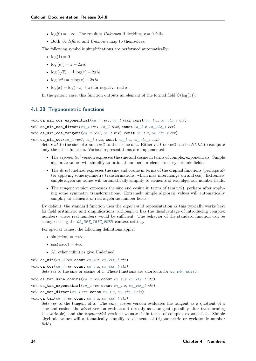- $log(0) = -\infty$ . The result is *Unknown* if deciding  $x = 0$  fails.
- Both *Undefined* and *Unknown* map to themselves.

The following symbolic simplifications are performed automatically:

- $log(1) = 0$
- $\log(e^z) = z + 2\pi i k$
- $\log (\sqrt{z}) = \frac{1}{2} \log(z) + 2\pi i k$
- $\log(z^a) = a \log(z) + 2\pi i k$
- $\log(x) = \log(-x) + \pi i$  for negative real x

In the generic case, this function outputs an element of the formal field  $\mathbb{Q}(\log(x))$ .

### **4.1.20 Trigonometric functions**

```
void ca_sin_cos_exponential(ca_t_ res1, ca_t_ res2, const ca_t_x, ca_ctx_t_ ctx)
void ca_sin_cos_direct(ca_t_res1, ca_t_res2, const ca_t_x, ca_ctx_t_ctx)
void ca_sin_cos_tangent(ca_t res1, ca_t res2, const ca_t x, ca_ctx_t ctx)
```
void ca\_sin\_cos( $ca$   $t$  *res1*,  $ca$   $t$  *res2*, const  $ca$   $t$  *x*,  $ca$   $ctx$   $t$   $ctx$ )

Sets *res1* to the sine of *x* and *res2* to the cosine of *x*. Either *res1* or *res2* can be *NULL* to compute only the other function. Various representations are implemented:

- <span id="page-39-0"></span>• The *exponential* version expresses the sine and cosine in terms of complex exponentials. Simple algebraic values will simplify to rational numbers or elements of cyclotomic fields.
- The *direct* method expresses the sine and cosine in terms of the original functions (perhaps after applying some symmetry transformations, which may interchange sin and cos). Extremely simple algebraic values will automatically simplify to elements of real algebraic number fields.
- The *tangent* version expresses the sine and cosine in terms of  $tan(x/2)$ , perhaps after applying some symmetry transformations. Extremely simple algebraic values will automatically simplify to elements of real algebraic number fields.

By default, the standard function uses the *exponential* representation as this typically works best for field arithmetic and simplifications, although it has the disadvantage of introducing complex numbers where real numbers would be sufficient. The behavior of the standard function can be changed using the *[CA\\_OPT\\_TRIG\\_FORM](#page-44-0)* context setting.

For special values, the following definitions apply:

- $\sin(\pm i\infty) = \pm i\infty$
- $\cos(\pm i\infty) = +\infty$
- All other infinities give Undefined

```
void ca_sin(ca_t res, const ca_t x, ca_ctx_t ctx)
```

```
void ca_cos(ca_t res, const ca_t x, ca_ctx_t ctx)
```
Sets *res* to the sine or cosine of *x*. These functions are shortcuts for  $ca\_sin\_cos()$ .

- void **ca\_tan\_sine\_cosine**(*[ca\\_t](#page-27-0) res*, **const** *[ca\\_t](#page-27-0) x*, *[ca\\_ctx\\_t](#page-27-2) ctx*)
- void **ca\_tan\_exponential**(*[ca\\_t](#page-27-0) res*, **const** *[ca\\_t](#page-27-0) x*, *[ca\\_ctx\\_t](#page-27-2) ctx*)
- void **ca\_tan\_direct**(*[ca\\_t](#page-27-0) res*, **const** *[ca\\_t](#page-27-0) x*, *[ca\\_ctx\\_t](#page-27-2) ctx*)

```
ca_tan(ca t res, const ca t x, ca ctx t ctx)
```
Sets *res* to the tangent of *x*. The *sine\_cosine* version evaluates the tangent as a quotient of a sine and cosine, the *direct* version evaluates it directly as a tangent (possibly after transforming the variable), and the *exponential* version evaluates it in terms of complex exponentials. Simple algebraic values will automatically simplify to elements of trigonometric or cyclotomic number fields.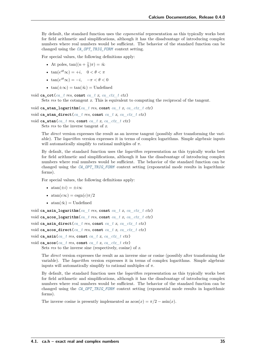By default, the standard function uses the *exponential* representation as this typically works best for field arithmetic and simplifications, although it has the disadvantage of introducing complex numbers where real numbers would be sufficient. The behavior of the standard function can be changed using the *[CA\\_OPT\\_TRIG\\_FORM](#page-44-0)* context setting.

For special values, the following definitions apply:

- At poles,  $\tan((n + \frac{1}{2})\pi) = \tilde{\infty}$
- $\tan(e^{i\theta}\infty) = +i, \quad 0 < \theta < \pi$
- $\tan(e^{i\theta}\infty) = -i, \quad -\pi < \theta < 0$
- $tan(\pm \infty) = tan(\tilde{\infty}) = Undefined$

void **ca\_cot**(*[ca\\_t](#page-27-0) res*, **const** *[ca\\_t](#page-27-0) x*, *[ca\\_ctx\\_t](#page-27-2) ctx*)

Sets *res* to the cotangent *x*. This is equivalent to computing the reciprocal of the tangent.

```
void ca_atan_logarithm(ca_t res, const ca_t x, ca_ctx_t ctx)
```

```
void ca_atan_direct(ca_t res, const ca_t x, ca_ctx_t ctx)
```

```
void ca_atan(ca t res, const ca t x, ca ctx t ctx)
     Sets res to the inverse tangent of x.
```
The *direct* version expresses the result as an inverse tangent (possibly after transforming the variable). The *logarithm* version expresses it in terms of complex logarithms. Simple algebraic inputs will automatically simplify to rational multiples of  $\pi$ .

By default, the standard function uses the *logarithm* representation as this typically works best for field arithmetic and simplifications, although it has the disadvantage of introducing complex numbers where real numbers would be sufficient. The behavior of the standard function can be changed using the *[CA\\_OPT\\_TRIG\\_FORM](#page-44-0)* context setting (exponential mode results in logarithmic forms).

For special values, the following definitions apply:

- $atan(\pm i) = \pm i\infty$
- $atan(c\infty) = csgn(c)\pi/2$
- $atan(\tilde{\infty}) = Undefined$

```
void ca_asin_logarithm(ca_t res, const ca_t x, ca_ctx_t ctx)
void ca_acos_logarithm(ca_t res, const ca_t x, ca_ctx_t ctx)
void ca_asin_direct(ca_t res, const ca_t x, ca_ctx_t ctx)
void ca_acos_direct(ca_t res, const ca_t x, ca_ctx_t ctx)
void ca_asin(ca_t res, const ca_t x, ca_ctx_t ctx)
```
void **ca\_acos**(*[ca\\_t](#page-27-0) res*, **const** *[ca\\_t](#page-27-0) x*, *[ca\\_ctx\\_t](#page-27-2) ctx*) Sets *res* to the inverse sine (respectively, cosine) of *x*.

The *direct* version expresses the result as an inverse sine or cosine (possibly after transforming the variable). The *logarithm* version expresses it in terms of complex logarithms. Simple algebraic inputs will automatically simplify to rational multiples of  $\pi$ .

By default, the standard function uses the *logarithm* representation as this typically works best for field arithmetic and simplifications, although it has the disadvantage of introducing complex numbers where real numbers would be sufficient. The behavior of the standard function can be changed using the *[CA\\_OPT\\_TRIG\\_FORM](#page-44-0)* context setting (exponential mode results in logarithmic forms).

The inverse cosine is presently implemented as  $a\cos(x) = \pi/2 - a\sin(x)$ .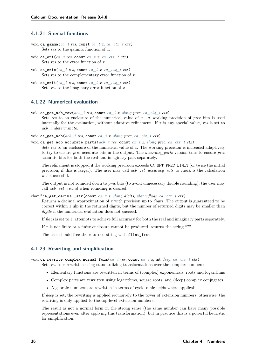# **4.1.21 Special functions**

- void **ca\_gamma**(*[ca\\_t](#page-27-0) res*, **const** *[ca\\_t](#page-27-0) x*, *[ca\\_ctx\\_t](#page-27-2) ctx*) Sets *res* to the gamma function of *x*.
- void **ca\_erf**(*[ca\\_t](#page-27-0) res*, **const** *[ca\\_t](#page-27-0) x*, *[ca\\_ctx\\_t](#page-27-2) ctx*) Sets *res* to the error function of *x*.
- void **ca\_erfc**(*[ca\\_t](#page-27-0) res*, **const** *[ca\\_t](#page-27-0) x*, *[ca\\_ctx\\_t](#page-27-2) ctx*) Sets *res* to the complementary error function of *x*.
- void **ca\_erfi**(*[ca\\_t](#page-27-0) res*, **const** *[ca\\_t](#page-27-0) x*, *[ca\\_ctx\\_t](#page-27-2) ctx*) Sets *res* to the imaginary error function of *x*.

# **4.1.22 Numerical evaluation**

- void  $ca\_get\_acb\_raw(acb\_t$  *res*,  $const\ ca\ t\ x\$ , *[slong](#page-23-0) prec*, *[ca\\_ctx\\_t](#page-27-2) ctx*)
	- Sets *res* to an enclosure of the numerical value of *x*. A working precision of *prec* bits is used internally for the evaluation, without adaptive refinement. If *x* is any special value, *res* is set to *acb\_indeterminate*.

void **ca\_get\_acb**(*[acb\\_t](#page-23-8) res*, **const** *[ca\\_t](#page-27-0) x*, *[slong](#page-23-0) prec*, *[ca\\_ctx\\_t](#page-27-2) ctx*)

void **ca\_get\_acb\_accurate\_parts**(*[acb\\_t](#page-23-8) res*, **const** *[ca\\_t](#page-27-0) x*, *[slong](#page-23-0) prec*, *[ca\\_ctx\\_t](#page-27-2) ctx*)

Sets *res* to an enclosure of the numerical value of *x*. The working precision is increased adaptively to try to ensure *prec* accurate bits in the output. The *accurate\_parts* version tries to ensure *prec* accurate bits for both the real and imaginary part separately.

The refinement is stopped if the working precision exceeds CA\_OPT\_PREC\_LIMIT (or twice the initial precision, if this is larger). The user may call *acb\_rel\_accuracy\_bits* to check is the calculation was successful.

The output is not rounded down to *prec* bits (to avoid unnecessary double rounding); the user may call *acb\_set\_round* when rounding is desired.

char \***ca\_get\_decimal\_str**(**const** *[ca\\_t](#page-27-0) x*, *[slong](#page-23-0) digits*, *[ulong](#page-23-7) flags*, *[ca\\_ctx\\_t](#page-27-2) ctx*)

Returns a decimal approximation of *x* with precision up to *digits*. The output is guaranteed to be correct within 1 ulp in the returned digits, but the number of returned digits may be smaller than *digits* if the numerical evaluation does not succeed.

If *flags* is set to 1, attempts to achieve full accuracy for both the real and imaginary parts separately.

If *x* is not finite or a finite enclosure cannot be produced, returns the string "?".

The user should free the returned string with flint\_free.

### **4.1.23 Rewriting and simplification**

void **ca\_rewrite\_complex\_normal\_form**(*[ca\\_t](#page-27-0) res*, **const** *[ca\\_t](#page-27-0) x*, int *deep*, *[ca\\_ctx\\_t](#page-27-2) ctx*)

Sets *res* to *x* rewritten using standardizing transformations over the complex numbers:

- Elementary functions are rewritten in terms of (complex) exponentials, roots and logarithms
- Complex parts are rewritten using logarithms, square roots, and (deep) complex conjugates
- Algebraic numbers are rewritten in terms of cyclotomic fields where applicable

If *deep* is set, the rewriting is applied recursively to the tower of extension numbers; otherwise, the rewriting is only applied to the top-level extension numbers.

The result is not a normal form in the strong sense (the same number can have many possible representations even after applying this transformation), but in practice this is a powerful heuristic for simplification.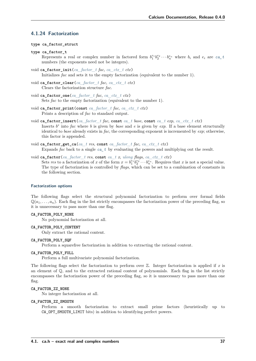# **4.1.24 Factorization**

### **type ca\_factor\_struct**

<span id="page-42-1"></span>**type ca\_factor\_t**

Represents a real or complex number in factored form  $b_1^{e_1}b_2^{e_2}\cdots b_n^{e_n}$  where  $b_i$  and  $e_i$  are  $ca_t$ numbers (the exponents need not be integers).

- void **ca\_factor\_init**(*[ca\\_factor\\_t](#page-42-1) fac*, *[ca\\_ctx\\_t](#page-27-2) ctx*) Initializes *fac* and sets it to the empty factorization (equivalent to the number 1).
- void **ca\_factor\_clear**(*[ca\\_factor\\_t](#page-42-1) fac*, *[ca\\_ctx\\_t](#page-27-2) ctx*) Clears the factorization structure *fac*.
- void **ca\_factor\_one**(*[ca\\_factor\\_t](#page-42-1) fac*, *[ca\\_ctx\\_t](#page-27-2) ctx*) Sets *fac* to the empty factorization (equivalent to the number 1).
- void **ca\_factor\_print**(**const** *[ca\\_factor\\_t](#page-42-1) fac*, *[ca\\_ctx\\_t](#page-27-2) ctx*) Prints a description of *fac* to standard output.
- void **ca\_factor\_insert**(*[ca\\_factor\\_t](#page-42-1) fac*, **const** *[ca\\_t](#page-27-0) base*, **const** *[ca\\_t](#page-27-0) exp*, *[ca\\_ctx\\_t](#page-27-2) ctx*) Inserts  $b^e$  into *fac* where *b* is given by *base* and *e* is given by *exp*. If a base element structurally identical to *base* already exists in *fac*, the corresponding exponent is incremented by *exp*; otherwise, this factor is appended.
- void **ca\_factor\_get\_ca**(*[ca\\_t](#page-27-0) res*, **const** *[ca\\_factor\\_t](#page-42-1) fac*, *[ca\\_ctx\\_t](#page-27-2) ctx*) Expands *fac* back to a single *[ca\\_t](#page-27-0)* by evaluating the powers and multiplying out the result.
- <span id="page-42-0"></span>void **ca\_factor**(*[ca\\_factor\\_t](#page-42-1) res*, **const** *[ca\\_t](#page-27-0) x*, *[ulong](#page-23-7) flags*, *[ca\\_ctx\\_t](#page-27-2) ctx*) Sets res to a factorization of *x* of the form  $x = b_1^{e_1} b_2^{e_2} \cdots b_n^{e_n}$ . Requires that *x* is not a special value. The type of factorization is controlled by *flags*, which can be set to a combination of constants in the following section.

### **Factorization options**

The following flags select the structural polynomial factorization to perform over formal fields  $\mathbb{Q}(a_1, \ldots, a_n)$ . Each flag in the list strictly encompasses the factorization power of the preceding flag, so it is unnecessary to pass more than one flag.

### **CA\_FACTOR\_POLY\_NONE**

No polynomial factorization at all.

#### **CA\_FACTOR\_POLY\_CONTENT**

Only extract the rational content.

### **CA\_FACTOR\_POLY\_SQF**

Perform a squarefree factorization in addition to extracting the rational content.

## **CA\_FACTOR\_POLY\_FULL**

Perform a full multivariate polynomial factorization.

The following flags select the factorization to perform over Z. Integer factorization is applied if *x* is an element of  $\mathbb{Q}$ , and to the extracted rational content of polynomials. Each flag in the list strictly encompasses the factorization power of the preceding flag, so it is unnecessary to pass more than one flag.

### **CA\_FACTOR\_ZZ\_NONE**

No integer factorization at all.

#### **CA\_FACTOR\_ZZ\_SMOOTH**

Perform a smooth factorization to extract small prime factors (heuristically up to CA\_OPT\_SMOOTH\_LIMIT bits) in addition to identifying perfect powers.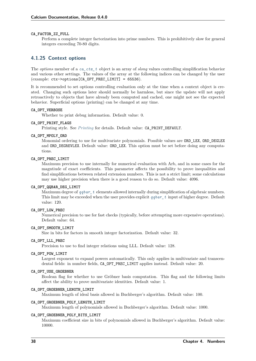#### **CA\_FACTOR\_ZZ\_FULL**

Perform a complete integer factorization into prime numbers. This is prohibitively slow for general integers exceeding 70-80 digits.

# **4.1.25 Context options**

The *options* member of a *[ca\\_ctx\\_t](#page-27-2)* object is an array of *slong* values controlling simplification behavior and various other settings. The values of the array at the following indices can be changed by the user (example: ctx->options[CA\_OPT\_PREC\_LIMIT] = 65536).

It is recommended to set options controlling evaluation only at the time when a context object is created. Changing such options later should normally be harmless, but since the update will not apply retroactively to objects that have already been computed and cached, one might not see the expected behavior. Superficial options (printing) can be changed at any time.

### **CA\_OPT\_VERBOSE**

Whether to print debug information. Default value: 0.

#### **CA\_OPT\_PRINT\_FLAGS**

Printing style. See *[Printing](#page-28-0)* for details. Default value: CA\_PRINT\_DEFAULT.

#### **CA\_OPT\_MPOLY\_ORD**

Monomial ordering to use for multivariate polynomials. Possible values are ORD\_LEX, ORD\_DEGLEX and ORD\_DEGREVLEX. Default value: ORD\_LEX. This option must be set before doing any computations.

### **CA\_OPT\_PREC\_LIMIT**

Maximum precision to use internally for numerical evaluation with Arb, and in some cases for the magntiude of exact coefficients. This parameter affects the possibility to prove inequalities and find simplifications between related extension numbers. This is not a strict limit; some calculations may use higher precision when there is a good reason to do so. Default value: 4096.

### **CA\_OPT\_QQBAR\_DEG\_LIMIT**

Maximum degree of *[qqbar\\_t](#page-100-0)* elements allowed internally during simplification of algebraic numbers. This limit may be exceeded when the user provides explicit *[qqbar\\_t](#page-100-0)* input of higher degree. Default value: 120.

### **CA\_OPT\_LOW\_PREC**

Numerical precision to use for fast checks (typically, before attempting more expensive operations). Default value: 64.

### **CA\_OPT\_SMOOTH\_LIMIT**

Size in bits for factors in smooth integer factorization. Default value: 32.

### **CA\_OPT\_LLL\_PREC**

Precision to use to find integer relations using LLL. Default value: 128.

#### **CA\_OPT\_POW\_LIMIT**

Largest exponent to expand powers automatically. This only applies in multivariate and transcendental fields: in number fields, CA\_OPT\_PREC\_LIMIT applies instead. Default value: 20.

#### **CA\_OPT\_USE\_GROEBNER**

Boolean flag for whether to use Gröbner basis computation. This flag and the following limits affect the ability to prove multivariate identities. Default value: 1.

### **CA\_OPT\_GROEBNER\_LENGTH\_LIMIT**

Maximum length of ideal basis allowed in Buchberger's algorithm. Default value: 100.

### **CA\_OPT\_GROEBNER\_POLY\_LENGTH\_LIMIT**

Maximum length of polynomials allowed in Buchberger's algorithm. Default value: 1000.

#### **CA\_OPT\_GROEBNER\_POLY\_BITS\_LIMIT**

Maximum coefficient size in bits of polynomials allowed in Buchberger's algorithm. Default value: 10000.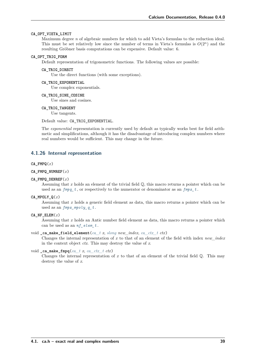### **CA\_OPT\_VIETA\_LIMIT**

Maximum degree *n* of algebraic numbers for which to add Vieta's formulas to the reduction ideal. This must be set relatively low since the number of terms in Vieta's formulas is  $O(2^n)$  and the resulting Gröbner basis computations can be expensive. Default value: 6.

#### <span id="page-44-0"></span>**CA\_OPT\_TRIG\_FORM**

Default representation of trigonometric functions. The following values are possible:

### **CA\_TRIG\_DIRECT**

Use the direct functions (with some exceptions).

### **CA\_TRIG\_EXPONENTIAL**

Use complex exponentials.

### **CA\_TRIG\_SINE\_COSINE**

Use sines and cosines.

#### **CA\_TRIG\_TANGENT**

Use tangents.

Default value: CA\_TRIG\_EXPONENTIAL.

The *exponential* representation is currently used by default as typically works best for field arithmetic and simplifications, although it has the disadvantage of introducing complex numbers where real numbers would be sufficient. This may change in the future.

# **4.1.26 Internal representation**

#### **CA\_FMPQ**(*x*)

- **CA\_FMPQ\_NUMREF**(*x*)
- **CA\_FMPQ\_DENREF**(*x*)

Assuming that *x* holds an element of the trivial field Q, this macro returns a pointer which can be used as an  $fmpq_t$ , or respectively to the numerator or denominator as an  $fmpz_t$ .

#### **CA\_MPOLY\_Q**(*x*)

Assuming that *x* holds a generic field element as data, this macro returns a pointer which can be used as an *[fmpz\\_mpoly\\_q\\_t](#page-96-0)* .

CA NF  $ELEM(x)$ 

Assuming that *x* holds an Antic number field element as data, this macro returns a pointer which can be used as an *[nf\\_elem\\_t](#page-23-9)* .

#### void **\_ca\_make\_field\_element**(*[ca\\_t](#page-27-0) x*, *[slong](#page-23-0) new\_index*, *[ca\\_ctx\\_t](#page-27-2) ctx*)

Changes the internal representation of *x* to that of an element of the field with index *new\_index* in the context object *ctx*. This may destroy the value of *x*.

### void **\_ca\_make\_fmpq**(*[ca\\_t](#page-27-0) x*, *[ca\\_ctx\\_t](#page-27-2) ctx*)

Changes the internal representation of  $x$  to that of an element of the trivial field  $\mathbb{O}$ . This may destroy the value of *x*.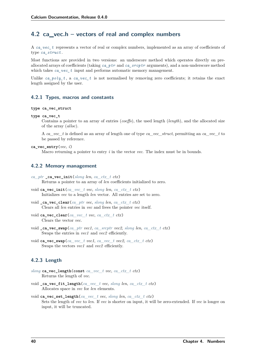# **4.2 ca\_vec.h – vectors of real and complex numbers**

A *[ca\\_vec\\_t](#page-45-0)* represents a vector of real or complex numbers, implemented as an array of coefficients of type *[ca\\_struct](#page-27-3)* .

Most functions are provided in two versions: an underscore method which operates directly on preallocated arrays of coefficients (taking *[ca\\_ptr](#page-27-4)* and *[ca\\_srcptr](#page-27-1)* arguments), and a non-underscore method which takes *[ca\\_vec\\_t](#page-45-0)* input and performs automatic memory management.

Unlike *[ca\\_poly\\_t](#page-48-0)*, a *[ca\\_vec\\_t](#page-45-0)* is not normalised by removing zero coefficients; it retains the exact length assigned by the user.

### **4.2.1 Types, macros and constants**

#### <span id="page-45-0"></span>**type ca\_vec\_struct**

**type ca\_vec\_t**

Contains a pointer to an array of entries (*coeffs*), the used length (*length*), and the allocated size of the array (*alloc*).

A *ca\_vec\_t* is defined as an array of length one of type *ca\_vec\_struct*, permitting an *ca\_vec\_t* to be passed by reference.

**ca\_vec\_entry**(*vec*, *i*)

Macro returning a pointer to entry *i* in the vector *vec*. The index must be in bounds.

# **4.2.2 Memory management**

- *[ca\\_ptr](#page-27-4)* **ca\_vec\_init**( $slong$  *len*, *[ca\\_ctx\\_t](#page-27-2)\_ctx*) Returns a pointer to an array of *len* coefficients initialized to zero.
- void **ca\_vec\_init**(*[ca\\_vec\\_t](#page-45-0) vec*, *[slong](#page-23-0) len*, *[ca\\_ctx\\_t](#page-27-2) ctx*) Initializes *vec* to a length *len* vector. All entries are set to zero.
- void **\_ca\_vec\_clear**(*[ca\\_ptr](#page-27-4) vec*, *[slong](#page-23-0) len*, *[ca\\_ctx\\_t](#page-27-2) ctx*) Clears all *len* entries in *vec* and frees the pointer *vec* itself.
- void **ca\_vec\_clear**(*[ca\\_vec\\_t](#page-45-0) vec*, *[ca\\_ctx\\_t](#page-27-2) ctx*) Clears the vector *vec*.
- void **\_ca\_vec\_swap**(*[ca\\_ptr](#page-27-4) vec1*, *[ca\\_srcptr](#page-27-1) vec2*, *[slong](#page-23-0) len*, *[ca\\_ctx\\_t](#page-27-2) ctx*) Swaps the entries in *vec1* and *vec2* efficiently.
- void **ca\_vec\_swap**(*[ca\\_vec\\_t](#page-45-0) vec1*, *[ca\\_vec\\_t](#page-45-0) vec2*, *[ca\\_ctx\\_t](#page-27-2) ctx*) Swaps the vectors *vec1* and *vec2* efficiently.

# **4.2.3 Length**

- *[slong](#page-23-0)* **ca\_vec\_length**(**const** *[ca\\_vec\\_t](#page-45-0) vec*, *[ca\\_ctx\\_t](#page-27-2) ctx*) Returns the length of *vec*.
- void **\_ca\_vec\_fit\_length**(*[ca\\_vec\\_t](#page-45-0) vec*, *[slong](#page-23-0) len*, *[ca\\_ctx\\_t](#page-27-2) ctx*) Allocates space in *vec* for *len* elements.
- void **ca\_vec\_set\_length**(*[ca\\_vec\\_t](#page-45-0) vec*, *[slong](#page-23-0) len*, *[ca\\_ctx\\_t](#page-27-2) ctx*) Sets the length of *vec* to *len*. If *vec* is shorter on input, it will be zero-extended. If *vec* is longer on input, it will be truncated.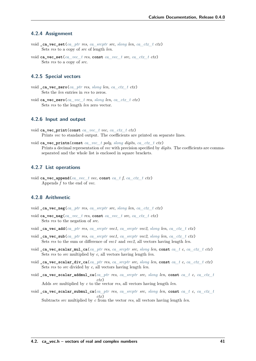## **4.2.4 Assignment**

- void **\_ca\_vec\_set**(*[ca\\_ptr](#page-27-4) res*, *[ca\\_srcptr](#page-27-1) src*, *[slong](#page-23-0) len*, *[ca\\_ctx\\_t](#page-27-2) ctx*) Sets *res* to a copy of *src* of length *len*.
- void **ca\_vec\_set**(*[ca\\_vec\\_t](#page-45-0) res*, **const** *[ca\\_vec\\_t](#page-45-0) src*, *[ca\\_ctx\\_t](#page-27-2) ctx*) Sets *res* to a copy of *src*.

### **4.2.5 Special vectors**

- void **\_ca\_vec\_zero**(*[ca\\_ptr](#page-27-4) res*, *[slong](#page-23-0) len*, *[ca\\_ctx\\_t](#page-27-2) ctx*) Sets the *len* entries in *res* to zeros.
- void **ca\_vec\_zero**(*[ca\\_vec\\_t](#page-45-0) res*, *[slong](#page-23-0) len*, *[ca\\_ctx\\_t](#page-27-2) ctx*) Sets *res* to the length *len* zero vector.

# **4.2.6 Input and output**

- void **ca\_vec\_print**(**const** *[ca\\_vec\\_t](#page-45-0) vec*, *[ca\\_ctx\\_t](#page-27-2) ctx*) Prints *vec* to standard output. The coefficients are printed on separate lines.
- void **ca\_vec\_printn**(**const** *[ca\\_vec\\_t](#page-45-0) poly*, *[slong](#page-23-0) digits*, *[ca\\_ctx\\_t](#page-27-2) ctx*) Prints a decimal representation of *vec* with precision specified by *digits*. The coefficients are commaseparated and the whole list is enclosed in square brackets.

# **4.2.7 List operations**

void **ca\_vec\_append**(*[ca\\_vec\\_t](#page-45-0) vec*, **const** *[ca\\_t](#page-27-0) f*, *[ca\\_ctx\\_t](#page-27-2) ctx*) Appends *f* to the end of *vec*.

# **4.2.8 Arithmetic**

- void **\_ca\_vec\_neg**(*[ca\\_ptr](#page-27-4) res*, *[ca\\_srcptr](#page-27-1) src*, *[slong](#page-23-0) len*, *[ca\\_ctx\\_t](#page-27-2) ctx*)
- void **ca\_vec\_neg**(*[ca\\_vec\\_t](#page-45-0) res*, **const** *[ca\\_vec\\_t](#page-45-0) src*, *[ca\\_ctx\\_t](#page-27-2) ctx*) Sets *res* to the negation of *src*.
- void **\_ca\_vec\_add**(*[ca\\_ptr](#page-27-4) res*, *[ca\\_srcptr](#page-27-1) vec1*, *[ca\\_srcptr](#page-27-1) vec2*, *[slong](#page-23-0) len*, *[ca\\_ctx\\_t](#page-27-2) ctx*)
- void **\_ca\_vec\_sub**(*[ca\\_ptr](#page-27-4) res*, *[ca\\_srcptr](#page-27-1) vec1*, *[ca\\_srcptr](#page-27-1) vec2*, *[slong](#page-23-0) len*, *[ca\\_ctx\\_t](#page-27-2) ctx*) Sets *res* to the sum or difference of *vec1* and *vec2*, all vectors having length *len*.
- void **\_ca\_vec\_scalar\_mul\_ca**(*[ca\\_ptr](#page-27-4) res*, *[ca\\_srcptr](#page-27-1) src*, *[slong](#page-23-0) len*, **const** *[ca\\_t](#page-27-0) c*, *[ca\\_ctx\\_t](#page-27-2) ctx*) Sets *res* to *src* multiplied by *c*, all vectors having length *len*.
- void ca vec scalar div ca(*ca ptr res*, *ca srcptr src*, *[slong](#page-23-0) len*, const *ca t c*, *ca ctx t ctx*) Sets *res* to *src* divided by *c*, all vectors having length *len*.
- void **\_ca\_vec\_scalar\_addmul\_ca**(*[ca\\_ptr](#page-27-4) res*, *[ca\\_srcptr](#page-27-1) src*, *[slong](#page-23-0) len*, **const** *[ca\\_t](#page-27-0) c*, *[ca\\_ctx\\_t](#page-27-2) ctx*) Adds *src* multiplied by *c* to the vector *res*, all vectors having length *len*.
- void **\_ca\_vec\_scalar\_submul\_ca**(*[ca\\_ptr](#page-27-4) res*, *[ca\\_srcptr](#page-27-1) src*, *[slong](#page-23-0) len*, **const** *[ca\\_t](#page-27-0) c*, *[ca\\_ctx\\_t](#page-27-2) ctx*) Subtracts *src* multiplied by *c* from the vector *res*, all vectors having length *len*.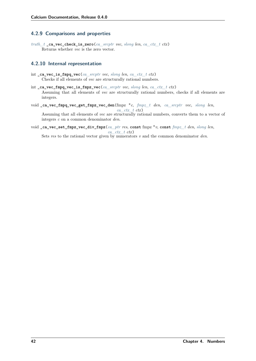# **4.2.9 Comparisons and properties**

*[truth\\_t](#page-22-0)* **\_ca\_vec\_check\_is\_zero**(*[ca\\_srcptr](#page-27-1) vec*, *[slong](#page-23-0) len*, *[ca\\_ctx\\_t](#page-27-2) ctx*) Returns whether *vec* is the zero vector.

# **4.2.10 Internal representation**

- int ca vec is fmpq  $\text{vec}(ca\ \text{srcptr}\ \text{vec}, \text{slow}\ \text{len}, \text{ca\ \text{ctx\ } t\ \text{ctx})$ Checks if all elements of *vec* are structurally rational numbers.
- int **\_ca\_vec\_fmpq\_vec\_is\_fmpz\_vec**(*[ca\\_srcptr](#page-27-1) vec*, *[slong](#page-23-0) len*, *[ca\\_ctx\\_t](#page-27-2) ctx*) Assuming that all elements of *vec* are structurally rational numbers, checks if all elements are integers.
- void **\_ca\_vec\_fmpq\_vec\_get\_fmpz\_vec\_den**(fmpz \**c*, *[fmpz\\_t](#page-23-6) den*, *[ca\\_srcptr](#page-27-1) vec*, *[slong](#page-23-0) len*, *[ca\\_ctx\\_t](#page-27-2) ctx*) Assuming that all elements of *vec* are structurally rational numbers, converts them to a vector of integers *c* on a common denominator *den*.
- void **\_ca\_vec\_set\_fmpz\_vec\_div\_fmpz**(*[ca\\_ptr](#page-27-4) res*, **const** fmpz \**v*, **const** *[fmpz\\_t](#page-23-6) den*, *[slong](#page-23-0) len*, *[ca\\_ctx\\_t](#page-27-2) ctx*)

Sets *res* to the rational vector given by numerators  $v$  and the common denominator *den*.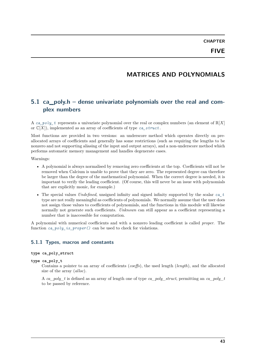# **MATRICES AND POLYNOMIALS**

# **5.1 ca\_poly.h – dense univariate polynomials over the real and complex numbers**

A ca<sub>poly</sub> t represents a univariate polynomial over the real or complex numbers (an element of  $\mathbb{R}[X]$ ) or  $\mathbb{C}[X]$ , implemented as an array of coefficients of type *[ca\\_struct](#page-27-3)*.

Most functions are provided in two versions: an underscore method which operates directly on preallocated arrays of coefficients and generally has some restrictions (such as requiring the lengths to be nonzero and not supporting aliasing of the input and output arrays), and a non-underscore method which performs automatic memory management and handles degenerate cases.

Warnings:

- A polynomial is always normalised by removing zero coefficients at the top. Coefficients will not be removed when Calcium is unable to prove that they are zero. The represented degree can therefore be larger than the degree of the mathematical polynomial. When the correct degree is needed, it is important to verify the leading coefficient. (Of course, this will never be an issue with polynomials that are explicitly monic, for example.)
- The special values *Undefined*, unsigned infinity and signed infinity supported by the scalar *[ca\\_t](#page-27-0)* type are not really meaningful as coefficients of polynomials. We normally assume that the user does not assign those values to coefficients of polynomials, and the functions in this module will likewise normally not generate such coefficients. *Unknown* can still appear as a coefficient representing a number that is inaccessible for computation.

A polynomial with numerical coefficients and with a nonzero leading coefficient is called *proper*. The function *[ca\\_poly\\_is\\_proper\(\)](#page-50-0)* can be used to check for violations.

### **5.1.1 Types, macros and constants**

## <span id="page-48-1"></span>**type ca\_poly\_struct**

<span id="page-48-0"></span>**type ca\_poly\_t**

Contains a pointer to an array of coefficients (*coeffs*), the used length (*length*), and the allocated size of the array (*alloc*).

A *ca\_poly\_t* is defined as an array of length one of type *ca\_poly\_struct*, permitting an *ca\_poly\_t* to be passed by reference.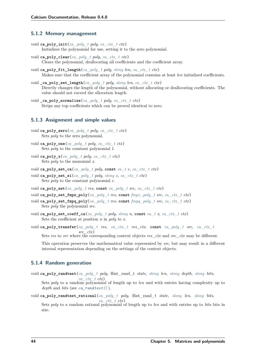# **5.1.2 Memory management**

- void **ca\_poly\_init**(*[ca\\_poly\\_t](#page-48-0) poly*, *[ca\\_ctx\\_t](#page-27-2) ctx*) Initializes the polynomial for use, setting it to the zero polynomial.
- void **ca\_poly\_clear**(*[ca\\_poly\\_t](#page-48-0) poly*, *[ca\\_ctx\\_t](#page-27-2) ctx*) Clears the polynomial, deallocating all coefficients and the coefficient array.
- void **ca\_poly\_fit\_length**(*[ca\\_poly\\_t](#page-48-0) poly*, *[slong](#page-23-0) len*, *[ca\\_ctx\\_t](#page-27-2) ctx*) Makes sure that the coefficient array of the polynomial contains at least *len* initialized coefficients.
- void **\_ca\_poly\_set\_length**(*[ca\\_poly\\_t](#page-48-0) poly*, *[slong](#page-23-0) len*, *[ca\\_ctx\\_t](#page-27-2) ctx*) Directly changes the length of the polynomial, without allocating or deallocating coefficients. The value should not exceed the allocation length.
- void **\_ca\_poly\_normalise**(*[ca\\_poly\\_t](#page-48-0) poly*, *[ca\\_ctx\\_t](#page-27-2) ctx*) Strips any top coefficients which can be proved identical to zero.

### **5.1.3 Assignment and simple values**

- void **ca\_poly\_zero**(*[ca\\_poly\\_t](#page-48-0) poly*, *[ca\\_ctx\\_t](#page-27-2) ctx*) Sets *poly* to the zero polynomial.
- void **ca\_poly\_one**(*[ca\\_poly\\_t](#page-48-0) poly*, *[ca\\_ctx\\_t](#page-27-2) ctx*) Sets *poly* to the constant polynomial 1.
- void **ca\_poly\_x**(*[ca\\_poly\\_t](#page-48-0) poly*, *[ca\\_ctx\\_t](#page-27-2) ctx*) Sets *poly* to the monomial *x*.
- void **ca\_poly\_set\_ca**(*[ca\\_poly\\_t](#page-48-0) poly*, **const** *[ca\\_t](#page-27-0) c*, *[ca\\_ctx\\_t](#page-27-2) ctx*)
- void **ca\_poly\_set\_si**(*[ca\\_poly\\_t](#page-48-0) poly*, *[slong](#page-23-0) c*, *[ca\\_ctx\\_t](#page-27-2) ctx*) Sets *poly* to the constant polynomial *c*.
- void **ca\_poly\_set**(*[ca\\_poly\\_t](#page-48-0) res*, **const** *[ca\\_poly\\_t](#page-48-0) src*, *[ca\\_ctx\\_t](#page-27-2) ctx*)
- void **ca\_poly\_set\_fmpz\_poly**(*[ca\\_poly\\_t](#page-48-0) res*, **const** *[fmpz\\_poly\\_t](#page-23-1) src*, *[ca\\_ctx\\_t](#page-27-2) ctx*)
- void **ca\_poly\_set\_fmpq\_poly**(*[ca\\_poly\\_t](#page-48-0) res*, **const** *[fmpq\\_poly\\_t](#page-23-2) src*, *[ca\\_ctx\\_t](#page-27-2) ctx*) Sets *poly* the polynomial *src*.
- void **ca\_poly\_set\_coeff\_ca**(*[ca\\_poly\\_t](#page-48-0) poly*, *[slong](#page-23-0) n*, **const** *[ca\\_t](#page-27-0) x*, *[ca\\_ctx\\_t](#page-27-2) ctx*) Sets the coefficient at position *n* in *poly* to *x*.
- void **ca\_poly\_transfer**(*[ca\\_poly\\_t](#page-48-0) res*, *[ca\\_ctx\\_t](#page-27-2) res\_ctx*, **const** *[ca\\_poly\\_t](#page-48-0) src*, *[ca\\_ctx\\_t](#page-27-2) src\_ctx*)

Sets *res* to *src* where the corresponding context objects *res\_ctx* and *src\_ctx* may be different.

This operation preserves the mathematical value represented by *src*, but may result in a different internal representation depending on the settings of the context objects.

# **5.1.4 Random generation**

void **ca\_poly\_randtest**(*[ca\\_poly\\_t](#page-48-0) poly*, flint\_rand\_t *state*, *[slong](#page-23-0) len*, *[slong](#page-23-0) depth*, *[slong](#page-23-0) bits*, *[ca\\_ctx\\_t](#page-27-2) ctx*)

Sets *poly* to a random polynomial of length up to *len* and with entries having complexity up to *depth* and *bits* (see *[ca\\_randtest\(\)](#page-31-0)* ).

void **ca\_poly\_randtest\_rational**(*[ca\\_poly\\_t](#page-48-0) poly*, flint\_rand\_t *state*, *[slong](#page-23-0) len*, *[slong](#page-23-0) bits*, *[ca\\_ctx\\_t](#page-27-2) ctx*)

Sets *poly* to a random rational polynomial of length up to *len* and with entries up to *bits* bits in size.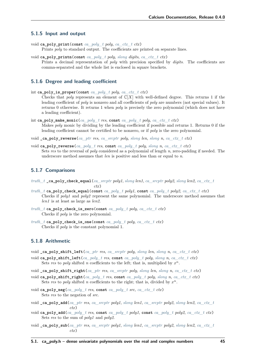### **5.1.5 Input and output**

- void **ca\_poly\_print**(**const** *[ca\\_poly\\_t](#page-48-0) poly*, *[ca\\_ctx\\_t](#page-27-2) ctx*) Prints *poly* to standard output. The coefficients are printed on separate lines.
- void **ca\_poly\_printn**(**const** *[ca\\_poly\\_t](#page-48-0) poly*, *[slong](#page-23-0) digits*, *[ca\\_ctx\\_t](#page-27-2) ctx*) Prints a decimal representation of *poly* with precision specified by *digits*. The coefficients are comma-separated and the whole list is enclosed in square brackets.

### **5.1.6 Degree and leading coefficient**

<span id="page-50-0"></span>int **ca\_poly\_is\_proper**(**const** *[ca\\_poly\\_t](#page-48-0) poly*, *[ca\\_ctx\\_t](#page-27-2) ctx*)

Checks that *poly* represents an element of  $\mathbb{C}[X]$  with well-defined degree. This returns 1 if the leading coefficient of *poly* is nonzero and all coefficients of *poly* are numbers (not special values). It returns 0 otherwise. It returns 1 when *poly* is precisely the zero polynomial (which does not have a leading coefficient).

- int **ca\_poly\_make\_monic**(*[ca\\_poly\\_t](#page-48-0) res*, **const** *[ca\\_poly\\_t](#page-48-0) poly*, *[ca\\_ctx\\_t](#page-27-2) ctx*) Makes *poly* monic by dividing by the leading coefficient if possible and returns 1. Returns 0 if the leading coefficient cannot be certified to be nonzero, or if *poly* is the zero polynomial.
- void **\_ca\_poly\_reverse**(*[ca\\_ptr](#page-27-4) res*, *[ca\\_srcptr](#page-27-1) poly*, *[slong](#page-23-0) len*, *[slong](#page-23-0) n*, *[ca\\_ctx\\_t](#page-27-2) ctx*)
- void **ca\_poly\_reverse**(*[ca\\_poly\\_t](#page-48-0) res*, **const** *[ca\\_poly\\_t](#page-48-0) poly*, *[slong](#page-23-0) n*, *[ca\\_ctx\\_t](#page-27-2) ctx*) Sets *res* to the reversal of *poly* considered as a polynomial of length *n*, zero-padding if needed. The underscore method assumes that *len* is positive and less than or equal to *n*.

## **5.1.7 Comparisons**

- *[truth\\_t](#page-22-0)* **\_ca\_poly\_check\_equal**(*[ca\\_srcptr](#page-27-1) poly1*, *[slong](#page-23-0) len1*, *[ca\\_srcptr](#page-27-1) poly2*, *[slong](#page-23-0) len2*, *[ca\\_ctx\\_t](#page-27-2) ctx*)
- *truth*  $t$  **ca** poly check equal(const *[ca\\_poly\\_t](#page-48-0)\_poly1*, const *ca\_poly\_t\_poly2*, *[ca\\_ctx\\_t](#page-27-2)\_ctx*) Checks if *poly1* and *poly2* represent the same polynomial. The underscore method assumes that *len1* is at least as large as *len2*.
- *[truth\\_t](#page-22-0)* **ca\_poly\_check\_is\_zero**(**const** *[ca\\_poly\\_t](#page-48-0) poly*, *[ca\\_ctx\\_t](#page-27-2) ctx*) Checks if *poly* is the zero polynomial.
- *[truth\\_t](#page-22-0)* **ca\_poly\_check\_is\_one**(**const** *[ca\\_poly\\_t](#page-48-0) poly*, *[ca\\_ctx\\_t](#page-27-2) ctx*) Checks if *poly* is the constant polynomial 1.

# **5.1.8 Arithmetic**

- void **\_ca\_poly\_shift\_left**(*[ca\\_ptr](#page-27-4) res*, *[ca\\_srcptr](#page-27-1) poly*, *[slong](#page-23-0) len*, *[slong](#page-23-0) n*, *[ca\\_ctx\\_t](#page-27-2) ctx*)
- void **ca\_poly\_shift\_left**(*[ca\\_poly\\_t](#page-48-0) res*, **const** *[ca\\_poly\\_t](#page-48-0) poly*, *[slong](#page-23-0) n*, *[ca\\_ctx\\_t](#page-27-2) ctx*) Sets *res* to *poly* shifted *n* coefficients to the left; that is, multiplied by  $x^n$ .
- void **\_ca\_poly\_shift\_right**(*[ca\\_ptr](#page-27-4) res*, *[ca\\_srcptr](#page-27-1) poly*, *[slong](#page-23-0) len*, *[slong](#page-23-0) n*, *[ca\\_ctx\\_t](#page-27-2) ctx*)
- void **ca\_poly\_shift\_right**(*[ca\\_poly\\_t](#page-48-0) res*, **const** *[ca\\_poly\\_t](#page-48-0) poly*, *[slong](#page-23-0) n*, *[ca\\_ctx\\_t](#page-27-2) ctx*) Sets *res* to *poly* shifted *n* coefficients to the right; that is, divided by  $x^n$ .
- void **ca\_poly\_neg**(*[ca\\_poly\\_t](#page-48-0) res*, **const** *[ca\\_poly\\_t](#page-48-0) src*, *[ca\\_ctx\\_t](#page-27-2) ctx*) Sets *res* to the negation of *src*.
- void **\_ca\_poly\_add**(*[ca\\_ptr](#page-27-4) res*, *[ca\\_srcptr](#page-27-1) poly1*, *[slong](#page-23-0) len1*, *[ca\\_srcptr](#page-27-1) poly2*, *[slong](#page-23-0) len2*, *[ca\\_ctx\\_t](#page-27-2) ctx*)
- void **ca\_poly\_add**(*[ca\\_poly\\_t](#page-48-0) res*, **const** *[ca\\_poly\\_t](#page-48-0) poly1*, **const** *[ca\\_poly\\_t](#page-48-0) poly2*, *[ca\\_ctx\\_t](#page-27-2) ctx*) Sets *res* to the sum of *poly1* and *poly2*.
- void **\_ca\_poly\_sub**(*[ca\\_ptr](#page-27-4) res*, *[ca\\_srcptr](#page-27-1) poly1*, *[slong](#page-23-0) len1*, *[ca\\_srcptr](#page-27-1) poly2*, *[slong](#page-23-0) len2*, *[ca\\_ctx\\_t](#page-27-2) ctx*)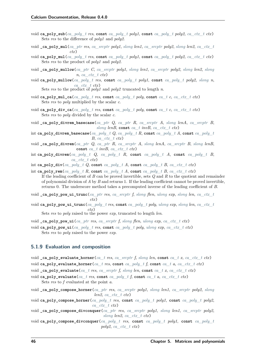- void **ca\_poly\_sub**(*[ca\\_poly\\_t](#page-48-0) res*, **const** *[ca\\_poly\\_t](#page-48-0) poly1*, **const** *[ca\\_poly\\_t](#page-48-0) poly2*, *[ca\\_ctx\\_t](#page-27-2) ctx*) Sets *res* to the difference of *poly1* and *poly2*.
- void **\_ca\_poly\_mul**(*[ca\\_ptr](#page-27-4) res*, *[ca\\_srcptr](#page-27-1) poly1*, *[slong](#page-23-0) len1*, *[ca\\_srcptr](#page-27-1) poly2*, *[slong](#page-23-0) len2*, *[ca\\_ctx\\_t](#page-27-2) ctx*)
- void **ca\_poly\_mul**(*[ca\\_poly\\_t](#page-48-0) res*, **const** *[ca\\_poly\\_t](#page-48-0) poly1*, **const** *[ca\\_poly\\_t](#page-48-0) poly2*, *[ca\\_ctx\\_t](#page-27-2) ctx*) Sets *res* to the product of *poly1* and *poly2*.
- void **\_ca\_poly\_mullow**(*[ca\\_ptr](#page-27-4) C*, *[ca\\_srcptr](#page-27-1) poly1*, *[slong](#page-23-0) len1*, *[ca\\_srcptr](#page-27-1) poly2*, *[slong](#page-23-0) len2*, *[slong](#page-23-0) n*, *[ca\\_ctx\\_t](#page-27-2) ctx*)
- void **ca\_poly\_mullow**(*[ca\\_poly\\_t](#page-48-0) res*, **const** *[ca\\_poly\\_t](#page-48-0) poly1*, **const** *[ca\\_poly\\_t](#page-48-0) poly2*, *[slong](#page-23-0) n*, *[ca\\_ctx\\_t](#page-27-2) ctx*)

Sets *res* to the product of *poly1* and  $poly2$  truncated to length *n*.

- void **ca\_poly\_mul\_ca**(*[ca\\_poly\\_t](#page-48-0) res*, **const** *[ca\\_poly\\_t](#page-48-0) poly*, **const** *[ca\\_t](#page-27-0) c*, *[ca\\_ctx\\_t](#page-27-2) ctx*) Sets *res* to *poly* multiplied by the scalar *c*.
- void **ca\_poly\_div\_ca**(*[ca\\_poly\\_t](#page-48-0) res*, **const** *[ca\\_poly\\_t](#page-48-0) poly*, **const** *[ca\\_t](#page-27-0) c*, *[ca\\_ctx\\_t](#page-27-2) ctx*) Sets *res* to *poly* divided by the scalar *c*.
- void **\_ca\_poly\_divrem\_basecase**(*[ca\\_ptr](#page-27-4) Q*, *[ca\\_ptr](#page-27-4) R*, *[ca\\_srcptr](#page-27-1) A*, *[slong](#page-23-0) lenA*, *[ca\\_srcptr](#page-27-1) B*, *[slong](#page-23-0) lenB*, **const** *[ca\\_t](#page-27-0) invB*, *[ca\\_ctx\\_t](#page-27-2) ctx*)
- int **ca\_poly\_divrem\_basecase**(*[ca\\_poly\\_t](#page-48-0) Q*, *[ca\\_poly\\_t](#page-48-0) R*, **const** *[ca\\_poly\\_t](#page-48-0) A*, **const** *[ca\\_poly\\_t](#page-48-0) B*, *[ca\\_ctx\\_t](#page-27-2) ctx*)
- void **\_ca\_poly\_divrem**(*[ca\\_ptr](#page-27-4) Q*, *[ca\\_ptr](#page-27-4) R*, *[ca\\_srcptr](#page-27-1) A*, *[slong](#page-23-0) lenA*, *[ca\\_srcptr](#page-27-1) B*, *[slong](#page-23-0) lenB*, **const** *[ca\\_t](#page-27-0) invB*, *[ca\\_ctx\\_t](#page-27-2) ctx*)
- int **ca\_poly\_divrem**(*[ca\\_poly\\_t](#page-48-0) Q*, *[ca\\_poly\\_t](#page-48-0) R*, **const** *[ca\\_poly\\_t](#page-48-0) A*, **const** *[ca\\_poly\\_t](#page-48-0) B*, *[ca\\_ctx\\_t](#page-27-2) ctx*)

int **ca\_poly\_div**(*[ca\\_poly\\_t](#page-48-0) Q*, **const** *[ca\\_poly\\_t](#page-48-0) A*, **const** *[ca\\_poly\\_t](#page-48-0) B*, *[ca\\_ctx\\_t](#page-27-2) ctx*)

int **ca\_poly\_rem**(*[ca\\_poly\\_t](#page-48-0) R*, **const** *[ca\\_poly\\_t](#page-48-0) A*, **const** *[ca\\_poly\\_t](#page-48-0) B*, *[ca\\_ctx\\_t](#page-27-2) ctx*)

If the leading coefficient of *B* can be proved invertible, sets *Q* and *R* to the quotient and remainder of polynomial division of *A* by *B* and returns 1. If the leading coefficient cannot be proved invertible, returns 0. The underscore method takes a precomputed inverse of the leading coefficient of *B*.

- void **\_ca\_poly\_pow\_ui\_trunc**(*[ca\\_ptr](#page-27-4) res*, *[ca\\_srcptr](#page-27-1) f*, *[slong](#page-23-0) flen*, *[ulong](#page-23-7) exp*, *[slong](#page-23-0) len*, *[ca\\_ctx\\_t](#page-27-2) ctx*)
- void **ca\_poly\_pow\_ui\_trunc**(*[ca\\_poly\\_t](#page-48-0) res*, **const** *[ca\\_poly\\_t](#page-48-0) poly*, *[ulong](#page-23-7) exp*, *[slong](#page-23-0) len*, *[ca\\_ctx\\_t](#page-27-2) ctx*)

Sets *res* to *poly* raised to the power *exp*, truncated to length *len*.

- void **\_ca\_poly\_pow\_ui**(*[ca\\_ptr](#page-27-4) res*, *[ca\\_srcptr](#page-27-1) f*, *[slong](#page-23-0) flen*, *[ulong](#page-23-7) exp*, *[ca\\_ctx\\_t](#page-27-2) ctx*)
- void **ca\_poly\_pow\_ui**(*[ca\\_poly\\_t](#page-48-0) res*, **const** *[ca\\_poly\\_t](#page-48-0) poly*, *[ulong](#page-23-7) exp*, *[ca\\_ctx\\_t](#page-27-2) ctx*) Sets *res* to *poly* raised to the power *exp*.

# **5.1.9 Evaluation and composition**

- void **\_ca\_poly\_evaluate\_horner**(*[ca\\_t](#page-27-0) res*, *[ca\\_srcptr](#page-27-1) f*, *[slong](#page-23-0) len*, **const** *[ca\\_t](#page-27-0) x*, *[ca\\_ctx\\_t](#page-27-2) ctx*) void **ca\_poly\_evaluate\_horner**(*[ca\\_t](#page-27-0) res*, **const** *[ca\\_poly\\_t](#page-48-0) f*, **const** *[ca\\_t](#page-27-0) a*, *[ca\\_ctx\\_t](#page-27-2) ctx*)
- void **\_ca\_poly\_evaluate**(*[ca\\_t](#page-27-0) res*, *[ca\\_srcptr](#page-27-1) f*, *[slong](#page-23-0) len*, **const** *[ca\\_t](#page-27-0) x*, *[ca\\_ctx\\_t](#page-27-2) ctx*)

void ca poly evaluate $(ca \t{t} \r{res}, \text{const} \ta{a} \text{ poly } t \text{ f}, \text{const} \ta{a} \ta{t}$ ,  $ca \text{ ctx } t \text{ ctx})$ Sets *res* to *f* evaluated at the point *a*.

- void **\_ca\_poly\_compose\_horner**(*[ca\\_ptr](#page-27-4) res*, *[ca\\_srcptr](#page-27-1) poly1*, *[slong](#page-23-0) len1*, *[ca\\_srcptr](#page-27-1) poly2*, *[slong](#page-23-0) len2*, *[ca\\_ctx\\_t](#page-27-2)\_ctx*)
- void **ca\_poly\_compose\_horner**(*[ca\\_poly\\_t](#page-48-0) res*, **const** *[ca\\_poly\\_t](#page-48-0) poly1*, **const** *[ca\\_poly\\_t](#page-48-0) poly2*, *[ca\\_ctx\\_t](#page-27-2) ctx*)
- void **\_ca\_poly\_compose\_divconquer**(*[ca\\_ptr](#page-27-4) res*, *[ca\\_srcptr](#page-27-1) poly1*, *[slong](#page-23-0) len1*, *[ca\\_srcptr](#page-27-1) poly2*, *[slong](#page-23-0) len2*, *[ca\\_ctx\\_t](#page-27-2) ctx*)
- void **ca\_poly\_compose\_divconquer**(*[ca\\_poly\\_t](#page-48-0) res*, **const** *[ca\\_poly\\_t](#page-48-0) poly1*, **const** *[ca\\_poly\\_t](#page-48-0) poly2*, *[ca\\_ctx\\_t](#page-27-2) ctx*)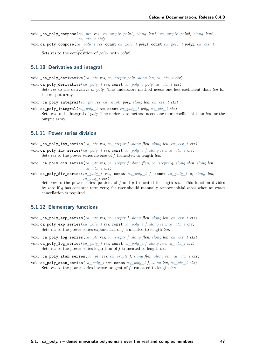- void **\_ca\_poly\_compose**(*[ca\\_ptr](#page-27-4) res*, *[ca\\_srcptr](#page-27-1) poly1*, *[slong](#page-23-0) len1*, *[ca\\_srcptr](#page-27-1) poly2*, *[slong](#page-23-0) len2*, *[ca\\_ctx\\_t](#page-27-2) ctx*)
- void **ca\_poly\_compose**(*[ca\\_poly\\_t](#page-48-0) res*, **const** *[ca\\_poly\\_t](#page-48-0) poly1*, **const** *[ca\\_poly\\_t](#page-48-0) poly2*, *[ca\\_ctx\\_t](#page-27-2) ctx*) Sets *res* to the composition of *poly1* with *poly2*.

### **5.1.10 Derivative and integral**

- void **\_ca\_poly\_derivative**(*[ca\\_ptr](#page-27-4) res*, *[ca\\_srcptr](#page-27-1) poly*, *[slong](#page-23-0) len*, *[ca\\_ctx\\_t](#page-27-2) ctx*)
- void **ca\_poly\_derivative**(*[ca\\_poly\\_t](#page-48-0) res*, **const** *[ca\\_poly\\_t](#page-48-0) poly*, *[ca\\_ctx\\_t](#page-27-2) ctx*) Sets *res* to the derivative of *poly*. The underscore method needs one less coefficient than *len* for the output array.
- void **\_ca\_poly\_integral**(*[ca\\_ptr](#page-27-4) res*, *[ca\\_srcptr](#page-27-1) poly*, *[slong](#page-23-0) len*, *[ca\\_ctx\\_t](#page-27-2) ctx*)
- void **ca\_poly\_integral**(*[ca\\_poly\\_t](#page-48-0) res*, **const** *[ca\\_poly\\_t](#page-48-0) poly*, *[ca\\_ctx\\_t](#page-27-2) ctx*) Sets *res* to the integral of *poly*. The underscore method needs one more coefficient than *len* for the output array.

## **5.1.11 Power series division**

- void **\_ca\_poly\_inv\_series**(*[ca\\_ptr](#page-27-4) res*, *[ca\\_srcptr](#page-27-1) f*, *[slong](#page-23-0) flen*, *[slong](#page-23-0) len*, *[ca\\_ctx\\_t](#page-27-2) ctx*)
- void **ca\_poly\_inv\_series**(*[ca\\_poly\\_t](#page-48-0) res*, **const** *[ca\\_poly\\_t](#page-48-0) f*, *[slong](#page-23-0) len*, *[ca\\_ctx\\_t](#page-27-2) ctx*) Sets *res* to the power series inverse of *f* truncated to length *len*.
- void **\_ca\_poly\_div\_series**(*[ca\\_ptr](#page-27-4) res*, *[ca\\_srcptr](#page-27-1) f*, *[slong](#page-23-0) flen*, *[ca\\_srcptr](#page-27-1) g*, *[slong](#page-23-0) glen*, *[slong](#page-23-0) len*, *[ca\\_ctx\\_t](#page-27-2) ctx*)
- void **ca\_poly\_div\_series**(*[ca\\_poly\\_t](#page-48-0) res*, **const** *[ca\\_poly\\_t](#page-48-0) f*, **const** *[ca\\_poly\\_t](#page-48-0) g*, *[slong](#page-23-0) len*, *[ca\\_ctx\\_t](#page-27-2) ctx*)

Sets *res* to the power series quotient of *f* and *g* truncated to length *len*. This function divides by zero if *g* has constant term zero; the user should manually remove initial zeros when an exact cancellation is required.

## **5.1.12 Elementary functions**

- void **\_ca\_poly\_exp\_series**(*[ca\\_ptr](#page-27-4) res*, *[ca\\_srcptr](#page-27-1) f*, *[slong](#page-23-0) flen*, *[slong](#page-23-0) len*, *[ca\\_ctx\\_t](#page-27-2) ctx*)
- void **ca\_poly\_exp\_series**(*[ca\\_poly\\_t](#page-48-0) res*, **const** *[ca\\_poly\\_t](#page-48-0) f*, *[slong](#page-23-0) len*, *[ca\\_ctx\\_t](#page-27-2) ctx*) Sets *res* to the power series exponential of *f* truncated to length *len*.
- void **\_ca\_poly\_log\_series**(*[ca\\_ptr](#page-27-4) res*, *[ca\\_srcptr](#page-27-1) f*, *[slong](#page-23-0) flen*, *[slong](#page-23-0) len*, *[ca\\_ctx\\_t](#page-27-2) ctx*)
- void **ca\_poly\_log\_series**(*[ca\\_poly\\_t](#page-48-0) res*, **const** *[ca\\_poly\\_t](#page-48-0) f*, *[slong](#page-23-0) len*, *[ca\\_ctx\\_t](#page-27-2) ctx*) Sets *res* to the power series logarithm of *f* truncated to length *len*.
- void **\_ca\_poly\_atan\_series**(*[ca\\_ptr](#page-27-4) res*, *[ca\\_srcptr](#page-27-1) f*, *[slong](#page-23-0) flen*, *[slong](#page-23-0) len*, *[ca\\_ctx\\_t](#page-27-2) ctx*)
- void **ca\_poly\_atan\_series**(*[ca\\_poly\\_t](#page-48-0) res*, **const** *[ca\\_poly\\_t](#page-48-0) f*, *[slong](#page-23-0) len*, *[ca\\_ctx\\_t](#page-27-2) ctx*) Sets *res* to the power series inverse tangent of *f* truncated to length *len*.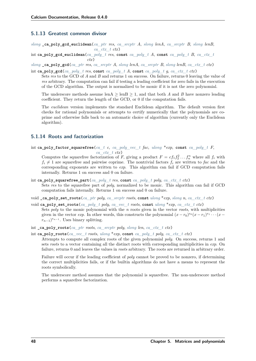# **5.1.13 Greatest common divisor**

*[slong](#page-23-0)* **\_ca\_poly\_gcd\_euclidean**(*[ca\\_ptr](#page-27-4) res*, *[ca\\_srcptr](#page-27-1) A*, *[slong](#page-23-0) lenA*, *[ca\\_srcptr](#page-27-1) B*, *[slong](#page-23-0) lenB*, *[ca\\_ctx\\_t](#page-27-2) ctx*)

int **ca\_poly\_gcd\_euclidean**(*[ca\\_poly\\_t](#page-48-0) res*, **const** *[ca\\_poly\\_t](#page-48-0) A*, **const** *[ca\\_poly\\_t](#page-48-0) B*, *[ca\\_ctx\\_t](#page-27-2) ctx*)

 $slong$   $\text{c}$ **<sub>2</sub>**  $\text{c}$ <sub>2</sub>  $\text{c}$ <sub>2</sub>  $\text{d}$ <sub>*ca*</sub>  $\text{d}$  *ptr res*, *ca srcptr A*, *slong lenA*, *ca srcptr B*, *slong lenB*, *ca ctx t ctx*)

int **ca\_poly\_gcd**(*[ca\\_poly\\_t](#page-48-0) res*, **const** *[ca\\_poly\\_t](#page-48-0) A*, **const** *[ca\\_poly\\_t](#page-48-0) g*, *[ca\\_ctx\\_t](#page-27-2) ctx*) Sets *res* to the GCD of *A* and *B* and returns 1 on success. On failure, returns 0 leaving the value of *res* arbitrary. The computation can fail if testing a leading coefficient for zero fails in the execution

of the GCD algorithm. The output is normalized to be monic if it is not the zero polynomial.

The underscore methods assume lenA  $\geq$  lenB  $\geq$  1, and that both *A* and *B* have nonzero leading coefficient. They return the length of the GCD, or 0 if the computation fails.

The *euclidean* version implements the standard Euclidean algorithm. The default version first checks for rational polynomials or attempts to certify numerically that the polynomials are coprime and otherwise falls back to an automatic choice of algorithm (currently only the Euclidean algorithm).

# **5.1.14 Roots and factorization**

int **ca\_poly\_factor\_squarefree**(*[ca\\_t](#page-27-0) c*, *[ca\\_poly\\_vec\\_t](#page-54-0) fac*, *[ulong](#page-23-7)* \**exp*, **const** *[ca\\_poly\\_t](#page-48-0) F*, *[ca\\_ctx\\_t](#page-27-2) ctx*)

Computes the squarefree factorization of *F*, giving a product  $F = cf_1 f_2^2 \dots f_n^2$  where all  $f_i$  with  $f_i \neq 1$  are squarefree and pairwise coprime. The nontrivial factors  $f_i$  are written to fac and the corresponding exponents are written to *exp*. This algorithm can fail if GCD computation fails internally. Returns 1 on success and 0 on failure.

- int **ca\_poly\_squarefree\_part**(*[ca\\_poly\\_t](#page-48-0) res*, **const** *[ca\\_poly\\_t](#page-48-0) poly*, *[ca\\_ctx\\_t](#page-27-2) ctx*) Sets *res* to the squarefree part of *poly*, normalized to be monic. This algorithm can fail if GCD computation fails internally. Returns 1 on success and 0 on failure.
- void **\_ca\_poly\_set\_roots**(*[ca\\_ptr](#page-27-4) poly*, *[ca\\_srcptr](#page-27-1) roots*, **const** *[ulong](#page-23-7)* \**exp*, *[slong](#page-23-0) n*, *[ca\\_ctx\\_t](#page-27-2) ctx*)
- void **ca\_poly\_set\_roots**(*[ca\\_poly\\_t](#page-48-0) poly*, *[ca\\_vec\\_t](#page-45-0) roots*, **const** *[ulong](#page-23-7)* \**exp*, *[ca\\_ctx\\_t](#page-27-2) ctx*) Sets *poly* to the monic polynomial with the *n* roots given in the vector *roots*, with multiplicities given in the vector *exp*. In other words, this constructs the polynomial  $(x - r_0)^{e_0}(x - r_1)^{e_1} \cdots (x - r_n)^{e_n}$  $(r_{n-1})^{e_{n-1}}$ . Uses binary splitting.
- int **\_ca\_poly\_roots**(*[ca\\_ptr](#page-27-4) roots*, *[ca\\_srcptr](#page-27-1) poly*, *[slong](#page-23-0) len*, *[ca\\_ctx\\_t](#page-27-2) ctx*)

int **ca\_poly\_roots**(*[ca\\_vec\\_t](#page-45-0) roots*, *[ulong](#page-23-7)* \**exp*, **const** *[ca\\_poly\\_t](#page-48-0) poly*, *[ca\\_ctx\\_t](#page-27-2) ctx*)

Attempts to compute all complex roots of the given polynomial *poly*. On success, returns 1 and sets *roots* to a vector containing all the distinct roots with corresponding multiplicities in *exp*. On failure, returns 0 and leaves the values in *roots* arbitrary. The roots are returned in arbitrary order.

<span id="page-53-0"></span>Failure will occur if the leading coefficient of *poly* cannot be proved to be nonzero, if determining the correct multiplicities fails, or if the builtin algorithms do not have a means to represent the roots symbolically.

The underscore method assumes that the polynomial is squarefree. The non-underscore method performs a squarefree factorization.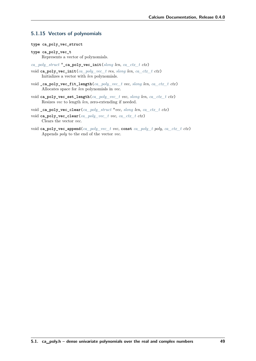# **5.1.15 Vectors of polynomials**

- **type ca\_poly\_vec\_struct**
- <span id="page-54-0"></span>**type ca\_poly\_vec\_t** Represents a vector of polynomials.
- *[ca\\_poly\\_struct](#page-48-1)* \***\_ca\_poly\_vec\_init**(*[slong](#page-23-0) len*, *[ca\\_ctx\\_t](#page-27-2) ctx*)
- void **ca\_poly\_vec\_init**(*[ca\\_poly\\_vec\\_t](#page-54-0) res*, *[slong](#page-23-0) len*, *[ca\\_ctx\\_t](#page-27-2) ctx*) Initializes a vector with *len* polynomials.
- void **\_ca\_poly\_vec\_fit\_length**(*[ca\\_poly\\_vec\\_t](#page-54-0) vec*, *[slong](#page-23-0) len*, *[ca\\_ctx\\_t](#page-27-2) ctx*) Allocates space for *len* polynomials in *vec*.
- void **ca\_poly\_vec\_set\_length**(*[ca\\_poly\\_vec\\_t](#page-54-0) vec*, *[slong](#page-23-0) len*, *[ca\\_ctx\\_t](#page-27-2) ctx*) Resizes *vec* to length *len*, zero-extending if needed.
- void **\_ca\_poly\_vec\_clear**(*[ca\\_poly\\_struct](#page-48-1)* \**vec*, *[slong](#page-23-0) len*, *[ca\\_ctx\\_t](#page-27-2) ctx*)
- void **ca\_poly\_vec\_clear**(*[ca\\_poly\\_vec\\_t](#page-54-0) vec*, *[ca\\_ctx\\_t](#page-27-2) ctx*) Clears the vector *vec*.
- void **ca\_poly\_vec\_append**(*[ca\\_poly\\_vec\\_t](#page-54-0) vec*, **const** *[ca\\_poly\\_t](#page-48-0) poly*, *[ca\\_ctx\\_t](#page-27-2) ctx*) Appends *poly* to the end of the vector *vec*.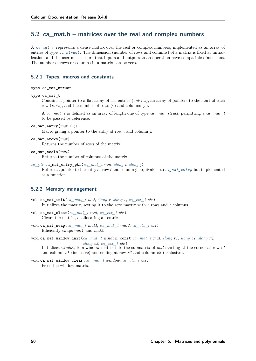# **5.2 ca\_mat.h – matrices over the real and complex numbers**

A *[ca\\_mat\\_t](#page-55-0)* represents a dense matrix over the real or complex numbers, implemented as an array of entries of type *[ca\\_struct](#page-27-3)* . The dimension (number of rows and columns) of a matrix is fixed at initialization, and the user must ensure that inputs and outputs to an operation have compatible dimensions. The number of rows or columns in a matrix can be zero.

# **5.2.1 Types, macros and constants**

### **type ca\_mat\_struct**

#### <span id="page-55-0"></span>**type ca\_mat\_t**

Contains a pointer to a flat array of the entries (*entries*), an array of pointers to the start of each row (*rows*), and the number of rows (*r*) and columns (*c*).

A *ca\_mat\_t* is defined as an array of length one of type *ca\_mat\_struct*, permitting a *ca\_mat\_t* to be passed by reference.

<span id="page-55-1"></span>ca\_mat\_entry( $mat$ ,  $i$ ,  $j$ )

Macro giving a pointer to the entry at row *i* and column *j*.

#### **ca\_mat\_nrows**(*mat*)

Returns the number of rows of the matrix.

### **ca\_mat\_ncols**(*mat*)

Returns the number of columns of the matrix.

*[ca\\_ptr](#page-27-4)* **ca\_mat\_entry\_ptr**(*[ca\\_mat\\_t](#page-55-0) mat*, *[slong](#page-23-0) i*, *[slong](#page-23-0) j*)

Returns a pointer to the entry at row *i* and column *j*. Equivalent to *[ca\\_mat\\_entry](#page-55-1)* but implemented as a function.

### **5.2.2 Memory management**

- void **ca\_mat\_init**(*[ca\\_mat\\_t](#page-55-0) mat*, *[slong](#page-23-0) r*, *[slong](#page-23-0) c*, *[ca\\_ctx\\_t](#page-27-2) ctx*) Initializes the matrix, setting it to the zero matrix with *r* rows and *c* columns.
- void **ca\_mat\_clear**(*[ca\\_mat\\_t](#page-55-0) mat*, *[ca\\_ctx\\_t](#page-27-2) ctx*) Clears the matrix, deallocating all entries.
- void **ca\_mat\_swap**(*[ca\\_mat\\_t](#page-55-0) mat1*, *[ca\\_mat\\_t](#page-55-0) mat2*, *[ca\\_ctx\\_t](#page-27-2) ctx*) Efficiently swaps *mat1* and *mat2*.

```
void ca_mat_window_init(ca_mat_t window, const ca_mat_t mat, slong r1, slong c1, slong r2,
                          slong c2, ca ctx t ctx)
```
Initializes *window* to a window matrix into the submatrix of *mat* starting at the corner at row *r1* and column *c1* (inclusive) and ending at row *r2* and column *c2* (exclusive).

```
void ca_mat_window_clear(ca_mat_t window, ca_ctx_t ctx)
     Frees the window matrix.
```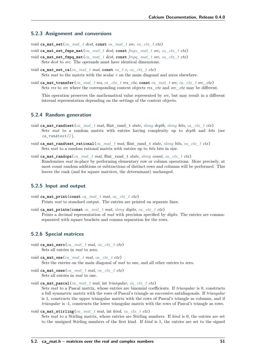### **5.2.3 Assignment and conversions**

void **ca\_mat\_set**(*[ca\\_mat\\_t](#page-55-0) dest*, **const** *[ca\\_mat\\_t](#page-55-0) src*, *[ca\\_ctx\\_t](#page-27-2) ctx*)

void **ca\_mat\_set\_fmpz\_mat**(*[ca\\_mat\\_t](#page-55-0) dest*, **const** *[fmpz\\_mat\\_t](#page-23-10) src*, *[ca\\_ctx\\_t](#page-27-2) ctx*)

- void **ca\_mat\_set\_fmpq\_mat**(*[ca\\_mat\\_t](#page-55-0) dest*, **const** *[fmpq\\_mat\\_t](#page-23-11) src*, *[ca\\_ctx\\_t](#page-27-2) ctx*) Sets *dest* to *src*. The operands must have identical dimensions.
- void **ca\_mat\_set\_ca**(*[ca\\_mat\\_t](#page-55-0) mat*, **const** *[ca\\_t](#page-27-0) c*, *[ca\\_ctx\\_t](#page-27-2) ctx*) Sets *mat* to the matrix with the scalar *c* on the main diagonal and zeros elsewhere.
- void **ca\_mat\_transfer**(*[ca\\_mat\\_t](#page-55-0) res*, *[ca\\_ctx\\_t](#page-27-2) res\_ctx*, **const** *[ca\\_mat\\_t](#page-55-0) src*, *[ca\\_ctx\\_t](#page-27-2) src\_ctx*) Sets *res* to *src* where the corresponding context objects *res\_ctx* and *src\_ctx* may be different.

This operation preserves the mathematical value represented by *src*, but may result in a different internal representation depending on the settings of the context objects.

# **5.2.4 Random generation**

- void **ca\_mat\_randtest**(*[ca\\_mat\\_t](#page-55-0) mat*, flint\_rand\_t *state*, *[slong](#page-23-0) depth*, *[slong](#page-23-0) bits*, *[ca\\_ctx\\_t](#page-27-2) ctx*) Sets *mat* to a random matrix with entries having complexity up to *depth* and *bits* (see *[ca\\_randtest\(\)](#page-31-0)* ).
- void **ca\_mat\_randtest\_rational**(*[ca\\_mat\\_t](#page-55-0) mat*, flint\_rand\_t *state*, *[slong](#page-23-0) bits*, *[ca\\_ctx\\_t](#page-27-2) ctx*) Sets *mat* to a random rational matrix with entries up to *bits* bits in size.
- void **ca\_mat\_randops**(*[ca\\_mat\\_t](#page-55-0) mat*, flint\_rand\_t *state*, *[slong](#page-23-0) count*, *[ca\\_ctx\\_t](#page-27-2) ctx*) Randomizes *mat* in-place by performing elementary row or column operations. More precisely, at most count random additions or subtractions of distinct rows and columns will be performed. This leaves the rank (and for square matrices, the determinant) unchanged.

### **5.2.5 Input and output**

- void **ca\_mat\_print**(**const** *[ca\\_mat\\_t](#page-55-0) mat*, *[ca\\_ctx\\_t](#page-27-2) ctx*) Prints *mat* to standard output. The entries are printed on separate lines.
- void **ca\_mat\_printn**(**const** *[ca\\_mat\\_t](#page-55-0) mat*, *[slong](#page-23-0) digits*, *[ca\\_ctx\\_t](#page-27-2) ctx*) Prints a decimal representation of *mat* with precision specified by *digits*. The entries are commaseparated with square brackets and comma separation for the rows.

# **5.2.6 Special matrices**

- void **ca\_mat\_zero**(*[ca\\_mat\\_t](#page-55-0) mat*, *[ca\\_ctx\\_t](#page-27-2) ctx*) Sets all entries in *mat* to zero.
- void **ca\_mat\_one**(*[ca\\_mat\\_t](#page-55-0) mat*, *[ca\\_ctx\\_t](#page-27-2) ctx*) Sets the entries on the main diagonal of *mat* to one, and all other entries to zero.
- void **ca\_mat\_ones**(*[ca\\_mat\\_t](#page-55-0) mat*, *[ca\\_ctx\\_t](#page-27-2) ctx*) Sets all entries in *mat* to one.
- void **ca\_mat\_pascal**(*[ca\\_mat\\_t](#page-55-0) mat*, int *triangular*, *[ca\\_ctx\\_t](#page-27-2) ctx*) Sets *mat* to a Pascal matrix, whose entries are binomial coefficients. If *triangular* is 0, constructs a full symmetric matrix with the rows of Pascal's triangle as successive antidiagonals. If *triangular* is 1, constructs the upper triangular matrix with the rows of Pascal's triangle as columns, and if *triangular* is -1, constructs the lower triangular matrix with the rows of Pascal's triangle as rows.
- void **ca\_mat\_stirling**(*[ca\\_mat\\_t](#page-55-0) mat*, int *kind*, *[ca\\_ctx\\_t](#page-27-2) ctx*) Sets *mat* to a Stirling matrix, whose entries are Stirling numbers. If *kind* is 0, the entries are set to the unsigned Stirling numbers of the first kind. If *kind* is 1, the entries are set to the signed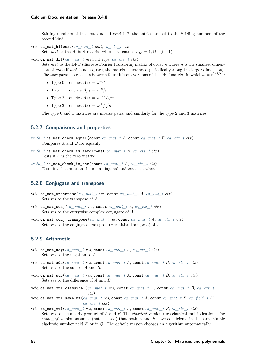Stirling numbers of the first kind. If *kind* is 2, the entries are set to the Stirling numbers of the second kind.

- void **ca\_mat\_hilbert**(*[ca\\_mat\\_t](#page-55-0) mat*, *[ca\\_ctx\\_t](#page-27-2) ctx*) Sets *mat* to the Hilbert matrix, which has entries  $A_{i,j} = 1/(i + j + 1)$ .
- void **ca\_mat\_dft**(*[ca\\_mat\\_t](#page-55-0) mat*, int *type*, *[ca\\_ctx\\_t](#page-27-2) ctx*)

Sets *mat* to the DFT (discrete Fourier transform) matrix of order *n* where *n* is the smallest dimension of *mat* (if *mat* is not square, the matrix is extended periodically along the larger dimension). The *type* parameter selects between four different versions of the DFT matrix (in which  $\omega = e^{2\pi i/n}$ ):

- Type 0 entries  $A_{j,k} = \omega^{-jk}$
- Type 1 entries  $A_{j,k} = \omega^{jk}/n$
- Type 2 entries  $A_{j,k} = \omega^{-jk}/\sqrt{n}$
- Type 3 entries  $A_{j,k} = \omega^{jk}/\sqrt{n}$

The type 0 and 1 matrices are inverse pairs, and similarly for the type 2 and 3 matrices.

# **5.2.7 Comparisons and properties**

*[truth\\_t](#page-22-0)* **ca\_mat\_check\_equal**(**const** *[ca\\_mat\\_t](#page-55-0) A*, **const** *[ca\\_mat\\_t](#page-55-0) B*, *[ca\\_ctx\\_t](#page-27-2) ctx*) Compares *A* and *B* for equality.

```
truth_t ca_mat_check_is_zero(const ca_mat_t A, ca_ctx_t ctx)
     Tests if A is the zero matrix.
```
*[truth\\_t](#page-22-0)* **ca\_mat\_check\_is\_one**(**const** *[ca\\_mat\\_t](#page-55-0) A*, *[ca\\_ctx\\_t](#page-27-2) ctx*) Tests if *A* has ones on the main diagonal and zeros elsewhere.

# **5.2.8 Conjugate and transpose**

- void **ca\_mat\_transpose**(*[ca\\_mat\\_t](#page-55-0) res*, **const** *[ca\\_mat\\_t](#page-55-0) A*, *[ca\\_ctx\\_t](#page-27-2) ctx*) Sets *res* to the transpose of *A*.
- void **ca\_mat\_conj**(*[ca\\_mat\\_t](#page-55-0) res*, **const** *[ca\\_mat\\_t](#page-55-0) A*, *[ca\\_ctx\\_t](#page-27-2) ctx*) Sets *res* to the entrywise complex conjugate of *A*.
- void **ca\_mat\_conj\_transpose**(*[ca\\_mat\\_t](#page-55-0) res*, **const** *[ca\\_mat\\_t](#page-55-0) A*, *[ca\\_ctx\\_t](#page-27-2) ctx*) Sets *res* to the conjugate transpose (Hermitian transpose) of *A*.

# **5.2.9 Arithmetic**

- void **ca\_mat\_neg**(*[ca\\_mat\\_t](#page-55-0) res*, **const** *[ca\\_mat\\_t](#page-55-0) A*, *[ca\\_ctx\\_t](#page-27-2) ctx*) Sets *res* to the negation of *A*.
- void **ca\_mat\_add**(*[ca\\_mat\\_t](#page-55-0) res*, **const** *[ca\\_mat\\_t](#page-55-0) A*, **const** *[ca\\_mat\\_t](#page-55-0) B*, *[ca\\_ctx\\_t](#page-27-2) ctx*) Sets *res* to the sum of *A* and *B*.
- void **ca\_mat\_sub**(*[ca\\_mat\\_t](#page-55-0) res*, **const** *[ca\\_mat\\_t](#page-55-0) A*, **const** *[ca\\_mat\\_t](#page-55-0) B*, *[ca\\_ctx\\_t](#page-27-2) ctx*) Sets *res* to the difference of *A* and *B*.
- void **ca\_mat\_mul\_classical**(*[ca\\_mat\\_t](#page-55-0) res*, **const** *[ca\\_mat\\_t](#page-55-0) A*, **const** *[ca\\_mat\\_t](#page-55-0) B*, *[ca\\_ctx\\_t](#page-27-2) ctx*)
- void **ca\_mat\_mul\_same\_nf**(*[ca\\_mat\\_t](#page-55-0) res*, **const** *[ca\\_mat\\_t](#page-55-0) A*, **const** *[ca\\_mat\\_t](#page-55-0) B*, *[ca\\_field\\_t](#page-67-0) K*, *[ca\\_ctx\\_t](#page-27-2) ctx*)
- void **ca\_mat\_mul**(*[ca\\_mat\\_t](#page-55-0) res*, **const** *[ca\\_mat\\_t](#page-55-0) A*, **const** *[ca\\_mat\\_t](#page-55-0) B*, *[ca\\_ctx\\_t](#page-27-2) ctx*) Sets *res* to the matrix product of *A* and *B*. The *classical* version uses classical multiplication. The *same\_nf* version assumes (not checked) that both *A* and *B* have coefficients in the same simple algebraic number field  $K$  or in  $\mathbb{Q}$ . The default version chooses an algorithm automatically.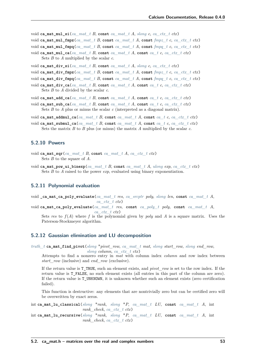void ca\_mat\_mul\_si( $ca$ \_mat\_t *B*, const  $ca$ \_mat\_t *A*,  $slong$   $c$ ,  $ca$   $~ctx$   $~t~ctx)$ void **ca\_mat\_mul\_fmpz**(*[ca\\_mat\\_t](#page-55-0) B*, **const** *[ca\\_mat\\_t](#page-55-0) A*, **const** *[fmpz\\_t](#page-23-6) c*, *[ca\\_ctx\\_t](#page-27-2) ctx*) void **ca\_mat\_mul\_fmpq**(*[ca\\_mat\\_t](#page-55-0) B*, **const** *[ca\\_mat\\_t](#page-55-0) A*, **const** *[fmpq\\_t](#page-23-5) c*, *[ca\\_ctx\\_t](#page-27-2) ctx*) void **ca\_mat\_mul\_ca**(*[ca\\_mat\\_t](#page-55-0) B*, **const** *[ca\\_mat\\_t](#page-55-0) A*, **const** *[ca\\_t](#page-27-0) c*, *[ca\\_ctx\\_t](#page-27-2) ctx*) Sets *B* to *A* multiplied by the scalar *c*.

void **ca\_mat\_div\_si**(*[ca\\_mat\\_t](#page-55-0) B*, **const** *[ca\\_mat\\_t](#page-55-0) A*, *[slong](#page-23-0) c*, *[ca\\_ctx\\_t](#page-27-2) ctx*)

void **ca\_mat\_div\_fmpz**(*[ca\\_mat\\_t](#page-55-0) B*, **const** *[ca\\_mat\\_t](#page-55-0) A*, **const** *[fmpz\\_t](#page-23-6) c*, *[ca\\_ctx\\_t](#page-27-2) ctx*)

void **ca\_mat\_div\_fmpq**(*[ca\\_mat\\_t](#page-55-0) B*, **const** *[ca\\_mat\\_t](#page-55-0) A*, **const** *[fmpq\\_t](#page-23-5) c*, *[ca\\_ctx\\_t](#page-27-2) ctx*)

void **ca\_mat\_div\_ca**(*[ca\\_mat\\_t](#page-55-0) B*, **const** *[ca\\_mat\\_t](#page-55-0) A*, **const** *[ca\\_t](#page-27-0) c*, *[ca\\_ctx\\_t](#page-27-2) ctx*) Sets *B* to *A* divided by the scalar *c*.

void **ca\_mat\_add\_ca**(*[ca\\_mat\\_t](#page-55-0) B*, **const** *[ca\\_mat\\_t](#page-55-0) A*, **const** *[ca\\_t](#page-27-0) c*, *[ca\\_ctx\\_t](#page-27-2) ctx*)

void **ca\_mat\_sub\_ca**(*[ca\\_mat\\_t](#page-55-0) B*, **const** *[ca\\_mat\\_t](#page-55-0) A*, **const** *[ca\\_t](#page-27-0) c*, *[ca\\_ctx\\_t](#page-27-2) ctx*) Sets *B* to *A* plus or minus the scalar *c* (interpreted as a diagonal matrix).

void **ca\_mat\_addmul\_ca**(*[ca\\_mat\\_t](#page-55-0) B*, **const** *[ca\\_mat\\_t](#page-55-0) A*, **const** *[ca\\_t](#page-27-0) c*, *[ca\\_ctx\\_t](#page-27-2) ctx*)

void **ca\_mat\_submul\_ca**(*[ca\\_mat\\_t](#page-55-0) B*, **const** *[ca\\_mat\\_t](#page-55-0) A*, **const** *[ca\\_t](#page-27-0) c*, *[ca\\_ctx\\_t](#page-27-2) ctx*) Sets the matrix *B* to *B* plus (or minus) the matrix *A* multiplied by the scalar *c*.

## **5.2.10 Powers**

- void **ca\_mat\_sqr**(*[ca\\_mat\\_t](#page-55-0) B*, **const** *[ca\\_mat\\_t](#page-55-0) A*, *[ca\\_ctx\\_t](#page-27-2) ctx*) Sets *B* to the square of *A*.
- void **ca\_mat\_pow\_ui\_binexp**(*[ca\\_mat\\_t](#page-55-0) B*, **const** *[ca\\_mat\\_t](#page-55-0) A*, *[ulong](#page-23-7) exp*, *[ca\\_ctx\\_t](#page-27-2) ctx*) Sets *B* to *A* raised to the power *exp*, evaluated using binary exponentiation.

# **5.2.11 Polynomial evaluation**

void **\_ca\_mat\_ca\_poly\_evaluate**(*[ca\\_mat\\_t](#page-55-0) res*, *[ca\\_srcptr](#page-27-1) poly*, *[slong](#page-23-0) len*, **const** *[ca\\_mat\\_t](#page-55-0) A*, *[ca\\_ctx\\_t](#page-27-2) ctx*)

void **ca\_mat\_ca\_poly\_evaluate**(*[ca\\_mat\\_t](#page-55-0) res*, **const** *[ca\\_poly\\_t](#page-48-0) poly*, **const** *[ca\\_mat\\_t](#page-55-0) A*, *[ca\\_ctx\\_t](#page-27-2) ctx*)

Sets res to  $f(A)$  where f is the polynomial given by *poly* and A is a square matrix. Uses the Paterson-Stockmeyer algorithm.

### **5.2.12 Gaussian elimination and LU decomposition**

*[truth\\_t](#page-22-0)* **ca\_mat\_find\_pivot**(*[slong](#page-23-0)* \**pivot\_row*, *[ca\\_mat\\_t](#page-55-0) mat*, *[slong](#page-23-0) start\_row*, *[slong](#page-23-0) end\_row*,

<span id="page-58-0"></span>*[slong](#page-23-0) column*, *[ca\\_ctx\\_t](#page-27-2) ctx*)

Attempts to find a nonzero entry in *mat* with column index *column* and row index between *start\_row* (inclusive) and *end\_row* (exclusive).

If the return value is T\_TRUE, such an element exists, and *pivot\_row* is set to the row index. If the return value is T\_FALSE, no such element exists (all entries in this part of the column are zero). If the return value is T\_UNKNOWN, it is unknown whether such an element exists (zero certification failed).

This function is destructive: any elements that are nontrivially zero but can be certified zero will be overwritten by exact zeros.

int **ca\_mat\_lu\_classical**(*[slong](#page-23-0)* \**rank*, *[slong](#page-23-0)* \**P*, *[ca\\_mat\\_t](#page-55-0) LU*, **const** *[ca\\_mat\\_t](#page-55-0) A*, int *rank\_check*, *[ca\\_ctx\\_t](#page-27-2) ctx*)

int **ca\_mat\_lu\_recursive**(*[slong](#page-23-0)* \**rank*, *[slong](#page-23-0)* \**P*, *[ca\\_mat\\_t](#page-55-0) LU*, **const** *[ca\\_mat\\_t](#page-55-0) A*, int *rank\_check*, *[ca\\_ctx\\_t](#page-27-2) ctx*)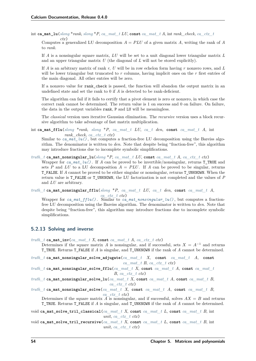*ctx*)

int **ca\_mat\_lu**( $slong*rank$  $slong*rank$ ,  $slong*P$ , *[ca\\_mat\\_t](#page-55-0) LU*, **const** *ca\_mat\_t A*, int *rank\_check*, *[ca\\_ctx\\_t](#page-27-2)* 

Computes a generalized LU decomposition  $A = PLU$  of a given matrix A, writing the rank of A to *rank*.

If *A* is a nonsingular square matrix, *LU* will be set to a unit diagonal lower triangular matrix *L* and an upper triangular matrix *U* (the diagonal of *L* will not be stored explicitly).

If *A* is an arbitrary matrix of rank *r*, *U* will be in row echelon form having *r* nonzero rows, and *L* will be lower triangular but truncated to *r* columns, having implicit ones on the *r* first entries of the main diagonal. All other entries will be zero.

If a nonzero value for rank check is passed, the function will abandon the output matrix in an undefined state and set the rank to 0 if *A* is detected to be rank-deficient.

The algorithm can fail if it fails to certify that a pivot element is zero or nonzero, in which case the correct rank cannot be determined. The return value is 1 on success and 0 on failure. On failure, the data in the output variables rank, P and LU will be meaningless.

The *classical* version uses iterative Gaussian elimination. The *recursive* version uses a block recursive algorithm to take advantage of fast matrix multiplication.

<span id="page-59-0"></span>int **ca\_mat\_fflu**( $slong$  \* $rank$ ,  $slong$  \*P,  $ca$   $mat$   $t$   $LU$ ,  $ca$   $t$   $den$ , **const**  $ca$   $mat$   $t$   $A$ , int *rank\_check*, *[ca\\_ctx\\_t](#page-27-2) ctx*)

Similar to *[ca\\_mat\\_lu\(\)](#page-58-0)*, but computes a fraction-free LU decomposition using the Bareiss algorithm. The denominator is written to *den*. Note that despite being "fraction-free", this algorithm may introduce fractions due to incomplete symbolic simplifications.

<span id="page-59-1"></span> $truth_t$  **ca\_mat\_nonsingular\_lu**( $slong *P$  $slong *P$ , *[ca\\_mat\\_t](#page-55-0) LU*, **const** *ca\_mat\_t A*, *[ca\\_ctx\\_t](#page-27-2) ctx*) Wrapper for *[ca\\_mat\\_lu\(\)](#page-58-0)*. If *A* can be proved to be invertible/nonsingular, returns T\_TRUE and sets *P* and *LU* to a LU decomposition  $A = PLU$ . If *A* can be proved to be singular, returns T\_FALSE. If *A* cannot be proved to be either singular or nonsingular, returns T\_UNKNOWN. When the return value is T\_FALSE or T\_UNKNOWN, the LU factorization is not completed and the values of *P* and *LU* are arbitrary.

*[truth\\_t](#page-22-0)* **ca\_mat\_nonsingular\_fflu**(*[slong](#page-23-0)* \**P*, *[ca\\_mat\\_t](#page-55-0) LU*, *[ca\\_t](#page-27-0) den*, **const** *[ca\\_mat\\_t](#page-55-0) A*, *[ca\\_ctx\\_t](#page-27-2) ctx*)

Wrapper for *[ca\\_mat\\_fflu\(\)](#page-59-0)*. Similar to *[ca\\_mat\\_nonsingular\\_lu\(\)](#page-59-1)*, but computes a fractionfree LU decomposition using the Bareiss algorithm. The denominator is written to *den*. Note that despite being "fraction-free", this algorithm may introduce fractions due to incomplete symbolic simplifications.

## **5.2.13 Solving and inverse**

*[truth\\_t](#page-22-0)* **ca\_mat\_inv**(*[ca\\_mat\\_t](#page-55-0) X*, **const** *[ca\\_mat\\_t](#page-55-0) A*, *[ca\\_ctx\\_t](#page-27-2) ctx*)

Determines if the square matrix *A* is nonsingular, and if successful, sets  $X = A^{-1}$  and returns T\_TRUE. Returns T\_FALSE if *A* is singular, and T\_UNKNOWN if the rank of *A* cannot be determined.

*[truth\\_t](#page-22-0)* **ca\_mat\_nonsingular\_solve\_adjugate**(*[ca\\_mat\\_t](#page-55-0) X*, **const** *[ca\\_mat\\_t](#page-55-0) A*, **const** *[ca\\_mat\\_t](#page-55-0) B*, *[ca\\_ctx\\_t](#page-27-2)\_ctx*)

*[truth\\_t](#page-22-0)* **ca\_mat\_nonsingular\_solve\_fflu**(*[ca\\_mat\\_t](#page-55-0) X*, **const** *[ca\\_mat\\_t](#page-55-0) A*, **const** *[ca\\_mat\\_t](#page-55-0) B*, *[ca\\_ctx\\_t](#page-27-2) ctx*)

*[truth\\_t](#page-22-0)* **ca\_mat\_nonsingular\_solve\_lu**(*[ca\\_mat\\_t](#page-55-0) X*, **const** *[ca\\_mat\\_t](#page-55-0) A*, **const** *[ca\\_mat\\_t](#page-55-0) B*, *[ca\\_ctx\\_t](#page-27-2) ctx*)

*[truth\\_t](#page-22-0)* **ca\_mat\_nonsingular\_solve**(*[ca\\_mat\\_t](#page-55-0) X*, **const** *[ca\\_mat\\_t](#page-55-0) A*, **const** *[ca\\_mat\\_t](#page-55-0) B*, *[ca\\_ctx\\_t](#page-27-2) ctx*)

Determines if the square matrix  $\overline{A}$  is nonsingular, and if successful, solves  $AX = B$  and returns T\_TRUE. Returns T\_FALSE if *A* is singular, and T\_UNKNOWN if the rank of *A* cannot be determined.

void **ca\_mat\_solve\_tril\_classical**(*[ca\\_mat\\_t](#page-55-0) X*, **const** *[ca\\_mat\\_t](#page-55-0) L*, **const** *[ca\\_mat\\_t](#page-55-0) B*, int *unit*, *[ca\\_ctx\\_t](#page-27-2) ctx*)

void **ca\_mat\_solve\_tril\_recursive**(*[ca\\_mat\\_t](#page-55-0) X*, **const** *[ca\\_mat\\_t](#page-55-0) L*, **const** *[ca\\_mat\\_t](#page-55-0) B*, int *unit*, *[ca\\_ctx\\_t](#page-27-2) ctx*)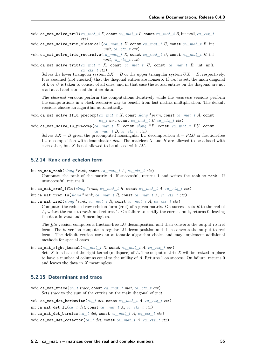- void **ca\_mat\_solve\_tril**(*[ca\\_mat\\_t](#page-55-0) X*, **const** *[ca\\_mat\\_t](#page-55-0) L*, **const** *[ca\\_mat\\_t](#page-55-0) B*, int *unit*, *[ca\\_ctx\\_t](#page-27-2) ctx*)
- void **ca\_mat\_solve\_triu\_classical**(*[ca\\_mat\\_t](#page-55-0) X*, **const** *[ca\\_mat\\_t](#page-55-0) U*, **const** *[ca\\_mat\\_t](#page-55-0) B*, int *unit*, *[ca\\_ctx\\_t](#page-27-2) ctx*)
- void **ca\_mat\_solve\_triu\_recursive**(*[ca\\_mat\\_t](#page-55-0) X*, **const** *[ca\\_mat\\_t](#page-55-0) U*, **const** *[ca\\_mat\\_t](#page-55-0) B*, int *unit*, *[ca\\_ctx\\_t](#page-27-2) ctx*)
- void **ca\_mat\_solve\_triu**(*[ca\\_mat\\_t](#page-55-0) X*, **const** *[ca\\_mat\\_t](#page-55-0) U*, **const** *[ca\\_mat\\_t](#page-55-0) B*, int *unit*, *[ca\\_ctx\\_t](#page-27-2) ctx*)

Solves the lower triangular system  $LX = B$  or the upper triangular system  $UX = B$ , respectively. It is assumed (not checked) that the diagonal entries are nonzero. If *unit* is set, the main diagonal of *L* or *U* is taken to consist of all ones, and in that case the actual entries on the diagonal are not read at all and can contain other data.

The *classical* versions perform the computations iteratively while the *recursive* versions perform the computations in a block recursive way to benefit from fast matrix multiplication. The default versions choose an algorithm automatically.

void **ca\_mat\_solve\_fflu\_precomp**(*[ca\\_mat\\_t](#page-55-0) X*, **const** *[slong](#page-23-0)* \**perm*, **const** *[ca\\_mat\\_t](#page-55-0) A*, **const**  $ca$  *t den*, **const**  $ca$  *mat t B*,  $ca$  *ctx t ctx*)

void **ca\_mat\_solve\_lu\_precomp**(*[ca\\_mat\\_t](#page-55-0) X*, **const** *[slong](#page-23-0)* \**P*, **const** *[ca\\_mat\\_t](#page-55-0) LU*, **const** *[ca\\_mat\\_t](#page-55-0) B*, *[ca\\_ctx\\_t](#page-27-2) ctx*)

Solves  $AX = B$  given the precomputed nonsingular LU decomposition  $A = PLU$  or fraction-free LU decomposition with denominator *den*. The matrices  $X$  and  $B$  are allowed to be aliased with each other, but  $X$  is not allowed to be aliased with  $LU$ .

## **5.2.14 Rank and echelon form**

int ca\_mat\_rank( $slong * rank$  $slong * rank$ , const *[ca\\_mat\\_t](#page-55-0) A*, *[ca\\_ctx\\_t](#page-27-2) ctx*)

Computes the rank of the matrix *A*. If successful, returns 1 and writes the rank to rank. If unsuccessful, returns 0.

- int **ca\_mat\_rref\_fflu**(*[slong](#page-23-0)* \**rank*, *[ca\\_mat\\_t](#page-55-0) R*, **const** *[ca\\_mat\\_t](#page-55-0) A*, *[ca\\_ctx\\_t](#page-27-2) ctx*)
- int ca\_mat\_rref\_lu( $slonq$ <sup>\*</sup> $rank$ </sup>,  $ca$ \_mat\_t *R*, const  $ca$ \_mat\_t *A*,  $ca$ \_ctx\_t  $ctx$ )

int **ca\_mat\_rref**(*[slong](#page-23-0)* \**rank*, *[ca\\_mat\\_t](#page-55-0) R*, **const** *[ca\\_mat\\_t](#page-55-0) A*, *[ca\\_ctx\\_t](#page-27-2) ctx*)

Computes the reduced row echelon form (rref) of a given matrix. On success, sets *R* to the rref of *A*, writes the rank to *rank*, and returns 1. On failure to certify the correct rank, returns 0, leaving the data in *rank* and *R* meaningless.

The *fflu* version computes a fraction-free LU decomposition and then converts the output ro rref form. The *lu* version computes a regular LU decomposition and then converts the output to rref form. The default version uses an automatic algorithm choice and may implement additional methods for special cases.

```
int ca_mat_right_kernel(ca_mat_t X, const ca_mat_t A, ca_ctx_t ctx)
```
Sets *X* to a basis of the right kernel (nullspace) of *A*. The output matrix *X* will be resized in-place to have a number of columns equal to the nullity of *A*. Returns 1 on success. On failure, returns 0 and leaves the data in *X* meaningless.

# **5.2.15 Determinant and trace**

void **ca\_mat\_trace**(*[ca\\_t](#page-27-0) trace*, **const** *[ca\\_mat\\_t](#page-55-0) mat*, *[ca\\_ctx\\_t](#page-27-2) ctx*) Sets *trace* to the sum of the entries on the main diagonal of *mat*.

void **ca\_mat\_det\_berkowitz**(*[ca\\_t](#page-27-0) det*, **const** *[ca\\_mat\\_t](#page-55-0) A*, *[ca\\_ctx\\_t](#page-27-2) ctx*) int **ca\_mat\_det\_lu**(*[ca\\_t](#page-27-0) det*, **const** *[ca\\_mat\\_t](#page-55-0) A*, *[ca\\_ctx\\_t](#page-27-2) ctx*) int **ca\_mat\_det\_bareiss**(*[ca\\_t](#page-27-0) det*, **const** *[ca\\_mat\\_t](#page-55-0) A*, *[ca\\_ctx\\_t](#page-27-2) ctx*) void **ca\_mat\_det\_cofactor**(*[ca\\_t](#page-27-0) det*, **const** *[ca\\_mat\\_t](#page-55-0) A*, *[ca\\_ctx\\_t](#page-27-2) ctx*)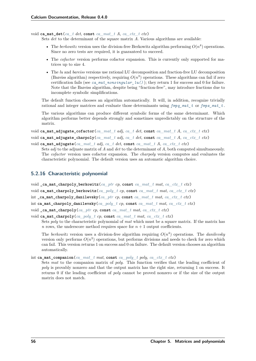void **ca\_mat\_det**(*[ca\\_t](#page-27-0) det*, **const** *[ca\\_mat\\_t](#page-55-0) A*, *[ca\\_ctx\\_t](#page-27-2) ctx*)

Sets *det* to the determinant of the square matrix *A*. Various algorithms are available:

- The *berkowitz* version uses the division-free Berkowitz algorithm performing  $O(n^4)$  operations. Since no zero tests are required, it is guaranteed to succeed.
- The *cofactor* version performs cofactor expansion. This is currently only supported for matrices up to size 4.
- The *lu* and *bareiss* versions use rational LU decomposition and fraction-free LU decomposition (Bareiss algorithm) respectively, requiring  $O(n^3)$  operations. These algorithms can fail if zero certification fails (see  $ca\_mat\_nonsingular\_lu()$ ); they return 1 for success and 0 for failure. Note that the Bareiss algorithm, despite being "fraction-free", may introduce fractions due to incomplete symbolic simplifications.

The default function chooses an algorithm automatically. It will, in addition, recognize trivially rational and integer matrices and evaluate those determinants using *[fmpq\\_mat\\_t](#page-23-11)* or *[fmpz\\_mat\\_t](#page-23-10)* .

The various algorithms can produce different symbolic forms of the same determinant. Which algorithm performs better depends strongly and sometimes unpredictably on the structure of the matrix.

```
void ca_mat_adjugate_cofactor(ca_mat_t adj, ca_t det, const ca_mat_t A, ca_ctx_t ctx)
void ca_mat_adjugate_charpoly(ca_mat_t adj, ca_t det, const ca_mat_t A, ca_ctx_t ctx)
```

```
void ca_mat_adjugate(ca_mat_t adj, ca_t det, const ca_mat_t A, ca_ctx_t ctx)
```
Sets *adj* to the adjuate matrix of *A* and *det* to the determinant of *A*, both computed simultaneously. The *cofactor* version uses cofactor expansion. The *charpoly* version computes and evaluates the characteristic polynomial. The default version uses an automatic algorithm choice.

# **5.2.16 Characteristic polynomial**

- void **\_ca\_mat\_charpoly\_berkowitz**(*[ca\\_ptr](#page-27-4) cp*, **const** *[ca\\_mat\\_t](#page-55-0) mat*, *[ca\\_ctx\\_t](#page-27-2) ctx*)
- void **ca\_mat\_charpoly\_berkowitz**(*[ca\\_poly\\_t](#page-48-0) cp*, **const** *[ca\\_mat\\_t](#page-55-0) mat*, *[ca\\_ctx\\_t](#page-27-2) ctx*)

int **\_ca\_mat\_charpoly\_danilevsky**(*[ca\\_ptr](#page-27-4) cp*, **const** *[ca\\_mat\\_t](#page-55-0) mat*, *[ca\\_ctx\\_t](#page-27-2) ctx*)

```
int ca_mat_charpoly_danilevsky(ca_poly_t cp, const ca_mat_t mat, ca_ctx_t ctx)
```

```
void ca mat charpoly(ca_ptr_cp, const ca_mat_t_mat, ca_ctx_t_ctx)
```

```
void ca_mat_charpoly(ca_poly_t_cp, const ca_mat_t_mat, ca_ctx_t_ctx)
     Sets poly to the characteristic polynomial of mat which must be a square matrix. If the matrix has
     n rows, the underscore method requires space for n + 1 output coefficients.
```
The *berkowitz* version uses a division-free algorithm requiring  $O(n^4)$  operations. The *danilevsky* version only performs  $O(n^3)$  operations, but performs divisions and needs to check for zero which can fail. This version returns 1 on success and 0 on failure. The default version chooses an algorithm automatically.

### int **ca\_mat\_companion**(*[ca\\_mat\\_t](#page-55-0) mat*, **const** *[ca\\_poly\\_t](#page-48-0) poly*, *[ca\\_ctx\\_t](#page-27-2) ctx*)

Sets *mat* to the companion matrix of *poly*. This function verifies that the leading coefficient of *poly* is provably nonzero and that the output matrix has the right size, returning 1 on success. It returns 0 if the leading coefficient of *poly* cannot be proved nonzero or if the size of the output matrix does not match.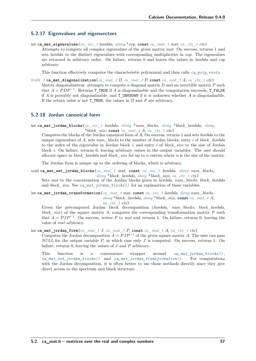# **5.2.17 Eigenvalues and eigenvectors**

int **ca\_mat\_eigenvalues**(*[ca\\_vec\\_t](#page-45-0) lambda*, *[ulong](#page-23-7)* \**exp*, **const** *[ca\\_mat\\_t](#page-55-0) mat*, *[ca\\_ctx\\_t](#page-27-2) ctx*)

Attempts to compute all complex eigenvalues of the given matrix *mat*. On success, returns 1 and sets *lambda* to the distinct eigenvalues with corresponding multiplicities in *exp*. The eigenvalues are returned in arbitrary order. On failure, returns 0 and leaves the values in *lambda* and *exp* arbitrary.

This function effectively computes the characteristic polynomial and then calls *[ca\\_poly\\_roots](#page-53-0)* .

- *truth*  $t$  **ca\_mat\_diagonalization**(*[ca\\_mat\\_t](#page-55-0) D*, *ca\_mat\_t P*, **const** *ca\_mat\_t A*, *[ca\\_ctx\\_t](#page-27-2) ctx*)
	- Matrix diagonalization: attempts to compute a diagonal matrix *D* and an invertible matrix *P* such that  $A = PDP^{-1}$ . Returns **T\_TRUE** if *A* is diagonalizable and the computation succeeds, **T\_FALSE** if *A* is provably not diagonalizable, and T\_UNKNOWN if it is unknown whether *A* is diagonalizable. If the return value is not T\_TRUE, the values in *D* and *P* are arbitrary.

# **5.2.18 Jordan canonical form**

<span id="page-62-0"></span>int **ca\_mat\_jordan\_blocks**(*[ca\\_vec\\_t](#page-45-0) lambda*, *[slong](#page-23-0)* \**num\_blocks*, *[slong](#page-23-0)* \**block\_lambda*, *[slong](#page-23-0)* \**block\_size*, **const** *[ca\\_mat\\_t](#page-55-0) A*, *[ca\\_ctx\\_t](#page-27-2) ctx*)

Computes the blocks of the Jordan canonical form of *A*. On success, returns 1 and sets *lambda* to the unique eigenvalues of *A*, sets *num\_blocks* to the number of Jordan blocks, entry *i* of *block\_lambda* to the index of the eigenvalue in Jordan block *i*, and entry *i* of *block\_size* to the size of Jordan block *i*. On failure, returns 0, leaving arbitrary values in the output variables. The user should allocate space in *block\_lambda* and *block\_size* for up to *n* entries where *n* is the size of the matrix.

The Jordan form is unique up to the ordering of blocks, which is arbitrary.

<span id="page-62-1"></span>void **ca\_mat\_set\_jordan\_blocks**(*[ca\\_mat\\_t](#page-55-0) mat*, **const** *[ca\\_vec\\_t](#page-45-0) lambda*, *[slong](#page-23-0) num\_blocks*, *[slong](#page-23-0)* \**block\_lambda*, *[slong](#page-23-0)* \**block\_size*, *[ca\\_ctx\\_t](#page-27-2) ctx*)

Sets *mat* to the concatenation of the Jordan blocks given in *lambda*, *num\_blocks*, *block\_lambda* and *block\_size*. See *[ca\\_mat\\_jordan\\_blocks\(\)](#page-62-0)* for an explanation of these variables.

<span id="page-62-2"></span>int **ca\_mat\_jordan\_transformation**(*[ca\\_mat\\_t](#page-55-0) mat*, **const** *[ca\\_vec\\_t](#page-45-0) lambda*, *[slong](#page-23-0) num\_blocks*, *[slong](#page-23-0)* \**block\_lambda*, *[slong](#page-23-0)* \**block\_size*, **const** *[ca\\_mat\\_t](#page-55-0) A*,

*[ca\\_ctx\\_t](#page-27-2) ctx*)

Given the precomputed Jordan block decomposition (*lambda*, *num\_blocks*, *block\_lambda*, *block* size) of the square matrix *A*, computes the corresponding transformation matrix *P* such that  $A = PJP^{-1}$ . On success, writes P to mat and returns 1. On failure, returns 0, leaving the value of *mat* arbitrary.

# int **ca\_mat\_jordan\_form**(*[ca\\_mat\\_t](#page-55-0) J*, *[ca\\_mat\\_t](#page-55-0) P*, **const** *[ca\\_mat\\_t](#page-55-0) A*, *[ca\\_ctx\\_t](#page-27-2) ctx*)

Computes the Jordan decomposition  $A = PJP^{-1}$  of the given square matrix A. The user can pass *NULL* for the output variable *P*, in which case only *J* is computed. On success, returns 1. On failure, returns 0, leaving the values of *J* and *P* arbitrary.

This function is a convenience wrapper around *[ca\\_mat\\_jordan\\_blocks\(\)](#page-62-0)* , *[ca\\_mat\\_set\\_jordan\\_blocks\(\)](#page-62-1)* and *[ca\\_mat\\_jordan\\_transformation\(\)](#page-62-2)* . For computations with the Jordan decomposition, it is often better to use those methods directly since they give direct access to the spectrum and block structure.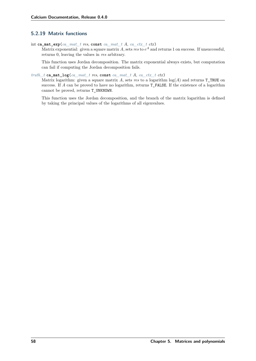# **5.2.19 Matrix functions**

int **ca\_mat\_exp**(*[ca\\_mat\\_t](#page-55-0) res*, **const** *[ca\\_mat\\_t](#page-55-0) A*, *[ca\\_ctx\\_t](#page-27-2) ctx*)

Matrix exponential: given a square matrix  $A$ , sets  $res$  to  $e^A$  and returns 1 on success. If unsuccessful, returns 0, leaving the values in *res* arbitrary.

This function uses Jordan decomposition. The matrix exponential always exists, but computation can fail if computing the Jordan decomposition fails.

### *[truth\\_t](#page-22-0)* **ca\_mat\_log**(*[ca\\_mat\\_t](#page-55-0) res*, **const** *[ca\\_mat\\_t](#page-55-0) A*, *[ca\\_ctx\\_t](#page-27-2) ctx*)

Matrix logarithm: given a square matrix  $A$ , sets *res* to a logarithm  $log(A)$  and returns **T\_TRUE** on success. If *A* can be proved to have no logarithm, returns T\_FALSE. If the existence of a logarithm cannot be proved, returns T\_UNKNOWN.

This function uses the Jordan decomposition, and the branch of the matrix logarithm is defined by taking the principal values of the logarithms of all eigenvalues.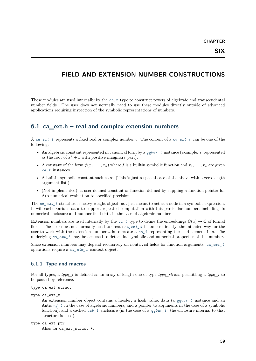# **FIELD AND EXTENSION NUMBER CONSTRUCTIONS**

These modules are used internally by the *[ca\\_t](#page-27-0)* type to construct towers of algebraic and transcendental number fields. The user does not normally need to use these modules directly outside of advanced applications requiring inspection of the symbolic representations of numbers.

# **6.1 ca\_ext.h – real and complex extension numbers**

A *[ca\\_ext\\_t](#page-64-0)* represents a fixed real or complex number *a*. The content of a *[ca\\_ext\\_t](#page-64-0)* can be one of the following:

- An algebraic constant represented in canonical form by a  $qqbar$ <sub> $r$ </sub> instance (example: *i*, represented as the root of  $x^2 + 1$  with positive imaginary part).
- A constant of the form  $f(x_1, \ldots, x_n)$  where f is a builtin symbolic function and  $x_1, \ldots, x_n$  are given *[ca\\_t](#page-27-0)* instances.
- A builtin symbolic constant such as  $\pi$ . (This is just a special case of the above with a zero-length argument list.)
- (Not implemented): a user-defined constant or function defined by suppling a function pointer for Arb numerical evaluation to specified precision.

The *[ca\\_ext\\_t](#page-64-0)* structure is heavy-weight object, not just meant to act as a node in a symbolic expression. It will cache various data to support repeated computation with this particular number, including its numerical enclosure and number field data in the case of algebraic numbers.

Extension numbers are used internally by the  $ca_t$  type to define the embeddings  $\mathbb{Q}(a) \to \mathbb{C}$  of formal fields. The user does not normally need to create *[ca\\_ext\\_t](#page-64-0)* instances directly; the intended way for the user to work with the extension number *a* is to create a  $ca_t$  representing the field element  $1 \cdot a$ . The underlying *[ca\\_ext\\_t](#page-64-0)* may be accessed to determine symbolic and numerical properties of this number.

Since extension numbers may depend recursively on nontrivial fields for function arguments, *[ca\\_ext\\_t](#page-64-0)* operations require a *[ca\\_ctx\\_t](#page-27-2)* context object.

# **6.1.1 Type and macros**

For all types, a *type* t is defined as an array of length one of type *type struct*, permitting a *type* t to be passed by reference.

```
type ca_ext_struct
```

```
type ca_ext_t
```
An extension number object contains a header, a hash value, data (a *[qqbar\\_t](#page-100-0)* instance and an Antic *[nf\\_t](#page-23-12)* in the case of algebraic numbers, and a pointer to arguments in the case of a symbolic function), and a cached *[acb\\_t](#page-23-8)* enclosure (in the case of a *[qqbar\\_t](#page-100-0)* , the enclosure internal to that structure is used).

```
type ca_ext_ptr
```

```
Alias for ca_ext_struct *.
```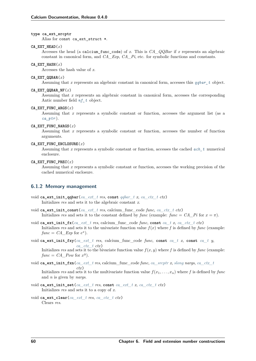### **type ca\_ext\_srcptr**

Alias for const ca\_ext\_struct \*.

#### CA EXT HEAD $(x)$

Accesses the head (a calcium\_func\_code) of *x*. This is *CA\_QQBar* if *x* represents an algebraic constant in canonical form, and *CA\_Exp*, *CA\_Pi*, etc. for symbolic functions and constants.

#### CA EXT  $HASH(x)$

Accesses the hash value of *x*.

### **CA\_EXT\_QQBAR**(*x*)

Assuming that *x* represents an algebraic constant in canonical form, accesses this *[qqbar\\_t](#page-100-0)* object.

#### **CA\_EXT\_QQBAR\_NF**(*x*)

Assuming that *x* represents an algebraic constant in canonical form, accesses the corresponding Antic number field *[nf\\_t](#page-23-12)* object.

#### **CA\_EXT\_FUNC\_ARGS**(*x*)

Assuming that *x* represents a symbolic constant or function, accesses the argument list (as a *[ca\\_ptr](#page-27-4)* ).

### **CA\_EXT\_FUNC\_NARGS**(*x*)

Assuming that *x* represents a symbolic constant or function, accesses the number of function arguments.

#### **CA\_EXT\_FUNC\_ENCLOSURE**(*x*)

Assuming that *x* represents a symbolic constant or function, accesses the cached *[acb\\_t](#page-23-8)* numerical enclosure.

### **CA\_EXT\_FUNC\_PREC**(*x*)

Assuming that *x* represents a symbolic constant or function, accesses the working precision of the cached numerical enclosure.

### **6.1.2 Memory management**

- void **ca\_ext\_init\_qqbar**(*[ca\\_ext\\_t](#page-64-0) res*, **const** *[qqbar\\_t](#page-100-0) x*, *[ca\\_ctx\\_t](#page-27-2) ctx*) Initializes *res* and sets it to the algebraic constant *x*.
- void **ca\_ext\_init\_const**(*[ca\\_ext\\_t](#page-64-0) res*, calcium\_func\_code *func*, *[ca\\_ctx\\_t](#page-27-2) ctx*) Initializes *res* and sets it to the constant defined by *func* (example: *func* =  $CA$  *Pi* for  $x = \pi$ ).
- void **ca\_ext\_init\_fx**(*[ca\\_ext\\_t](#page-64-0) res*, calcium\_func\_code *func*, **const** *[ca\\_t](#page-27-0) x*, *[ca\\_ctx\\_t](#page-27-2) ctx*) Initializes res and sets it to the univariate function value  $f(x)$  where f is defined by func (example:  $func = CA\_Exp$  for  $e^x$ ).
- void **ca\_ext\_init\_fxy**(*[ca\\_ext\\_t](#page-64-0) res*, calcium\_func\_code *func*, **const** *[ca\\_t](#page-27-0) x*, **const** *[ca\\_t](#page-27-0) y*, *[ca\\_ctx\\_t](#page-27-2) ctx*)

Initializes *res* and sets it to the bivariate function value  $f(x, y)$  where f is defined by func (example:  $func = CA\_Pow$  for  $x^y$ ).

void **ca\_ext\_init\_fxn**(*[ca\\_ext\\_t](#page-64-0) res*, calcium\_func\_code *func*, *[ca\\_srcptr](#page-27-1) x*, *[slong](#page-23-0) nargs*, *[ca\\_ctx\\_t](#page-27-2)*

*ctx*) Initializes res and sets it to the multivariate function value  $f(x_1, \ldots, x_n)$  where f is defined by func and *n* is given by *nargs*.

- void ca\_ext\_init\_set(*[ca\\_ext\\_t](#page-64-0) res*, const *ca\_ext\_t x*, *[ca\\_ctx\\_t](#page-27-2)\_ctx*) Initializes *res* and sets it to a copy of *x*.
- void **ca\_ext\_clear**(*[ca\\_ext\\_t](#page-64-0) res*, *[ca\\_ctx\\_t](#page-27-2) ctx*) Clears *res*.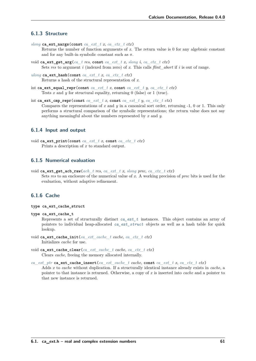# **6.1.3 Structure**

*[slong](#page-23-0)* **ca\_ext\_nargs**(**const** *[ca\\_ext\\_t](#page-64-0) x*, *[ca\\_ctx\\_t](#page-27-2) ctx*)

Returns the number of function arguments of *x*. The return value is 0 for any algebraic constant and for any built-in symbolic constant such as  $\pi$ .

- void **ca\_ext\_get\_arg**(*[ca\\_t](#page-27-0) res*, **const** *[ca\\_ext\\_t](#page-64-0) x*, *[slong](#page-23-0) i*, *[ca\\_ctx\\_t](#page-27-2) ctx*) Sets *res* to argument *i* (indexed from zero) of *x*. This calls *flint\_abort* if *i* is out of range.
- *[ulong](#page-23-7)* **ca\_ext\_hash**(**const** *[ca\\_ext\\_t](#page-64-0) x*, *[ca\\_ctx\\_t](#page-27-2) ctx*) Returns a hash of the structural representation of *x*.
- int ca\_ext\_equal\_repr(const *[ca\\_ext\\_t](#page-64-0) x*, const *ca\_ext\_t y*, *[ca\\_ctx\\_t](#page-27-2) ctx*) Tests *x* and *y* for structural equality, returning 0 (false) or 1 (true).

int **ca\_ext\_cmp\_repr**(**const** *[ca\\_ext\\_t](#page-64-0) x*, **const** *[ca\\_ext\\_t](#page-64-0) y*, *[ca\\_ctx\\_t](#page-27-2) ctx*) Compares the representations of *x* and *y* in a canonical sort order, returning -1, 0 or 1. This only performs a structural comparison of the symbolic representations; the return value does not say anything meaningful about the numbers represented by *x* and *y*.

# **6.1.4 Input and output**

```
void ca_ext_print(const ca_ext_t x, const ca_ctx_t ctx)
     Prints a description of x to standard output.
```
# **6.1.5 Numerical evaluation**

void **ca\_ext\_get\_acb\_raw**(*[acb\\_t](#page-23-8) res*, *[ca\\_ext\\_t](#page-64-0) x*, *[slong](#page-23-0) prec*, *[ca\\_ctx\\_t](#page-27-2) ctx*) Sets *res* to an enclosure of the numerical value of *x*. A working precision of *prec* bits is used for the evaluation, without adaptive refinement.

# **6.1.6 Cache**

- <span id="page-66-0"></span>**type ca\_ext\_cache\_struct**
- **type ca\_ext\_cache\_t**

Represents a set of structurally distinct *[ca\\_ext\\_t](#page-64-0)* instances. This object contains an array of pointers to individual heap-allocated *[ca\\_ext\\_struct](#page-64-1)* objects as well as a hash table for quick lookup.

- void **ca\_ext\_cache\_init**(*[ca\\_ext\\_cache\\_t](#page-66-0) cache*, *[ca\\_ctx\\_t](#page-27-2) ctx*) Initializes *cache* for use.
- void ca\_ext\_cache\_clear(*[ca\\_ext\\_cache\\_t](#page-66-0)\_cache\_[ca\\_ctx\\_t](#page-27-2)\_ctx*) Clears *cache*, freeing the memory allocated internally.

*[ca\\_ext\\_ptr](#page-64-2)* **ca\_ext\_cache\_insert**(*[ca\\_ext\\_cache\\_t](#page-66-0) cache*, **const** *[ca\\_ext\\_t](#page-64-0) x*, *[ca\\_ctx\\_t](#page-27-2) ctx*)

Adds *x* to *cache* without duplication. If a structurally identical instance already exists in *cache*, a pointer to that instance is returned. Otherwise, a copy of *x* is inserted into *cache* and a pointer to that new instance is returned.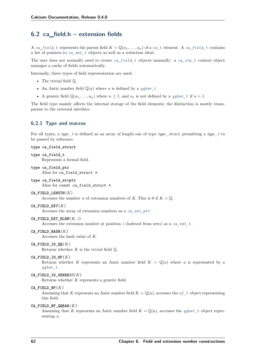# **6.2 ca\_field.h – extension fields**

A *[ca\\_field\\_t](#page-67-0)* represents the parent field  $K = \mathbb{Q}(a_1, \ldots, a_n)$  of a *[ca\\_t](#page-27-0)* element. A *ca\_field\_t* contains a list of pointers to *[ca\\_ext\\_t](#page-64-0)* objects as well as a reduction ideal.

The user does not normally need to create *[ca\\_field\\_t](#page-67-0)* objects manually: a *[ca\\_ctx\\_t](#page-27-2)* context object manages a cache of fields automatically.

Internally, three types of field representation are used:

- The trivial field Q.
- An Antic number field  $\mathbb{Q}(a)$  where a is defined by a *[qqbar\\_t](#page-100-0)*
- A generic field  $\mathbb{Q}(a_1, \ldots, a_n)$  where  $n \geq 1$ , and  $a_1$  is not defined by a *[qqbar\\_t](#page-100-0)* if  $n = 1$ .

The field type mainly affects the internal storage of the field elements; the distinction is mostly transparent to the external interface.

### **6.2.1 Type and macros**

For all types, a *type* t is defined as an array of length one of type *type struct*, permitting a *type* t to be passed by reference.

#### <span id="page-67-1"></span><span id="page-67-0"></span>**type ca\_field\_struct**

```
type ca_field_t
     Represents a formal field.
```
<span id="page-67-2"></span>**type ca\_field\_ptr** Alias for ca\_field\_struct \*.

```
type ca_field_srcptr
     Alias for const ca_field_struct *.
```
#### **CA\_FIELD\_LENGTH**(*K*)

Accesses the number *n* of extension numbers of *K*. This is 0 if  $K = \mathbb{Q}$ .

### **CA\_FIELD\_EXT**(*K*)

Accesses the array of extension numbers as a *[ca\\_ext\\_ptr](#page-64-2)* .

### **CA\_FIELD\_EXT\_ELEM**(*K*, *i*)

Accesses the extension number at position *i* (indexed from zero) as a *[ca\\_ext\\_t](#page-64-0)* .

## **CA\_FIELD\_HASH**(*K*)

Accesses the hash value of *K*.

### CA FIELD IS  $QQ(K)$

Returns whether  $K$  is the trivial field  $\mathbb{Q}$ .

#### CA FIELD IS  $NF(K)$

Returns whether K represents an Antic number field  $K = \mathbb{Q}(a)$  where a is represented by a *[qqbar\\_t](#page-100-0)* .

#### **CA\_FIELD\_IS\_GENERIC**(*K*)

Returns whether *K* represents a generic field.

### **CA\_FIELD\_NF**(*K*)

Assuming that *K* represents an Antic number field  $K = \mathbb{Q}(a)$ , accesses the  $nf_t$  object representing this field.

#### **CA\_FIELD\_NF\_QQBAR**(*K*)

Assuming that *K* represents an Antic number field  $K = \mathbb{Q}(a)$ , accesses the *[qqbar\\_t](#page-100-0)* object representing *a*.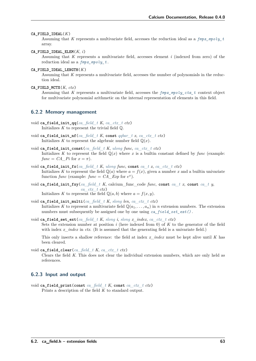#### **CA\_FIELD\_IDEAL**(*K*)

Assuming that *K* represents a multivariate field, accesses the reduction ideal as a *[fmpz\\_mpoly\\_t](#page-23-3)* array.

#### **CA\_FIELD\_IDEAL\_ELEM**(*K*, *i*)

Assuming that *K* represents a multivariate field, accesses element *i* (indexed from zero) of the reduction ideal as a *[fmpz\\_mpoly\\_t](#page-23-3)* .

### **CA\_FIELD\_IDEAL\_LENGTH**(*K*)

Assuming that *K* represents a multivariate field, accesses the number of polynomials in the reduction ideal.

#### **CA\_FIELD\_MCTX**(*K*, *ctx*)

Assuming that *K* represents a multivariate field, accesses the *[fmpz\\_mpoly\\_ctx\\_t](#page-23-4)* context object for multivariate polynomial arithmetic on the internal representation of elements in this field.

### **6.2.2 Memory management**

- void **ca\_field\_init\_qq**(*[ca\\_field\\_t](#page-67-0) K*, *[ca\\_ctx\\_t](#page-27-2) ctx*) Initializes  $K$  to represent the trivial field  $\mathbb{Q}$ .
- void **ca\_field\_init\_nf**(*[ca\\_field\\_t](#page-67-0) K*, **const** *[qqbar\\_t](#page-100-0) x*, *[ca\\_ctx\\_t](#page-27-2) ctx*) Initializes K to represent the algebraic number field  $\mathbb{O}(x)$ .
- void **ca\_field\_init\_const**(*[ca\\_field\\_t](#page-67-0) K*, *[ulong](#page-23-7) func*, *[ca\\_ctx\\_t](#page-27-2) ctx*) Initializes K to represent the field  $\mathbb{Q}(x)$  where x is a builtin constant defined by *func* (example:  $func = CA$  *Pi* for  $x = \pi$ ).
- void **ca\_field\_init\_fx**(*[ca\\_field\\_t](#page-67-0) K*, *[ulong](#page-23-7) func*, **const** *[ca\\_t](#page-27-0) x*, *[ca\\_ctx\\_t](#page-27-2) ctx*) Initializes K to represent the field  $\mathbb{Q}(a)$  where  $a = f(x)$ , given a number x and a builtin univariate function *func* (example: *func* =  $CA\_Exp$  for  $e^x$ ).
- void **ca\_field\_init\_fxy**(*[ca\\_field\\_t](#page-67-0) K*, calcium\_func\_code *func*, **const** *[ca\\_t](#page-27-0) x*, **const** *[ca\\_t](#page-27-0) y*, *[ca\\_ctx\\_t](#page-27-2) ctx*) Initializes *K* to represent the field  $\mathbb{Q}(a, b)$  where  $a = f(x, y)$ .
- void **ca\_field\_init\_multi**(*[ca\\_field\\_t](#page-67-0) K*, *[slong](#page-23-0) len*, *[ca\\_ctx\\_t](#page-27-2) ctx*) Initializes K to represent a multivariate field  $\mathbb{Q}(a_1, \ldots, a_n)$  in *n* extension numbers. The extension numbers must subsequently be assigned one by one using *[ca\\_field\\_set\\_ext\(\)](#page-68-0)* .
- <span id="page-68-0"></span>void **ca\_field\_set\_ext**(*[ca\\_field\\_t](#page-67-0) K*, *[slong](#page-23-0) i*, *[slong](#page-23-0) x\_index*, *[ca\\_ctx\\_t](#page-27-2) ctx*) Sets the extension number at position *i* (here indexed from 0) of *K* to the generator of the field with index  $x$  *index* in *ctx*. (It is assumed that the generating field is a univariate field.)

This only inserts a shallow reference: the field at index *x\_index* must be kept alive until *K* has been cleared.

void **ca\_field\_clear**(*[ca\\_field\\_t](#page-67-0) K*, *[ca\\_ctx\\_t](#page-27-2) ctx*)

Clears the field *K*. This does not clear the individual extension numbers, which are only held as references.

# **6.2.3 Input and output**

void **ca\_field\_print**(**const** *[ca\\_field\\_t](#page-67-0) K*, **const** *[ca\\_ctx\\_t](#page-27-2) ctx*) Prints a description of the field *K* to standard output.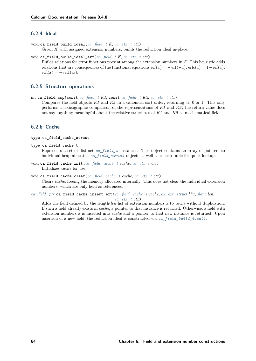# **6.2.4 Ideal**

- <span id="page-69-1"></span>void **ca\_field\_build\_ideal**(*[ca\\_field\\_t](#page-67-0) K*, *[ca\\_ctx\\_t](#page-27-2) ctx*) Given *K* with assigned extension numbers, builds the reduction ideal in-place.
- void **ca\_field\_build\_ideal\_erf**(*[ca\\_field\\_t](#page-67-0) K*, *[ca\\_ctx\\_t](#page-27-2) ctx*) Builds relations for error functions present among the extension numbers in *K*. This heuristic adds relations that are consequences of the functional equations  $erf(x) = -erf(-x)$ ,  $erfc(x) = 1-erf(x)$ ,  $erfi(x) = -i erf(ix).$

# **6.2.5 Structure operations**

int ca field cmp(const *[ca\\_field\\_t](#page-67-0) K1*, const *ca\_field\_t K2*, *[ca\\_ctx\\_t](#page-27-2) ctx*)

Compares the field objects *K1* and *K2* in a canonical sort order, returning -1, 0 or 1. This only performs a lexicographic comparison of the representations of *K1* and *K2* ; the return value does not say anything meaningful about the relative structures of *K1* and *K2* as mathematical fields.

# **6.2.6 Cache**

#### <span id="page-69-0"></span>**type ca\_field\_cache\_struct**

**type ca\_field\_cache\_t**

Represents a set of distinct *[ca\\_field\\_t](#page-67-0)* instances. This object contains an array of pointers to individual heap-allocated *[ca\\_field\\_struct](#page-67-1)* objects as well as a hash table for quick lookup.

void ca field cache init(*[ca\\_field\\_cache\\_t](#page-69-0) cache*, *[ca\\_ctx\\_t](#page-27-2) ctx*) Initializes *cache* for use.

#### void ca field cache clear(*[ca\\_field\\_cache\\_t](#page-69-0) cache*, *[ca\\_ctx\\_t](#page-27-2) ctx*)

Clears *cache*, freeing the memory allocated internally. This does not clear the individual extension numbers, which are only held as references.

# *[ca\\_field\\_ptr](#page-67-2)* **ca\_field\_cache\_insert\_ext**(*[ca\\_field\\_cache\\_t](#page-69-0) cache*, *[ca\\_ext\\_struct](#page-64-1)* \*\**x*, *[slong](#page-23-0) len*,

*[ca\\_ctx\\_t](#page-27-2) ctx*)

Adds the field defined by the length-*len* list of extension numbers *x* to *cache* without duplication. If such a field already exists in *cache*, a pointer to that instance is returned. Otherwise, a field with extension numbers *x* is inserted into *cache* and a pointer to that new instance is returned. Upon insertion of a new field, the reduction ideal is constructed via *[ca\\_field\\_build\\_ideal\(\)](#page-69-1)* .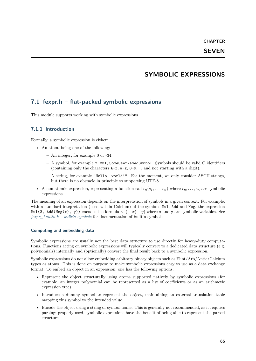# **SYMBOLIC EXPRESSIONS**

# **7.1 fexpr.h – flat-packed symbolic expressions**

This module supports working with symbolic expressions.

# **7.1.1 Introduction**

Formally, a symbolic expression is either:

- An atom, being one of the following:
	- **–** An integer, for example 0 or -34.
	- **–** A symbol, for example x, Mul, SomeUserNamedSymbol. Symbols should be valid C identifiers (containing only the characters  $A-Z$ ,  $a-z$ ,  $0-9$ , , and not starting with a digit).
	- **–** A string, for example "Hello, world!". For the moment, we only consider ASCII strings, but there is no obstacle in principle to supporting UTF-8.
- A non-atomic expression, representing a function call  $e_0(e_1, \ldots, e_n)$  where  $e_0, \ldots, e_n$  are symbolic expressions.

The meaning of an expression depends on the interpretation of symbols in a given context. For example, with a standard intepretation (used within Calcium) of the symbols Mul, Add and Neg, the expression Mul(3, Add(Neg(x), y)) encodes the formula  $3 \cdot ((-x) + y)$  where x and y are symbolic variables. See *[fexpr\\_builtin.h – builtin symbols](#page-78-0)* for documentation of builtin symbols.

### **Computing and embedding data**

Symbolic expressions are usually not the best data structure to use directly for heavy-duty computations. Functions acting on symbolic expressions will typically convert to a dedicated data structure (e.g. polynomials) internally and (optionally) convert the final result back to a symbolic expression.

Symbolic expressions do not allow embedding arbitrary binary objects such as Flint/Arb/Antic/Calcium types as atoms. This is done on purpose to make symbolic expressions easy to use as a data exchange format. To embed an object in an expression, one has the following options:

- Represent the object structurally using atoms supported natively by symbolic expressions (for example, an integer polynomial can be represented as a list of coefficients or as an arithmetic expression tree).
- Introduce a dummy symbol to represent the object, maintaining an external translation table mapping this symbol to the intended value.
- Encode the object using a string or symbol name. This is generally not recommended, as it requires parsing; properly used, symbolic expressions have the benefit of being able to represent the parsed structure.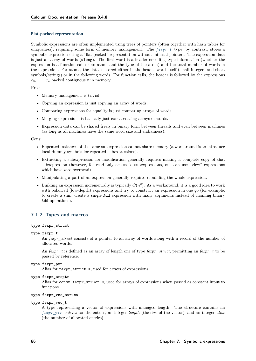### **Flat-packed representation**

Symbolic expressions are often implemented using trees of pointers (often together with hash tables for uniqueness), requiring some form of memory management. The *[fexpr\\_t](#page-71-0)* type, by contrast, stores a symbolic expression using a "flat-packed" representation without internal pointers. The expression data is just an array of words (ulong). The first word is a header encoding type information (whether the expression is a function call or an atom, and the type of the atom) and the total number of words in the expression. For atoms, the data is stored either in the header word itself (small integers and short symbols/strings) or in the following words. For function calls, the header is followed by the expressions  $e_0, \ldots, e_n$  packed contiguously in memory.

Pros:

- Memory management is trivial.
- Copying an expression is just copying an array of words.
- Comparing expressions for equality is just comparing arrays of words.
- Merging expressions is basically just concatenating arrays of words.
- Expression data can be shared freely in binary form between threads and even between machines (as long as all machines have the same word size and endianness).

### Cons:

- Repeated instances of the same subexpression cannot share memory (a workaround is to introduce local dummy symbols for repeated subexpressions).
- Extracting a subexpression for modification generally requires making a complete copy of that subxepression (however, for read-only access to subexpressions, one can use "view" expressions which have zero overhead).
- Manipulating a part of an expression generally requires rebuilding the whole expression.
- Building an expression incrementally is typically  $O(n^2)$ . As a workaround, it is a good idea to work with balanced (low-depth) expressions and try to construct an expression in one go (for example, to create a sum, create a single Add expression with many arguments instead of chaining binary Add operations).

# **7.1.2 Types and macros**

### **type fexpr\_struct**

### <span id="page-71-0"></span>**type fexpr\_t**

An *fexpr\_struct* consists of a pointer to an array of words along with a record of the number of allocated words.

An *fexpr\_t* is defined as an array of length one of type *fexpr\_struct*, permitting an *fexpr\_t* to be passed by reference.

### <span id="page-71-1"></span>**type fexpr\_ptr**

Alias for fexpr struct \*, used for arrays of expressions.

**type fexpr\_srcptr**

Alias for const fexpr struct  $*$ , used for arrays of expressions when passed as constant input to functions.

### **type fexpr\_vec\_struct**

### **type fexpr\_vec\_t**

A type representing a vector of expressions with managed length. The structure contains an *[fexpr\\_ptr](#page-71-1) entries* for the entries, an integer *length* (the size of the vector), and an integer *alloc* (the number of allocated entries).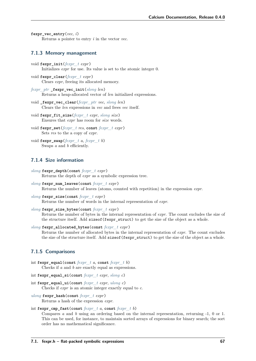```
fexpr vec entry(vec, i)
     Returns a pointer to entry i in the vector vec.
```
### **7.1.3 Memory management**

- void **fexpr\_init**(*[fexpr\\_t](#page-71-0) expr*) Initializes *expr* for use. Its value is set to the atomic integer 0.
- void **fexpr\_clear**(*[fexpr\\_t](#page-71-0) expr*) Clears *expr*, freeing its allocated memory.
- *[fexpr\\_ptr](#page-71-1)* **\_fexpr\_vec\_init**(*[slong](#page-23-0) len*) Returns a heap-allocated vector of *len* initialized expressions.
- void **\_fexpr\_vec\_clear**(*[fexpr\\_ptr](#page-71-1) vec*, *[slong](#page-23-0) len*) Clears the *len* expressions in *vec* and frees *vec* itself.
- void **fexpr\_fit\_size**(*[fexpr\\_t](#page-71-0) expr*, *[slong](#page-23-0) size*) Ensures that *expr* has room for *size* words.
- void **fexpr\_set**(*[fexpr\\_t](#page-71-0) res*, **const** *[fexpr\\_t](#page-71-0) expr*) Sets *res* to the a copy of *expr*.
- void **fexpr\_swap**(*[fexpr\\_t](#page-71-0) a*, *[fexpr\\_t](#page-71-0) b*) Swaps *a* and *b* efficiently.

# **7.1.4 Size information**

- *[slong](#page-23-0)* **fexpr\_depth**(**const** *[fexpr\\_t](#page-71-0) expr*) Returns the depth of *expr* as a symbolic expression tree.
- *[slong](#page-23-0)* **fexpr\_num\_leaves**(**const** *[fexpr\\_t](#page-71-0) expr*) Returns the number of leaves (atoms, counted with repetition) in the expression *expr*.
- *[slong](#page-23-0)* **fexpr\_size**(**const** *[fexpr\\_t](#page-71-0) expr*) Returns the number of words in the internal representation of *expr*.

*[slong](#page-23-0)* **fexpr\_size\_bytes**(**const** *[fexpr\\_t](#page-71-0) expr*)

Returns the number of bytes in the internal representation of *expr*. The count excludes the size of the structure itself. Add size of (fexpr struct) to get the size of the object as a whole.

```
slong fexpr_allocated_bytes(const fexpr_t expr)
```
Returns the number of allocated bytes in the internal representation of *expr*. The count excludes the size of the structure itself. Add size of (fexpr\_struct) to get the size of the object as a whole.

# **7.1.5 Comparisons**

- int **fexpr\_equal**(**const** *[fexpr\\_t](#page-71-0) a*, **const** *[fexpr\\_t](#page-71-0) b*) Checks if *a* and *b* are exactly equal as expressions.
- int **fexpr\_equal\_si**(**const** *[fexpr\\_t](#page-71-0) expr*, *[slong](#page-23-0) c*)
- int **fexpr\_equal\_ui**(**const** *[fexpr\\_t](#page-71-0) expr*, *[ulong](#page-23-1) c*) Checks if *expr* is an atomic integer exactly equal to *c*.
- *[ulong](#page-23-1)* **fexpr\_hash**(**const** *[fexpr\\_t](#page-71-0) expr*) Returns a hash of the expression *expr*.

#### <span id="page-72-0"></span>int **fexpr** cmp **fast**(const  $fexpr$  *ta*, const  $fexpr$  *tb*)

Compares *a* and *b* using an ordering based on the internal representation, returning -1, 0 or 1. This can be used, for instance, to maintain sorted arrays of expressions for binary search; the sort order has no mathematical significance.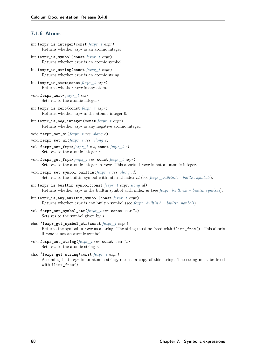# **7.1.6 Atoms**

- int **fexpr\_is\_integer**(**const** *[fexpr\\_t](#page-71-0) expr*) Returns whether *expr* is an atomic integer
- int **fexpr\_is\_symbol**(**const** *[fexpr\\_t](#page-71-0) expr*) Returns whether *expr* is an atomic symbol.
- int **fexpr\_is\_string**(**const** *[fexpr\\_t](#page-71-0) expr*) Returns whether *expr* is an atomic string.
- int **fexpr\_is\_atom**(**const** *[fexpr\\_t](#page-71-0) expr*) Returns whether *expr* is any atom.
- void **fexpr\_zero**(*[fexpr\\_t](#page-71-0) res*) Sets *res* to the atomic integer 0.
- int **fexpr\_is\_zero**(**const** *[fexpr\\_t](#page-71-0) expr*) Returns whether *expr* is the atomic integer 0.
- int **fexpr\_is\_neg\_integer**(**const** *[fexpr\\_t](#page-71-0) expr*) Returns whether *expr* is any negative atomic integer.
- void **fexpr\_set\_si**(*[fexpr\\_t](#page-71-0) res*, *[slong](#page-23-0) c*)
- void **fexpr\_set\_ui**(*[fexpr\\_t](#page-71-0) res*, *[ulong](#page-23-1) c*)
- void **fexpr\_set\_fmpz**(*[fexpr\\_t](#page-71-0) res*, **const** *[fmpz\\_t](#page-23-2) c*) Sets *res* to the atomic integer *c*.
- void **fexpr\_get\_fmpz**(*[fmpz\\_t](#page-23-2) res*, **const** *[fexpr\\_t](#page-71-0) expr*) Sets *res* to the atomic integer in *expr*. This aborts if *expr* is not an atomic integer.
- void **fexpr\_set\_symbol\_builtin**(*[fexpr\\_t](#page-71-0) res*, *[slong](#page-23-0) id*) Sets *res* to the builtin symbol with internal index *id* (see *[fexpr\\_builtin.h – builtin symbols](#page-78-0)*).
- int **fexpr\_is\_builtin\_symbol**(**const** *[fexpr\\_t](#page-71-0) expr*, *[slong](#page-23-0) id*) Returns whether *expr* is the builtin symbol with index *id* (see *[fexpr\\_builtin.h – builtin symbols](#page-78-0)*).
- int **fexpr\_is\_any\_builtin\_symbol**(**const** *[fexpr\\_t](#page-71-0) expr*) Returns whether *expr* is any builtin symbol (see *[fexpr\\_builtin.h – builtin symbols](#page-78-0)*).
- void **fexpr\_set\_symbol\_str**(*[fexpr\\_t](#page-71-0) res*, **const** char \**s*) Sets *res* to the symbol given by *s*.
- char \***fexpr\_get\_symbol\_str**(**const** *[fexpr\\_t](#page-71-0) expr*) Returns the symbol in *expr* as a string. The string must be freed with flint\_free(). This aborts if *expr* is not an atomic symbol.
- void **fexpr\_set\_string**(*[fexpr\\_t](#page-71-0) res*, **const** char \**s*) Sets *res* to the atomic string *s*.
- char \***fexpr\_get\_string**(**const** *[fexpr\\_t](#page-71-0) expr*) Assuming that *expr* is an atomic string, returns a copy of this string. The string must be freed with flint\_free().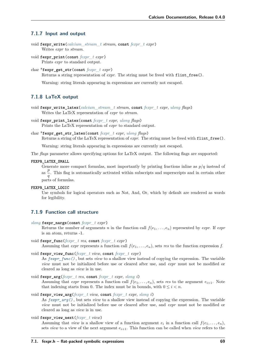### **7.1.7 Input and output**

```
void fexpr_write(calcium_stream_t stream, const fexpr_t expr)
     Writes expr to stream.
```
void **fexpr\_print**(**const** *[fexpr\\_t](#page-71-0) expr*) Prints *expr* to standard output.

```
char *fexpr_get_str(const fexpr_t expr)
```
Returns a string representation of *expr*. The string must be freed with flint\_free().

Warning: string literals appearing in expressions are currently not escaped.

# **7.1.8 LaTeX output**

```
void fexpr_write_latex(calcium_stream_t stream, const fexpr_t expr, ulong flags)
     Writes the LaTeX representation of expr to stream.
```
- void **fexpr\_print\_latex**(**const** *[fexpr\\_t](#page-71-0) expr*, *[ulong](#page-23-1) flags*) Prints the LaTeX representation of *expr* to standard output.
- char \***fexpr\_get\_str\_latex**(**const** *[fexpr\\_t](#page-71-0) expr*, *[ulong](#page-23-1) flags*) Returns a string of the LaTeX representation of *expr*. The string must be freed with flint\_free().

Warning: string literals appearing in expressions are currently not escaped.

The *flags* parameter allows specifying options for LaTeX output. The following flags are supported:

### **FEXPR\_LATEX\_SMALL**

Generate more compact formulas, most importantly by printing fractions inline as  $p/q$  instead of as  $\frac{p}{q}$  $\frac{\mu}{q}$ . This flag is automatically activated within subscripts and superscripts and in certain other parts of formulas.

**FEXPR\_LATEX\_LOGIC**

Use symbols for logical operators such as Not, And, Or, which by default are rendered as words for legibility.

# **7.1.9 Function call structure**

*[slong](#page-23-0)* **fexpr\_nargs**(**const** *[fexpr\\_t](#page-71-0) expr*)

Returns the number of arguments *n* in the function call  $f(e_1, \ldots, e_n)$  represented by *expr*. If *expr* is an atom, returns -1.

- <span id="page-74-0"></span>void **fexpr\_func**(*[fexpr\\_t](#page-71-0) res*, **const** *[fexpr\\_t](#page-71-0) expr*) Assuming that *expr* represents a function call  $f(e_1, \ldots, e_n)$ , sets *res* to the function expression *f*.
- void **fexpr\_view\_func**(*[fexpr\\_t](#page-71-0) view*, **const** *[fexpr\\_t](#page-71-0) expr*)

As *[fexpr\\_func\(\)](#page-74-0)* , but sets *view* to a shallow view instead of copying the expression. The variable *view* must not be initialized before use or cleared after use, and *expr* must not be modified or cleared as long as *view* is in use.

<span id="page-74-1"></span>void **fexpr\_arg**(*[fexpr\\_t](#page-71-0) res*, **const** *[fexpr\\_t](#page-71-0) expr*, *[slong](#page-23-0) i*) Assuming that *expr* represents a function call  $f(e_1, \ldots, e_n)$ , sets *res* to the argument  $e_{i+1}$ . Note that indexing starts from 0. The index must be in bounds, with  $0 \leq i < n$ .

```
void fexpr_view_arg(fexpr_t view, const fexpr_t expr, slong i)
     As fexpr_arg() , but sets view to a shallow view instead of copying the expression. The variable
     view must not be initialized before use or cleared after use, and expr must not be modified or
     cleared as long as view is in use.
```
void **fexpr\_view\_next**(*[fexpr\\_t](#page-71-0) view*)

Assuming that *view* is a shallow view of a function argument  $e_i$  in a function call  $f(e_1, \ldots, e_n)$ , sets *view* to a view of the next argument  $e_{i+1}$ . This function can be called when *view* refers to the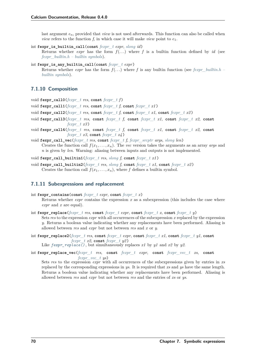last argument  $e_n$ , provided that *view* is not used afterwards. This function can also be called when *view* refers to the function *f*, in which case it will make *view* point to  $e_1$ .

```
int fexpr_is_builtin_call(const fexpr_t expr, slong id)
```
Returns whether *expr* has the form  $f(\ldots)$  where f is a builtin function defined by *id* (see *[fexpr\\_builtin.h – builtin symbols](#page-78-0)*).

```
int fexpr_is_any_builtin_call(const fexpr_t expr)
```
Returns whether *expr* has the form  $f(\ldots)$  where f is any builtin function (see *fexpr* builtin.h – *[builtin symbols](#page-78-0)*).

## **7.1.10 Composition**

```
void fexpr_call0(fexpr_t res, const fexpr_t f )
```
- void **fexpr\_call1**(*[fexpr\\_t](#page-71-0) res*, **const** *[fexpr\\_t](#page-71-0) f*, **const** *[fexpr\\_t](#page-71-0) x1* )
- void **fexpr\_call2**(*[fexpr\\_t](#page-71-0) res*, **const** *[fexpr\\_t](#page-71-0) f*, **const** *[fexpr\\_t](#page-71-0) x1*, **const** *[fexpr\\_t](#page-71-0) x2* )
- void **fexpr\_call3**(*[fexpr\\_t](#page-71-0) res*, **const** *[fexpr\\_t](#page-71-0) f*, **const** *[fexpr\\_t](#page-71-0) x1*, **const** *[fexpr\\_t](#page-71-0) x2*, **const** *[fexpr\\_t](#page-71-0) x3* )
- void **fexpr\_call4**(*[fexpr\\_t](#page-71-0) res*, **const** *[fexpr\\_t](#page-71-0) f*, **const** *[fexpr\\_t](#page-71-0) x1*, **const** *[fexpr\\_t](#page-71-0) x2*, **const** *[fexpr\\_t](#page-71-0)\_x3*, **const** *fexpr\_t\_x4* )

void **fexpr\_call\_vec**(*[fexpr\\_t](#page-71-0) res*, **const** *[fexpr\\_t](#page-71-0) f*, *[fexpr\\_srcptr](#page-71-2) args*, *[slong](#page-23-0) len*) Creates the function call  $f(x_1, \ldots, x_n)$ . The *vec* version takes the arguments as an array *args* and *n* is given by *len*. Warning: aliasing between inputs and outputs is not implemented.

void **fexpr\_call\_builtin1**(*[fexpr\\_t](#page-71-0) res*, *[slong](#page-23-0) f*, **const** *[fexpr\\_t](#page-71-0) x1* )

void **fexpr\_call\_builtin2**(*[fexpr\\_t](#page-71-0) res*, *[slong](#page-23-0) f*, **const** *[fexpr\\_t](#page-71-0) x1*, **const** *[fexpr\\_t](#page-71-0) x2* ) Creates the function call  $f(x_1, \ldots, x_n)$ , where *f* defines a builtin symbol.

### **7.1.11 Subexpressions and replacement**

```
int fexpr_contains(const fexpr_t expr, const fexpr_t x)
     Returns whether expr contains the expression x as a subexpression (this includes the case where
     expr and x are equal).
```
<span id="page-75-0"></span>int **fexpr\_replace**(*[fexpr\\_t](#page-71-0) res*, **const** *[fexpr\\_t](#page-71-0) expr*, **const** *[fexpr\\_t](#page-71-0) x*, **const** *[fexpr\\_t](#page-71-0) y*) Sets *res* to the expression *expr* with all occurrences of the subexpression *x* replaced by the expression *y*. Returns a boolean value indicating whether any replacements have been performed. Aliasing is allowed between *res* and *expr* but not between *res* and *x* or *y*.

int  $fexpr$  **replace2**( $fexpr$   $t$   $res$ ,  $const$   $fexpr$   $t$   $expr$ ,  $const$   $fexpr$   $t$   $x1$ ,  $const$   $fexpr$   $t$   $y1$ ,  $const$ *[fexpr\\_t](#page-71-0)\_x2*, **const** *fexpr\_t\_y2* )

Like *[fexpr\\_replace\(\)](#page-75-0)* , but simultaneously replaces *x1* by *y1* and *x2* by *y2*.

int **fexpr\_replace\_vec**(*[fexpr\\_t](#page-71-0) res*, **const** *[fexpr\\_t](#page-71-0) expr*, **const** *[fexpr\\_vec\\_t](#page-71-3) xs*, **const** *[fexpr\\_vec\\_t](#page-71-3) ys*)

Sets *res* to the expression *expr* with all occurrences of the subexpressions given by entries in *xs* replaced by the corresponding expressions in *ys*. It is required that *xs* and *ys* have the same length. Returns a boolean value indicating whether any replacements have been performed. Aliasing is allowed between *res* and *expr* but not between *res* and the entries of *xs* or *ys*.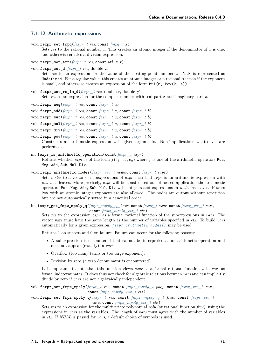### **7.1.12 Arithmetic expressions**

void **fexpr\_set\_fmpq**(*[fexpr\\_t](#page-71-0) res*, **const** *[fmpq\\_t](#page-23-3) x*)

Sets *res* to the rational number *x*. This creates an atomic integer if the denominator of *x* is one, and otherwise creates a division expression.

- void **fexpr\_set\_arf**(*[fexpr\\_t](#page-71-0) res*, **const** arf\_t *x*)
- void **fexpr\_set\_d**(*[fexpr\\_t](#page-71-0) res*, double *x*)

Sets *res* to an expression for the value of the floating-point number *x*. NaN is represented as Undefined. For a regular value, this creates an atomic integer or a rational fraction if the exponent is small, and otherwise creates an expression of the form Mul(m, Pow(2, e)).

void **fexpr** set re im  $d$ (*fexpr t res*, double *x*, double *y*)

Sets *res* to an expression for the complex number with real part *x* and imaginary part *y*.

- void **fexpr\_neg**(*[fexpr\\_t](#page-71-0) res*, **const** *[fexpr\\_t](#page-71-0) a*)
- void **fexpr** add( $fexpr$  *t res*, const  $fexpr$  *t a*, const  $fexpr$  *t b*)
- void **fexpr\_sub**(*[fexpr\\_t](#page-71-0) res*, **const** *[fexpr\\_t](#page-71-0) a*, **const** *[fexpr\\_t](#page-71-0) b*)
- void **fexpr\_mul**(*[fexpr\\_t](#page-71-0) res*, **const** *[fexpr\\_t](#page-71-0) a*, **const** *[fexpr\\_t](#page-71-0) b*)
- void **fexpr**  $div(fexpr + res, const \, fexpr + t \, a, const \, fexpr + t \, b)$
- void **fexpr\_pow**(*[fexpr\\_t](#page-71-0) res*, **const** *[fexpr\\_t](#page-71-0) a*, **const** *[fexpr\\_t](#page-71-0) b*)

Constructs an arithmetic expression with given arguments. No simplifications whatsoever are performed.

#### int **fexpr\_is\_arithmetic\_operation**(**const** *[fexpr\\_t](#page-71-0) expr*)

Returns whether *expr* is of the form  $f(e_1, \ldots, e_n)$  where f is one of the arithmetic operators Pos, Neg, Add, Sub, Mul, Div.

<span id="page-76-0"></span>void **fexpr\_arithmetic\_nodes**(*[fexpr\\_vec\\_t](#page-71-3) nodes*, **const** *[fexpr\\_t](#page-71-0) expr*)

Sets *nodes* to a vector of subexpressions of *expr* such that *expr* is an arithmetic expression with *nodes* as leaves. More precisely, *expr* will be constructed out of nested application the arithmetic operators Pos, Neg, Add, Sub, Mul, Div with integers and expressions in *nodes* as leaves. Powers Pow with an atomic integer exponent are also allowed. The nodes are output without repetition but are not automatically sorted in a canonical order.

<span id="page-76-1"></span>int **fexpr\_get\_fmpz\_mpoly\_q**(*[fmpz\\_mpoly\\_q\\_t](#page-96-0) res*, **const** *[fexpr\\_t](#page-71-0) expr*, **const** *[fexpr\\_vec\\_t](#page-71-3) vars*,

<span id="page-76-2"></span>**const** *[fmpz\\_mpoly\\_ctx\\_t](#page-23-4) ctx*)

Sets *res* to the expression *expr* as a formal rational function of the subexpressions in *vars*. The vector *vars* must have the same length as the number of variables specified in *ctx*. To build *vars* automatically for a given expression, *[fexpr\\_arithmetic\\_nodes\(\)](#page-76-0)* may be used.

Returns 1 on success and 0 on failure. Failure can occur for the following reasons:

- A subexpression is encountered that cannot be interpreted as an arithmetic operation and does not appear (exactly) in *vars*.
- Overflow (too many terms or too large exponent).
- Division by zero (a zero denominator is encountered).

It is important to note that this function views *expr* as a formal rational function with *vars* as formal indeterminates. It does thus not check for algebraic relations between *vars* and can implicitly divide by zero if *vars* are not algebraically independent.

void **fexpr\_set\_fmpz\_mpoly**(*[fexpr\\_t](#page-71-0) res*, **const** *[fmpz\\_mpoly\\_t](#page-23-5) poly*, **const** *[fexpr\\_vec\\_t](#page-71-3) vars*, **const** *[fmpz\\_mpoly\\_ctx\\_t](#page-23-4) ctx*)

### void **fexpr\_set\_fmpz\_mpoly\_q**(*[fexpr\\_t](#page-71-0) res*, **const** *[fmpz\\_mpoly\\_q\\_t](#page-96-0) frac*, **const** *[fexpr\\_vec\\_t](#page-71-3) vars*, **const** *[fmpz\\_mpoly\\_ctx\\_t](#page-23-4) ctx*)

Sets *res* to an expression for the multivariate polynomial *poly* (or rational function *frac*), using the expressions in *vars* as the variables. The length of *vars* must agree with the number of variables in *ctx*. If *NULL* is passed for *vars*, a default choice of symbols is used.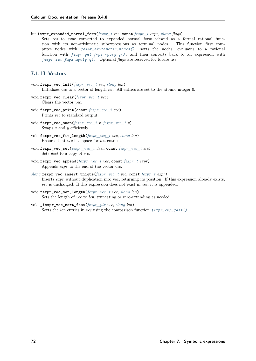int **fexpr\_expanded\_normal\_form**(*[fexpr\\_t](#page-71-0) res*, **const** *[fexpr\\_t](#page-71-0) expr*, *[ulong](#page-23-1) flags*)

Sets *res* to *expr* converted to expanded normal form viewed as a formal rational function with its non-arithmetic subexpressions as terminal nodes. This function first computes nodes with *[fexpr\\_arithmetic\\_nodes\(\)](#page-76-0)* , sorts the nodes, evaluates to a rational function with *[fexpr\\_get\\_fmpz\\_mpoly\\_q\(\)](#page-76-1)* , and then converts back to an expression with *[fexpr\\_set\\_fmpz\\_mpoly\\_q\(\)](#page-76-2)* . Optional *flags* are reserved for future use.

# **7.1.13 Vectors**

- void **fexpr\_vec\_init**(*[fexpr\\_vec\\_t](#page-71-3) vec*, *[slong](#page-23-0) len*) Initializes *vec* to a vector of length *len*. All entries are set to the atomic integer 0.
- void **fexpr\_vec\_clear**(*[fexpr\\_vec\\_t](#page-71-3) vec*) Clears the vector *vec*.
- void **fexpr\_vec\_print**(**const** *[fexpr\\_vec\\_t](#page-71-3) vec*) Prints *vec* to standard output.
- void **fexpr\_vec\_swap**(*[fexpr\\_vec\\_t](#page-71-3) x*, *[fexpr\\_vec\\_t](#page-71-3) y*) Swaps *x* and *y* efficiently.
- void **fexpr\_vec\_fit\_length**(*[fexpr\\_vec\\_t](#page-71-3) vec*, *[slong](#page-23-0) len*) Ensures that *vec* has space for *len* entries.
- void **fexpr\_vec\_set**(*[fexpr\\_vec\\_t](#page-71-3) dest*, **const** *[fexpr\\_vec\\_t](#page-71-3) src*) Sets *dest* to a copy of *src*.
- void **fexpr\_vec\_append**(*[fexpr\\_vec\\_t](#page-71-3) vec*, **const** *[fexpr\\_t](#page-71-0) expr*) Appends *expr* to the end of the vector *vec*.
- *[slong](#page-23-0)* **fexpr\_vec\_insert\_unique**(*[fexpr\\_vec\\_t](#page-71-3) vec*, **const** *[fexpr\\_t](#page-71-0) expr*) Inserts *expr* without duplication into vec, returning its position. If this expression already exists, *vec* is unchanged. If this expression does not exist in *vec*, it is appended.
- void **fexpr\_vec\_set\_length**(*[fexpr\\_vec\\_t](#page-71-3) vec*, *[slong](#page-23-0) len*) Sets the length of *vec* to *len*, truncating or zero-extending as needed.
- void **\_fexpr\_vec\_sort\_fast**(*[fexpr\\_ptr](#page-71-1) vec*, *[slong](#page-23-0) len*) Sorts the *len* entries in *vec* using the comparison function  $f \in \mathcal{F}$   $f \in \mathcal{F}$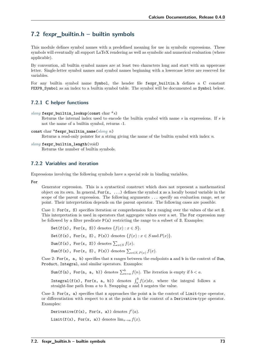# <span id="page-78-0"></span>**7.2 fexpr\_builtin.h – builtin symbols**

This module defines symbol names with a predefined meaning for use in symbolic expressions. These symbols will eventually all support LaTeX rendering as well as symbolic and numerical evaluation (where applicable).

By convention, all builtin symbol names are at least two characters long and start with an uppercase letter. Single-letter symbol names and symbol names beginning with a lowercase letter are reserved for variables.

For any builtin symbol name Symbol, the header file fexpr builtin.h defines a C constant FEXPR\_Symbol as an index to a builtin symbol table. The symbol will be documented as Symbol below.

# **7.2.1 C helper functions**

```
slong fexpr_builtin_lookup(const char *s)
```
Returns the internal index used to encode the builtin symbol with name *s* in expressions. If *s* is not the name of a builtin symbol, returns -1.

```
const char *fexpr_builtin_name(slong n)
```
Returns a read-only pointer for a string giving the name of the builtin symbol with index *n*.

```
slong fexpr_builtin_length(void)
```
Returns the number of builtin symbols.

### **7.2.2 Variables and iteration**

Expressions involving the following symbols have a special role in binding variables.

#### **For**

Generator expression. This is a syntactical construct which does not represent a mathematical object on its own. In general,  $For(x, \ldots)$  defines the symbol x as a locally bound variable in the scope of the parent expression. The following arguments ... specify an evaluation range, set or point. Their interpretation depends on the parent operator. The following cases are possible.

Case 1: For $(x, S)$  specifies iteration or comprehension for x ranging over the values of the set S. This interpretation is used in operators that aggregate values over a set. The For expression may be followed by a filter predicate  $P(x)$  restricting the range to a subset of S. Examples:

Set(f(x), For(x, S)) denotes  $\{f(x) : x \in S\}.$ Set(f(x), For(x, S), P(x)) denotes  $\{f(x) : x \in S \text{ and } P(x)\}.$ Sum(f(x), For(x, S)) denotes  $\sum_{x \in S} f(x)$ .  $\texttt{Sum}(f(x), \texttt{For}(x, S), P(x)) \text{ denotes } \sum_{x \in S, P(x)} f(x).$ 

Case 2: For $(x, a, b)$  specifies that x ranges between the endpoints a and b in the context of Sum, Product, Integral, and similar operators. Examples:

Sum(f(n), For(n, a, b)) denotes  $\sum_{n=a}^{b} f(n)$ . The iteration is empty if  $b < a$ .

Integral(f(x), For(x, a, b)) denotes  $\int_a^b f(x)dx$ , where the integral follows a straight-line path from *a* to *b*. Swapping *a* and *b* negates the value.

Case 3: For(x, a) specifies that x approaches the point a in the context of Limit-type operator, or differentiation with respect to x at the point a in the context of a Derivative-type operator. Examples:

```
Derivative(f(x), For(x, a)) denotes f'(a).
Limit(f(x), For(x, a)) denotes \lim_{x\to a} f(x).
```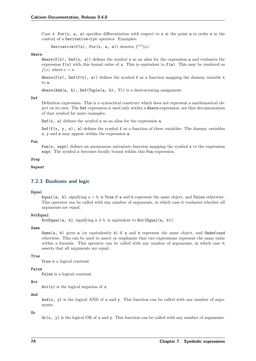Case 4: For(x, a, n) specifies differentiation with respect to x at the point a to order n in the context of a Derivative-type operator. Examples:

Derivative(f(x), For(x, a, n)) denotes  $f^{(n)}(a)$ .

#### **Where**

Where( $f(x)$ , Def( $x$ , a)) defines the symbol x as an alias for the expression a and evaluates the expression  $f(x)$  with this bound value of x. This is equivalent to  $f(a)$ . This may be rendered as  $f(x)$  where  $x = a$ .

Where( $f(x)$ , Def( $f(t)$ , a)) defines the symbol f as a function mapping the dummy variable t to a.

Where(Add(a, b), Def(Tuple(a, b), T)) is a destructuring assignment.

#### **Def**

Definition expression. This is a syntactical construct which does not represent a mathematical object on its own. The Def expression is used only within a Where-expression; see that documentation of that symbol for more examples.

 $Def(x, a)$  defines the symbol x as an alias for the expression a.

Def( $f(x, y, z)$ , a) defines the symbol f as a function of three variables. The dummy variables x, y and z may appear within the expression a.

#### **Fun**

Fun(x,  $exp r$ ) defines an anonymous univariate function mapping the symbol x to the expression expr. The symbol x becomes locally bound within this Fun expression.

#### **Step**

### **Repeat**

### **7.2.3 Booleans and logic**

#### **Equal**

Equal(a, b), signifying  $a = b$ , is True if a and b represent the same object, and False otherwise. This operator can be called with any number of arguments, in which case it evaluates whether all arguments are equal.

#### **NotEqual**

NotEqual(a, b), signifying  $a \neq b$ , is equivalent to Not(Equal(a, b)).

#### **Same**

Same $(a, b)$  gives a (or equivalently b) if a and b represent the same object, and Undefined otherwise. This can be used to assert or emphasize that two expressions represent the same value within a formula. This operator can be called with any number of arguments, in which case it asserts that all arguments are equal.

#### **True**

True is a logical constant.

#### **False**

False is a logical constant.

#### **Not**

 $Not(x)$  is the logical negation of x.

#### **And**

And(x, y) is the logical AND of x and y. This function can be called with any number of arguments.

**Or**

 $\text{Or}(x, y)$  is the logical OR of x and y. This function can be called with any number of arguments.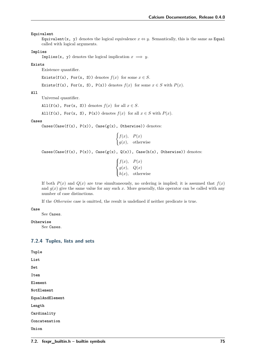#### **Equivalent**

Equivalent(x, y) denotes the logical equivalence  $x \Leftrightarrow y$ . Semantically, this is the same as Equal called with logical arguments.

#### **Implies**

Implies(x, y) denotes the logical implication  $x \implies y$ .

#### **Exists**

Existence quantifier.

Exists(f(x), For(x, S)) denotes  $f(x)$  for some  $x \in S$ .

$$
\text{Exists}(f(x), \text{ For}(x, S), P(x)) \text{ denotes } f(x) \text{ for some } x \in S \text{ with } P(x).
$$

### **All**

Universal quantifier.

All( $f(x)$ , For(x, S)) denotes  $f(x)$  for all  $x \in S$ .

All(f(x), For(x, S), P(x)) denotes  $f(x)$  for all  $x \in S$  with  $P(x)$ .

#### **Cases**

 $\text{Cases}( \text{Case}(f(x), P(x))$ ,  $\text{Case}(g(x), \text{ Otherwise})$ ) denotes:

$$
\begin{cases} f(x), & P(x) \\ g(x), & \text{otherwise} \end{cases}
$$

Cases(Case(f(x),  $P(x)$ ), Case( $g(x)$ ,  $Q(x)$ ), Case( $h(x)$ , Otherwise)) denotes:

$$
\begin{cases}\nf(x), & P(x) \\
g(x), & Q(x) \\
h(x), & \text{otherwise}\n\end{cases}
$$

If both  $P(x)$  and  $Q(x)$  are true simultaneously, no ordering is implied; it is assumed that  $f(x)$ and  $g(x)$  give the same value for any such x. More generally, this operator can be called with any number of case distinctions.

If the *Otherwise* case is omitted, the result is undefined if neither predicate is true.

#### **Case**

See Cases.

#### **Otherwise**

See Cases.

### **7.2.4 Tuples, lists and sets**

**Tuple List Set Item Element NotElement EqualAndElement Length Cardinality Concatenation**

**Union**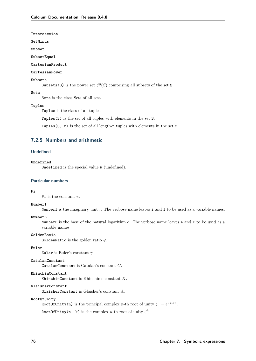**Intersection**

**SetMinus**

**Subset**

**SubsetEqual**

#### **CartesianProduct**

### **CartesianPower**

#### **Subsets**

Subsets(S) is the power set  $\mathcal{P}(S)$  comprising all subsets of the set S.

### **Sets**

Sets is the class Sets of all sets.

#### **Tuples**

Tuples is the class of all tuples.

Tuples(S) is the set of all tuples with elements in the set S.

Tuples(S, n) is the set of all length-n tuples with elements in the set S.

# **7.2.5 Numbers and arithmetic**

#### **Undefined**

#### **Undefined**

Undefined is the special value u (undefined).

#### **Particular numbers**

#### **Pi**

Pi is the constant  $\pi$ .

#### **NumberI**

NumberI is the imaginary unit  $i$ . The verbose name leaves i and I to be used as a variable names.

#### **NumberE**

NumberE is the base of the natural logarithm  $e$ . The verbose name leaves e and E to be used as a variable names.

#### **GoldenRatio**

GoldenRatio is the golden ratio  $\varphi$ .

#### **Euler**

Euler is Euler's constant  $\gamma$ .

#### **CatalanConstant**

CatalanConstant is Catalan's constant  $G$ .

#### **KhinchinConstant**

KhinchinConstant is Khinchin's constant  $K$ .

#### **GlaisherConstant**

GlaisherConstant is Glaisher's constant  $A$ .

#### **RootOfUnity**

RootOfUnity(n) is the principal complex *n*-th root of unity  $\zeta_n = e^{2\pi i/n}$ .

RootOfUnity(n, k) is the complex *n*-th root of unity  $\zeta_n^k$ .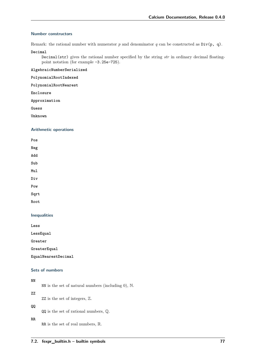### **Number constructors**

Remark: the rational number with numerator  $p$  and denominator  $q$  can be constructed as  $Div(p, q)$ .

**Decimal**

Decimal(str) gives the rational number specified by the string *str* in ordinary decimal floatingpoint notation (for example -3.25e-725).

**AlgebraicNumberSerialized**

**PolynomialRootIndexed**

**PolynomialRootNearest**

**Enclosure**

**Approximation**

**Guess**

**Unknown**

### **Arithmetic operations**

**Pos Neg Add Sub Mul Div Pow Sqrt**

### **Inequalities**

**Less**

**Root**

**LessEqual**

**Greater**

**GreaterEqual**

**EqualNearestDecimal**

### **Sets of numbers**

## **NN**

NN is the set of natural numbers (including 0), N.

**ZZ**

ZZ is the set of integers, Z.

### **QQ**

QQ is the set of rational numbers, Q.

**RR**

RR is the set of real numbers, R.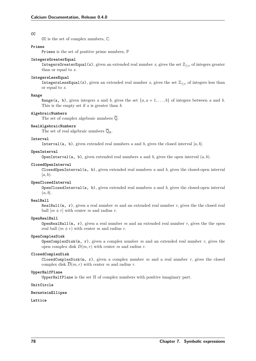#### **CC**

CC is the set of complex numbers, C.

#### **Primes**

Primes is the set of positive prime numbers, P

#### **IntegersGreaterEqual**

IntegersGreaterEqual(x), given an extended real number x, gives the set  $\mathbb{Z}_{\geq x}$  of integers greater than or equal to *x*.

#### **IntegersLessEqual**

IntegersLessEqual(x), given an extended real number x, gives the set  $\mathbb{Z}_{\leq x}$  of integers less than or equal to *x*.

#### **Range**

Range(a, b), given integers *a* and *b*, gives the set  $\{a, a + 1, \ldots, b\}$  of integers between *a* and *b*. This is the empty set if *a* is greater than *b*.

#### **AlgebraicNumbers**

The set of complex algebraic numbers  $\overline{Q}$ .

#### **RealAlgebraicNumbers**

The set of real algebraic numbers  $\overline{\mathbb{Q}}_{\mathbb{R}}$ .

#### **Interval**

Interval(a, b), given extended real numbers  $a$  and  $b$ , gives the closed interval  $[a, b]$ .

#### **OpenInterval**

**OpenInterval** (a, b), given extended real numbers  $a$  and  $b$ , gives the open interval  $(a, b)$ .

#### **ClosedOpenInterval**

ClosedOpenInterval(a, b), given extended real numbers *a* and *b*, gives the closed-open interval  $[a, b).$ 

#### **OpenClosedInterval**

OpenClosedInterval(a, b), given extended real numbers *a* and *b*, gives the closed-open interval  $(a, b]$ .

#### **RealBall**

RealBall $(m, r)$ , given a real number *m* and an extended real number *r*, gives the the closed real ball  $[m \pm r]$  with center m and radius r.

#### **OpenRealBall**

**OpenRealBall**( $m$ ,  $r$ ), given a real number  $m$  and an extended real number  $r$ , gives the the open real ball  $(m \pm r)$  with center *m* and radius *r*.

#### **OpenComplexDisk**

OpenComplexDisk(m, r), given a complex number *m* and an extended real number *r*, gives the open complex disk  $D(m, r)$  with center *m* and radius *r*.

#### **ClosedComplexDisk**

ClosedComplexDisk $(m, r)$ , given a complex number  $m$  and a real number  $r$ , gives the closed complex disk  $\overline{D}(m, r)$  with center *m* and radius *r*.

#### **UpperHalfPlane**

UpperHalfPlane is the set  $\mathbb H$  of complex numbers with positive imaginary part.

#### **UnitCircle**

#### **BernsteinEllipse**

#### **Lattice**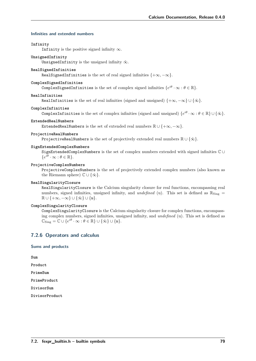#### **Infinities and extended numbers**

#### **Infinity**

Infinity is the positive signed infinity  $\infty$ .

#### **UnsignedInfinity**

UnsignedInfinity is the unsigned infinity  $\tilde{\infty}$ .

#### **RealSignedInfinities**

RealSignedInfinities is the set of real signed infinities  $\{+\infty, -\infty\}$ .

#### **ComplexSignedInfinities**

ComplexSignedInfinities is the set of complex signed infinities  $\{e^{i\theta}\cdot\infty:\theta\in\mathbb R\}.$ 

### **RealInfinities**

RealInfinities is the set of real infinities (signed and unsigned)  $\{+\infty, -\infty\} \cup \{\tilde{\infty}\}.$ 

#### **ComplexInfinities**

ComplexInfinities is the set of complex infinities (signed and unsigned)  $\{e^{i\theta} \cdot \infty : \theta \in \mathbb{R}\} \cup \{\tilde{\infty}\}.$ 

#### **ExtendedRealNumbers**

ExtendedRealNumbers is the set of extended real numbers  $\mathbb{R} \cup \{+\infty, -\infty\}.$ 

#### **ProjectiveRealNumbers**

ProjectiveRealNumbers is the set of projectively extended real numbers  $\mathbb{R} \cup \{\tilde{\infty}\}\.$ 

#### **SignExtendedComplexNumbers**

SignExtendedComplexNumbers is the set of complex numbers extended with signed infinities C ∪  $\{e^{i\theta} \cdot \infty : \theta \in \mathbb{R}\}.$ 

#### **ProjectiveComplexNumbers**

ProjectiveComplexNumbers is the set of projectively extended complex numbers (also known as the Riemann sphere)  $\mathbb{C} \cup {\tilde{\infty}}$ .

#### **RealSingularityClosure**

RealSingularityClosure is the Calcium singularity closure for real functions, encompassing real numbers, signed infinities, unsigned infinity, and *undefined* (u). This set is defined as  $\mathbb{R}_{\text{Sing}}$  =  $\mathbb{R} \cup \{+\infty, -\infty\} \cup \{\tilde{\infty}\} \cup \{\mathfrak{u}\}.$ 

### **ComplexSingularityClosure**

ComplexSingularityClosure is the Calcium singularity closure for complex functions, encompassing complex numbers, signed infinities, unsigned infinity, and *undefined* (u). This set is defined as  $\mathbb{C}_{\text{Sing}} = \mathbb{C} \cup \{e^{i\theta} \cdot \infty : \theta \in \mathbb{R}\} \cup \{\tilde{\infty}\} \cup \{\mathfrak{u}\}.$ 

### **7.2.6 Operators and calculus**

### **Sums and products**

**Sum**

**Product**

**PrimeSum**

**PrimeProduct**

**DivisorSum**

**DivisorProduct**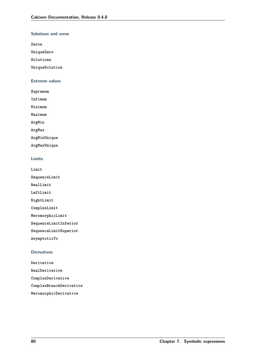### **Solutions and zeros**

**Zeros**

**UniqueZero**

**Solutions**

**UniqueSolution**

### **Extreme values**

**Supremum**

**Infimum**

**Minimum**

**Maximum**

**ArgMin**

**ArgMax**

**ArgMinUnique**

**ArgMaxUnique**

### **Limits**

**Limit SequenceLimit RealLimit LeftLimit RightLimit ComplexLimit MeromorphicLimit SequenceLimitInferior SequenceLimitSuperior AsymptoticTo**

### **Derivatives**

**Derivative RealDerivative ComplexDerivative ComplexBranchDerivative MeromorphicDerivative**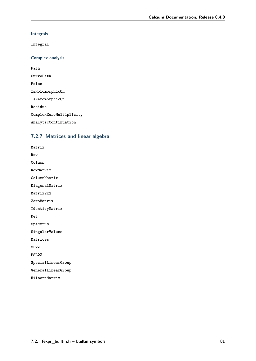**Integrals**

**Integral**

**Complex analysis**

**Path CurvePath Poles IsHolomorphicOn IsMeromorphicOn Residue ComplexZeroMultiplicity AnalyticContinuation**

# **7.2.7 Matrices and linear algebra**

**Matrix Row Column RowMatrix ColumnMatrix DiagonalMatrix Matrix2x2 ZeroMatrix IdentityMatrix Det Spectrum SingularValues Matrices SL2Z PSL2Z SpecialLinearGroup GeneralLinearGroup HilbertMatrix**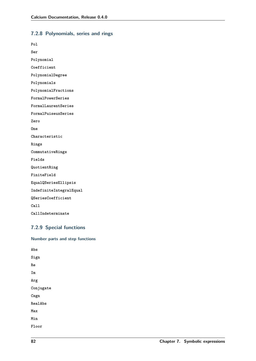# **7.2.8 Polynomials, series and rings**

| Pol                     |
|-------------------------|
| Ser                     |
| Polynomial              |
| Coefficient             |
| PolynomialDegree        |
| Polynomials             |
| PolynomialFractions     |
| FormalPowerSeries       |
| FormalLaurentSeries     |
| FormalPuiseuxSeries     |
| Zero                    |
| One                     |
| Characteristic          |
| Rings                   |
| CommutativeRings        |
| Fields                  |
| QuotientRing            |
| FiniteField             |
| EqualQSeriesEllipsis    |
| IndefiniteIntegralEqual |
| QSeriesCoefficient      |
| Call                    |
| CallIndeterminate       |

# **7.2.9 Special functions**

```
Number parts and step functions
Abs
Sign
Re
Im
Arg
Conjugate
Csgn
RealAbs
Max
Min
Floor
```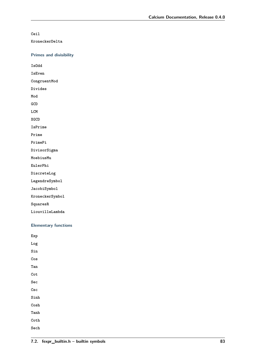**Ceil**

**KroneckerDelta**

**Primes and divisibility**

**IsOdd**

**IsEven**

**CongruentMod**

**Divides**

**Mod GCD**

**LCM**

**XGCD**

**IsPrime**

**Prime**

**PrimePi**

**DivisorSigma**

**MoebiusMu**

**EulerPhi**

**DiscreteLog**

**LegendreSymbol**

**JacobiSymbol**

**KroneckerSymbol**

**SquaresR**

**LiouvilleLambda**

### **Elementary functions**

**Exp Log Sin Cos Tan Cot Sec Csc Sinh Cosh Tanh Coth Sech**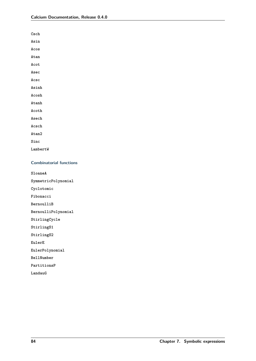| $\mathtt{Csch}$ |
|-----------------|
| Asin            |
| Acos            |
| Atan            |
| Acot            |
| Asec            |
| Acsc            |
| Asinh           |
| Acosh           |
| Atanh           |
| Acoth           |
| Asech           |
| Acsch           |
| Atan2           |
| Sinc            |
| LambertW        |

### **Combinatorial functions**

**SloaneA**

**SymmetricPolynomial**

**Cyclotomic**

**Fibonacci**

**BernoulliB**

**BernoulliPolynomial**

**StirlingCycle**

**StirlingS1**

**StirlingS2**

**EulerE**

**EulerPolynomial**

**BellNumber**

**PartitionsP**

**LandauG**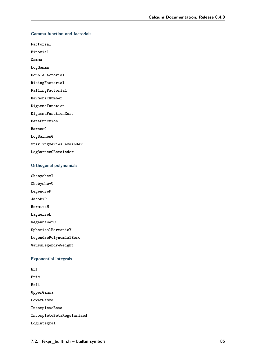### **Gamma function and factorials**

**Factorial**

**Binomial**

**Gamma**

**LogGamma**

**DoubleFactorial**

**RisingFactorial**

**FallingFactorial**

**HarmonicNumber**

**DigammaFunction**

**DigammaFunctionZero**

**BetaFunction**

**BarnesG**

**LogBarnesG**

**StirlingSeriesRemainder**

**LogBarnesGRemainder**

### **Orthogonal polynomials**

**ChebyshevT**

**ChebyshevU**

**LegendreP**

**JacobiP**

**HermiteH**

**LaguerreL**

**GegenbauerC**

**SphericalHarmonicY**

**LegendrePolynomialZero**

**GaussLegendreWeight**

### **Exponential integrals**

**Erf Erfc Erfi UpperGamma LowerGamma IncompleteBeta IncompleteBetaRegularized LogIntegral**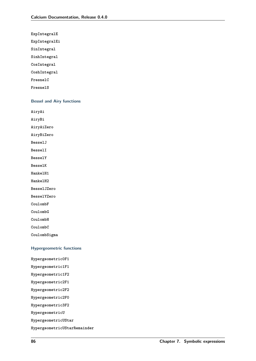**ExpIntegralE**

**ExpIntegralEi**

**SinIntegral**

**SinhIntegral**

**CosIntegral**

**CoshIntegral**

**FresnelC**

**FresnelS**

### **Bessel and Airy functions**

**AiryAi**

**AiryBi**

**AiryAiZero**

**AiryBiZero**

**BesselJ**

**BesselI**

**BesselY**

**BesselK**

**HankelH1**

**HankelH2**

**BesselJZero**

**BesselYZero**

**CoulombF**

**CoulombG**

**CoulombH**

**CoulombC**

**CoulombSigma**

### **Hypergeometric functions**

**Hypergeometric0F1 Hypergeometric1F1 Hypergeometric1F2 Hypergeometric2F1 Hypergeometric2F2 Hypergeometric2F0 Hypergeometric3F2 HypergeometricU HypergeometricUStar HypergeometricUStarRemainder**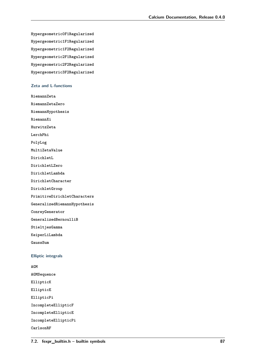**Hypergeometric0F1Regularized Hypergeometric1F1Regularized Hypergeometric1F2Regularized Hypergeometric2F1Regularized Hypergeometric2F2Regularized Hypergeometric3F2Regularized**

### **Zeta and L-functions**

**RiemannZeta RiemannZetaZero RiemannHypothesis RiemannXi HurwitzZeta LerchPhi PolyLog MultiZetaValue DirichletL DirichletLZero DirichletLambda DirichletCharacter DirichletGroup PrimitiveDirichletCharacters GeneralizedRiemannHypothesis ConreyGenerator GeneralizedBernoulliB StieltjesGamma KeiperLiLambda GaussSum Elliptic integrals AGM AGMSequence**

**EllipticK EllipticE EllipticPi IncompleteEllipticF IncompleteEllipticE IncompleteEllipticPi CarlsonRF**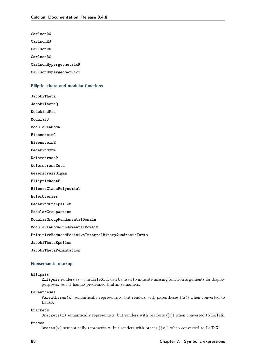**CarlsonRG**

**CarlsonRJ**

**CarlsonRD**

**CarlsonRC**

**CarlsonHypergeometricR**

**CarlsonHypergeometricT**

#### **Elliptic, theta and modular functions**

**JacobiTheta**

**JacobiThetaQ**

**DedekindEta**

**ModularJ**

**ModularLambda**

**EisensteinG**

**EisensteinE**

**DedekindSum**

**WeierstrassP**

**WeierstrassZeta**

**WeierstrassSigma**

**EllipticRootE**

**HilbertClassPolynomial**

**EulerQSeries**

**DedekindEtaEpsilon**

**ModularGroupAction**

**ModularGroupFundamentalDomain**

**ModularLambdaFundamentalDomain**

**PrimitiveReducedPositiveIntegralBinaryQuadraticForms**

**JacobiThetaEpsilon**

**JacobiThetaPermutation**

#### **Nonsemantic markup**

#### **Ellipsis**

Ellipsis renders as *. . .* in LaTeX. It can be used to indicate missing function arguments for display purposes, but it has no predefined builtin semantics.

#### **Parentheses**

Parentheses(x) semantically represents x, but renders with parentheses  $((x))$  when converted to LaTeX.

#### **Brackets**

Brackets(x) semantically represents x, but renders with brackets  $([x])$  when converted to LaTeX.

#### **Braces**

Braces(x) semantically represents x, but renders with braces ( ${x}$ ) when converted to LaTeX.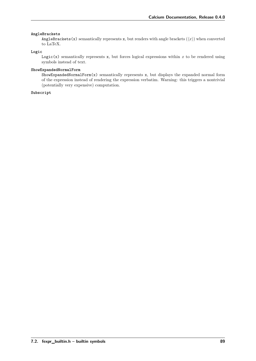### **AngleBrackets**

AngleBrackets(x) semantically represents x, but renders with angle brackets ( $\langle x \rangle$ ) when converted to LaTeX.

### **Logic**

Logic(x) semantically represents x, but forces logical expressions within  $x$  to be rendered using symbols instead of text.

### **ShowExpandedNormalForm**

 $Show ExpandedNormalForm(x) semantically represents x, but displays the expanded normal form$ of the expression instead of rendering the expression verbatim. Warning: this triggers a nontrivial (potentially very expensive) computation.

### **Subscript**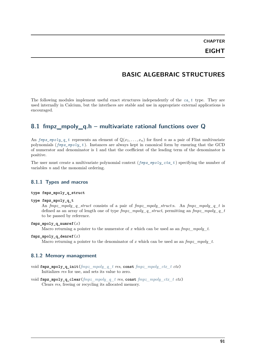# **BASIC ALGEBRAIC STRUCTURES**

The following modules implement useful exact structures independently of the *[ca\\_t](#page-27-0)* type. They are used internally in Calcium, but the interfaces are stable and use in appropriate external applications is encouraged.

# **8.1 fmpz\_mpoly\_q.h – multivariate rational functions over Q**

An  $fmpz_mpoly_q_t$  represents an element of  $\mathbb{Q}(x_1, \ldots, x_n)$  for fixed *n* as a pair of Flint multivariate polynomials (*[fmpz\\_mpoly\\_t](#page-23-5)* ). Instances are always kept in canonical form by ensuring that the GCD of numerator and denominator is 1 and that the coefficient of the leading term of the denominator is positive.

The user must create a multivariate polynomial context (*[fmpz\\_mpoly\\_ctx\\_t](#page-23-4)* ) specifying the number of variables *n* and the monomial ordering.

### **8.1.1 Types and macros**

#### **type fmpz\_mpoly\_q\_struct**

#### <span id="page-96-0"></span>**type fmpz\_mpoly\_q\_t**

An *fmpz\_mpoly\_q\_struct* consists of a pair of *fmpz\_mpoly\_struct*:s. An *fmpz\_mpoly\_q\_t* is defined as an array of length one of type *fmpz\_mpoly\_q\_struct*, permitting an *fmpz\_mpoly\_q\_t* to be passed by reference.

### $fmpz$  mpoly q numref $(x)$

Macro returning a pointer to the numerator of *x* which can be used as an *fmpz\_mpoly\_t*.

#### **fmpz\_mpoly\_q\_denref**(*x*)

Macro returning a pointer to the denominator of *x* which can be used as an *fmpz\_mpoly\_t*.

### **8.1.2 Memory management**

- void **fmpz\_mpoly\_q\_init**(*[fmpz\\_mpoly\\_q\\_t](#page-96-0) res*, **const** *[fmpz\\_mpoly\\_ctx\\_t](#page-23-4) ctx*) Initializes *res* for use, and sets its value to zero.
- void **fmpz\_mpoly\_q\_clear**(*[fmpz\\_mpoly\\_q\\_t](#page-96-0) res*, **const** *[fmpz\\_mpoly\\_ctx\\_t](#page-23-4) ctx*) Clears *res*, freeing or recycling its allocated memory.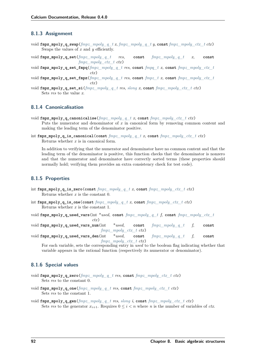### **8.1.3 Assignment**

- void **fmpz\_mpoly\_q\_swap**(*[fmpz\\_mpoly\\_q\\_t](#page-96-0) x*, *[fmpz\\_mpoly\\_q\\_t](#page-96-0) y*, **const** *[fmpz\\_mpoly\\_ctx\\_t](#page-23-4) ctx*) Swaps the values of *x* and *y* efficiently.
- void **fmpz\_mpoly\_q\_set**(*[fmpz\\_mpoly\\_q\\_t](#page-96-0) res*, **const** *[fmpz\\_mpoly\\_q\\_t](#page-96-0) x*, **const** *[fmpz\\_mpoly\\_ctx\\_t](#page-23-4) ctx*)
- void **fmpz\_mpoly\_q\_set\_fmpq**(*[fmpz\\_mpoly\\_q\\_t](#page-96-0) res*, **const** *[fmpq\\_t](#page-23-3) x*, **const** *[fmpz\\_mpoly\\_ctx\\_t](#page-23-4) ctx*)
- void **fmpz\_mpoly\_q\_set\_fmpz**(*[fmpz\\_mpoly\\_q\\_t](#page-96-0) res*, **const** *[fmpz\\_t](#page-23-2) x*, **const** *[fmpz\\_mpoly\\_ctx\\_t](#page-23-4) ctx*)
- void **fmpz\_mpoly\_q\_set\_si**(*[fmpz\\_mpoly\\_q\\_t](#page-96-0) res*, *[slong](#page-23-0) x*, **const** *[fmpz\\_mpoly\\_ctx\\_t](#page-23-4) ctx*) Sets *res* to the value *x*.

## **8.1.4 Canonicalisation**

- void **fmpz\_mpoly\_q\_canonicalise**(*[fmpz\\_mpoly\\_q\\_t](#page-96-0) x*, **const** *[fmpz\\_mpoly\\_ctx\\_t](#page-23-4) ctx*) Puts the numerator and denominator of *x* in canonical form by removing common content and making the leading term of the denominator positive.
- int **fmpz\_mpoly\_q\_is\_canonical**(**const** *[fmpz\\_mpoly\\_q\\_t](#page-96-0) x*, **const** *[fmpz\\_mpoly\\_ctx\\_t](#page-23-4) ctx*) Returns whether *x* is in canonical form.

In addition to verifying that the numerator and denominator have no common content and that the leading term of the denominator is positive, this function checks that the denominator is nonzero and that the numerator and denominator have correctly sorted terms (these properties should normally hold; verifying them provides an extra consistency check for test code).

### **8.1.5 Properties**

- int **fmpz\_mpoly\_q\_is\_zero**(**const** *[fmpz\\_mpoly\\_q\\_t](#page-96-0) x*, **const** *[fmpz\\_mpoly\\_ctx\\_t](#page-23-4) ctx*) Returns whether *x* is the constant 0.
- int **fmpz\_mpoly\_q\_is\_one**(**const** *[fmpz\\_mpoly\\_q\\_t](#page-96-0) x*, **const** *[fmpz\\_mpoly\\_ctx\\_t](#page-23-4) ctx*) Returns whether *x* is the constant 1.
- void **fmpz\_mpoly\_q\_used\_vars**(int \**used*, **const** *[fmpz\\_mpoly\\_q\\_t](#page-96-0) f*, **const** *[fmpz\\_mpoly\\_ctx\\_t](#page-23-4) ctx*)
- void **fmpz\_mpoly\_q\_used\_vars\_num**(int \**used*, **const** *[fmpz\\_mpoly\\_q\\_t](#page-96-0) f*, **const** *[fmpz\\_mpoly\\_ctx\\_t](#page-23-4) ctx*)
- void **fmpz\_mpoly\_q\_used\_vars\_den**(int \**used*, **const** *[fmpz\\_mpoly\\_q\\_t](#page-96-0) f*, **const** *[fmpz\\_mpoly\\_ctx\\_t](#page-23-4) ctx*)

For each variable, sets the corresponding entry in *used* to the boolean flag indicating whether that variable appears in the rational function (respectively its numerator or denominator).

# **8.1.6 Special values**

- void **fmpz\_mpoly\_q\_zero**(*[fmpz\\_mpoly\\_q\\_t](#page-96-0) res*, **const** *[fmpz\\_mpoly\\_ctx\\_t](#page-23-4) ctx*) Sets *res* to the constant 0.
- void **fmpz\_mpoly\_q\_one**(*[fmpz\\_mpoly\\_q\\_t](#page-96-0) res*, **const** *[fmpz\\_mpoly\\_ctx\\_t](#page-23-4) ctx*) Sets *res* to the constant 1.
- void **fmpz\_mpoly\_q\_gen**(*[fmpz\\_mpoly\\_q\\_t](#page-96-0) res*, *[slong](#page-23-0) i*, **const** *[fmpz\\_mpoly\\_ctx\\_t](#page-23-4) ctx*) Sets res to the generator  $x_{i+1}$ . Requires  $0 \leq i \leq n$  where *n* is the number of variables of *ctx*.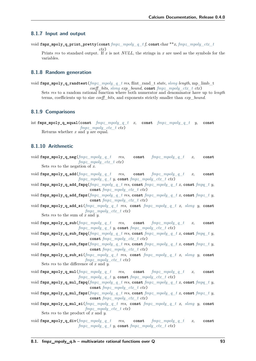### **8.1.7 Input and output**

void **fmpz\_mpoly\_q\_print\_pretty**(**const** *[fmpz\\_mpoly\\_q\\_t](#page-96-0) f*, **const** char \*\**x*, *[fmpz\\_mpoly\\_ctx\\_t](#page-23-4)*

*ctx*) Prints *res* to standard output. If *x* is not *NULL*, the strings in *x* are used as the symbols for the variables.

## **8.1.8 Random generation**

void **fmpz\_mpoly\_q\_randtest**(*[fmpz\\_mpoly\\_q\\_t](#page-96-0) res*, flint\_rand\_t *state*, *[slong](#page-23-0) length*, mp\_limb\_t *coeff\_bits*, *[slong](#page-23-0) exp\_bound*, **const** *[fmpz\\_mpoly\\_ctx\\_t](#page-23-4) ctx*) Sets *res* to a random rational function where both numerator and denominator have up to *length* terms, coefficients up to size *coeff\_bits*, and exponents strictly smaller than *exp\_bound*.

### **8.1.9 Comparisons**

int **fmpz\_mpoly\_q\_equal**(**const** *[fmpz\\_mpoly\\_q\\_t](#page-96-0) x*, **const** *[fmpz\\_mpoly\\_q\\_t](#page-96-0) y*, **const** *[fmpz\\_mpoly\\_ctx\\_t](#page-23-4) ctx*) Returns whether *x* and *y* are equal.

### **8.1.10 Arithmetic**

- void **fmpz\_mpoly\_q\_neg**(*[fmpz\\_mpoly\\_q\\_t](#page-96-0) res*, **const** *[fmpz\\_mpoly\\_q\\_t](#page-96-0) x*, **const** *[fmpz\\_mpoly\\_ctx\\_t](#page-23-4) ctx*) Sets *res* to the negation of *x*.
- void **fmpz\_mpoly\_q\_add**(*[fmpz\\_mpoly\\_q\\_t](#page-96-0) res*, **const** *[fmpz\\_mpoly\\_q\\_t](#page-96-0) x*, **const** *[fmpz\\_mpoly\\_q\\_t](#page-96-0)\_y*, **const** *[fmpz\\_mpoly\\_ctx\\_t](#page-23-4)\_ctx*)
- void **fmpz\_mpoly\_q\_add\_fmpq**(*[fmpz\\_mpoly\\_q\\_t](#page-96-0) res*, **const** *[fmpz\\_mpoly\\_q\\_t](#page-96-0) x*, **const** *[fmpq\\_t](#page-23-3) y*, **const** *[fmpz\\_mpoly\\_ctx\\_t](#page-23-4) ctx*)
- void **fmpz** mpoly q add **fmpz**( $fmpz$   $mpoly$  q  $t$  res, const  $fmpz$   $mpoly$  q  $t$   $x$ , const  $fmpz$   $t$   $y$ , **const** *[fmpz\\_mpoly\\_ctx\\_t](#page-23-4) ctx*)
- void **fmpz\_mpoly\_q\_add\_si**(*[fmpz\\_mpoly\\_q\\_t](#page-96-0) res*, **const** *[fmpz\\_mpoly\\_q\\_t](#page-96-0) x*, *[slong](#page-23-0) y*, **const** *[fmpz\\_mpoly\\_ctx\\_t](#page-23-4) ctx*)

Sets *res* to the sum of  $\overline{x}$  and  $\overline{y}$ .

- void **fmpz\_mpoly\_q\_sub**(*[fmpz\\_mpoly\\_q\\_t](#page-96-0) res*, **const** *[fmpz\\_mpoly\\_q\\_t](#page-96-0) x*, **const** *[fmpz\\_mpoly\\_q\\_t](#page-96-0)\_y*, **const** *[fmpz\\_mpoly\\_ctx\\_t](#page-23-4)\_ctx*)
- void **fmpz** mpoly q sub fmpq $(fmpz \ mpoly q \ t \ res, const \ fmpz \ mpoly q \ t \ x, const \ fmpy \ t \ y,$ **const** *[fmpz\\_mpoly\\_ctx\\_t](#page-23-4) ctx*)
- void **fmpz\_mpoly\_q\_sub\_fmpz**(*[fmpz\\_mpoly\\_q\\_t](#page-96-0) res*, **const** *[fmpz\\_mpoly\\_q\\_t](#page-96-0) x*, **const** *[fmpz\\_t](#page-23-2) y*, **const** *[fmpz\\_mpoly\\_ctx\\_t](#page-23-4) ctx*)
- void **fmpz\_mpoly\_q\_sub\_si**(*[fmpz\\_mpoly\\_q\\_t](#page-96-0) res*, **const** *[fmpz\\_mpoly\\_q\\_t](#page-96-0) x*, *[slong](#page-23-0) y*, **const** *[fmpz\\_mpoly\\_ctx\\_t](#page-23-4) ctx*) Sets *res* to the difference of *x* and *y*.
- void **fmpz\_mpoly\_q\_mul**(*[fmpz\\_mpoly\\_q\\_t](#page-96-0) res*, **const** *[fmpz\\_mpoly\\_q\\_t](#page-96-0) x*, **const** *[fmpz\\_mpoly\\_q\\_t](#page-96-0) y*, **const** *[fmpz\\_mpoly\\_ctx\\_t](#page-23-4) ctx*)
- void **fmpz\_mpoly\_q\_mul\_fmpq**(*[fmpz\\_mpoly\\_q\\_t](#page-96-0) res*, **const** *[fmpz\\_mpoly\\_q\\_t](#page-96-0) x*, **const** *[fmpq\\_t](#page-23-3) y*, **const** *[fmpz\\_mpoly\\_ctx\\_t](#page-23-4) ctx*)
- void **fmpz\_mpoly\_q\_mul\_fmpz**(*[fmpz\\_mpoly\\_q\\_t](#page-96-0) res*, **const** *[fmpz\\_mpoly\\_q\\_t](#page-96-0) x*, **const** *[fmpz\\_t](#page-23-2) y*, **const** *[fmpz\\_mpoly\\_ctx\\_t](#page-23-4) ctx*)
- void **fmpz\_mpoly\_q\_mul\_si**(*[fmpz\\_mpoly\\_q\\_t](#page-96-0) res*, **const** *[fmpz\\_mpoly\\_q\\_t](#page-96-0) x*, *[slong](#page-23-0) y*, **const** *[fmpz\\_mpoly\\_ctx\\_t](#page-23-4) ctx*) Sets *res* to the product of *x* and *y*.
- void **fmpz\_mpoly\_q\_div**(*[fmpz\\_mpoly\\_q\\_t](#page-96-0) res*, **const** *[fmpz\\_mpoly\\_q\\_t](#page-96-0) x*, **const** *[fmpz\\_mpoly\\_q\\_t](#page-96-0) y*, **const** *[fmpz\\_mpoly\\_ctx\\_t](#page-23-4) ctx*)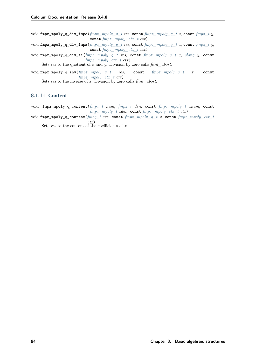- void **fmpz\_mpoly\_q\_div\_fmpq**(*[fmpz\\_mpoly\\_q\\_t](#page-96-0) res*, **const** *[fmpz\\_mpoly\\_q\\_t](#page-96-0) x*, **const** *[fmpq\\_t](#page-23-3) y*, **const** *[fmpz\\_mpoly\\_ctx\\_t](#page-23-4) ctx*)
- void **fmpz\_mpoly\_q\_div\_fmpz**(*[fmpz\\_mpoly\\_q\\_t](#page-96-0) res*, **const** *[fmpz\\_mpoly\\_q\\_t](#page-96-0) x*, **const** *[fmpz\\_t](#page-23-2) y*, **const** *[fmpz\\_mpoly\\_ctx\\_t](#page-23-4) ctx*)
- void **fmpz\_mpoly\_q\_div\_si**(*[fmpz\\_mpoly\\_q\\_t](#page-96-0) res*, **const** *[fmpz\\_mpoly\\_q\\_t](#page-96-0) x*, *[slong](#page-23-0) y*, **const** *[fmpz\\_mpoly\\_ctx\\_t](#page-23-4) ctx*)

Sets *res* to the quotient of *x* and *y*. Division by zero calls *flint\_abort*.

void **fmpz\_mpoly\_q\_inv**(*[fmpz\\_mpoly\\_q\\_t](#page-96-0) res*, **const** *[fmpz\\_mpoly\\_q\\_t](#page-96-0) x*, **const** *[fmpz\\_mpoly\\_ctx\\_t](#page-23-4) ctx*)

Sets *res* to the inverse of x. Division by zero calls  $\text{flint}\_\text{abort}$ .

### **8.1.11 Content**

- void **\_fmpz\_mpoly\_q\_content**(*[fmpz\\_t](#page-23-2) num*, *[fmpz\\_t](#page-23-2) den*, **const** *[fmpz\\_mpoly\\_t](#page-23-5) xnum*, **const** *[fmpz\\_mpoly\\_t](#page-23-5) xden*, **const** *[fmpz\\_mpoly\\_ctx\\_t](#page-23-4) ctx*)
- void **fmpz\_mpoly\_q\_content**(*[fmpq\\_t](#page-23-3) res*, **const** *[fmpz\\_mpoly\\_q\\_t](#page-96-0) x*, **const** *[fmpz\\_mpoly\\_ctx\\_t](#page-23-4) ctx*)

Sets *res* to the content of the coefficients of *x*.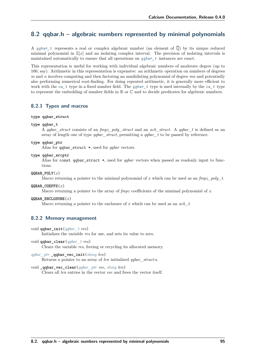# **8.2 qqbar.h – algebraic numbers represented by minimal polynomials**

A *[qqbar\\_t](#page-100-0)* represents a real or complex algebraic number (an element of  $\overline{Q}$ ) by its unique reduced minimal polynomial in  $\mathbb{Z}[x]$  and an isolating complex interval. The precision of isolating intervals is maintained automatically to ensure that all operations on *[qqbar\\_t](#page-100-0)* instances are exact.

This representation is useful for working with individual algebraic numbers of moderate degree (up to 100, say). Arithmetic in this representation is expensive: an arithmetic operation on numbers of degrees *m* and *n* involves computing and then factoring an annihilating polynomial of degree *mn* and potentially also performing numerical root-finding. For doing repeated arithmetic, it is generally more efficient to work with the *[ca\\_t](#page-27-0)* type in a fixed number field. The *[qqbar\\_t](#page-100-0)* type is used internally by the *[ca\\_t](#page-27-0)* type to represent the embedding of number fields in  $\mathbb R$  or  $\mathbb C$  and to decide predicates for algebraic numbers.

### **8.2.1 Types and macros**

#### **type qqbar\_struct**

<span id="page-100-0"></span>**type qqbar\_t**

A *qqbar\_struct* consists of an *fmpz\_poly\_struct* and an *acb\_struct*. A *qqbar\_t* is defined as an array of length one of type *qqbar\_struct*, permitting a *qqbar\_t* to be passed by reference.

#### <span id="page-100-1"></span>**type qqbar\_ptr**

Alias for qqbar\_struct \*, used for *qqbar* vectors.

<span id="page-100-2"></span>**type qqbar\_srcptr**

Alias for const qqbar\_struct \*, used for *qqbar* vectors when passed as readonly input to functions.

**QQBAR\_POLY**(*x*)

Macro returning a pointer to the minimal polynomial of *x* which can be used as an *fmpz\_poly\_t*.

**QQBAR\_COEFFS**(*x*)

Macro returning a pointer to the array of *fmpz* coefficients of the minimal polynomial of *x*.

#### **QQBAR\_ENCLOSURE**(*x*)

Macro returning a pointer to the enclosure of *x* which can be used as an *acb\_t*.

### **8.2.2 Memory management**

void **qqbar\_init**(*[qqbar\\_t](#page-100-0) res*)

Initializes the variable *res* for use, and sets its value to zero.

- void **qqbar\_clear**(*[qqbar\\_t](#page-100-0) res*) Clears the variable *res*, freeing or recycling its allocated memory.
- *[qqbar\\_ptr](#page-100-1)* **\_qqbar\_vec\_init**(*[slong](#page-23-0) len*) Returns a pointer to an array of *len* initialized *qqbar\_struct*:s.
- void **\_qqbar\_vec\_clear**(*[qqbar\\_ptr](#page-100-1) vec*, *[slong](#page-23-0) len*) Clears all *len* entries in the vector *vec* and frees the vector itself.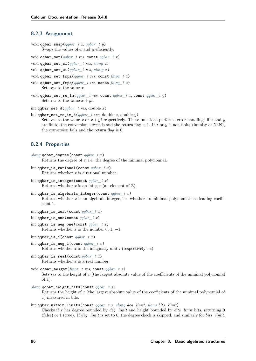### **8.2.3 Assignment**

```
void qqbar_swap(qqbar_t x, qqbar_t y)
     Swaps the values of x and y efficiently.
```
void **qqbar\_set**(*[qqbar\\_t](#page-100-0) res*, **const** *[qqbar\\_t](#page-100-0) x*)

```
void qqbar_set_si(qqbar_t res, slong x)
```
void **qqbar\_set\_ui**(*[qqbar\\_t](#page-100-0) res*, *[ulong](#page-23-1) x*)

```
void qqbar_set_fmpz(qqbar_t res, const fmpz_t x)
```

```
void qqbar_set_fmpq(qqbar_t res, const fmpq_t x)
```
Sets *res* to the value *x*.

```
void qqbar_set_re_im(qqbar_t res, const qqbar_t x, const qqbar_t y)
     Sets res to the value x + yi.
```
int **qqbar\_set\_d**(*[qqbar\\_t](#page-100-0) res*, double *x*)

```
int qqbar_set_re_im_d(qqbar_t res, double x, double y)
     Sets res to the value x or x + yi respectively. These functions performs error handling: if x and y
     are finite, the conversion succeeds and the return flag is 1. If x or y is non-finite (infinity or NaN),
     the conversion fails and the return flag is 0.
```
# **8.2.4 Properties**

```
slong qqbar_degree(const qqbar_t x)
     Returns the degree of x, i.e. the degree of the minimal polynomial.
```

```
int qqbar_is_rational(const qqbar_t x)
     Returns whether x is a rational number.
```

```
int qqbar_is_integer(const qqbar_t x)
     Returns whether x is an integer (an element of \mathbb{Z}).
```

```
int qqbar_is_algebraic_integer(const qqbar_t x)
     Returns whether x is an algebraic integer, i.e. whether its minimal polynomial has leading coeffi-
     cient 1.
```

```
int qqbar_is_zero(const qqbar_t x)
```

```
int qqbar_is_one(const qqbar_t x)
```
- int **qqbar\_is\_neg\_one**(**const** *[qqbar\\_t](#page-100-0) x*) Returns whether *x* is the number 0, 1,  $-1$ .
- int **qqbar\_is\_i**(**const** *[qqbar\\_t](#page-100-0) x*)

```
int qqbar_is_neg_i(const qqbar_t x)
     Returns whether x is the imaginary unit i (respectively -i).
```
int **qqbar\_is\_real**(**const** *[qqbar\\_t](#page-100-0) x*) Returns whether *x* is a real number.

```
void qqbar_height(fmpz_t res, const qqbar_t x)
     Sets res to the height of x (the largest absolute value of the coefficients of the minimal polynomial
     of x).
```
*[slong](#page-23-0)* **qqbar\_height\_bits**(**const** *[qqbar\\_t](#page-100-0) x*)

Returns the height of *x* (the largest absolute value of the coefficients of the minimal polynomial of *x*) measured in bits.

#### int **qqbar\_within\_limits**(**const** *[qqbar\\_t](#page-100-0) x*, *[slong](#page-23-0) deg\_limit*, *[slong](#page-23-0) bits\_limit*)

Checks if *x* has degree bounded by *deg\_limit* and height bounded by *bits\_limit* bits, returning 0 (false) or 1 (true). If *deg\_limit* is set to 0, the degree check is skipped, and similarly for *bits\_limit*.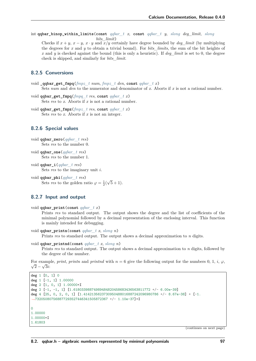int **qqbar\_binop\_within\_limits**(**const** *[qqbar\\_t](#page-100-0) x*, **const** *[qqbar\\_t](#page-100-0) y*, *[slong](#page-23-0) deg\_limit*, *[slong](#page-23-0) bits\_limit*)

Checks if  $x + y$ ,  $x - y$ ,  $x \cdot y$  and  $\overline{x}/y$  certainly have degree bounded by *deg\_limit* (by multiplying the degrees for *x* and *y* to obtain a trivial bound). For *bits\_limits*, the sum of the bit heights of *x* and *y* is checked against the bound (this is only a heuristic). If *deg\_limit* is set to 0, the degree check is skipped, and similarly for *bits\_limit*.

# **8.2.5 Conversions**

- void **\_qqbar\_get\_fmpq**(*[fmpz\\_t](#page-23-2) num*, *[fmpz\\_t](#page-23-2) den*, **const** *[qqbar\\_t](#page-100-0) x*) Sets *num* and *den* to the numerator and denominator of *x*. Aborts if *x* is not a rational number.
- void **qqbar\_get\_fmpq**(*[fmpq\\_t](#page-23-3) res*, **const** *[qqbar\\_t](#page-100-0) x*) Sets *res* to *x*. Aborts if *x* is not a rational number.
- void **qqbar\_get\_fmpz**(*[fmpz\\_t](#page-23-2) res*, **const** *[qqbar\\_t](#page-100-0) x*) Sets *res* to *x*. Aborts if *x* is not an integer.

# **8.2.6 Special values**

```
void qqbar_zero(qqbar_t res)
     Sets res to the number 0.
```

```
void qqbar_one(qqbar_t res)
     Sets res to the number 1.
```
void **qqbar\_i**(*[qqbar\\_t](#page-100-0) res*) Sets *res* to the imaginary unit *i*.

void **qqbar\_phi**(*[qqbar\\_t](#page-100-0) res*) Sets *res* to the golden ratio  $\varphi = \frac{1}{2}$ √  $(5+1).$ 

# **8.2.7 Input and output**

```
void qqbar_print(const qqbar_t x)
```
Prints *res* to standard output. The output shows the degree and the list of coefficients of the minimal polynomial followed by a decimal representation of the enclosing interval. This function is mainly intended for debugging.

```
void qqbar_printn(const qqbar_t x, slong n)
```
Prints *res* to standard output. The output shows a decimal approximation to *n* digits.

```
void qqbar_printnd(const qqbar_t x, slong n)
```
Prints *res* to standard output. The output shows a decimal approximation to *n* digits, followed by the degree of the number.

```
For example, print, printi and printind with n = 6 give the following output for the numbers 0, 1, i, \varphi,
  2-\sqrt{3}i:
```

```
deg 1 [0, 1] 0
deg 1 [-1, 1] 1.00000
deg 2 [1, 0, 1] 1.00000*I
deg 2 [-1, -1, 1] [1.61803398874989484820458683436563811772 +/- 6.00e-39]
deg 4 [25, 0, 2, 0, 1] [1.4142135623730950488016887242096980786 +/- 8.67e-38] + [-1.
˓→732050807568877293527446341505872367 +/- 1.10e-37]*I
\Omega1.00000
1.00000*I
1.61803
```
(continues on next page)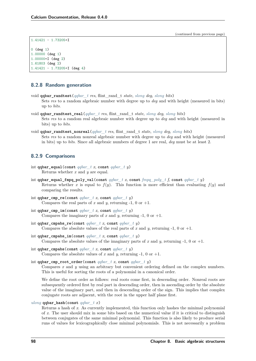(continued from previous page)

```
1.41421 - 1.73205*I
0 (deg 1)
1.00000 (deg 1)
1.00000*I (deg 2)
1.61803 (deg 2)
1.41421 - 1.73205*I (deg 4)
```
## **8.2.8 Random generation**

- void **qqbar\_randtest**(*[qqbar\\_t](#page-100-0) res*, flint\_rand\_t *state*, *[slong](#page-23-0) deg*, *[slong](#page-23-0) bits*) Sets *res* to a random algebraic number with degree up to *deg* and with height (measured in bits) up to *bits*.
- void **qqbar\_randtest\_real**(*[qqbar\\_t](#page-100-0) res*, flint\_rand\_t *state*, *[slong](#page-23-0) deg*, *[slong](#page-23-0) bits*) Sets *res* to a random real algebraic number with degree up to *deg* and with height (measured in bits) up to *bits*.
- void **qqbar\_randtest\_nonreal**(*[qqbar\\_t](#page-100-0) res*, flint\_rand\_t *state*, *[slong](#page-23-0) deg*, *[slong](#page-23-0) bits*) Sets *res* to a random nonreal algebraic number with degree up to *deg* and with height (measured in bits) up to *bits*. Since all algebraic numbers of degree 1 are real, *deg* must be at least 2.

### **8.2.9 Comparisons**

- int **qqbar\_equal**(**const** *[qqbar\\_t](#page-100-0) x*, **const** *[qqbar\\_t](#page-100-0) y*) Returns whether *x* and *y* are equal.
- int **qqbar\_equal\_fmpq\_poly\_val**(**const** *[qqbar\\_t](#page-100-0) x*, **const** *[fmpq\\_poly\\_t](#page-23-6) f*, **const** *[qqbar\\_t](#page-100-0) y*) Returns whether *x* is equal to  $f(y)$ . This function is more efficient than evaluating  $f(y)$  and comparing the results.
- int **qqbar\_cmp\_re**(**const** *[qqbar\\_t](#page-100-0) x*, **const** *[qqbar\\_t](#page-100-0) y*) Compares the real parts of  $x$  and  $y$ , returning -1, 0 or +1.
- int **qqbar** cmp im(const *qqbar*  $t$  *x*, const *qqbar*  $t$  *y*) Compares the imaginary parts of  $x$  and  $y$ , returning -1, 0 or +1.
- int **qqbar\_cmpabs\_re**(**const** *[qqbar\\_t](#page-100-0) x*, **const** *[qqbar\\_t](#page-100-0) y*) Compares the absolute values of the real parts of  $x$  and  $y$ , returning -1, 0 or +1.
- int **qqbar\_cmpabs\_im**(**const** *[qqbar\\_t](#page-100-0) x*, **const** *[qqbar\\_t](#page-100-0) y*) Compares the absolute values of the imaginary parts of  $x$  and  $y$ , returning -1, 0 or +1.
- int **qqbar\_cmpabs**(**const** *[qqbar\\_t](#page-100-0) x*, **const** *[qqbar\\_t](#page-100-0) y*) Compares the absolute values of  $x$  and  $y$ , returning -1, 0 or +1.
- <span id="page-103-0"></span>int **qqbar\_cmp\_root\_order**(**const** *[qqbar\\_t](#page-100-0) x*, **const** *[qqbar\\_t](#page-100-0) y*) Compares *x* and *y* using an arbitrary but convenient ordering defined on the complex numbers. This is useful for sorting the roots of a polynomial in a canonical order.

We define the root order as follows: real roots come first, in descending order. Nonreal roots are subsequently ordered first by real part in descending order, then in ascending order by the absolute value of the imaginary part, and then in descending order of the sign. This implies that complex conjugate roots are adjacent, with the root in the upper half plane first.

#### *[ulong](#page-23-1)* **qqbar\_hash**(**const** *[qqbar\\_t](#page-100-0) x*)

Returns a hash of *x*. As currently implemented, this function only hashes the minimal polynomial of *x*. The user should mix in some bits based on the numerical value if it is critical to distinguish between conjugates of the same minimal polynomial. This function is also likely to produce serial runs of values for lexicographically close minimal polynomials. This is not necessarily a problem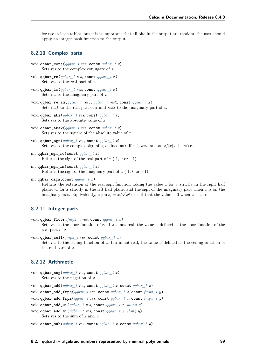for use in hash tables, but if it is important that all bits in the output are random, the user should apply an integer hash function to the output.

### **8.2.10 Complex parts**

```
void qqbar_conj(qqbar_t res, const qqbar_t x)
     Sets res to the complex conjugate of x.
```
- void **qqbar\_re**(*[qqbar\\_t](#page-100-0) res*, **const** *[qqbar\\_t](#page-100-0) x*) Sets *res* to the real part of *x*.
- void **qqbar\_im**(*[qqbar\\_t](#page-100-0) res*, **const** *[qqbar\\_t](#page-100-0) x*) Sets *res* to the imaginary part of *x*.
- void **qqbar\_re\_im**(*[qqbar\\_t](#page-100-0) res1*, *[qqbar\\_t](#page-100-0) res2*, **const** *[qqbar\\_t](#page-100-0) x*) Sets *res1* to the real part of *x* and *res2* to the imaginary part of *x*.
- void **qqbar\_abs**(*[qqbar\\_t](#page-100-0) res*, **const** *[qqbar\\_t](#page-100-0) x*) Sets *res* to the absolute value of *x*:
- void **qqbar\_abs2**(*[qqbar\\_t](#page-100-0) res*, **const** *[qqbar\\_t](#page-100-0) x*) Sets *res* to the square of the absolute value of *x*.
- void **qqbar\_sgn**(*[qqbar\\_t](#page-100-0) res*, **const** *[qqbar\\_t](#page-100-0) x*) Sets res to the complex sign of *x*, defined as 0 if *x* is zero and as  $x/|x|$  otherwise.

```
int qqbar_sgn_re(const qqbar_t x)
     Returns the sign of the real part of x (-1, 0 or +1).
```
- int **qqbar\_sgn\_im**(**const** *[qqbar\\_t](#page-100-0) x*) Returns the sign of the imaginary part of  $x$  (-1, 0 or +1).
- int **qqbar\_csgn**(**const** *[qqbar\\_t](#page-100-0) x*)

Returns the extension of the real sign function taking the value 1 for *x* strictly in the right half plane, -1 for *x* strictly in the left half plane, and the sign of the imaginary part when *x* is on the plane, -1 for x strictly in the left half plane, and the sign of the imaginary part when x is zero.<br>
imaginary axis. Equivalently,  $\text{csgn}(x) = x/\sqrt{x^2}$  except that the value is 0 when x is zero.

# **8.2.11 Integer parts**

```
void qqbar floor(fmpz t res, const qqbar t x)
```
Sets *res* to the floor function of *x*. If *x* is not real, the value is defined as the floor function of the real part of *x*.

void **qqbar\_ceil**(*[fmpz\\_t](#page-23-2) res*, **const** *[qqbar\\_t](#page-100-0) x*)

Sets *res* to the ceiling function of *x*. If *x* is not real, the value is defined as the ceiling function of the real part of *x*.

# **8.2.12 Arithmetic**

void **qqbar\_neg**(*[qqbar\\_t](#page-100-0) res*, **const** *[qqbar\\_t](#page-100-0) x*) Sets *res* to the negation of *x*.

void **qqbar\_add**(*[qqbar\\_t](#page-100-0) res*, **const** *[qqbar\\_t](#page-100-0) x*, **const** *[qqbar\\_t](#page-100-0) y*)

void **qqbar\_add\_fmpq**(*[qqbar\\_t](#page-100-0) res*, **const** *[qqbar\\_t](#page-100-0) x*, **const** *[fmpq\\_t](#page-23-3) y*)

void **qqbar** add  $\text{fmpz}(qolar \text{ } t \text{ } res, \text{ const } qabar \text{ } t \text{ } x, \text{ const } \text{ } fmpz \text{ } t \text{ } y)$ 

void **qqbar\_add\_ui**(*[qqbar\\_t](#page-100-0) res*, **const** *[qqbar\\_t](#page-100-0) x*, *[ulong](#page-23-1) y*)

void **qqbar\_add\_si**(*[qqbar\\_t](#page-100-0) res*, **const** *[qqbar\\_t](#page-100-0) x*, *[slong](#page-23-0) y*) Sets *res* to the sum of *x* and *y*.

```
void qqbar_sub(qqbar_t res, const qqbar_t x, const qqbar_t y)
```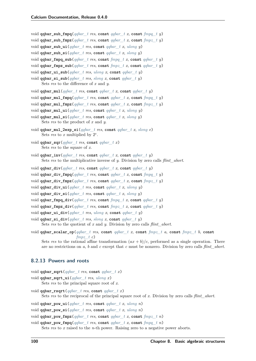- void **qqbar\_sub\_fmpq**(*[qqbar\\_t](#page-100-0) res*, **const** *[qqbar\\_t](#page-100-0) x*, **const** *[fmpq\\_t](#page-23-3) y*)
- void **qqbar\_sub\_fmpz**(*[qqbar\\_t](#page-100-0) res*, **const** *[qqbar\\_t](#page-100-0) x*, **const** *[fmpz\\_t](#page-23-2) y*)
- void **qqbar\_sub\_ui**(*[qqbar\\_t](#page-100-0) res*, **const** *[qqbar\\_t](#page-100-0) x*, *[ulong](#page-23-1) y*)
- void **qqbar\_sub\_si**(*[qqbar\\_t](#page-100-0) res*, **const** *[qqbar\\_t](#page-100-0) x*, *[slong](#page-23-0) y*)
- void **qqbar\_fmpq\_sub**(*[qqbar\\_t](#page-100-0) res*, **const** *[fmpq\\_t](#page-23-3) x*, **const** *[qqbar\\_t](#page-100-0) y*)
- void **qqbar\_fmpz\_sub**(*[qqbar\\_t](#page-100-0) res*, **const** *[fmpz\\_t](#page-23-2) x*, **const** *[qqbar\\_t](#page-100-0) y*)
- void **qqbar\_ui\_sub**(*[qqbar\\_t](#page-100-0) res*, *[ulong](#page-23-1) x*, **const** *[qqbar\\_t](#page-100-0) y*)
- void **qqbar\_si\_sub**(*[qqbar\\_t](#page-100-0) res*, *[slong](#page-23-0) x*, **const** *[qqbar\\_t](#page-100-0) y*) Sets *res* to the difference of *x* and *y*.
- void **qqbar\_mul**(*[qqbar\\_t](#page-100-0) res*, **const** *[qqbar\\_t](#page-100-0) x*, **const** *[qqbar\\_t](#page-100-0) y*)
- void **qqbar\_mul\_fmpq**(*[qqbar\\_t](#page-100-0) res*, **const** *[qqbar\\_t](#page-100-0) x*, **const** *[fmpq\\_t](#page-23-3) y*)
- void **qqbar\_mul\_fmpz**(*[qqbar\\_t](#page-100-0) res*, **const** *[qqbar\\_t](#page-100-0) x*, **const** *[fmpz\\_t](#page-23-2) y*)
- void **qqbar\_mul\_ui**(*[qqbar\\_t](#page-100-0) res*, **const** *[qqbar\\_t](#page-100-0) x*, *[ulong](#page-23-1) y*)
- void **qqbar\_mul\_si**(*[qqbar\\_t](#page-100-0) res*, **const** *[qqbar\\_t](#page-100-0) x*, *[slong](#page-23-0) y*) Sets *res* to the product of *x* and *y*.
- void **qqbar\_mul\_2exp\_si**(*[qqbar\\_t](#page-100-0) res*, **const** *[qqbar\\_t](#page-100-0) x*, *[slong](#page-23-0) e*) Sets *res* to  $x$  multiplied by  $2^e$ .
- void **qqbar\_sqr**(*[qqbar\\_t](#page-100-0) res*, **const** *[qqbar\\_t](#page-100-0) x*) Sets *res* to the square of *x*.
- void **qqbar\_inv**(*[qqbar\\_t](#page-100-0) res*, **const** *[qqbar\\_t](#page-100-0) x*, **const** *[qqbar\\_t](#page-100-0) y*) Sets *res* to the multiplicative inverse of *y*. Division by zero calls *flint\_abort*.
- void **qqbar\_div**(*[qqbar\\_t](#page-100-0) res*, **const** *[qqbar\\_t](#page-100-0) x*, **const** *[qqbar\\_t](#page-100-0) y*)
- void **qqbar\_div\_fmpq**(*[qqbar\\_t](#page-100-0) res*, **const** *[qqbar\\_t](#page-100-0) x*, **const** *[fmpq\\_t](#page-23-3) y*)
- void **qqbar\_div\_fmpz**(*[qqbar\\_t](#page-100-0) res*, **const** *[qqbar\\_t](#page-100-0) x*, **const** *[fmpz\\_t](#page-23-2) y*)
- void **qqbar\_div\_ui**(*[qqbar\\_t](#page-100-0) res*, **const** *[qqbar\\_t](#page-100-0) x*, *[ulong](#page-23-1) y*)
- void **qqbar\_div\_si**(*[qqbar\\_t](#page-100-0) res*, **const** *[qqbar\\_t](#page-100-0) x*, *[slong](#page-23-0) y*)
- void **qqbar\_fmpq\_div**(*[qqbar\\_t](#page-100-0) res*, **const** *[fmpq\\_t](#page-23-3) x*, **const** *[qqbar\\_t](#page-100-0) y*)
- void **qqbar\_fmpz\_div**(*[qqbar\\_t](#page-100-0) res*, **const** *[fmpz\\_t](#page-23-2) x*, **const** *[qqbar\\_t](#page-100-0) y*)
- void **qqbar\_ui\_div**(*[qqbar\\_t](#page-100-0) res*, *[ulong](#page-23-1) x*, **const** *[qqbar\\_t](#page-100-0) y*)
- void **qqbar\_si\_div**(*[qqbar\\_t](#page-100-0) res*, *[slong](#page-23-0) x*, **const** *[qqbar\\_t](#page-100-0) y*) Sets *res* to the quotient of *x* and *y*. Division by zero calls *flint\_abort*.
- void **qqbar\_scalar\_op**(*[qqbar\\_t](#page-100-0) res*, **const** *[qqbar\\_t](#page-100-0) x*, **const** *[fmpz\\_t](#page-23-2) a*, **const** *[fmpz\\_t](#page-23-2) b*, **const** *[fmpz\\_t](#page-23-2) c*)

Sets res to the rational affine transformation  $(ax + b)/c$ , performed as a single operation. There are no restrictions on *a*, *b* and *c* except that *c* must be nonzero. Division by zero calls *flint\_abort*.

### **8.2.13 Powers and roots**

```
void qqbar_sqrt(qqbar_t res, const qqbar_t x)
```

```
void qqbar_sqrt_ui(qqbar_t res, ulong x)
```
- Sets *res* to the principal square root of *x*.
- void **qqbar\_rsqrt**(*[qqbar\\_t](#page-100-0) res*, **const** *[qqbar\\_t](#page-100-0) x*) Sets *res* to the reciprocal of the principal square root of *x*. Division by zero calls *flint\_abort*.
- void **qqbar\_pow\_ui**(*[qqbar\\_t](#page-100-0) res*, **const** *[qqbar\\_t](#page-100-0) x*, *[ulong](#page-23-1) n*)
- void **qqbar\_pow\_si**(*[qqbar\\_t](#page-100-0) res*, **const** *[qqbar\\_t](#page-100-0) x*, *[ulong](#page-23-1) n*)

```
void qqbar_pow_fmpz(qqbar_t res, const qqbar_t x, const fmpz_t n)
```
void **qqbar\_pow\_fmpq**(*[qqbar\\_t](#page-100-0) res*, **const** *[qqbar\\_t](#page-100-0) x*, **const** *[fmpq\\_t](#page-23-3) n*)

Sets *res* to *x* raised to the *n*-th power. Raising zero to a negative power aborts.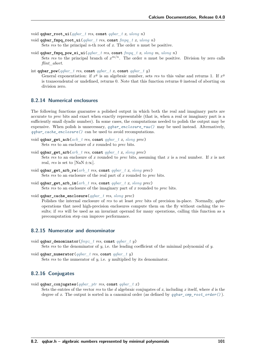void **qqbar\_root\_ui**(*[qqbar\\_t](#page-100-0) res*, **const** *[qqbar\\_t](#page-100-0) x*, *[ulong](#page-23-1) n*)

- void **qqbar\_fmpq\_root\_ui**(*[qqbar\\_t](#page-100-0) res*, **const** *[fmpq\\_t](#page-23-3) x*, *[ulong](#page-23-1) n*) Sets *res* to the principal *n*-th root of *x*. The order *n* must be positive.
- void **qqbar\_fmpq\_pow\_si\_ui**(*[qqbar\\_t](#page-100-0) res*, **const** *[fmpq\\_t](#page-23-3) x*, *[slong](#page-23-0) m*, *[ulong](#page-23-1) n*) Sets res to the principal branch of  $x^{m/n}$ . The order *n* must be positive. Division by zero calls *flint\_abort*.

int **qqbar\_pow**(*[qqbar\\_t](#page-100-0) res*, **const** *[qqbar\\_t](#page-100-0) x*, **const** *[qqbar\\_t](#page-100-0) y*)

General exponentiation: if  $x^y$  is an algebraic number, sets *res* to this value and returns 1. If  $x^y$ is transcendental or undefined, returns 0. Note that this function returns 0 instead of aborting on division zero.

### **8.2.14 Numerical enclosures**

The following functions guarantee a polished output in which both the real and imaginary parts are accurate to *prec* bits and exact when exactly representable (that is, when a real or imaginary part is a sufficiently small dyadic number). In some cases, the computations needed to polish the output may be expensive. When polish is unnecessary, *qqbar enclosure raw()* may be used instead. Alternatively, *[qqbar\\_cache\\_enclosure\(\)](#page-106-0)* can be used to avoid recomputations.

- void **qqbar\_get\_acb**(*[acb\\_t](#page-23-7) res*, **const** *[qqbar\\_t](#page-100-0) x*, *[slong](#page-23-0) prec*) Sets *res* to an enclosure of *x* rounded to *prec* bits.
- void **qqbar\_get\_arb**(*[arb\\_t](#page-23-8) res*, **const** *[qqbar\\_t](#page-100-0) x*, *[slong](#page-23-0) prec*) Sets *res* to an enclosure of *x* rounded to *prec* bits, assuming that *x* is a real number. If *x* is not real, *res* is set to [NaN  $\pm \infty$ ].
- void **qqbar\_get\_arb\_re**(*[arb\\_t](#page-23-8) res*, **const** *[qqbar\\_t](#page-100-0) x*, *[slong](#page-23-0) prec*) Sets *res* to an enclosure of the real part of *x* rounded to *prec* bits.
- void **qqbar\_get\_arb\_im**(*[arb\\_t](#page-23-8) res*, **const** *[qqbar\\_t](#page-100-0) x*, *[slong](#page-23-0) prec*) Sets *res* to an enclosure of the imaginary part of *x* rounded to *prec* bits.

<span id="page-106-0"></span>void **qqbar\_cache\_enclosure**(*[qqbar\\_t](#page-100-0) res*, *[slong](#page-23-0) prec*)

Polishes the internal enclosure of *res* to at least *prec* bits of precision in-place. Normally, *qqbar* operations that need high-precision enclosures compute them on the fly without caching the results; if *res* will be used as an invariant operand for many operations, calling this function as a precomputation step can improve performance.

### **8.2.15 Numerator and denominator**

void **qqbar\_denominator**(*[fmpz\\_t](#page-23-2) res*, **const** *[qqbar\\_t](#page-100-0) y*) Sets *res* to the denominator of *y*, i.e. the leading coefficient of the minimal polynomial of *y*.

void **qqbar\_numerator**(*[qqbar\\_t](#page-100-0) res*, **const** *[qqbar\\_t](#page-100-0) y*) Sets *res* to the numerator of *y*, i.e. *y* multiplied by its denominator.

### **8.2.16 Conjugates**

void **qqbar\_conjugates**(*[qqbar\\_ptr](#page-100-1) res*, **const** *[qqbar\\_t](#page-100-0) x*) Sets the entries of the vector *res* to the *d* algebraic conjugates of *x*, including *x* itself, where *d* is the degree of *x*. The output is sorted in a canonical order (as defined by *[qqbar\\_cmp\\_root\\_order\(\)](#page-103-0)* ).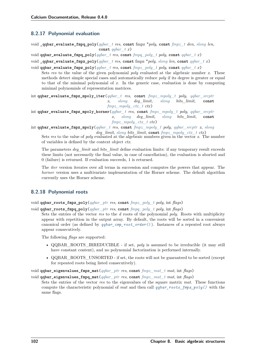# **8.2.17 Polynomial evaluation**

void **\_qqbar\_evaluate\_fmpq\_poly**(*[qqbar\\_t](#page-100-0) res*, **const** fmpz \**poly*, **const** *[fmpz\\_t](#page-23-2) den*, *[slong](#page-23-0) len*, **const** *[qqbar\\_t](#page-100-0) x*)

void **qqbar\_evaluate\_fmpq\_poly**(*[qqbar\\_t](#page-100-0) res*, **const** *[fmpq\\_poly\\_t](#page-23-6) poly*, **const** *[qqbar\\_t](#page-100-0) x*)

void **\_qqbar\_evaluate\_fmpz\_poly**(*[qqbar\\_t](#page-100-0) res*, **const** fmpz \**poly*, *[slong](#page-23-0) len*, **const** *[qqbar\\_t](#page-100-0) x*)

void **qqbar\_evaluate\_fmpz\_poly**(*[qqbar\\_t](#page-100-0) res*, **const** *[fmpz\\_poly\\_t](#page-23-9) poly*, **const** *[qqbar\\_t](#page-100-0) x*)

Sets *res* to the value of the given polynomial *poly* evaluated at the algebraic number *x*. These methods detect simple special cases and automatically reduce *poly* if its degree is greater or equal to that of the minimal polynomial of *x*. In the generic case, evaluation is done by computing minimal polynomials of representation matrices.

int **qqbar\_evaluate\_fmpz\_mpoly\_iter**(*[qqbar\\_t](#page-100-0) res*, **const** *[fmpz\\_mpoly\\_t](#page-23-5) poly*, *[qqbar\\_srcptr](#page-100-2) x*, *[slong](#page-23-0) deg\_limit*, *[slong](#page-23-0) bits\_limit*, **const** *[fmpz\\_mpoly\\_ctx\\_t](#page-23-4) ctx*)

int **qqbar\_evaluate\_fmpz\_mpoly\_horner**(*[qqbar\\_t](#page-100-0) res*, **const** *[fmpz\\_mpoly\\_t](#page-23-5) poly*, *[qqbar\\_srcptr](#page-100-2) x*, *[slong](#page-23-0) deg\_limit*, *[slong](#page-23-0) bits\_limit*, **const** *[fmpz\\_mpoly\\_ctx\\_t](#page-23-4) ctx*)

int **qqbar\_evaluate\_fmpz\_mpoly**(*[qqbar\\_t](#page-100-0) res*, **const** *[fmpz\\_mpoly\\_t](#page-23-5) poly*, *[qqbar\\_srcptr](#page-100-2) x*, *[slong](#page-23-0) deg\_limit*, *[slong](#page-23-0) bits\_limit*, **const** *[fmpz\\_mpoly\\_ctx\\_t](#page-23-4) ctx*)

Sets *res* to the value of *poly* evaluated at the algebraic numbers given in the vector *x*. The number of variables is defined by the context object *ctx*.

The parameters *deg\_limit* and *bits\_limit* define evaluation limits: if any temporary result exceeds these limits (not necessarily the final value, in case of cancellation), the evaluation is aborted and 0 (failure) is returned. If evaluation succeeds, 1 is returned.

The *iter* version iterates over all terms in succession and computes the powers that appear. The *horner* version uses a multivariate implementation of the Horner scheme. The default algorithm currently uses the Horner scheme.

# **8.2.18 Polynomial roots**

<span id="page-107-0"></span>void **qqbar\_roots\_fmpz\_poly**(*[qqbar\\_ptr](#page-100-1) res*, **const** *[fmpz\\_poly\\_t](#page-23-9) poly*, int *flags*)

void **qqbar\_roots\_fmpq\_poly**(*[qqbar\\_ptr](#page-100-1) res*, **const** *[fmpq\\_poly\\_t](#page-23-6) poly*, int *flags*)

Sets the entries of the vector *res* to the *d* roots of the polynomial *poly*. Roots with multiplicity appear with repetition in the output array. By default, the roots will be sorted in a convenient canonical order (as defined by *[qqbar\\_cmp\\_root\\_order\(\)](#page-103-0)* ). Instances of a repeated root always appear consecutively.

The following *flags* are supported:

- QQBAR\_ROOTS\_IRREDUCIBLE if set, *poly* is assumed to be irreducible (it may still have constant content), and no polynomial factorization is performed internally.
- QQBAR\_ROOTS\_UNSORTED if set, the roots will not be guaranteed to be sorted (except for repeated roots being listed consecutively).

void **qqbar\_eigenvalues\_fmpz\_mat**(*[qqbar\\_ptr](#page-100-1) res*, **const** *[fmpz\\_mat\\_t](#page-23-10) mat*, int *flags*)

void **qqbar\_eigenvalues\_fmpq\_mat**(*[qqbar\\_ptr](#page-100-1) res*, **const** *[fmpz\\_mat\\_t](#page-23-10) mat*, int *flags*)

Sets the entries of the vector *res* to the eigenvalues of the square matrix *mat*. These functions compute the characteristic polynomial of *mat* and then call *[qqbar\\_roots\\_fmpz\\_poly\(\)](#page-107-0)* with the same flags.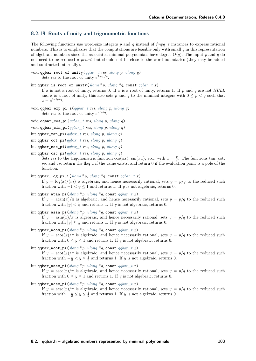# **8.2.19 Roots of unity and trigonometric functions**

The following functions use word-size integers *p* and *q* instead of *fmpq\_t* instances to express rational numbers. This is to emphasize that the computations are feasible only with small *q* in this representation of algebraic numbers since the associated minimal polynomials have degree  $O(q)$ . The input *p* and *q* do not need to be reduced *a priori*, but should not be close to the word boundaries (they may be added and subtracted internally).

```
void qqbar_root_of_unity(qqbar_t res, slong p, ulong q)
      Sets res to the root of unity e^{2\pi i p/q}.
```

```
int qqbar_is_root_of_unity(slong *p, ulong *q, const qqbar_t x)
```
If *x* is not a root of unity, returns 0. If *x* is a root of unity, returns 1. If *p* and *q* are not *NULL* and x is a root of unity, this also sets p and q to the minimal integers with  $0 \leq p < q$  such that  $x = e^{2\pi i p/q}.$ 

void **qqbar\_exp\_pi\_i**(*[qqbar\\_t](#page-100-0) res*, *[slong](#page-23-0) p*, *[ulong](#page-23-1) q*) Sets *res* to the root of unity  $e^{\pi i p/q}$ .

void **qqbar\_cos\_pi**(*[qqbar\\_t](#page-100-0) res*, *[slong](#page-23-0) p*, *[ulong](#page-23-1) q*)

void **qqbar\_sin\_pi**(*[qqbar\\_t](#page-100-0) res*, *[slong](#page-23-0) p*, *[ulong](#page-23-1) q*)

int **qqbar\_tan\_pi**(*[qqbar\\_t](#page-100-0) res*, *[slong](#page-23-0) p*, *[ulong](#page-23-1) q*)

- int **qqbar\_cot\_pi**(*[qqbar\\_t](#page-100-0) res*, *[slong](#page-23-0) p*, *[ulong](#page-23-1) q*)
- int **qqbar\_sec\_pi**(*[qqbar\\_t](#page-100-0) res*, *[slong](#page-23-0) p*, *[ulong](#page-23-1) q*)

```
int qqbar_csc_pi(qqbar_t res, slong p, ulong q)
```
Sets res to the trigonometric function  $\cos(\pi x)$ ,  $\sin(\pi x)$ , etc., with  $x = \frac{p}{q}$ . The functions tan, cot, sec and csc return the flag 1 if the value exists, and return 0 if the evaluation point is a pole of the function.

int **qqbar** log pi  $i$ (*[slong](#page-23-0)* \**p*, *[ulong](#page-23-1)* \**q*, const *qqbar t x*)

If  $y = \log(x)/(\pi i)$  is algebraic, and hence necessarily rational, sets  $y = p/q$  to the reduced such fraction with  $-1 < y < 1$  and returns 1. If *y* is not algebraic, returns 0.

int **qqbar\_atan\_pi**(*[slong](#page-23-0)* \**p*, *[ulong](#page-23-1)* \**q*, **const** *[qqbar\\_t](#page-100-0) x*) If  $y = \tan(x)/\pi$  is algebraic, and hence necessarily rational, sets  $y = p/q$  to the reduced such fraction with  $|y| < \frac{1}{2}$  and returns 1. If *y* is not algebraic, returns 0.

```
int qqbar_asin_pi(slong *p, ulong *q, const qqbar_t x)
      If y = \frac{\sin(x)}{\pi} is algebraic, and hence necessarily rational, sets y = p/q to the reduced such
      fraction with |y| \leq \frac{1}{2} and returns 1. If y is not algebraic, returns 0.
```
- int **qqbar\_acos\_pi**(*[slong](#page-23-0)* \**p*, *[ulong](#page-23-1)* \**q*, **const** *[qqbar\\_t](#page-100-0) x*) If  $y = \arccos(x)/\pi$  is algebraic, and hence necessarily rational, sets  $y = p/q$  to the reduced such fraction with  $0 \leq y \leq 1$  and returns 1. If *y* is not algebraic, returns 0.
- int **qqbar\_acot\_pi**(*[slong](#page-23-0)* \**p*, *[ulong](#page-23-1)* \**q*, **const** *[qqbar\\_t](#page-100-0) x*)

If  $y = \arctan(x)/\pi$  is algebraic, and hence necessarily rational, sets  $y = p/q$  to the reduced such fraction with  $-\frac{1}{2} < y \leq \frac{1}{2}$  and returns 1. If *y* is not algebraic, returns 0.

```
int qqbar_asec_pi(slong *p, ulong *q, const qqbar_t x)
```
If  $y = \text{asec}(x)/\pi$  is algebraic, and hence necessarily rational, sets  $y = p/q$  to the reduced such fraction with  $0 \le y \le 1$  and returns 1. If *y* is not algebraic, returns 0.

```
int qqbar acsc pislongulong } *q, \text{const } qqbar \text{ } t \text{ } x)If y = \arccos(x)/\pi is algebraic, and hence necessarily rational, sets y = p/q to the reduced such
       fraction with -\frac{1}{2} \leq y \leq \frac{1}{2} and returns 1. If y is not algebraic, returns 0.
```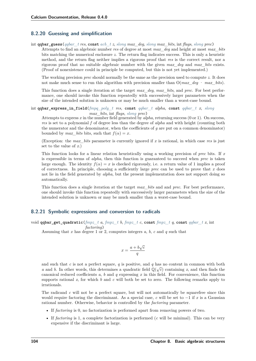# **8.2.20 Guessing and simplification**

int **qqbar\_guess**(*[qqbar\\_t](#page-100-0) res*, **const** *[acb\\_t](#page-23-2) z*, *[slong](#page-23-0) max\_deg*, *[slong](#page-23-0) max\_bits*, int *flags*, *[slong](#page-23-0) prec*)

Attempts to find an algebraic number *res* of degree at most *max\_deg* and height at most *max\_bits* bits matching the numerical enclosure *z*. The return flag indicates success. This is only a heuristic method, and the return flag neither implies a rigorous proof that *res* is the correct result, nor a rigorous proof that no suitable algebraic number with the given *max\_deg* and *max\_bits* exists. (Proof of nonexistence could in principle be computed, but this is not yet implemented.)

The working precision *prec* should normally be the same as the precision used to compute *z*. It does not make much sense to run this algorithm with precision smaller than O(*max\_deg* · *max\_bits*).

This function does a single iteration at the target *max\_deg*, *max\_bits*, and *prec*. For best performance, one should invoke this function repeatedly with successively larger parameters when the size of the intended solution is unknown or may be much smaller than a worst-case bound.

int **qqbar\_express\_in\_field**(*[fmpq\\_poly\\_t](#page-23-3) res*, **const** *[qqbar\\_t](#page-100-0) alpha*, **const** *[qqbar\\_t](#page-100-0) x*, *[slong](#page-23-0) max\_bits*, int *flags*, *[slong](#page-23-0) prec*)

Attempts to express *x* in the number field generated by *alpha*, returning success (0 or 1). On success, *res* is set to a polynomial *f* of degree less than the degree of *alpha* and with height (counting both the numerator and the denominator, when the coefficients of *g* are put on a common denominator) bounded by *max* bits, such that  $f(\alpha) = x$ .

(Exception: the *max\_bits* parameter is currently ignored if *x* is rational, in which case *res* is just set to the value of *x*.)

This function looks for a linear relation heuristically using a working precision of *prec* bits. If *x* is expressible in terms of *alpha*, then this function is guaranteed to succeed when *prec* is taken large enough. The identity  $f(x) = x$  is checked rigorously, i.e. a return value of 1 implies a proof of correctness. In principle, choosing a sufficiently large *prec* can be used to prove that *x* does not lie in the field generated by *alpha*, but the present implementation does not support doing so automatically.

This function does a single iteration at the target *max\_bits* and and *prec*. For best performance, one should invoke this function repeatedly with successively larger parameters when the size of the intended solution is unknown or may be much smaller than a worst-case bound.

### **8.2.21 Symbolic expressions and conversion to radicals**

void **qqbar\_get\_quadratic**(*[fmpz\\_t](#page-23-4) a*, *[fmpz\\_t](#page-23-4) b*, *[fmpz\\_t](#page-23-4) c*, **const** *[fmpz\\_t](#page-23-4) q*, **const** *[qqbar\\_t](#page-100-0) x*, int *factoring*)

Assuming that *x* has degree 1 or 2, computes integers *a*, *b*, *c* and *q* such that

$$
x = \frac{a + b\sqrt{c}}{q}
$$

and such that *c* is not a perfect square, *q* is positive, and *q* has no content in common with both *a* and *b*. In other words, this determines a quadratic field  $\mathbb{Q}(\sqrt{c})$  containing *x*, and then finds the canonical reduced coefficients *a*, *b* and *q* expressing *x* in this field. For convenience, this function supports rational  $x$ , for which  $b$  and  $c$  will both be set to zero. The following remarks apply to irrationals.

The radicand *c* will not be a perfect square, but will not automatically be squarefree since this would require factoring the discriminant. As a special case, *c* will be set to −1 if *x* is a Gaussian rational number. Otherwise, behavior is controlled by the *factoring* parameter.

- If *factoring* is 0, no factorization is performed apart from removing powers of two.
- If *factoring* is 1, a complete factorization is performed (*c* will be minimal). This can be very expensive if the discriminant is large.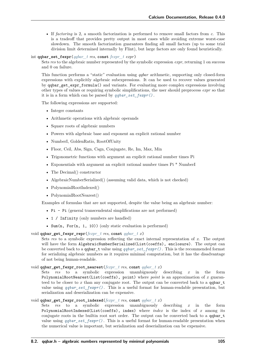• If *factoring* is 2, a smooth factorization is performed to remove small factors from *c*. This is a tradeoff that provides pretty output in most cases while avoiding extreme worst-case slowdown. The smooth factorization guarantees finding all small factors (up to some trial division limit determined internally by Flint), but large factors are only found heuristically.

<span id="page-110-0"></span>int **qqbar\_set\_fexpr**(*[qqbar\\_t](#page-100-0) res*, **const** *[fexpr\\_t](#page-71-0) expr*)

Sets *res* to the algebraic number represented by the symbolic expression *expr*, returning 1 on success and 0 on failure.

This function performs a "static" evaluation using *qqbar* arithmetic, supporting only closed-form expressions with explicitly algebraic subexpressions. It can be used to recover values generated by qqbar\_get\_expr\_formula() and variants. For evaluating more complex expressions involving other types of values or requiring symbolic simplifications, the user should preprocess *expr* so that it is in a form which can be parsed by *[qqbar\\_set\\_fexpr\(\)](#page-110-0)* .

The following expressions are supported:

- Integer constants
- Arithmetic operations with algebraic operands
- Square roots of algebraic numbers
- Powers with algebraic base and exponent an explicit rational number
- NumberI, GoldenRatio, RootOfUnity
- Floor, Ceil, Abs, Sign, Csgn, Conjugate, Re, Im, Max, Min
- Trigonometric functions with argument an explicit rational number times Pi
- Exponentials with argument an explicit rational number times Pi \* NumberI
- The Decimal() constructor
- AlgebraicNumberSerialized() (assuming valid data, which is not checked)
- PolynomialRootIndexed()
- PolynomialRootNearest()

Examples of formulas that are not supported, despite the value being an algebraic number:

- Pi Pi (general transcendental simplifications are not performed)
- 1 / Infinity (only numbers are handled)
- Sum(n, For(n, 1, 10)) (only static evaluation is performed)

void **qqbar\_get\_fexpr\_repr**(*[fexpr\\_t](#page-71-0) res*, **const** *[qqbar\\_t](#page-100-0) x*)

Sets *res* to a symbolic expression reflecting the exact internal representation of *x*. The output will have the form AlgebraicNumberSerialized(List(coeffs), enclosure). The output can be converted back to a qqbar\_t value using *[qqbar\\_set\\_fexpr\(\)](#page-110-0)* . This is the recommended format for serializing algebraic numbers as it requires minimal computation, but it has the disadvantage of not being human-readable.

### void **qqbar\_get\_fexpr\_root\_nearest**(*[fexpr\\_t](#page-71-0) res*, **const** *[qqbar\\_t](#page-100-0) x*)

Sets *res* to a symbolic expression unambiguously describing *x* in the form PolynomialRootNearest(List(coeffs), point) where *point* is an approximation of *x* guaranteed to be closer to  $x$  than any conjugate root. The output can be converted back to a qqbar\_t value using *[qqbar\\_set\\_fexpr\(\)](#page-110-0)* . This is a useful format for human-readable presentation, but serialization and deserialization can be expensive.

### void **qqbar\_get\_fexpr\_root\_indexed**(*[fexpr\\_t](#page-71-0) res*, **const** *[qqbar\\_t](#page-100-0) x*)

<span id="page-110-1"></span>Sets *res* to a symbolic expression unambiguously describing *x* in the form PolynomialRootIndexed(List(coeffs), index) where *index* is the index of *x* among its conjugate roots in the builtin root sort order. The output can be converted back to a qqbar\_t value using *[qqbar\\_set\\_fexpr\(\)](#page-110-0)* . This is a useful format for human-readable presentation when the numerical value is important, but serialization and deserialization can be expensive.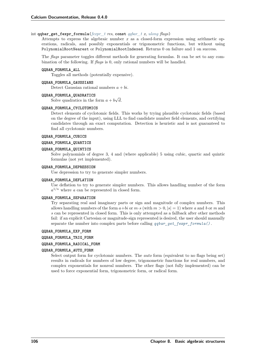### int **qqbar\_get\_fexpr\_formula**(*[fexpr\\_t](#page-71-0) res*, **const** *[qqbar\\_t](#page-100-0) x*, *[ulong](#page-23-1) flags*)

Attempts to express the algebraic number *x* as a closed-form expression using arithmetic operations, radicals, and possibly exponentials or trigonometric functions, but without using PolynomialRootNearest or PolynomialRootIndexed. Returns 0 on failure and 1 on success.

The *flags* parameter toggles different methods for generating formulas. It can be set to any combination of the following. If *flags* is 0, only rational numbers will be handled.

#### **QQBAR\_FORMULA\_ALL**

Toggles all methods (potentially expensive).

### **QQBAR\_FORMULA\_GAUSSIANS**

Detect Gaussian rational numbers  $a + bi$ .

#### **QQBAR\_FORMULA\_QUADRATICS**

Solve quadratics in the form  $a + b$ √  $\overline{d}$ .

#### **QQBAR\_FORMULA\_CYCLOTOMICS**

Detect elements of cyclotomic fields. This works by trying plausible cyclotomic fields (based on the degree of the input), using LLL to find candidate number field elements, and certifying candidates through an exact computation. Detection is heuristic and is not guaranteed to find all cyclotomic numbers.

### **QQBAR\_FORMULA\_CUBICS**

### **QQBAR\_FORMULA\_QUARTICS**

### **QQBAR\_FORMULA\_QUINTICS**

Solve polynomials of degree 3, 4 and (where applicable) 5 using cubic, quartic and quintic formulas (not yet implemented).

#### **QQBAR\_FORMULA\_DEPRESSION**

Use depression to try to generate simpler numbers.

#### **QQBAR\_FORMULA\_DEFLATION**

Use deflation to try to generate simpler numbers. This allows handling number of the form  $a^{1/n}$  where *a* can be represented in closed form.

### **QQBAR\_FORMULA\_SEPARATION**

Try separating real and imaginary parts or sign and magnitude of complex numbers. This allows handling numbers of the form  $a+bi$  or  $m \cdot s$  (with  $m > 0, |s| = 1$ ) where a and b or m and *s* can be represented in closed form. This is only attempted as a fallback after other methods fail: if an explicit Cartesian or magnitude-sign represented is desired, the user should manually separate the number into complex parts before calling *[qqbar\\_get\\_fexpr\\_formula\(\)](#page-110-1)* .

#### **QQBAR\_FORMULA\_EXP\_FORM**

### **QQBAR\_FORMULA\_TRIG\_FORM**

#### **QQBAR\_FORMULA\_RADICAL\_FORM**

#### **QQBAR\_FORMULA\_AUTO\_FORM**

Select output form for cyclotomic numbers. The *auto* form (equivalent to no flags being set) results in radicals for numbers of low degree, trigonometric functions for real numbers, and complex exponentials for nonreal numbers. The other flags (not fully implemented) can be used to force exponential form, trigonometric form, or radical form.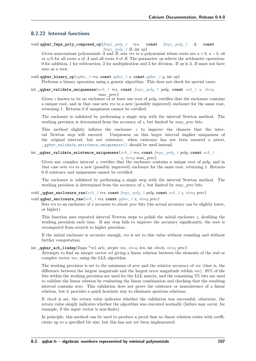# **8.2.22 Internal functions**

void **qqbar\_fmpz\_poly\_composed\_op**(*[fmpz\\_poly\\_t](#page-23-5) res*, **const** *[fmpz\\_poly\\_t](#page-23-5) A*, **const** *fmpz poly t B*, int *op*)

Given nonconstant polynomials  $\overrightarrow{A}$  and  $\overrightarrow{B}$ , sets *res* to a polynomial whose roots are  $a + b$ ,  $a - b$ ,  $ab$ or */* for all roots *a* of *A* and all roots *b* of *B*. The parameter *op* selects the arithmetic operation: 0 for addition, 1 for subtraction, 2 for multiplication and 3 for division. If *op* is 3, *B* must not have zero as a root.

void **qqbar\_binary\_op**(*[qqbar\\_t](#page-100-0) res*, **const** *[qqbar\\_t](#page-100-0) x*, **const** *[qqbar\\_t](#page-100-0) y*, int *op*)

Performs a binary operation using a generic algorithm. This does not check for special cases.

int **\_qqbar\_validate\_uniqueness**(*[acb\\_t](#page-23-2) res*, **const** *[fmpz\\_poly\\_t](#page-23-5) poly*, **const** *[acb\\_t](#page-23-2) z*, *[slong](#page-23-0) max\_prec*)

Given *z* known to be an enclosure of at least one root of *poly*, certifies that the enclosure contains a unique root, and in that case sets *res* to a new (possibly improved) enclosure for the same root, returning 1. Returns 0 if uniqueness cannot be certified.

The enclosure is validated by performing a single step with the interval Newton method. The working precision is determined from the accuracy of *z*, but limited by *max\_prec* bits.

This method slightly inflates the enclosure *z* to improve the chances that the interval Newton step will succeed. Uniqueness on this larger interval implies uniqueness of the original interval, but not existence; when existence has not been ensured a priori, *[\\_qqbar\\_validate\\_existence\\_uniqueness\(\)](#page-112-0)* should be used instead.

### <span id="page-112-0"></span>int **\_qqbar\_validate\_existence\_uniqueness**(*[acb\\_t](#page-23-2) res*, **const** *[fmpz\\_poly\\_t](#page-23-5) poly*, **const** *[acb\\_t](#page-23-2)*

*z*, *[slong](#page-23-0) max\_prec*)

Given any complex interval *z*, certifies that the enclosure contains a unique root of *poly*, and in that case sets *res* to a new (possibly improved) enclosure for the same root, returning 1. Returns 0 if existence and uniqueness cannot be certified.

The enclosure is validated by performing a single step with the interval Newton method. The working precision is determined from the accuracy of *z*, but limited by *max\_prec* bits.

#### void **\_qqbar\_enclosure\_raw**(*[acb\\_t](#page-23-2) res*, **const** *[fmpz\\_poly\\_t](#page-23-5) poly*, **const** *[acb\\_t](#page-23-2) z*, *[slong](#page-23-0) prec*)

# void **qqbar\_enclosure\_raw**(*[acb\\_t](#page-23-2) res*, **const** *[qqbar\\_t](#page-100-0) x*, *[slong](#page-23-0) prec*)

Sets *res* to an enclosure of *x* accurate to about *prec* bits (the actual accuracy can be slightly lower, or higher).

This function uses repeated interval Newton steps to polish the initial enclosure *z*, doubling the working precision each time. If any step fails to improve the accuracy significantly, the root is recomputed from scratch to higher precision.

If the initial enclosure is accurate enough, *res* is set to this value without rounding and without further computation.

#### int **\_qqbar\_acb\_lindep**(fmpz \**rel*, acb\_srcptr *vec*, *[slong](#page-23-0) len*, int *check*, *[slong](#page-23-0) prec*)

Attempts to find an integer vector *rel* giving a linear relation between the elements of the real or complex vector *vec*, using the LLL algorithm.

The working precision is set to the minimum of *prec* and the relative accuracy of *vec* (that is, the difference between the largest magnitude and the largest error magnitude within *vec*). 95% of the bits within the working precision are used for the LLL matrix, and the remaining 5% bits are used to validate the linear relation by evaluating the linear combination and checking that the resulting interval contains zero. This validation does not prove the existence or nonexistence of a linear relation, but it provides a quick heuristic way to eliminate spurious relations.

If *check* is set, the return value indicates whether the validation was successful; otherwise, the return value simply indicates whether the algorithm was executed normally (failure may occur, for example, if the input vector is non-finite).

In principle, this method can be used to produce a proof that no linear relation exists with coefficients up to a specified bit size, but this has not yet been implemented.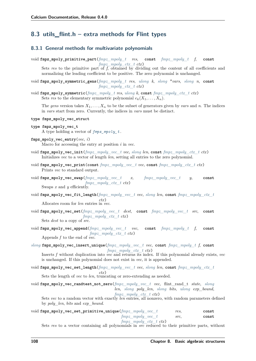# **8.3 utils\_flint.h – extra methods for Flint types**

# **8.3.1 General methods for multivariate polynomials**

void **fmpz\_mpoly\_primitive\_part**(*[fmpz\\_mpoly\\_t](#page-23-6) res*, **const** *[fmpz\\_mpoly\\_t](#page-23-6) f*, **const** *[fmpz\\_mpoly\\_ctx\\_t](#page-23-7) ctx*) Sets res to the primitive part of  $\overline{f}$ , obtained by dividing out the content of all coefficients and

normalizing the leading coefficient to be positive. The zero polynomial is unchanged.

void **fmpz\_mpoly\_symmetric\_gens**(*[fmpz\\_mpoly\\_t](#page-23-6) res*, *[ulong](#page-23-1) k*, *[slong](#page-23-0)* \**vars*, *[slong](#page-23-0) n*, **const** *[fmpz\\_mpoly\\_ctx\\_t](#page-23-7) ctx*)

void **fmpz\_mpoly\_symmetric**(*[fmpz\\_mpoly\\_t](#page-23-6) res*, *[ulong](#page-23-1) k*, **const** *[fmpz\\_mpoly\\_ctx\\_t](#page-23-7) ctx*) Sets *res* to the elementary symmetric polynomial  $e_k(X_1, \ldots, X_n)$ .

The gens version takes  $X_1, \ldots, X_n$  to be the subset of generators given by vars and *n*. The indices in *vars* start from zero. Currently, the indices in *vars* must be distinct.

- <span id="page-113-0"></span>**type fmpz\_mpoly\_vec\_struct**
- **type fmpz\_mpoly\_vec\_t** A type holding a vector of *[fmpz\\_mpoly\\_t](#page-23-6)* .

- void **fmpz\_mpoly\_vec\_init**(*[fmpz\\_mpoly\\_vec\\_t](#page-113-0) vec*, *[slong](#page-23-0) len*, **const** *[fmpz\\_mpoly\\_ctx\\_t](#page-23-7) ctx*) Initializes *vec* to a vector of length *len*, setting all entries to the zero polynomial.
- void **fmpz\_mpoly\_vec\_print**(**const** *[fmpz\\_mpoly\\_vec\\_t](#page-113-0) vec*, **const** *[fmpz\\_mpoly\\_ctx\\_t](#page-23-7) ctx*) Prints *vec* to standard output.
- void **fmpz\_mpoly\_vec\_swap**(*[fmpz\\_mpoly\\_vec\\_t](#page-113-0) x*, *[fmpz\\_mpoly\\_vec\\_t](#page-113-0) y*, **const** *[fmpz\\_mpoly\\_ctx\\_t](#page-23-7) ctx*) Swaps *x* and *y* efficiently.
- void **fmpz\_mpoly\_vec\_fit\_length**(*[fmpz\\_mpoly\\_vec\\_t](#page-113-0) vec*, *[slong](#page-23-0) len*, **const** *[fmpz\\_mpoly\\_ctx\\_t](#page-23-7) ctx*)

Allocates room for *len* entries in *vec*.

- void **fmpz\_mpoly\_vec\_set**(*[fmpz\\_mpoly\\_vec\\_t](#page-113-0) dest*, **const** *[fmpz\\_mpoly\\_vec\\_t](#page-113-0) src*, **const** *[fmpz\\_mpoly\\_ctx\\_t](#page-23-7) ctx*) Sets *dest* to a copy of *src*.
- void **fmpz\_mpoly\_vec\_append**(*[fmpz\\_mpoly\\_vec\\_t](#page-113-0) vec*, **const** *[fmpz\\_mpoly\\_t](#page-23-6) f*, **const** *[fmpz\\_mpoly\\_ctx\\_t](#page-23-7) ctx*) Appends *f* to the end of *vec*.
- *[slong](#page-23-0)* **fmpz\_mpoly\_vec\_insert\_unique**(*[fmpz\\_mpoly\\_vec\\_t](#page-113-0) vec*, **const** *[fmpz\\_mpoly\\_t](#page-23-6) f*, **const** *[fmpz\\_mpoly\\_ctx\\_t](#page-23-7) ctx*)

Inserts *f* without duplication into *vec* and returns its index. If this polynomial already exists, *vec* is unchanged. If this polynomial does not exist in *vec*, it is appended.

void **fmpz\_mpoly\_vec\_set\_length**(*[fmpz\\_mpoly\\_vec\\_t](#page-113-0) vec*, *[slong](#page-23-0) len*, **const** *[fmpz\\_mpoly\\_ctx\\_t](#page-23-7) ctx*)

Sets the length of *vec* to *len*, truncating or zero-extending as needed.

void **fmpz\_mpoly\_vec\_randtest\_not\_zero**(*[fmpz\\_mpoly\\_vec\\_t](#page-113-0) vec*, flint\_rand\_t *state*, *[slong](#page-23-0) len*, *[slong](#page-23-0) poly\_len*, *[slong](#page-23-0) bits*, *[ulong](#page-23-1) exp\_bound*, *[fmpz\\_mpoly\\_ctx\\_t](#page-23-7) ctx*)

Sets *vec* to a random vector with exactly *len* entries, all nonzero, with random parameters defined by *poly\_len*, *bits* and *exp\_bound*.

void **fmpz\_mpoly\_vec\_set\_primitive\_unique**(*[fmpz\\_mpoly\\_vec\\_t](#page-113-0) res*, **const** *[fmpz\\_mpoly\\_vec\\_t](#page-113-0) src*, **const** *[fmpz\\_mpoly\\_ctx\\_t](#page-23-7) ctx*)

Sets *res* to a vector containing all polynomials in *src* reduced to their primitive parts, without

fmpz mpoly vec entry  $(vec, i)$ Macro for accessing the entry at position *i* in *vec*.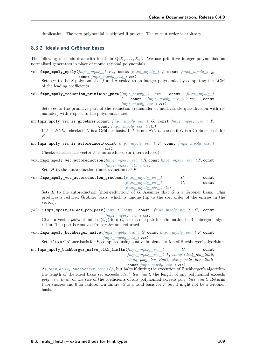duplication. The zero polynomial is skipped if present. The output order is arbitrary.

### **8.3.2 Ideals and Gröbner bases**

The following methods deal with ideals in  $\mathbb{Q}[X_1, \ldots, X_n]$ . We use primitive integer polynomials as normalised generators in place of monic rational polynomials.

void **fmpz\_mpoly\_spoly**(*[fmpz\\_mpoly\\_t](#page-23-6) res*, **const** *[fmpz\\_mpoly\\_t](#page-23-6) f*, **const** *[fmpz\\_mpoly\\_t](#page-23-6) g*, **const** *[fmpz\\_mpoly\\_ctx\\_t](#page-23-7) ctx*)

Sets res to the *S*-polynomial of  $f$  and  $\overline{g}$ , scaled to an integer polynomial by computing the LCM of the leading coefficients.

void **fmpz\_mpoly\_reduction\_primitive\_part**(*[fmpz\\_mpoly\\_t](#page-23-6) res*, **const** *[fmpz\\_mpoly\\_t](#page-23-6) f*, **const** *[fmpz\\_mpoly\\_vec\\_t](#page-113-0) vec*, **const** *[fmpz\\_mpoly\\_ctx\\_t](#page-23-7) ctx*)

Sets *res* to the primitive part of the reduction (remainder of multivariate quasidivision with remainder) with respect to the polynomials *vec*.

int **fmpz\_mpoly\_vec\_is\_groebner**(**const** *[fmpz\\_mpoly\\_vec\\_t](#page-113-0) G*, **const** *[fmpz\\_mpoly\\_vec\\_t](#page-113-0) F*, **const** *[fmpz\\_mpoly\\_ctx\\_t](#page-23-7) ctx*)

If *F* is *NULL*, checks if *G* is a Gröbner basis. If *F* is not *NULL*, checks if *G* is a Gröbner basis for *F*.

int **fmpz\_mpoly\_vec\_is\_autoreduced**(**const** *[fmpz\\_mpoly\\_vec\\_t](#page-113-0) F*, **const** *[fmpz\\_mpoly\\_ctx\\_t](#page-23-7) ctx*)

Checks whether the vector *F* is autoreduced (or inter-reduced).

void **fmpz\_mpoly\_vec\_autoreduction**(*[fmpz\\_mpoly\\_vec\\_t](#page-113-0) H*, **const** *[fmpz\\_mpoly\\_vec\\_t](#page-113-0) F*, **const** *[fmpz\\_mpoly\\_ctx\\_t](#page-23-7) ctx*)

Sets *H* to the autoreduction (inter-reduction) of *F*.

void **fmpz\_mpoly\_vec\_autoreduction\_groebner**(*[fmpz\\_mpoly\\_vec\\_t](#page-113-0) H*, **const** *[fmpz\\_mpoly\\_vec\\_t](#page-113-0) G*, **const** *[fmpz\\_mpoly\\_ctx\\_t](#page-23-7) ctx*)

Sets *H* to the autoreduction (inter-reduction) of *G*. Assumes that *G* is a Gröbner basis. This produces a reduced Gröbner basis, which is unique (up to the sort order of the entries in the vector).

*[pair\\_t](#page-115-0)* **fmpz\_mpoly\_select\_pop\_pair**(*[pairs\\_t](#page-115-1) pairs*, **const** *[fmpz\\_mpoly\\_vec\\_t](#page-113-0) G*, **const** *[fmpz\\_mpoly\\_ctx\\_t](#page-23-7) ctx*)

Given a vector *pairs* of indices  $(i, j)$  into  $G$ , selects one pair for elimination in Buchberger's algorithm. The pair is removed from *pairs* and returned.

<span id="page-114-0"></span>void **fmpz\_mpoly\_buchberger\_naive**(*[fmpz\\_mpoly\\_vec\\_t](#page-113-0) G*, **const** *[fmpz\\_mpoly\\_vec\\_t](#page-113-0) F*, **const** *[fmpz\\_mpoly\\_ctx\\_t](#page-23-7) ctx*)

Sets *G* to a Gröbner basis for *F*, computed using a naive implementation of Buchberger's algorithm.

int **fmpz\_mpoly\_buchberger\_naive\_with\_limits**(*[fmpz\\_mpoly\\_vec\\_t](#page-113-0) G*, **const** *[fmpz\\_mpoly\\_vec\\_t](#page-113-0) F*, *[slong](#page-23-0) ideal\_len\_limit*, *[slong](#page-23-0) poly\_len\_limit*, *[slong](#page-23-0) poly\_bits\_limit*, **const** *[fmpz\\_mpoly\\_ctx\\_t](#page-23-7) ctx*)

As *[fmpz\\_mpoly\\_buchberger\\_naive\(\)](#page-114-0)* , but halts if during the execution of Buchberger's algorithm the length of the ideal basis set exceeds *ideal\_len\_limit*, the length of any polynomial exceeds *poly\_len\_limit*, or the size of the coefficients of any polynomial exceeds *poly\_bits\_limit*. Returns 1 for success and 0 for failure. On failure, *G* is a valid basis for *F* but it might not be a Gröbner basis.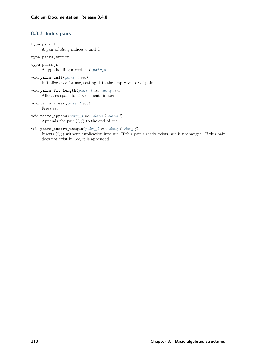# **8.3.3 Index pairs**

- <span id="page-115-1"></span><span id="page-115-0"></span>**type pair\_t** A pair of *slong* indices *a* and *b*. **type pairs\_struct type pairs\_t** A type holding a vector of *[pair\\_t](#page-115-0)* . void **pairs\_init**(*[pairs\\_t](#page-115-1) vec*) Initializes *vec* for use, setting it to the empty vector of pairs. void **pairs\_fit\_length**(*[pairs\\_t](#page-115-1) vec*, *[slong](#page-23-0) len*) Allocates space for *len* elements in *vec*. void **pairs\_clear**(*[pairs\\_t](#page-115-1) vec*) Frees *vec*. void **pairs\_append**(*[pairs\\_t](#page-115-1) vec*, *[slong](#page-23-0) i*, *[slong](#page-23-0) j*) Appends the pair  $(i, j)$  to the end of *vec*.
- void **pairs\_insert\_unique**(*[pairs\\_t](#page-115-1) vec*, *[slong](#page-23-0) i*, *[slong](#page-23-0) j*) Inserts  $(i, j)$  without duplication into *vec*. If this pair already exists, *vec* is unchanged. If this pair does not exist in *vec*, it is appended.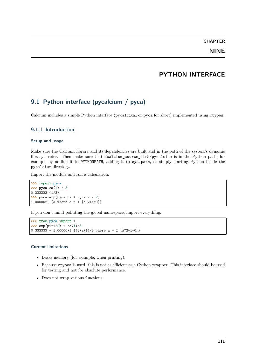# **PYTHON INTERFACE**

# **9.1 Python interface (pycalcium / pyca)**

Calcium includes a simple Python interface (pycalcium, or pyca for short) implemented using ctypes.

# **9.1.1 Introduction**

### **Setup and usage**

Make sure the Calcium library and its dependencies are built and in the path of the system's dynamic library loader. Then make sure that <calcium\_source\_dir>/pycalcium is in the Python path, for example by adding it to PYTHONPATH, adding it to sys.path, or simply starting Python inside the pycalcium directory.

Import the module and run a calculation:

```
>>> import pyca
>>> pyca.ca(1) / 3
0.333333 {1/3}
>>> pyca.exp(pyca.pi * pyca.i / 2)
1.00000*I {a where a = I [a^2+1=0]}
```
If you don't mind polluting the global namespace, import everything:

```
>>> from pyca import *
>>> exp(pi*i/2) + ca(1)/3
0.333333 + 1.00000*I \{(3*a+1)/3 where a = I [a^2+1=0]\}
```
#### **Current limitations**

- Leaks memory (for example, when printing).
- Because ctypes is used, this is not as efficient as a Cython wrapper. This interface should be used for testing and not for absolute performance.
- Does not wrap various functions.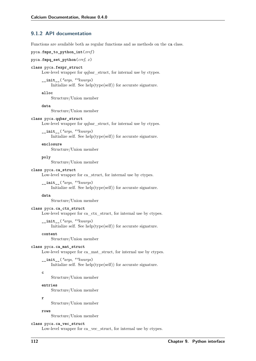# **9.1.2 API documentation**

Functions are available both as regular functions and as methods on the ca class.

```
pyca.fmpz_to_python_int(xref )
```

```
pyca.fmpq_set_python(cref, x)
```
#### **class** pyca.**fexpr\_struct**

Low-level wrapper for qqbar\_struct, for internal use by ctypes.

**\_\_init\_\_**(*\*args*, *\*\*kwargs*)

Initialize self. See help(type(self)) for accurate signature.

**alloc**

Structure/Union member

**data**

Structure/Union member

#### **class** pyca.**qqbar\_struct**

Low-level wrapper for qqbar\_struct, for internal use by ctypes.

### **\_\_init\_\_**(*\*args*, *\*\*kwargs*) Initialize self. See help(type(self)) for accurate signature.

#### **enclosure**

Structure/Union member

**poly**

Structure/Union member

#### **class** pyca.**ca\_struct**

Low-level wrapper for ca\_struct, for internal use by ctypes.

**\_\_init\_\_**(*\*args*, *\*\*kwargs*) Initialize self. See help(type(self)) for accurate signature.

#### **data**

Structure/Union member

#### **class** pyca.**ca\_ctx\_struct**

Low-level wrapper for ca\_ctx\_struct, for internal use by ctypes.

**\_\_init\_\_**(*\*args*, *\*\*kwargs*)

Initialize self. See help(type(self)) for accurate signature.

### **content**

Structure/Union member

### **class** pyca.**ca\_mat\_struct**

Low-level wrapper for ca\_mat\_struct, for internal use by ctypes.

**\_\_init\_\_**(*\*args*, *\*\*kwargs*)

Initialize self. See help(type(self)) for accurate signature.

#### **c**

Structure/Union member

### **entries**

Structure/Union member

#### **r**

Structure/Union member

#### **rows**

Structure/Union member

**class** pyca.**ca\_vec\_struct**

Low-level wrapper for ca\_vec\_struct, for internal use by ctypes.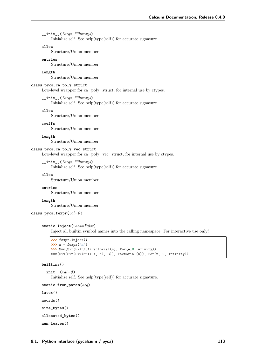**\_\_init\_\_**(*\*args*, *\*\*kwargs*)

Initialize self. See help(type(self)) for accurate signature.

#### **alloc**

Structure/Union member

### **entries**

Structure/Union member

#### **length**

Structure/Union member

#### **class** pyca.**ca\_poly\_struct**

Low-level wrapper for ca\_poly\_struct, for internal use by ctypes.

**\_\_init\_\_**(*\*args*, *\*\*kwargs*)

Initialize self. See help(type(self)) for accurate signature.

**alloc**

Structure/Union member

**coeffs**

Structure/Union member

**length**

Structure/Union member

### **class** pyca.**ca\_poly\_vec\_struct**

Low-level wrapper for ca\_poly\_vec\_struct, for internal use by ctypes.

```
__init__(*args, **kwargs)
```
Initialize self. See help(type(self)) for accurate signature.

**alloc**

Structure/Union member

### **entries**

Structure/Union member

### **length**

Structure/Union member

## **class** pyca.**fexpr**(*val=0* )

#### **static inject**(*vars=False*)

Inject all builtin symbol names into the calling namespace. For interactive use only!

```
>>> fexpr.inject()
>>> n = fexpr("n")
>>> Sum(Sin(Pi*n/3)/Factorial(n), For(n,0,Infinity))
Sum(Div(Sin(Div(Mul(Pi, n), 3)), Factorial(n)), For(n, 0, Infinity))
```
### **builtins**()

**\_\_init\_\_**(*val=0* ) Initialize self. See help(type(self)) for accurate signature.

**static from\_param**(*arg*)

**latex**()

**nwords**()

**size\_bytes**()

**allocated\_bytes**()

**num\_leaves**()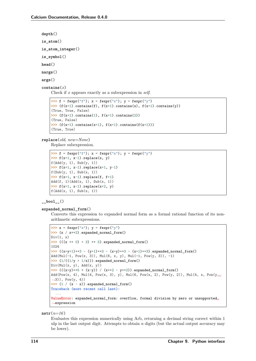```
depth()
is_atom()
is_atom_integer()
is_symbol()
head()
nargs()
args()
contains(x)
    Check if x appears exactly as a subexpression in self.
     >>> f = fexpr("f"); x = fexpr("x"); y = fexpr("y")>>> (f(x+1).contains(f), f(x+1).contains(x), f(x+1).contains(y))
     (True, True, False)
```

```
\rightarrow (f(x+1).contains(1), f(x+1).contains(2))
(True, False)
>>> (f(x+1).contains(x+1), f(x+1).contains(f(x+1)))(True, True)
```
**replace**(*old*, *new=None*)

Replace subexpression.

```
>>> f = f \exp(r^{\pi} \cdot f); x = f \exp(r^{\pi} \cdot x); y = f \exp(r^{\pi} \cdot y)>>> f(x+1, x-1).replace(x, y)
f(\text{Add}(y, 1), \text{Sub}(y, 1))\Rightarrow f(x+1, x-1).replace(x+1, y-1)
f(Sub(y, 1), Sub(x, 1))>>> f(x+1, x-1).replace(f, f+1)
Add(f, 1)(Add(x, 1), Sub(x, 1))\Rightarrow f(x+1, x-1).replace(x+2, y)
f(\text{Add}(x, 1), \text{Sub}(x, 1))
```
**\_\_bool\_\_**()

### **expanded\_normal\_form**()

Converts this expression to expanded normal form as a formal rational function of its nonarithmetic subexpressions.

```
\Rightarrow x = fexpr("x"); y = f(xyr)^{n}>>> (x / x**2).expanded_normal_form()
Div(1, x)\Rightarrow ((x * * 0) + 3) * * 5).expanded_normal_form()
1024
>>> ((x+y+1)*3 - (y+1)*3 - (x+y)*3 - (x+1)*3).expanded_normal_form()
Add(Mul(-1, Pow(x, 3)), Mul(6, x, y), Mul(-1, Pow(y, 3)), -1)
\Rightarrow (1/((1/y + 1/x))).expanded_normal_form()
Div(Mul(x, y), Add(x, y))>>> (((x+y)**5 * (x-y)) / (x**2 - y**2)).expanded_normal_form()
Add(Pow(x, 4), Mul(4, Pow(x, 3), y), Mul(6, Pow(x, 2), Pow(y, 2)), Mul(4, x, Pow(y,˓→3)), Pow(y, 4))
\Rightarrow (1 / (x - x)).expanded_normal_form()
Traceback (most recent call last):
  ...
ValueError: expanded_normal_form: overflow, formal division by zero or unsupported<sub>i</sub>
˓→expression
```

```
nstr(n=16 )
```
Evaluates this expression numerically using Arb, returning a decimal string correct within 1 ulp in the last output digit. Attempts to obtain *n* digits (but the actual output accuracy may be lower).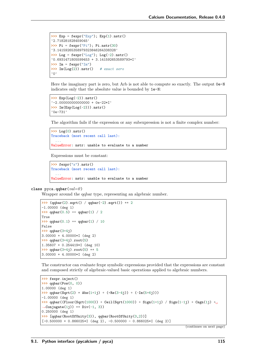```
\Rightarrow Exp = fexpr("Exp"); Exp(1).nstr()
'2.718281828459045'
>>> Pi = fexpr("Pi"); Pi.nstr(30)
'3.14159265358979323846264338328'
>>> Log = fexpr("Log"); Log(-2).nstr()
'0.6931471805599453 + 3.141592653589793*I'
>>> Im = fexpr("Im")
>>> Im(Log(2)).nstr() # exact zero
'0'
```
Here the imaginary part is zero, but Arb is not able to compute so exactly. The output  $0e-N$ indicates only that the absolute value is bounded by 1e-N:

```
>>> Exp(Log(-2)).nstr()
'-2.000000000000000 + 0e-22*I'
>>> Im(Exp(Log(-2))).nstr()
'0e-731'
```
The algorithm fails if the expression or any subexpression is not a finite complex number:

```
>>> Log(0).nstr()
Traceback (most recent call last):
  ...
ValueError: nstr: unable to evaluate to a number
```
Expressions must be constant:

```
>>> fexpr("x").nstr()
Traceback (most recent call last):
  ...
ValueError: nstr: unable to evaluate to a number
```
**class** pyca.**qqbar**(*val=0* )

Wrapper around the qqbar type, representing an algebraic number.

```
>>> (qqbar(2).sqrt() / qqbar(-2).sqrt()) ** 2
-1.00000 (deg 1)
\Rightarrow 2 qqbar(0.5) == qqbar(1) / 2
True
>>> q\bar{q} qq\bar{q} == q\bar{q} q\bar{q} (1) / 10
False
>>> qqbar(3+4j)
3.00000 + 4.00000*I (deg 2)
>>> qqbar(3+4j).root(5)
1.35607 + 0.254419*I (deg 10)
>>> qqbar(3+4j).root(5) ** 5
3.00000 + 4.00000*I (deg 2)
```
The constructor can evaluate fexpr symbolic expressions provided that the expressions are constant and composed strictly of algebraic-valued basic operations applied to algebraic numbers.

```
>>> fexpr.inject()
>>> qqbar(Pow(0, 0))
1.00000 (deg 1)
>>> qqbar(Sqrt(2) * Abs(1+1j) + (+Re(3-4j)) + (-Im(5+6j)))
-1.00000 (deg 1)
>>> qqbar((Floor(Sqrt(1000)) + Ceil(Sqrt(1000)) + Sign(1+1j) / Sign(1-1j) + Csgn(1j) +␣
˓→Conjugate(1j)) ** Div(-1, 3))
0.250000 (deg 1)
>>> [qqbar(RootOfUnity(3)), qqbar(RootOfUnity(3,2))]
[-0.500000 + 0.866025*I (deg 2), -0.500000 - 0.866025*I (deg 2)]
```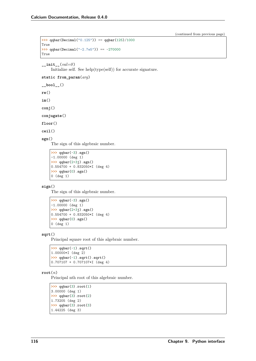```
>>> qqbar(Decimal("0.125")) == qqbar(125)/1000
True
>>> qqbar(Decimal("-2.7e5")) == -270000
True
```

```
__init__(val=0 )
```
Initialize self. See help(type(self)) for accurate signature.

```
static from_param(arg)
```

```
__bool__()
re()
```
**im**()

**conj**()

**conjugate**()

**floor**()

**ceil**()

**sgn**()

The sign of this algebraic number.

```
>>> qqbar(-3).sgn()
-1.00000 (deg 1)
>>> qqbar(2+3j).sgn()
0.554700 + 0.832050*I (deg 4)
>>> qqbar(0).sgn()
0 (deg 1)
```
### **sign**()

The sign of this algebraic number.

```
>>> qqbar(-3).sgn()
-1.00000 (deg 1)
>>> qqbar(2+3j).sgn()
0.554700 + 0.832050*I (deg 4)
>>> qqbar(0).sgn()
0 (deg 1)
```
### **sqrt**()

Principal square root of this algebraic number.

```
>>> qqbar(-1).sqrt()
1.00000*I (deg 2)
>>> qqbar(-1).sqrt().sqrt()
0.707107 + 0.707107*I (deg 4)
```
### **root**(*n*)

Principal nth root of this algebraic number.

```
>>> qqbar(3).root(1)
3.00000 (deg 1)
>>> qqbar(3).root(2)
1.73205 (deg 2)
>>> qqbar(3).root(3)
1.44225 (deg 3)
```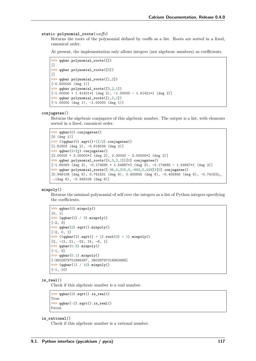#### **static polynomial\_roots**(*coeffs*)

Returns the roots of the polynomial defined by coeffs as a list. Roots are sorted in a fixed, canonical order.

At present, the implementation only allows integers (not algebraic numbers) as coefficients.

```
>>> qqbar.polynomial_roots([])
\Box>>> qqbar.polynomial_roots([0])
\Box>>> qqbar.polynomial_roots([1,2])
[-0.500000 (deg 1)]
>>> qqbar.polynomial_roots([3,2,1])
[-1.00000 + 1.41421 * I (deg 2), -1.00000 - 1.41421 * I (deg 2)]>>> qqbar.polynomial_roots([1,2,1])
[-1.00000 (deg 1), -1.00000 (deg 1)]
```
#### **conjugates**()

Returns the algebraic conjugates of this algebraic number. The output is a list, with elements sorted in a fixed, canonical order.

```
>>> qqbar(0).conjugates()
[0 (deg 1)]
>>> ((qqbar(5).sqrt()+1)/2).conjugates()
[1.61803 (deg 2), -0.618034 (deg 2)]
>>> qqbar(2+3j).conjugates()
[2.00000 + 3.00000 * I (deg 2), 2.00000 - 3.00000 * I (deg 2)]>>> qqbar.polynomial_roots([4,3,2,1])[0].conjugates()
[-1.65063 (deg 3), -0.174685 + 1.54687 * I (deg 3), -0.174685 - 1.54687 * I (deg 3)]
>>> qqbar.polynomial_roots([-35,0,315,0,-693,0,429])[0].conjugates()
[0.949108 (deg 6), 0.741531 (deg 6), 0.405845 (deg 6), -0.405845 (deg 6), -0.741531<sub>1</sub>
˓→(deg 6), -0.949108 (deg 6)]
```
### **minpoly**()

Returns the minimal polynomial of self over the integers as a list of Python integers specifying the coefficients.

```
>>> qqbar(0).minpoly()
[0, 1]
>>> (qqbar(2) / 3).minpoly()
[-2, 3]>>> qqbar(2).sqrt().minpoly()
[-2, 0, 1]
>>> ((qqbar(2).sqrt() + 1).root(3) + 1).minpoly()
[2, -12, 21, -22, 15, -6, 1]
>>> qqbar(0.5).minpoly()
[-1, 2]
>>> qqbar(0.1).minpoly()
[-3602879701896397, 36028797018963968]
>>> (qqbar(1) / 10).minpoly()
[-1, 10]
```
### **is\_real**()

Check if this algebraic number is a real number.

```
>>> qqbar(2).sqrt().is_real()
True
>>> qqbar(-2).sqrt().is_real()
False
```
#### **is\_rational**()

Check if this algebraic number is a rational number.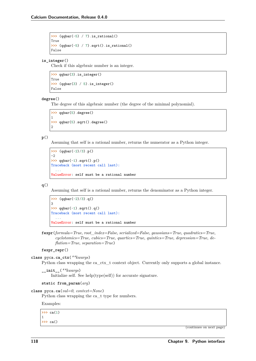**>>>** (qqbar(-5) / 7).is\_rational() True **>>>** (qqbar(-5) / 7).sqrt().is\_rational() False

### **is\_integer**()

Check if this algebraic number is an integer.

```
>>> qqbar(3).is_integer()
True
>>> (qqbar(3) / 5).is_integer()
False
```
#### **degree**()

The degree of this algebraic number (the degree of the minimal polynomial).

```
>>> qqbar(5).degree()
1
>>> qqbar(5).sqrt().degree()
2
```
### **p**()

Assuming that self is a rational number, returns the numerator as a Python integer.

```
>>> (qqbar(-2)/3).p()
-2
>>> qqbar(-1).sqrt().p()
Traceback (most recent call last):
  ...
ValueError: self must be a rational number
```
### **q**()

Assuming that self is a rational number, returns the denominator as a Python integer.

```
>>> (qqbar(-2)/3).q()
3
>>> qqbar(-1).sqrt().q()
Traceback (most recent call last):
  ...
ValueError: self must be a rational number
```
**fexpr**(*formula=True*, *root\_index=False*, *serialized=False*, *gaussians=True*, *quadratics=True*, *cyclotomics=True*, *cubics=True*, *quartics=True*, *quintics=True*, *depression=True*, *deflation=True*, *separation=True*)

#### **fexpr\_repr**()

**class** pyca.**ca\_ctx**(*\*\*kwargs*)

Python class wrapping the ca\_ctx\_t context object. Currently only supports a global instance.

**\_\_init\_\_**(*\*\*kwargs*) Initialize self. See help(type(self)) for accurate signature.

### **static from\_param**(*arg*)

```
class pyca.ca(val=0, context=None)
```
Python class wrapping the ca\_t type for numbers.

Examples:

**>>>** ca(1) 1 **>>>** ca()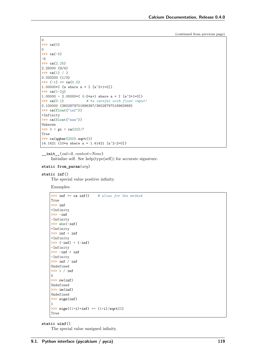```
0
>>> ca(0)
0
>>> ca(-5)
-5
>>> ca(2.25)
2.25000 {9/4}
>>> ca(1) / 3
0.333333 {1/3}
>>> (-1) ** ca(0.5)
1.00000*I {a where a = I [a^2+1=0]}
>>> ca(1-2j)
1.00000 - 2.00000*I \{-2 \cdot a + 1 \cdot b + c = a = I \cdot [a^2 + 1 = 0]\}>>> ca(0.1) # be careful with float input!
0.100000 {3602879701896397/36028797018963968}
>>> ca(float("inf"))
+Infinity
>>> ca(float("nan"))
Unknown
>>> 3 < pi < ca(22)/7
True
>>> ca(qqbar(200).sqrt())
14.1421 {10*a where a = 1.41421 [a^2-2=0]}
```
**\_\_init\_\_**(*val=0*, *context=None*) Initialize self. See help(type(self)) for accurate signature.

### **static from\_param**(*arg*)

**static inf**()

The special value positive infinity.

Examples:

```
>>> inf == ca.inf() # alias for the method
True
>>> inf
+Infinity
>>> -inf
-Infinity
>>> abs(-inf)
+Infinity
>>> inf + inf
+Infinity
>>> (-inf) + (-inf)
-Infinity
>>> -inf * inf
-Infinity
>>> inf / inf
Undefined
>>> 1 / inf
0
>>> re(inf)
Undefined
>>> im(inf)
Undefined
>>> sign(inf)
1
\Rightarrow \text{sign}((1+i)*\inf) == (1+i)/\text{sqrt}(2)True
```
**static uinf**()

The special value unsigned infinity.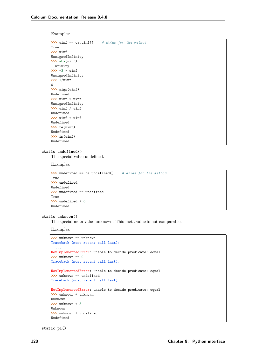Examples:

```
>>> uinf == ca.uinf() # alias for the method
True
>>> uinf
UnsignedInfinity
>>> abs(uinf)
+Infinity
>>> -3 * uinf
UnsignedInfinity
>>> 1/uinf
0
>>> sign(uinf)
Undefined
>>> uinf * uinf
UnsignedInfinity
>>> uinf / uinf
Undefined
>>> uinf + uinf
Undefined
>>> re(uinf)
Undefined
>>> im(uinf)
Undefined
```
#### **static undefined**()

The special value undefined.

Examples:

```
>>> undefined == ca.undefined() # alias for the method
True
>>> undefined
Undefined
>>> undefined == undefined
True
>>> undefined * 0
Undefined
```
#### **static unknown**()

The special meta-value unknown. This meta-value is not comparable.

Examples:

```
>>> unknown == unknown
Traceback (most recent call last):
 ...
NotImplementedError: unable to decide predicate: equal
>>> unknown == 0
Traceback (most recent call last):
NotImplementedError: unable to decide predicate: equal
>>> unknown == undefined
Traceback (most recent call last):
 ...
NotImplementedError: unable to decide predicate: equal
>>> unknown + unknown
Unknown
>>> unknown + 3
\text{Unkm}>>> unknown + undefined
Undefined
```
**static pi**()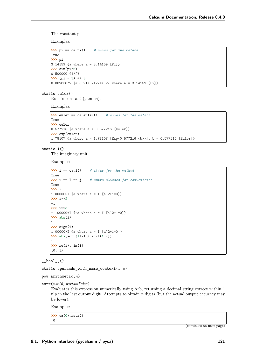The constant pi.

Examples:

```
>>> pi == ca.pi() # alias for the method
True
>>> pi
3.14159 {a where a = 3.14159 [Pi]}
>>> sin(pi/6)
0.500000 \{1/2\}>>> (pi - 3) ** 3
0.00283872 {a^3-9*a^2+27*a-27 where a = 3.14159 [Pi]}
```
**static euler**()

Euler's constant (gamma).

Examples:

```
>>> euler == ca.euler() # alias for the method
True
>>> euler
0.577216 {a where a = 0.577216 [Euler]}
>>> exp(euler)
1.78107 {a where a = 1.78107 [Exp(0.577216 {b})], b = 0.577216 [Euler]}
```
**static i**()

The imaginary unit.

Examples:

```
>>> i == ca.i() # alias for the method
True<br>>>> i == I == j
                   # extra aliases for convenience
True
>>> i
1.00000*I {a where a = I [a^2+1=0]}
>>> i**2
-1
>>> i**3
-1.00000*I {-a where a = I [a^2+1=0]}
>>> abs(i)
1
>>> sign(i)
1.00000*I {a where a = I [a^2+1=0]}
>>> abs(sqrt(1+i) / sqrt(1-i))
1
>>> re(i), im(i)
(0, 1)
```
**\_\_bool\_\_**()

**static operands\_with\_same\_context**(*a*, *b*)

**pow\_arithmetic**(*n*)

**nstr**(*n=16*, *parts=False*)

Evaluates this expression numerically using Arb, returning a decimal string correct within 1 ulp in the last output digit. Attempts to obtain *n* digits (but the actual output accuracy may be lower).

Examples:

```
>>> ca(0).nstr()
'0'
```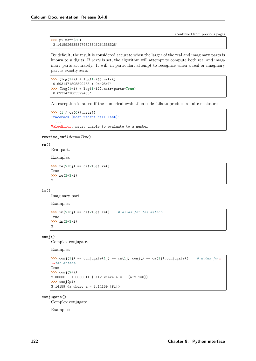```
>>> pi.nstr(30)
'3.14159265358979323846264338328'
```
By default, the result is considered accurate when the larger of the real and imaginary parts is known to *n* digits. If *parts* is set, the algorithm will attempt to compute both real and imaginary parts accurately. It will, in particular, attempt to recognize when a real or imaginary part is exactly zero:

 $\Rightarrow$  (log(1+i) + log(1-i)).nstr() '0.6931471805599453 + 0e-25\*I' **>>>** (log(1+i) + log(1-i)).nstr(parts=**True**) '0.6931471805599453'

An exception is raised if the numerical evaluation code fails to produce a finite enclosure:

```
>>> (1 / ca(0)).nstr()
Traceback (most recent call last):
 ...
ValueError: nstr: unable to evaluate to a number
```

```
rewrite_cnf(deep=True)
```
### **re**()

Real part.

Examples:

```
>>> re(2+3j) == ca(2+3j).re()
True
>>> re(2+3*i)
2
```
**im**()

Imaginary part.

Examples:

```
>>> im(2+3j) == ca(2+3j).im() # alias for the method
True
>>> im(2+3*i)
3
```
#### **conj**()

Complex conjugate.

Examples:

```
>>> conj(1j) == conjugate(1j) == ca(1j).conj() == ca(1j).conjugate() # alias for␣
˓→the method
True
>>> conj(2+i)
2.00000 - 1.00000*I {-a+2 where a = I [a^2+1=0]}
>>> conj(pi)
3.14159 {a where a = 3.14159 [Pi]}
```
### **conjugate**()

Complex conjugate.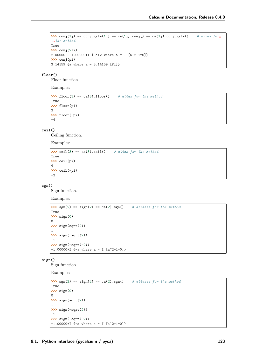```
>>> conj(1j) == conjugate(1j) == ca(1j).conj() == ca(1j).conjugate() # alias f \circ r_{\text{L}}˓→the method
True
>>> conj(2+i)
2.00000 - 1.00000*I {-a+2 where a = I [a^2+1=0]}
>>> conj(pi)
3.14159 {a where a = 3.14159 [Pi]}
```
**floor**()

Floor function.

Examples:

```
>>> floor(3) == ca(3).floor() # alias for the method
True
>>> floor(pi)
3
>>> floor(-pi)
-4
```
**ceil**()

Ceiling function.

Examples:

```
>>> ceil(3) == ca(3).ceil() # alias for the method
True
>>> ceil(pi)
4
>>> ceil(-pi)
-3
```
**sgn**()

Sign function.

Examples:

```
\Rightarrow \Rightarrow sgn(2) == sign(2) == ca(2).sgn() # aliases for the method
True
>>> sign(0)
0
>>> sign(sqrt(2))
1
>>> sign(-sqrt(2))
-1
>>> sign(-sqrt(-2))
-1.00000*I {-a where a = I [a^2+1=0]}
```
**sign**()

Sign function.

```
\Rightarrow \Rightarrow sgn(2) == sign(2) == ca(2).sgn() # aliases for the method
True
>>> sign(0)
0
>>> sign(sqrt(2))
1
>>> sign(-sqrt(2))
-1
>>> sign(-sqrt(-2))
-1.00000*I {-a where a = I [a^2+1=0]}
```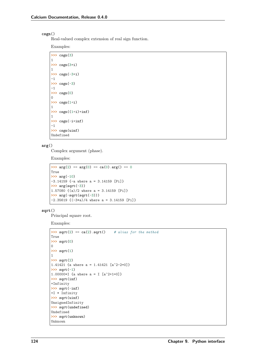### **csgn**()

Real-valued complex extension of real sign function.

Examples:

```
>>> csgn(3)
1
>>> csgn(3*i)
1
>>> csgn(-3*i)
-1
>>> csgn(-3)
-1
>>> csgn(0)
0
>>> csgn(1+i)
1
>>> csgn((1+i)*inf)
1
>>> csgn(-i*inf)
-1
>>> csgn(uinf)
Undefined
```
### **arg**()

Complex argument (phase).

Examples:

```
\Rightarrow \arg(2) == \arg(0) == \text{ca}(0) \cdot \arg(0) == 0True
>>> arg(-10)
-3.14159 {-a where a = 3.14159 [Pi]}
>>> arg(sqrt(-3))
1.57080 {(a)/2 where a = 3.14159 [Pi]}
>>> arg(-sqrt(sqrt(-3)))
-2.35619 {(-3*a)/4 where a = 3.14159 [Pi]}
```
**sqrt**()

Principal square root.

```
>>> sqrt(2) == ca(2).sqrt() # alias for the method
True
>>> sqrt(0)
0
>>> sqrt(1)
1
>>> sqrt(2)
1.41421 {a where a = 1.41421 [a^2-2=0]}
>>> sqrt(-1)
1.00000*I {a where a = I [a^2+1=0]}
>>> sqrt(inf)
+Infinity
>>> sqrt(-inf)
+I * Infinity
>>> sqrt(uinf)
UnsignedInfinity
>>> sqrt(undefined)
Undefined
>>> sqrt(unknown)
Unknown
```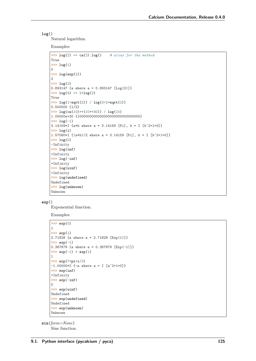### **log**()

Natural logarithm.

Examples:

```
\Rightarrow log(2) == ca(2).log() # alias for the method
True
>>> log(1)
\Omega>>> log(exp(2))
2
>>> log(2)
0.693147 {a where a = 0.693147 [Log(2)]}
\Rightarrow \log(4) == 2 * log(2)True
>>> log(1+sqrt(2)) / log(3+2*sqrt(2))
0.500000 \{1/2\}>>> log(ca(10)**(10**30)) / log(10)
1.00000e+30 {1000000000000000000000000000000}
\gg \log(-1)3.14159*I {a*b where a = 3.14159 [Pi], b = I [b^2+1=0]}
>>> log(i)
1.57080*I {(a*b)/2 where a = 3.14159 [Pi], b = I [b^2+1=0]}
>>> log(0)
-Infinity
>>> log(inf)
+Infinity
>>> log(-inf)
+Infinity
>>> log(uinf)
+Infinity
>>> log(undefined)
Undefined
>>> log(unknown)
Unknown
```
### **exp**()

Exponential function.

Examples:

```
>>> exp(0)
1
>>> exp(1)
2.71828 {a where a = 2.71828 [Exp(1)]}
>>> exp(-1)
0.367879 {a where a = 0.367879 [Exp(-1)]}
>>> exp(-1) * exp(1)
1
>>> exp(7*pi*i/2)
-1.00000*I {-a where a = I [a^2+1=0]}
>>> exp(inf)
+Infinity
>>> exp(-inf)
\Omega>>> exp(uinf)
Undefined
>>> exp(undefined)
Undefined
>>> exp(unknown)
Unknown
```
**sin**(*form=None*) Sine function.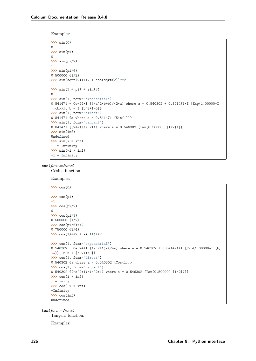Examples:

```
>>> sin(0)
0
>>> sin(pi)
0
>>> sin(pi/2)
1
>>> sin(pi/6)
0.500000 \{1/2\}>>> sin(sqrt(2))**2 + cos(sqrt(2))**2
1
>>> sin(3 + pi) + sin(3)
\Omega>>> sin(1, form="exponential")
0.841471 - 0e-24*I {(-a^2*b+b)/(2*a) where a = 0.540302 + 0.841471*I [Exp(1.00000*I
˓→{b})], b = I [b^2+1=0]}
>>> sin(1, form="direct")
0.841471 {a where a = 0.841471 [Sin(1)]}
>>> sin(1, form="tangent")
0.841471 \{(2*a)/(a^2+1) where a = 0.546302 [Tan(0.500000 \{1/2\})]}
>>> sin(inf)
Undefined
>>> sin(i * inf)
+I * Infinity
>>> sin(-i * inf)
-I * Infinity
```
**cos**(*form=None*) Cosine function.

Examples:

```
>>> cos(0)
1
>>> cos(pi)
-1
>>> cos(pi/2)
0
>>> cos(pi/3)
0.500000 \{1/2\}>>> cos(pi/6)**2
0.750000 {3/4}
>>> cos(1)**2 + sin(1)**2
1
>>> cos(1, form="exponential")
0.540302 - 0e-24*I \{(a^2+1)/(2*a)\} where a = 0.540302 + 0.841471*I [Exp(1.00000*I \{b\}˓→)], b = I [b^2+1=0]}
>>> cos(1, form="direct")
0.540302 {a where a = 0.540302 [Cos(1)]}
>>> cos(1, form="tangent")
0.540302 \{(-a^2+1)/(a^2+1) where a = 0.546302 [Tan(0.500000 \{1/2\})]}
>>> cos(i * inf)
+Infinity
>>> cos(-i * inf)
+Infinity
>>> cos(inf)
Undefined
```
**tan**(*form=None*)

Tangent function.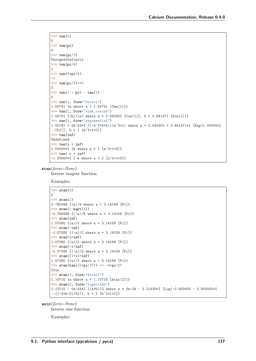```
>>> tan(0)
0
>>> tan(pi)
\Omega>>> tan(pi/2)
UnsignedInfinity
>>> tan(pi/4)
1
>>> tan(3*pi/4)
-1
>>> tan(pi/3)**2
3
>>> tan(1 + pi) - tan(1)
0
>>> tan(1, form="direct")
1.55741 {a where a = 1.55741 [Tan(1)]}
>>> tan(1, form="sine_cosine")
1.55741 \{(b)/(a) where a = 0.540302 [Cos(1)], b = 0.841471 [Sin(1)]>>> tan(1, form="exponential")
1.55741 + 0e-23*I \{(-a^2*b+b)/(a^2+1) where a = 0.540302 + 0.841471*I [Exp(1.00000*I
\rightarrow{b})], b = I [b<sup>\sim</sup>2+1=0]}
>>> tan(inf)
Undefined
>>> tan(i * inf)
1.00000*I {a where a = I [a^2+1=0]}
>>> tan(-i * inf)
-1.00000*I {-a where a = I [a^2+1=0]}
```
**atan**(*form=None*)

Inverse tangent function.

Examples:

```
>>> atan(0)
0
>>> atan(1)
0.785398 {(a)/4 where a = 3.14159 [Pi]}
>>> atan(1-sqrt(2))
-0.392699 {(-a)/8 where a = 3.14159 [Pi]}
>>> atan(inf)
1.57080 {(a)/2 where a = 3.14159 [Pi]}
>>> atan(-inf)
-1.57080 {(-a)/2 where a = 3.14159 [Pi]}
>>> atan(i*inf)
1.57080 {(a)/2 where a = 3.14159 [Pi]}
>>> atan(-i*inf)
-1.57080 {(-a)/2 where a = 3.14159 [Pi]}
>>> atan((1+i)*inf)
1.57080 {(a)/2 where a = 3.14159 [Pi]}
\Rightarrow atan(tan(23*pi/27)) == -4*pi/27True
>>> atan(2, form="direct")
1.10715 {a where a = 1.10715 [Atan(2)]}
>>> atan(2, form="logarithm")
1.10715 - 0e-24*I \{(a*b)/2 where a = 0e-24 - 2.21430*I [Log(-0.600000 - 0.800000*1˓→{(-4*b-3)/5})], b = I [b^2+1=0]}
```
**asin**(*form=None*)

Inverse sine function.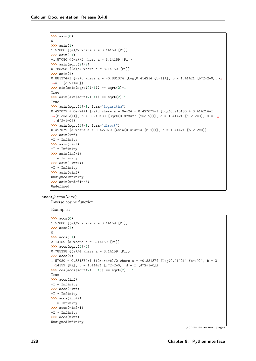```
>>> asin(0)
0
>>> asin(1)
1.57080 {(a)/2 where a = 3.14159 [Pi]}
>>> asin(-1)
-1.57080 {(-a)/2 where a = 3.14159 [Pi]}
>>> asin(sqrt(2)/2)
0.785398 \{(a)/4 where a = 3.14159 [Pi]}
>>> asin(i)
0.881374*I {-a*c where a = -0.881374 [Log(0.414214 {b-1})], b = 1.41421 [b^2-2=0], c<sub>u</sub>
˓→= I [c^2+1=0]}
>>> sin(asin(sqrt(2)-1)) == sqrt(2)-1
True
>>> asin(sin(sqrt(2)-1)) == sqrt(2)-1
True
>>> asin(sqrt(2)-1, form="logarithm")
0.427079 + 0e-24*I {-a*d where a = 0e-24 + 0.427079*I [Log(0.910180 + 0.414214*I
˓→{b+c*d-d})], b = 0.910180 [Sqrt(0.828427 {2*c-2})], c = 1.41421 [c^2-2=0], d = I␣
˓→[d^2+1=0]}
>>> asin(sqrt(2)-1, form="direct")
0.427079 {a where a = 0.427079 [Asin(0.414214 f b-1)], b = 1.41421 [b^2-2=0]}
>>> asin(inf)
-I * Infinity
>>> asin(-inf)
+I * Infinity
>>> asin(inf*i)
+I * Infinity
>>> asin(-inf*i)
-I * Infinity
>>> asin(uinf)
UnsignedInfinity
>>> asin(undefined)
Undefined
```

```
acos(form=None)
```
Inverse cosine function.

Examples:

```
>>> acos(0)
1.57080 {(a)/2 where a = 3.14159 [Pi]}
>>> acos(1)
0
>>> acos(-1)
3.14159 {a where a = 3.14159 [Pi]}
>>> acos(sqrt(2)/2)
0.785398 {(a)/4 where a = 3.14159 [Pi]}
>>> acos(i)
1.57080 - 0.881374*I ({2*a*}{d+b})/2 where a = -0.881374 [Log(0.414214 {c-1})], b = 3.
\rightarrow14159 [Pi], c = 1.41421 [c<sup>^</sup>2-2=0], d = I [d<sup>^</sup>2+1=0]}
\Rightarrow cos(acos(sqrt(2) - 1)) == sqrt(2) - 1
True
>>> acos(inf)
+I * Infinity
>>> acos(-inf)
-I * Infinity
>>> acos(inf*i)
-I * Infinity
>>> acos(-inf*i)
+I * Infinity
>>> acos(uinf)
UnsignedInfinity
```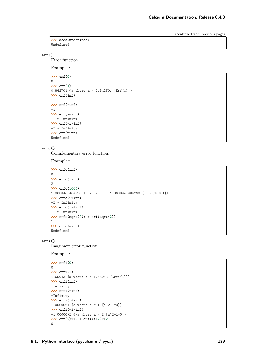```
>>> acos(undefined)
Undefined
```
### **erf**()

Error function.

Examples:

```
>>> erf(0)
\Omega>>> erf(1)
0.842701 {a where a = 0.842701 [Erf(1)]}
>>> erf(inf)
1
>>> erf(-inf)
-1
>>> erf(i*inf)
+I * Infinity
>>> erf(-i*inf)
-I * Infinity
>>> erf(uinf)
Undefined
```
### **erfc**()

Complementary error function.

Examples:

```
>>> erfc(inf)
0
>>> erfc(-inf)
2
>>> erfc(1000)
1.86004e-434298 {a where a = 1.86004e-434298 [Erfc(1000)]}
>>> erfc(i*inf)
-I * Infinity
>>> erfc(-i*inf)
+I * Infinity
>>> erfc(sqrt(2)) + erf(sqrt(2))
1
>>> erfc(uinf)
Undefined
```
### **erfi**()

Imaginary error function.

```
>>> erfi(0)
0
>>> erfi(1)
1.65043 {a where a = 1.65043 [Erfi(1)]}
>>> erfi(inf)
+Infinity
>>> erfi(-inf)
-Infinity
>>> erfi(i*inf)
1.00000*I {a where a = I [a^2+1=0]}
>>> erfi(-i*inf)
-1.00000*I {-a where a = I [a^2+1=0]}
>>> erf(2)**2 + erfi(i*2)**2
0
```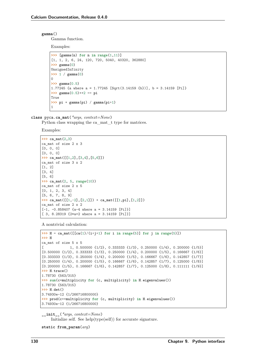#### **gamma**()

Gamma function.

Examples:

```
>>> [gamma(n) for n in range(1,11)]
[1, 1, 2, 6, 24, 120, 720, 5040, 40320, 362880]
>>> gamma(0)
UnsignedInfinity
>>> 1 / gamma(0)
\Omega>>> gamma(0.5)
1.77245 {a where a = 1.77245 [Sqrt(3.14159 {b})], b = 3.14159 [Pi]}
>>> gamma(0.5)**2 == pi
True
>>> pi * gamma(pi) / gamma(pi+1)
1
```
**class** pyca.**ca\_mat**(*\*args*, *context=None*)

Python class wrapping the ca\_mat\_t type for matrices.

Examples:

```
>>> ca_mat(2,3)
ca_mat of size 2 x 3
[0, 0, 0]
[0, 0, 0]
>>> ca_mat([[1,2],[3,4],[5,6]])
ca mat of size 3 x 2
[1, 2]
[3, 4]
[5, 6]
>>> ca_mat(2, 5, range(10))
ca_mat of size 2 x 5
[0, 1, 2, 3, 4]
[5, 6, 7, 8, 9]
>>> ca_mat([[1,-2],[2,1]]) * ca_mat([[1,pi],[1,2]])
ca_mat of size 2 x 2
[-1, -0.858407 \text{ {a-4 where a = 3.14159 [Pi]}][ 3, 8.28319 {2*a+2} where a = 3.14159 [Pi]}]
```
A nontrivial calculation:

```
\Rightarrow \Rightarrow H = ca_mat([ [ca(1)/(i+j+1) for i in range(5)] for j in range(5)])
>>> H
ca_mat of size 5 x 5
[ 1, 0.500000 \{1/2\}, 0.333333 \{1/3\}, 0.250000 \{1/4\}, 0.200000 \{1/5\}]
[0.500000 \{1/2\}, 0.333333 \{1/3\}, 0.250000 \{1/4\}, 0.200000 \{1/5\}, 0.166667 \{1/6\}][0.333333 \{1/3\}, 0.250000 \{1/4\}, 0.200000 \{1/5\}, 0.166667 \{1/6\}, 0.142857 \{1/7\}][0.250000 \{1/4\}, 0.200000 \{1/5\}, 0.166667 \{1/6\}, 0.142857 \{1/7\}, 0.125000 \{1/8\}][0.200000 {1/5}, 0.166667 {1/6}, 0.142857 {1/7}, 0.125000 {1/8}, 0.111111 {1/9}]
>>> H.trace()
1.78730 {563/315}
>>> sum(c*multiplicity for (c, multiplicity) in H.eigenvalues())
1.78730 {563/315}
>>> H.det()
3.74930e-12 {1/266716800000}
>>> prod(c**multiplicity for (c, multiplicity) in H.eigenvalues())
3.74930e-12 {1/266716800000}
```
**\_\_init\_\_**(*\*args*, *context=None*) Initialize self. See help(type(self)) for accurate signature.

**static from\_param**(*arg*)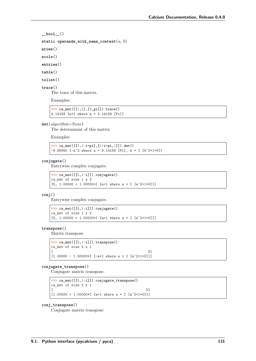```
__bool__()
```
static operands with same context( $a, b$ )

**nrows**()

**ncols**()

**entries**()

**table**()

**tolist**()

### **trace**()

The trace of this matrix.

Examples:

```
>>> ca_mat([[1,2],[3,pi]]).trace()
4.14159 {a+1 where a = 3.14159 [Pi]}
```
### **det**(*algorithm=None*)

The determinant of this matrix.

Examples:

```
>>> ca_mat([[1,1-i*pi],[1+i*pi,1]]).det()
-9.86960 {-a^2 where a = 3.14159 [Pi], b = I [b^2+1=0]}
```
### **conjugate**()

Entrywise complex conjugate.

```
>>> ca_mat([[5,1-i]]).conjugate()
ca_mat of size 1 x 2
[5, 1.00000 + 1.00000 * I \{a+1 where a = I \left[a^2+1=0\right]\}]
```
### **conj**()

Entrywise complex conjugate.

```
>>> ca_mat([[5,1-i]]).conjugate()
ca_mat of size 1 x 2
[5, 1.00000 + 1.00000*I \{a+1 where a = I \}[a^2+1=0]\}]
```
### **transpose**()

Matrix transpose.

```
>>> ca_mat([[5,1-i]]).transpose()
ca_mat of size 2 x 1
[[1.00000 - 1.00000*I \{-a+1 where a = I \ [a^2+1=0]\}]
```
#### **conjugate\_transpose**()

Conjugate matrix transpose.

**>>>** ca\_mat([[5,1-i]]).conjugate\_transpose() ca mat of size 2 x 1  $[$  $[1.00000 + 1.00000 * I \{a+1 where a = I \left[a^2+1=0\right]\}]$ 

#### **conj\_transpose**()

Conjugate matrix transpose.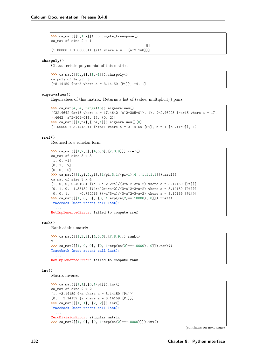```
>>> ca_mat([[5,1-i]]).conjugate_transpose()
ca_mat of size 2 x 1
[[1.00000 + 1.00000 * I \{a+1 where a = I \}[a^2+1=0]\}]
```
#### **charpoly**()

Characteristic polynomial of this matrix.

```
>>> ca_mat([[5,pi],[1,-1]]).charpoly()
ca_poly of length 3
[-8.14159 \{-a-5 where a = 3.14159 [Pi]\}, -4, 1]
```
#### **eigenvalues**()

Eigenvalues of this matrix. Returns a list of (value, multiplicity) pairs.

```
>>> ca_mat(4, 4, range(16)).eigenvalues()
[(32.4642 \{a+15 \text{ where } a = 17.4642 \{a^2-305=0\}], 1), (-2.46425 \{-a+15 \text{ where } a = 17.˓→4642 [a^2-305=0]}, 1), (0, 2)]
>>> ca_mat([[1,pi],[-pi,1]]).eigenvalues()[0]
(1.00000 + 3.14159*I \{a*b+1 where a = 3.14159 [Pi], b = I [b^2+1=0]\}, 1)
```
### **rref**()

Reduced row echelon form.

```
>>> ca_mat([[1,2,3],[4,5,6],[7,8,9]]).rref()
ca_mat of size 3 x 3
[1, 0, -1][0, 1, 2][0, 0, 0]
>>> ca_mat([[1,pi,2,pi],[1/pi,3,1/(pi+1),4],[1,1,1,1]]).rref()
ca mat of size 3 x 4
[1, 0, 0, 0.401081 \{(\hat{a}^3 - \hat{a}^2 - 2 * \hat{a})/(3 * \hat{a}^2 + 3 * \hat{a} - 2)\} where \hat{a} = 3.14159 [Pi]}]
[0, 1, 0, 1.35134 \{ (4*a^2+4*a-2)/(3*a^2+3*a-2) \text{ where } a = 3.14159 \text{ [Pi]}\}][0, 0, 1, -0.752416 \{(-a^3+a)/(3*a^2+3*a-2) \text{ where } a = 3.14159 \text{ [Pi]}\}]>>> ca_mat([[1, 0, 0], [0, 1-exp(ca(2)**-10000), 0]]).rref()
Traceback (most recent call last):
  ...
NotImplementedError: failed to compute rref
```
**rank**()

Rank of this matrix.

```
>>> ca_mat([[1,2,3],[4,5,6],[7,8,9]]).rank()
\mathcal{L}>>> ca_mat([[1, 0, 0], [0, 1-exp(ca(2)**-10000), 0]]).rank()
Traceback (most recent call last):
  ...
NotImplementedError: failed to compute rank
```
**inv**()

Matrix inverse.

```
>>> ca_mat([[1,1],[0,1/pi]]).inv()
ca mat of size 2 x 2
[1, -3.14159, -a where a = 3.14159 [P_i][0, 3.14159 \text{ {a where a = 3.14159 [Pi]}}]>>> ca_mat([[1, 1], [2, 2]]).inv()
Traceback (most recent call last):
  ...
ZeroDivisionError: singular matrix
>>> ca_mat([[1, 0], [0, 1-exp(ca(2)**-10000)]]).inv()
```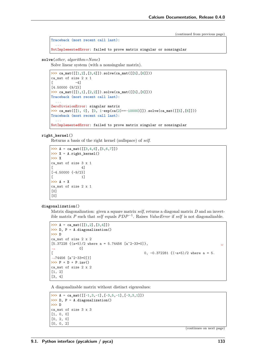```
Traceback (most recent call last):
  ...
NotImplementedError: failed to prove matrix singular or nonsingular
```
**solve**(*other*, *algorithm=None*)

Solve linear system (with a nonsingular matrix).

```
>>> ca_mat([[1,2],[3,4]]).solve(ca_mat([[5],[6]]))
ca mat of size 2 \times 1\begin{bmatrix} -4 \end{bmatrix}[4.50000 {9/2}]
>>> ca_mat([[1,1],[2,2]]).solve(ca_mat([[5],[6]]))
Traceback (most recent call last):
  ...
ZeroDivisionError: singular matrix
>>> ca_mat([[1, 0], [0, 1-exp(ca(2)**-10000)]]).solve(ca_mat([[5],[6]]))
Traceback (most recent call last):
  ...
NotImplementedError: failed to prove matrix singular or nonsingular
```
### **right\_kernel**()

Returns a basis of the right kernel (nullspace) of *self*.

```
>>> A = ca_mat([[3,4,6],[5,6,7]])
>>> X = A.right_kernel()
>>> X
ca_mat of size 3 x 1
[ 4]
[-4.50000 \{-9/2\}][ 1]
>>> A * X
ca mat of size 2 x 1
[0]
[0]
```
#### **diagonalization**()

Matrix diagonalization: given a square matrix *self*, returns a diagonal matrix *D* and an invertible matrix *P* such that *self* equals  $PDP^{-1}$ . Raises *ValueError* if *self* is not diagonalizable.

```
>>> A = ca_mat([[1,2],[3,4]])
>>> D, P = A.diagonalization()
>>> D
ca_mat of size 2 x 2
[5.37228 \{ (a+5)/2 \text{ where } a = 5.74456 \ [a^2-33=0] \},˓→ 0]
[ 0, -0.372281 {(-a+5)/2 where a = 5.
˓→74456 [a^2-33=0]}]
>>> P * D * P.inv()
ca mat of size 2 x 2
[1, 2]
[3, 4]
```
A diagonalizable matrix without distinct eigenvalues:

```
>>> A = ca_mat([[-1,3,-1],[-3,5,-1],[-3,3,1]])
>>> D, P = A.diagonalization()
>>> D
ca_mat of size 3 x 3
[1, 0, 0]
[0, 2, 0]
[0, 0, 2]
```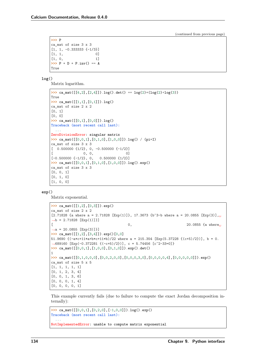```
>>> P
ca_mat of size 3 x 3
[1, 1, -0.333333 \{-1/3\}][1, 1, 0][1, 0, 1]>> P * D * P.inv() == A
True
```
**log**()

Matrix logarithm.

```
>>> ca_mat([4,2],[2,4]]).log().det() == \log(2)*(log(2)+log(3))True
>>> ca_mat([[1,1],[0,1]]).log()
ca_mat of size 2 x 2
[0, 1]
[0, 0]
>>> ca_mat([[0,1],[0,0]]).log()
Traceback (most recent call last):
  ...
ZeroDivisionError: singular matrix
>>> ca_mat([[0,0,1],[0,1,0],[1,0,0]]).log() / (pi*I)
ca_mat of size 3 x 3
[ 0.500000 \{1/2\}, 0, -0.500000 \{-1/2\}][ 0, 0, 0, 0]
[-0.500000 \{-1/2\}, 0, 0.500000 \{1/2\}]>>> ca_mat([[0,0,1],[0,1,0],[1,0,0]]).log().exp()
ca_mat of size 3 x 3
[0, 0, 1]
[0, 1, 0]
[1, 0, 0]
```
#### **exp**()

Matrix exponential.

```
>>> ca_mat([[1,2],[0,3]]).exp()
ca_mat of size 2 x 2
[2.71828 {a where a = 2.71828 [Exp(1)]}, 17.3673 {b^3-b where a = 20.0855 [Exp(3)],
\rightarrow b = 2.71828 [Exp(1)]}]
[ 0, 20.0855 {a where␣
˓→a = 20.0855 [Exp(3)]}]
>>> ca_mat([[1,2],[3,4]]).exp()[0,0]
51.9690 \{(-a*(-1)*a+b*(-11*b)/22 where a = 215.354 [Exp(5.37228 \{(c+b)/2\}], b = 0.
˓→689160 [Exp(-0.372281 {(-c+5)/2})], c = 5.74456 [c^2-33=0]}
>>> ca_mat([[0,0,1],[1,0,0],[0,1,0]]).exp().det()
1
>>> ca_mat([[0,1,0,0,0],[0,0,2,0,0],[0,0,0,3,0],[0,0,0,0,4],[0,0,0,0,0]]).exp()
ca_mat of size 5 x 5
[1, 1, 1, 1, 1]
[0, 1, 2, 3, 4]
[0, 0, 1, 3, 6]
[0, 0, 0, 1, 4]
[0, 0, 0, 0, 1]
```
This example currently fails (due to failure to compute the exact Jordan decomposition internally):

```
>>> ca_mat([[0,0,1],[0,2,0],[-1,0,0]]).log().exp()
Traceback (most recent call last):
  ...
NotImplementedError: unable to compute matrix exponential
```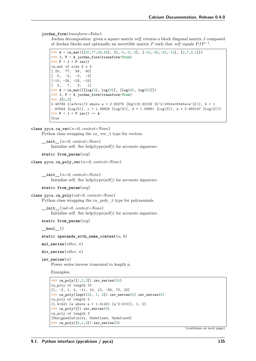### **jordan\_form**(*transform=False*)

Jordan decomposiion: given a square matrix *self*, returns a block diagonal matrix *J* composed of Jordan blocks and optionally an invertible matrix  $P$  such that *self* equals  $PJP^{-1}$ .

```
>>> A = ca_mat([[20,77,59,40], [0,-2,-3,-2], [-10,-35,-23,-15], [2,7,3,1]])
>>> J, P = A.jordan_form(transform=True)
>>> P * J * P.inv()
ca_mat of size 4 x 4
[ 20, 77, 59, 40]
[0, -2, -3, -2][-10, -35, -23, -15][ 2, 7, 3, 1]
>>> A = ca_mat([[log(2), log(3)], [log(4), log(5)]])
>>> J, P = A.jordan_form(transform=True)
>>> J[0,0]
2.46769 {(a+b+e)/2 where a = 2.63279 [Sqrt(6.93159 {b^2-2*b*e+8*d*e+e^2})], b = 1.
˓→60944 [Log(5)], c = 1.38629 [Log(4)], d = 1.09861 [Log(3)], e = 0.693147 [Log(2)]}
>>> P * J * P.inv() == A
True
```

```
class pyca.ca_vec(n=0, context=None)
```
Python class wrapping the ca\_vec\_t type for vectors.

```
__init__(n=0, context=None)
     Initialize self. See help(type(self)) for accurate signature.
```

```
static from_param(arg)
```

```
class pyca.ca_poly_vec(n=0, context=None)
```

```
__init__(n=0, context=None)
    Initialize self. See help(type(self)) for accurate signature.
```
**static from\_param**(*arg*)

```
class pyca.ca_poly(val=0, context=None)
     Python class wrapping the ca_poly_t type for polynomials.
```
**\_\_init\_\_**(*val=0*, *context=None*) Initialize self. See help(type(self)) for accurate signature.

**static from\_param**(*arg*)

**\_\_bool\_\_**()

**static operands\_with\_same\_context**(*a*, *b*)

**mul\_series**(*other*, *n*)

```
div_series(other, n)
```

```
inv_series(n)
```
Power series inverse truncated to length n.

Examples:

```
>>> ca_poly([1,2,3]).inv_series(10)
ca_poly of length 10
[1, -2, 1, 4, -11, 10, 13, -56, 73, 22]
>>> ca_poly([sqrt(2), 1, 2]).inv_series(5).inv_series(5)
ca_poly of length 3
[1.41421 \{a where a = 1.41421 \{a^2-2=0\}], 1, 2]>>> ca_poly([]).inv_series(3)
ca_poly of length 3
[UnsignedInfinity, Undefined, Undefined]
>>> ca_poly([0,1,2]).inv_series(3)
```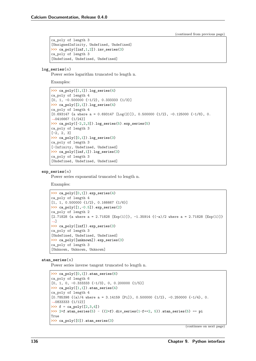```
ca_poly of length 3
[UnsignedInfinity, Undefined, Undefined]
>>> ca_poly([inf,1,2]).inv_series(3)
ca_poly of length 3
[Undefined, Undefined, Undefined]
```
### **log\_series**(*n*)

Power series logarithm truncated to length n.

Examples:

```
>>> ca_poly([1,1]).log_series(4)
ca_poly of length 4
[0, 1, -0.500000 \{-1/2\}, 0.333333 \{1/3\}]>>> ca_poly([2,1]).log_series(4)
ca_poly of length 4
[0.693147 {a where a = 0.693147 [Log(2)]}, 0.500000 \{1/2\}, -0.125000 \{-1/8\}, 0.
˓→0416667 {1/24}]
>>> ca_poly([-2,2,3]).log_series(5).exp_series(5)
ca_poly of length 3
[-2, 2, 3]
>>> ca_poly([0,1]).log_series(3)
ca_poly of length 3
[-Infinity, Undefined, Undefined]
>>> ca_poly([inf,1]).log_series(3)
ca_poly of length 3
[Undefined, Undefined, Undefined]
```
#### **exp\_series**(*n*)

Power series exponential truncated to length n.

Examples:

```
>>> ca_poly([0,1]).exp_series(4)
ca_poly of length 4
[1, 1, 0.500000 1/2, 0.166667 1/6]>>> ca_poly([1,-0.5]).exp_series(2)
ca_poly of length 2
[2.71828 {a where a = 2.71828 [Exp(1)]}, -1.35914 {(-a)/2 where a = 2.71828 [Exp(1)]}
˓→]
>>> ca_poly([inf]).exp_series(3)
ca_poly of length 3
[Undefined, Undefined, Undefined]
>>> ca_poly([unknown]).exp_series(3)
ca_poly of length 3
[Unknown, Unknown, Unknown]
```
### **atan\_series**(*n*)

Power series inverse tangent truncated to length n.

```
>>> ca_poly([0,1]).atan_series(6)
ca_poly of length 6
[0, 1, 0, -0.333333 \{-1/3\}, 0, 0.200000 \{1/5\}]>>> ca_poly([1,1]).atan_series(4)
ca_poly of length 4
[0.785398 \{ (a)/4 \text{ where } a = 3.14159 \text{ [Pi]} \}, 0.500000 \{1/2\}, -0.250000 \{-1/4\}, 0.˓→0833333 {1/12}]
>>> f = ca_poly([2,3,4])
>>> 2*f.atan_series(5) - ((2*f).div_series(1-f**2, 5)).atan_series(5) == pi
True
>>> ca_poly([0]).atan_series(3)
```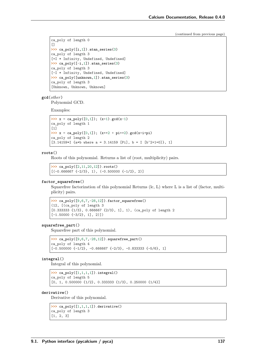```
ca_poly of length 0
[]
>>> ca_poly([i,1]).atan_series(3)
ca_poly of length 3
[+I * Infinity, Undefined, Undefined]
>>> ca_poly([-i,1]).atan_series(3)
ca_poly of length 3
[-I * Infinity, Undefined, Undefined]
>>> ca_poly([unknown,1]).atan_series(3)
ca_poly of length 3
[Unknown, Unknown, Unknown]
```
**gcd**(*other*)

Polynomial GCD.

Examples:

```
>>> x = capoly([0,1]); (x+1) . gcd(x-1)ca_poly of length 1
[1]
>>> x = ca_poly([0,1]); (x**2 + pi**2).gcd(x+i*pi)
ca_poly of length 2
[3.14159*I \{a*b where a = 3.14159 [Pi], b = I [b^2+1=0]\}, 1]
```
### **roots**()

Roots of this polynomial. Returns a list of (root, multiplicity) pairs.

```
>>> ca_poly([2,11,20,12]).roots()
[(-0.666667 \{-2/3\}, 1), (-0.500000 \{-1/2\}, 2)]
```
### **factor\_squarefree**()

Squarefree factorization of this polynomial Returns (lc, L) where L is a list of (factor, multiplicity) pairs.

```
>>> ca_poly([9,6,7,-28,12]).factor_squarefree()
(12, [(ca_poly of length 3
[0.333333 {1/3}, 0.666667 {2/3}, 1], 1), (ca_poly of length 2
[-1.50000 \{-3/2\}, 1], 2)]
```
### **squarefree\_part**()

Squarefree part of this polynomial.

```
>>> ca_poly([9,6,7,-28,12]).squarefree_part()
ca_poly of length 4
[-0.500000 \{-1/2\}, -0.666667 \{-2/3\}, -0.833333 \{-5/6\}, 1]
```
#### **integral**()

Integral of this polynomial.

```
>>> ca_poly([1,1,1,1]).integral()
ca_poly of length 5
[0, 1, 0.500000 \{1/2\}, 0.333333 \{1/3\}, 0.250000 \{1/4\}]
```
### **derivative**()

Derivative of this polynomial.

```
>>> ca_poly([1,1,1,1]).derivative()
ca_poly of length 3
[1, 2, 3]
```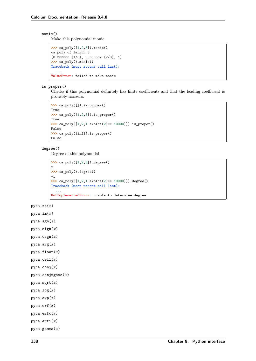### **monic**()

Make this polynomial monic.

```
>>> ca_poly([1,2,3]).monic()
ca_poly of length 3
[0.333333 {1/3}, 0.666667 {2/3}, 1]
>>> ca_poly().monic()
Traceback (most recent call last):
  ...
ValueError: failed to make monic
```
#### **is\_proper**()

Checks if this polynomial definitely has finite coefficients and that the leading coefficient is provably nonzero.

```
>>> ca_poly([]).is_proper()
True
>>> ca_poly([1,2,3]).is_proper()
True
>>> ca_poly([1,2,1-exp(ca(2)**-10000)]).is_proper()
False
>>> ca_poly([inf]).is_proper()
False
```
### **degree**()

Degree of this polynomial.

```
>>> ca_poly([1,2,3]).degree()
2
>>> ca_poly().degree()
-1
>>> ca_poly([1,2,1-exp(ca(2)**-10000)]).degree()
Traceback (most recent call last):
  ...
NotImplementedError: unable to determine degree
```
pyca.**re**(*x*)

```
pyca.im(x)
```
pyca.**sgn**(*x*)

pyca.**sign**(*x*)

pyca.**csgn**(*x*)

```
pyca.arg(x)
```
pyca.**floor**(*x*)

```
pyca.ceil(x)
```

```
pyca.conj(x)
```

```
pyca.conjugate(x)
```
- pyca.**sqrt**(*x*)
- pyca.**log**(*x*)
- pyca.**exp**(*x*)

pyca.**erf**(*x*)

```
pyca.erfc(x)
```

```
pyca.erfi(x)
```

```
pyca.gamma(x)
```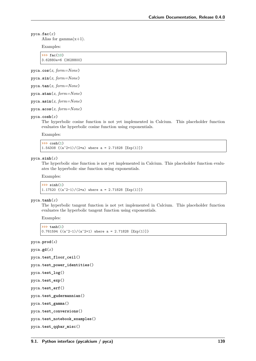#### <span id="page-144-0"></span>pyca.**fac**(*x*)

Alias for gamma $(x+1)$ .

Examples:

**>>>** fac(10) 3.62880e+6 {3628800}

pyca.**cos**(*x*, *form=None*)

pyca.**sin**(*x*, *form=None*)

pyca.**tan**(*x*, *form=None*)

pyca.**atan**(*x*, *form=None*)

pyca.**asin**(*x*, *form=None*)

pyca.**acos**(*x*, *form=None*)

#### pyca.**cosh**(*x*)

The hyperbolic cosine function is not yet implemented in Calcium. This placeholder function evaluates the hyperbolic cosine function using exponentials.

Examples:

**>>>** cosh(1) 1.54308  $\{(a^2+1)/(2*a)$  where a = 2.71828 [Exp(1)]}

pyca.**sinh**(*x*)

The hyperbolic sine function is not yet implemented in Calcium. This placeholder function evaluates the hyperbolic sine function using exponentials.

Examples:

```
>>> sinh(1)
1.17520 \{(a^2-1)/(2*a)\} where a = 2.71828 [Exp(1)]}
```
pyca.**tanh**(*x*)

The hyperbolic tangent function is not yet implemented in Calcium. This placeholder function evaluates the hyperbolic tangent function using exponentials.

Examples:

```
>>> tanh(1)
0.761594 \{(a^2-1)/(a^2+1) where a = 2.71828 [Exp(1)]}
```
pyca.**prod**(*s*)

pyca.**gd**(*x*)

```
pyca.test_floor_ceil()
```

```
pyca.test_power_identities()
```

```
pyca.test_log()
```
pyca.**test\_exp**()

```
pyca.test_erf()
```

```
pyca.test_gudermannian()
```
pyca.**test\_gamma**()

pyca.**test\_conversions**()

pyca.**test\_notebook\_examples**()

```
pyca.test_qqbar_misc()
```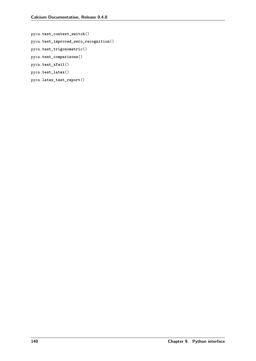```
pyca.test_context_switch()
pyca.test_improved_zero_recognition()
pyca.test_trigonometric()
pyca.test_comparisons()
pyca.test_xfail()
pyca.test_latex()
pyca.latex_test_report()
```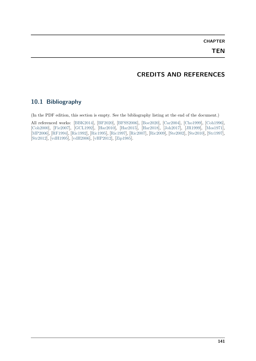**CHAPTER**

#### **TEN**

## **CREDITS AND REFERENCES**

#### **10.1 Bibliography**

(In the PDF edition, this section is empty. See the bibliography listing at the end of the document.)

All referenced works: [\[BBK2014\]](#page-154-0), [\[BF2020\]](#page-154-1), [\[BFSS2006\]](#page-154-2), [\[Boe2020\]](#page-154-3), [\[Car2004\]](#page-154-4), [\[Cho1999\]](#page-154-5), [\[Coh1996\]](#page-154-6), [\[Coh2000\]](#page-154-7), [\[Fie2007\]](#page-154-8), [\[GCL1992\]](#page-154-9), [\[Har2010\]](#page-154-10), [\[Har2015\]](#page-154-11), [\[Har2018\]](#page-154-12), [\[Joh2017\]](#page-154-13), [\[JR1999\]](#page-154-14), [\[Mos1971\]](#page-155-0), [\[MP2006\]](#page-155-1), [\[RF1994\]](#page-155-2), [\[Ric1992\]](#page-155-3), [\[Ric1995\]](#page-155-4), [\[Ric1997\]](#page-155-5), [\[Ric2007\]](#page-155-6), [\[Ric2009\]](#page-155-7), [\[Ste2002\]](#page-155-8), [\[Ste2010\]](#page-155-9), [\[Str1997\]](#page-155-10), [\[Str2012\]](#page-155-11), [\[vdH1995\]](#page-155-12), [\[vdH2006\]](#page-155-13), [\[vHP2012\]](#page-155-14), [\[Zip1985\]](#page-155-15).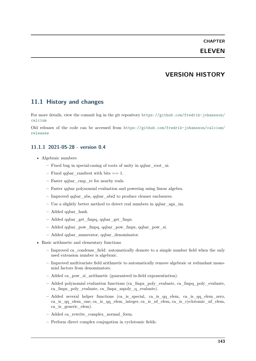# **CHAPTER ELEVEN**

### **VERSION HISTORY**

#### **11.1 History and changes**

For more details, view the commit log in the git repository [https://github.com/fredrik-johansson/](https://github.com/fredrik-johansson/calcium) [calcium](https://github.com/fredrik-johansson/calcium)

Old releases of the code can be accessed from [https://github.com/fredrik-johansson/calcium/](https://github.com/fredrik-johansson/calcium/releases) [releases](https://github.com/fredrik-johansson/calcium/releases)

#### **11.1.1 2021-05-28 - version 0.4**

- Algebraic numbers
	- **–** Fixed bug in special-casing of roots of unity in qqbar\_root\_ui.
	- **–** Fixed qqbar\_randtest with bits == 1.
	- **–** Faster qqbar\_cmp\_re for nearby reals.
	- **–** Faster qqbar polynomial evaluation and powering using linear algebra.
	- **–** Improved qqbar\_abs, qqbar\_abs2 to produce cleaner enclosures.
	- **–** Use a slightly better method to detect real numbers in qqbar\_sgn\_im.
	- **–** Added qqbar\_hash.
	- **–** Added qqbar\_get\_fmpq, qqbar\_get\_fmpz.
	- **–** Added qqbar\_pow\_fmpq, qqbar\_pow\_fmpz, qqbar\_pow\_si.
	- **–** Added qqbar\_numerator, qqbar\_denominator.
- Basic arithmetic and elementary functions
	- **–** Improved ca\_condense\_field: automatically demote to a simple number field when the only used extension number is algebraic.
	- **–** Improved multivariate field arithmetic to automatically remove algebraic or redundant monomial factors from denominators.
	- **–** Added ca\_pow\_si\_arithmetic (guaranteed in-field exponentiation).
	- **–** Added polynomial evaluation functions (ca\_fmpz\_poly\_evaluate, ca\_fmpq\_poly\_evaluate, ca\_fmpz\_poly\_evaluate, ca\_fmpz\_mpoly\_q\_evaluate).
	- **–** Added several helper functions (ca\_is\_special, ca\_is\_qq\_elem, ca\_is\_qq\_elem\_zero, ca\_is\_qq\_elem\_one, ca\_is\_qq\_elem\_integer, ca\_is\_nf\_elem, ca\_is\_cyclotomic\_nf\_elem, ca\_is\_generic\_elem).
	- **–** Added ca\_rewrite\_complex\_normal\_form.
	- **–** Perform direct complex conjugation in cyclotomic fields.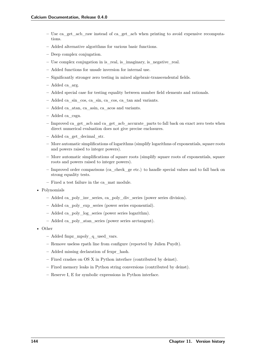- **–** Use ca\_get\_acb\_raw instead of ca\_get\_acb when printing to avoid expensive recomputations.
- **–** Added alternative algorithms for various basic functions.
- **–** Deep complex conjugation.
- **–** Use complex conjugation in is\_real, is\_imaginary, is\_negative\_real.
- **–** Added functions for unsafe inversion for internal use.
- **–** Significantly stronger zero testing in mixed algebraic-transcendental fields.
- **–** Added ca\_arg.
- **–** Added special case for testing equality between number field elements and rationals.
- **–** Added ca\_sin\_cos, ca\_sin, ca\_cos, ca\_tan and variants.
- **–** Added ca\_atan, ca\_asin, ca\_acos and variants.
- **–** Added ca\_csgn.
- **–** Improved ca\_get\_acb and ca\_get\_acb\_accurate\_parts to fall back on exact zero tests when direct numerical evaluation does not give precise enclosures.
- **–** Added ca\_get\_decimal\_str.
- **–** More automatic simplifications of logarithms (simplify logarithms of exponentials, square roots and powers raised to integer powers).
- **–** More automatic simplifications of square roots (simplify square roots of exponentials, square roots and powers raised to integer powers).
- **–** Improved order comparisons (ca\_check\_ge etc.) to handle special values and to fall back on strong equality tests.
- **–** Fixed a test failure in the ca\_mat module.
- Polynomials
	- **–** Added ca\_poly\_inv\_series, ca\_poly\_div\_series (power series division).
	- **–** Added ca\_poly\_exp\_series (power series exponential).
	- **–** Added ca\_poly\_log\_series (power series logarithm).
	- **–** Added ca\_poly\_atan\_series (power series arctangent).
- Other
	- **–** Added fmpz\_mpoly\_q\_used\_vars.
	- **–** Remove useless rpath line from configure (reported by Julien Puydt).
	- **–** Added missing declaration of fexpr\_hash.
	- **–** Fixed crashes on OS X in Python interface (contributed by deinst).
	- **–** Fixed memory leaks in Python string conversions (contributed by deinst).
	- **–** Reserve I, E for symbolic expressions in Python interface.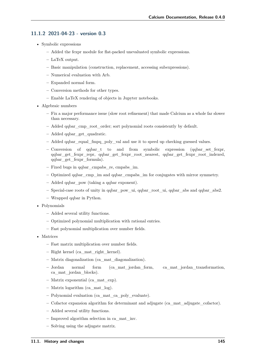#### **11.1.2 2021-04-23 - version 0.3**

- Symbolic expressions
	- **–** Added the fexpr module for flat-packed unevaluated symbolic expressions.
	- **–** LaTeX output.
	- **–** Basic manipulation (construction, replacement, accessing subexpressions).
	- **–** Numerical evaluation with Arb.
	- **–** Expanded normal form.
	- **–** Conversion methods for other types.
	- **–** Enable LaTeX rendering of objects in Jupyter notebooks.
- Algebraic numbers
	- **–** Fix a major performance issue (slow root refinement) that made Calcium as a whole far slower than necessary.
	- **–** Added qqbar\_cmp\_root\_order; sort polynomial roots consistently by default.
	- **–** Added qqbar\_get\_quadratic.
	- **–** Added qqbar\_equal\_fmpq\_poly\_val and use it to speed up checking guessed values.
	- **–** Conversion of qqbar\_t to and from symbolic expression (qqbar\_set\_fexpr, qqbar\_get\_fexpr\_repr, qqbar\_get\_fexpr\_root\_nearest, qqbar\_get\_fexpr\_root\_indexed, qqbar\_get\_fexpr\_formula).
	- **–** Fixed bugs in qqbar\_cmpabs\_re, cmpabs\_im.
	- **–** Optimized qqbar\_cmp\_im and qqbar\_cmpabs\_im for conjugates with mirror symmetry.
	- **–** Added qqbar\_pow (taking a qqbar exponent).
	- **–** Special-case roots of unity in qqbar\_pow\_ui, qqbar\_root\_ui, qqbar\_abs and qqbar\_abs2.
	- **–** Wrapped qqbar in Python.
- Polynomials
	- **–** Added several utility functions.
	- **–** Optimized polynomial multiplication with rational entries.
	- **–** Fast polynomial multiplication over number fields.
- Matrices
	- **–** Fast matrix multiplication over number fields.
	- **–** Right kernel (ca\_mat\_right\_kernel).
	- **–** Matrix diagonalization (ca\_mat\_diagonalization).
	- **–** Jordan normal form (ca\_mat\_jordan\_form, ca\_mat\_jordan\_transformation, ca\_mat\_jordan\_blocks).
	- **–** Matrix exponential (ca\_mat\_exp).
	- **–** Matrix logarithm (ca\_mat\_log).
	- **–** Polynomial evaluation (ca\_mat\_ca\_poly\_evaluate).
	- **–** Cofactor expansion algorithm for determinant and adjugate (ca\_mat\_adjugate\_cofactor).
	- **–** Added several utility functions.
	- **–** Improved algorithm selection in ca\_mat\_inv.
	- **–** Solving using the adjugate matrix.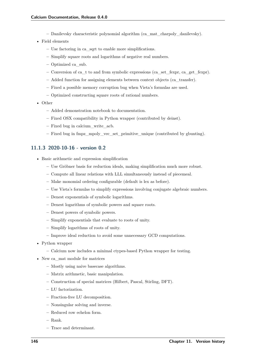- **–** Danilevsky characteristic polynomial algorithm (ca\_mat\_charpoly\_danilevsky).
- Field elements
	- **–** Use factoring in ca\_sqrt to enable more simplifications.
	- **–** Simplify square roots and logarithms of negative real numbers.
	- **–** Optimized ca\_sub.
	- **–** Conversion of ca\_t to and from symbolic expressions (ca\_set\_fexpr, ca\_get\_fexpr).
	- **–** Added function for assigning elements between context objects (ca\_transfer).
	- **–** Fixed a possible memory corruption bug when Vieta's formulas are used.
	- **–** Optimized constructing square roots of rational numbers.
- Other
	- **–** Added demonstration notebook to documentation.
	- **–** Fixed OSX compatibility in Python wrapper (contributed by deinst).
	- **–** Fixed bug in calcium\_write\_acb.
	- **–** Fixed bug in fmpz\_mpoly\_vec\_set\_primitive\_unique (contributed by gbunting).

#### **11.1.3 2020-10-16 - version 0.2**

- Basic arithmetic and expression simplification
	- **–** Use Gröbner basis for reduction ideals, making simplification much more robust.
	- **–** Compute all linear relations with LLL simultaneously instead of piecemeal.
	- **–** Make monomial ordering configurable (default is lex as before).
	- **–** Use Vieta's formulas to simplify expressions involving conjugate algebraic numbers.
	- **–** Denest exponentials of symbolic logarithms.
	- **–** Denest logarithms of symbolic powers and square roots.
	- **–** Denest powers of symbolic powers.
	- **–** Simplify exponentials that evaluate to roots of unity.
	- **–** Simplify logarithms of roots of unity.
	- **–** Improve ideal reduction to avoid some unnecessary GCD computations.
- Python wrapper
	- **–** Calcium now includes a minimal ctypes-based Python wrapper for testing.
- New ca\_mat module for matrices
	- **–** Mostly using naive basecase algorithms.
	- **–** Matrix arithmetic, basic manipulation.
	- **–** Construction of special matrices (Hilbert, Pascal, Stirling, DFT).
	- **–** LU factorization.
	- **–** Fraction-free LU decomposition.
	- **–** Nonsingular solving and inverse.
	- **–** Reduced row echelon form.
	- **–** Rank.
	- **–** Trace and determinant.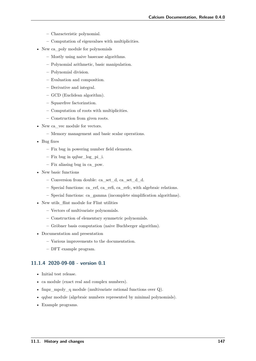- **–** Characteristic polynomial.
- **–** Computation of eigenvalues with multiplicities.
- New ca\_poly module for polynomials
	- **–** Mostly using naive basecase algorithms.
	- **–** Polynomial arithmetic, basic manipulation.
	- **–** Polynomial division.
	- **–** Evaluation and composition.
	- **–** Derivative and integral.
	- **–** GCD (Euclidean algorithm).
	- **–** Squarefree factorization.
	- **–** Computation of roots with multiplicities.
	- **–** Construction from given roots.
- New ca\_vec module for vectors.
	- **–** Memory management and basic scalar operations.
- Bug fixes
	- **–** Fix bug in powering number field elements.
	- **–** Fix bug in qqbar\_log\_pi\_i.
	- **–** Fix aliasing bug in ca\_pow.
- New basic functions
	- **–** Conversion from double: ca\_set\_d, ca\_set\_d\_d.
	- **–** Special functions: ca\_erf, ca\_erfi, ca\_erfc, with algebraic relations.
	- **–** Special functions: ca\_gamma (incomplete simplification algorithms).
- New utils\_flint module for Flint utilities
	- **–** Vectors of multivariate polynomials.
	- **–** Construction of elementary symmetric polynomials.
	- **–** Gröbner basis computation (naive Buchberger algorithm).
- Documentation and presentation
	- **–** Various improvements to the documentation.
	- **–** DFT example program.

#### **11.1.4 2020-09-08 - version 0.1**

- Initial test release.
- ca module (exact real and complex numbers).
- fmpz\_mpoly\_q module (multivariate rational functions over Q).
- qqbar module (algebraic numbers represented by minimal polynomials).
- Example programs.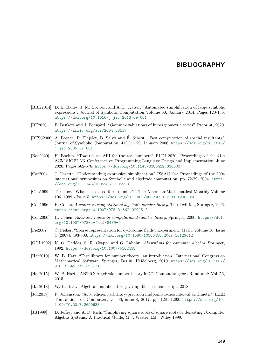#### **BIBLIOGRAPHY**

- <span id="page-154-0"></span>[BBK2014] D. H. Bailey, J. M. Borwein and A. D. Kaiser. "Automated simplification of large symbolic expressions". Journal of Symbolic Computation Volume 60, January 2014, Pages 120-136. <https://doi.org/10.1016/j.jsc.2013.09.001>
- <span id="page-154-1"></span>[BF2020] F. Beukers and J. Forsgård. "Gamma-evaluations of hypergeometric series". Preprint, 2020. <https://arxiv.org/abs/2004.08117>
- <span id="page-154-2"></span>[BFSS2006] A. Bostan, P. Flajolet, B. Salvy and É. Schost. "Fast computation of special resultants". Journal of Symbolic Computation, 41(1):1–29, January 2006. [https://doi.org/10.1016/](https://doi.org/10.1016/j.jsc.2005.07.001) [j.jsc.2005.07.001](https://doi.org/10.1016/j.jsc.2005.07.001)
- <span id="page-154-3"></span>[Boe2020] H. Boehm. "Towards an API for the real numbers". PLDI 2020: Proceedings of the 41st ACM SIGPLAN Conference on Programming Language Design and Implementation, June 2020, Pages 562-576. <https://doi.org/10.1145/3385412.3386037>
- <span id="page-154-4"></span>[Car2004] J. Carette. "Understanding expression simplification." ISSAC '04: Proceedings of the 2004 international symposium on Symbolic and algebraic computation, pp. 72-79. 2004. [https:](https://doi.org/10.1145/1005285.1005298) [//doi.org/10.1145/1005285.1005298](https://doi.org/10.1145/1005285.1005298)
- <span id="page-154-5"></span>[Cho1999] T. Chow. "What is a closed-form number?". The American Mathematical Monthly Volume 106, 1999 - Issue 5. <https://doi.org/10.1080/00029890.1999.12005066>
- <span id="page-154-6"></span>[Coh1996] H. Cohen. *A course in computational algebraic number theory*. Third edition, Springer, 1996. <https://doi.org/10.1007/978-3-662-02945-9>
- <span id="page-154-7"></span>[Coh2000] H. Cohen. *Advanced topics in computational number theory*. Springer, 2000. [https://doi.](https://doi.org/10.1007/978-1-4419-8489-0) [org/10.1007/978-1-4419-8489-0](https://doi.org/10.1007/978-1-4419-8489-0)
- <span id="page-154-8"></span>[Fie2007] C. Fieker, "Sparse representation for cyclotomic fields". Experiment. Math. Volume 16, Issue 4 (2007), 493-500. <https://doi.org/10.1080/10586458.2007.10129012>
- <span id="page-154-9"></span>[GCL1992] K. O. Geddes, S. R. Czapor and G. Labahn. *Algorithms for computer algebra*. Springer, 1992. <https://doi.org/10.1007/b102438>
- <span id="page-154-10"></span>[Har2010] W. B. Hart. "Fast library for number theory: an introduction." International Congress on Mathematical Software. Springer, Berlin, Heidelberg, 2010. [https://doi.org/10.1007/](https://doi.org/10.1007/978-3-642-15582-6_18) [978-3-642-15582-6\\_18](https://doi.org/10.1007/978-3-642-15582-6_18)
- <span id="page-154-11"></span>[Har2015] W. B. Hart. "ANTIC: Algebraic number theory in C". Computeralgebra-Rundbrief: Vol. 56, 2015
- <span id="page-154-12"></span>[Har2018] W. B. Hart. "Algebraic number theory". Unpublished manuscript, 2018.
- <span id="page-154-13"></span>[Joh2017] F. Johansson. "Arb: efficient arbitrary-precision midpoint-radius interval arithmetic". IEEE Transactions on Computers, vol 66, issue 8, 2017, pp. 1281-1292. [https://doi.org/10.](https://doi.org/10.1109/TC.2017.2690633) [1109/TC.2017.2690633](https://doi.org/10.1109/TC.2017.2690633)
- <span id="page-154-14"></span>[JR1999] D. Jeffrey and A. D. Rich. "Simplifying square roots of square roots by denesting". Computer Algebra Systems: A Practical Guide, M.J. Wester, Ed., Wiley 1999.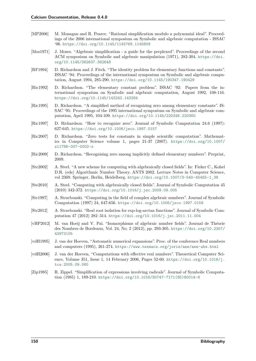- <span id="page-155-1"></span>[MP2006] M. Monagan and R. Pearce. "Rational simplification modulo a polynomial ideal". Proceedings of the 2006 international symposium on Symbolic and algebraic computation - ISSAC '06. <https://doi.org/10.1145/1145768.1145809>
- <span id="page-155-0"></span>[Mos1971] J. Moses. "Algebraic simplification - a guide for the perplexed". Proceedings of the second ACM symposium on Symbolic and algebraic manipulation (1971), 282-304. [https://doi.](https://doi.org/10.1145/362637.362648) [org/10.1145/362637.362648](https://doi.org/10.1145/362637.362648)
- <span id="page-155-2"></span>[RF1994] D. Richardson and J. Fitch. "The identity problem for elementary functions and constants". ISSAC '94: Proceedings of the international symposium on Symbolic and algebraic computation, August 1994, 285-290. <https://doi.org/10.1145/190347.190429>
- <span id="page-155-3"></span>[Ric1992] D. Richardson. "The elementary constant problem". ISSAC '92: Papers from the international symposium on Symbolic and algebraic computation, August 1992, 108-116. <https://doi.org/10.1145/143242.143284>
- <span id="page-155-4"></span>[Ric1995] D. Richardson. "A simplified method of recognizing zero among elementary constants". IS-SAC '95: Proceedings of the 1995 international symposium on Symbolic and algebraic computation, April 1995, 104-109. <https://doi.org/10.1145/220346.220360>
- <span id="page-155-5"></span>[Ric1997] D. Richardson. "How to recognize zero". Journal of Symbolic Computation 24.6 (1997): 627-645. <https://doi.org/10.1006/jsco.1997.0157>
- <span id="page-155-6"></span>[Ric2007] D. Richardson. "Zero tests for constants in simple scientific computation". Mathematics in Computer Science volume 1, pages  $21-37$  (2007). [https://doi.org/10.1007/](https://doi.org/10.1007/s11786-007-0002-x) [s11786-007-0002-x](https://doi.org/10.1007/s11786-007-0002-x)
- <span id="page-155-7"></span>[Ric2009] D. Richardson. "Recognising zero among implicitly defined elementary numbers". Preprint, 2009.
- <span id="page-155-8"></span>[Ste2002] A. Steel. "A new scheme for computing with algebraically closed fields". In: Fieker C., Kohel D.R. (eds) Algorithmic Number Theory. ANTS 2002. Lecture Notes in Computer Science, vol 2369. Springer, Berlin, Heidelberg. [https://doi.org/10.1007/3-540-45455-1\\_38](https://doi.org/10.1007/3-540-45455-1_38)
- <span id="page-155-9"></span>[Ste2010] A. Steel. "Computing with algebraically closed fields". Journal of Symbolic Computation 45 (2010) 342-372. <https://doi.org/10.1016/j.jsc.2009.09.005>
- <span id="page-155-10"></span>[Str1997] A. Strzebonski. "Computing in the field of complex algebraic numbers". Journal of Symbolic Computation (1997) 24, 647-656. <https://doi.org/10.1006/jsco.1997.0158>
- <span id="page-155-11"></span>[Str2012] A. Strzebonski. "Real root isolation for exp-log-arctan functions". Journal of Symbolic Computation 47 (2012) 282–314. <https://doi.org/10.1016/j.jsc.2011.11.004>
- <span id="page-155-14"></span>[vHP2012] M. van Hoeij and V. Pal. "Isomorphisms of algebraic number fields". Journal de Théorie des Nombres de Bordeaux, Vol. 24, No. 2 (2012), pp. 293-305. [https://doi.org/10.2307/](https://doi.org/10.2307/43973105) [43973105](https://doi.org/10.2307/43973105)
- <span id="page-155-12"></span>[vdH1995] J. van der Hoeven, "Automatic numerical expansions". Proc. of the conference Real numbers and computers (1995), 261-274. <https://www.texmacs.org/joris/ane/ane-abs.html>
- <span id="page-155-13"></span>[vdH2006] J. van der Hoeven, "Computations with effective real numbers". Theoretical Computer Science, Volume 351, Issue 1, 14 February 2006, Pages 52-60. [https://doi.org/10.1016/j.](https://doi.org/10.1016/j.tcs.2005.09.060) [tcs.2005.09.060](https://doi.org/10.1016/j.tcs.2005.09.060)
- <span id="page-155-15"></span>[Zip1985] R. Zippel. "Simplification of expressions involving radicals". Journal of Symbolic Computation (1985) 1, 189-210. [https://doi.org/10.1016/S0747-7171\(85\)80014-6](https://doi.org/10.1016/S0747-7171(85)80014-6)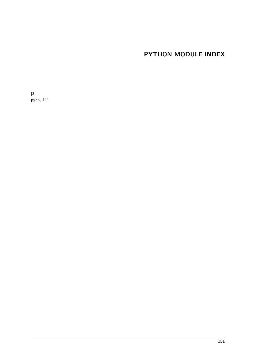# **PYTHON MODULE INDEX**

p pyca, [111](#page-116-0)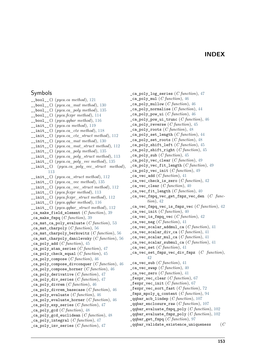#### **INDEX**

#### Symbols

\_\_bool\_\_() (*pyca.ca method*), [121](#page-126-0) \_\_bool\_\_() (*pyca.ca\_mat method*), [130](#page-135-0) \_\_bool\_\_() (*pyca.ca\_poly method*), [135](#page-140-0) \_\_bool\_\_() (*pyca.fexpr method*), [114](#page-119-0) \_\_bool\_\_() (*pyca.qqbar method*), [116](#page-121-0) \_\_init\_\_() (*pyca.ca method*), [119](#page-124-0) \_\_init\_\_() (*pyca.ca\_ctx method*), [118](#page-123-0) \_\_init\_\_() (*pyca.ca\_ctx\_struct method*), [112](#page-117-0) \_\_init\_\_() (*pyca.ca\_mat method*), [130](#page-135-0) \_\_init\_\_() (*pyca.ca\_mat\_struct method*), [112](#page-117-0) \_\_init\_\_() (*pyca.ca\_poly method*), [135](#page-140-0) \_\_init\_\_() (*pyca.ca\_poly\_struct method*), [113](#page-118-0) \_\_init\_\_() (*pyca.ca\_poly\_vec method*), [135](#page-140-0) \_\_init\_\_() (*pyca.ca\_poly\_vec\_struct method*), [113](#page-118-0) \_\_init\_\_() (*pyca.ca\_struct method*), [112](#page-117-0) \_\_init\_\_() (*pyca.ca\_vec method*), [135](#page-140-0) \_\_init\_\_() (*pyca.ca\_vec\_struct method*), [112](#page-117-0) \_\_init\_\_() (*pyca.fexpr method*), [113](#page-118-0) \_\_init\_\_() (*pyca.fexpr\_struct method*), [112](#page-117-0) \_\_init\_\_() (*pyca.qqbar method*), [116](#page-121-0) \_\_init\_\_() (*pyca.qqbar\_struct method*), [112](#page-117-0) \_ca\_make\_field\_element (*C function*), [39](#page-44-0) \_ca\_make\_fmpq (*C function*), [39](#page-44-0) \_ca\_mat\_ca\_poly\_evaluate (*C function*), [53](#page-58-0) \_ca\_mat\_charpoly (*C function*), [56](#page-61-0) \_ca\_mat\_charpoly\_berkowitz (*C function*), [56](#page-61-0) \_ca\_mat\_charpoly\_danilevsky (*C function*), [56](#page-61-0) \_ca\_poly\_add (*C function*), [45](#page-50-0) \_ca\_poly\_atan\_series (*C function*), [47](#page-52-0) ca poly check equal  $(C$  *function*),  $45$ \_ca\_poly\_compose (*C function*), [46](#page-51-0) \_ca\_poly\_compose\_divconquer (*C function*), [46](#page-51-0) \_ca\_poly\_compose\_horner (*C function*), [46](#page-51-0) \_ca\_poly\_derivative (*C function*), [47](#page-52-0) \_ca\_poly\_div\_series (*C function*), [47](#page-52-0) \_ca\_poly\_divrem (*C function*), [46](#page-51-0) \_ca\_poly\_divrem\_basecase (*C function*), [46](#page-51-0) \_ca\_poly\_evaluate (*C function*), [46](#page-51-0) \_ca\_poly\_evaluate\_horner (*C function*), [46](#page-51-0) \_ca\_poly\_exp\_series (*C function*), [47](#page-52-0) \_ca\_poly\_gcd (*C function*), [48](#page-53-0) \_ca\_poly\_gcd\_euclidean (*C function*), [48](#page-53-0) \_ca\_poly\_integral (*C function*), [47](#page-52-0) \_ca\_poly\_inv\_series (*C function*), [47](#page-52-0)

ca poly log series  $(C$  *function*), [47](#page-52-0) \_ca\_poly\_mul (*C function*), [46](#page-51-0) \_ca\_poly\_mullow (*C function*), [46](#page-51-0) \_ca\_poly\_normalise (*C function*), [44](#page-49-0) \_ca\_poly\_pow\_ui (*C function*), [46](#page-51-0) \_ca\_poly\_pow\_ui\_trunc (*C function*), [46](#page-51-0) \_ca\_poly\_reverse (*C function*), [45](#page-50-0) \_ca\_poly\_roots (*C function*), [48](#page-53-0) \_ca\_poly\_set\_length (*C function*), [44](#page-49-0) \_ca\_poly\_set\_roots (*C function*), [48](#page-53-0) \_ca\_poly\_shift\_left (*C function*), [45](#page-50-0) \_ca\_poly\_shift\_right (*C function*), [45](#page-50-0) \_ca\_poly\_sub (*C function*), [45](#page-50-0) \_ca\_poly\_vec\_clear (*C function*), [49](#page-54-0) \_ca\_poly\_vec\_fit\_length (*C function*), [49](#page-54-0) \_ca\_poly\_vec\_init (*C function*), [49](#page-54-0) \_ca\_vec\_add (*C function*), [41](#page-46-0) \_ca\_vec\_check\_is\_zero (*C function*), [42](#page-47-0) \_ca\_vec\_clear (*C function*), [40](#page-45-0) ca vec fit length  $(C$  function),  $40$ \_ca\_vec\_fmpq\_vec\_get\_fmpz\_vec\_den (*C function*), [42](#page-47-0) \_ca\_vec\_fmpq\_vec\_is\_fmpz\_vec (*C function*), [42](#page-47-0)  $\text{ca\_vec\_init}$  (*C function*), [40](#page-45-0) \_ca\_vec\_is\_fmpq\_vec (*C function*), [42](#page-47-0) \_ca\_vec\_neg (*C function*), [41](#page-46-0) \_ca\_vec\_scalar\_addmul\_ca (*C function*), [41](#page-46-0) \_ca\_vec\_scalar\_div\_ca (*C function*), [41](#page-46-0) ca vec scalar mul ca  $(C$  function),  $41$ \_ca\_vec\_scalar\_submul\_ca (*C function*), [41](#page-46-0) \_ca\_vec\_set (*C function*), [41](#page-46-0) \_ca\_vec\_set\_fmpz\_vec\_div\_fmpz (*C function*), [42](#page-47-0) \_ca\_vec\_sub (*C function*), [41](#page-46-0)  $\text{\_ca\_vec\_swap}$  (*C function*), [40](#page-45-0) \_ca\_vec\_zero (*C function*), [41](#page-46-0) \_fexpr\_vec\_clear (*C function*), [67](#page-72-0) \_fexpr\_vec\_init (*C function*), [67](#page-72-0) \_fexpr\_vec\_sort\_fast (*C function*), [72](#page-77-0) \_fmpz\_mpoly\_q\_content (*C function*), [94](#page-99-0) \_qqbar\_acb\_lindep (*C function*), [107](#page-112-0) \_qqbar\_enclosure\_raw (*C function*), [107](#page-112-0) \_qqbar\_evaluate\_fmpq\_poly (*C function*), [102](#page-107-0) \_qqbar\_evaluate\_fmpz\_poly (*C function*), [102](#page-107-0) \_qqbar\_get\_fmpq (*C function*), [97](#page-102-0) \_qqbar\_validate\_existence\_uniqueness (*C*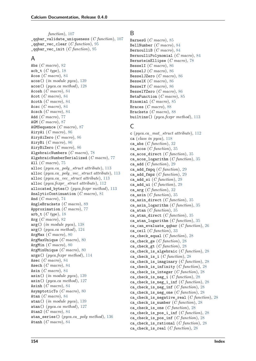*function*), [107](#page-112-0) \_qqbar\_validate\_uniqueness (*C function*), [107](#page-112-0) \_qqbar\_vec\_clear (*C function*), [95](#page-100-0) \_qqbar\_vec\_init (*C function*), [95](#page-100-0)

#### A

Abs (*C macro*), [82](#page-87-0) acb\_t (*C type*), [18](#page-23-0) Acos (*C macro*), [84](#page-89-0) acos() (*in module pyca*), [139](#page-144-0) acos() (*pyca.ca method*), [128](#page-133-0) Acosh (*C macro*), [84](#page-89-0) Acot (*C macro*), [84](#page-89-0) Acoth (*C macro*), [84](#page-89-0) Acsc (*C macro*), [84](#page-89-0) Acsch (*C macro*), [84](#page-89-0) Add (*C macro*), [77](#page-82-0) AGM (*C macro*), [87](#page-92-0) AGMSequence (*C macro*), [87](#page-92-0) AiryAi (*C macro*), [86](#page-91-0) AiryAiZero (*C macro*), [86](#page-91-0) AiryBi (*C macro*), [86](#page-91-0) AiryBiZero (*C macro*), [86](#page-91-0) AlgebraicNumbers (*C macro*), [78](#page-83-0) AlgebraicNumberSerialized (*C macro*), [77](#page-82-0) All (*C macro*), [75](#page-80-0) alloc (*pyca.ca\_poly\_struct attribute*), [113](#page-118-0) alloc (*pyca.ca\_poly\_vec\_struct attribute*), [113](#page-118-0) alloc (*pyca.ca\_vec\_struct attribute*), [113](#page-118-0) alloc (*pyca.fexpr\_struct attribute*), [112](#page-117-0) allocated\_bytes() (*pyca.fexpr method*), [113](#page-118-0) AnalyticContinuation (*C macro*), [81](#page-86-0) And (*C macro*), [74](#page-79-0) AngleBrackets (*C macro*), [89](#page-94-0) Approximation (*C macro*), [77](#page-82-0) arb\_t (*C type*), [18](#page-23-0) Arg (*C macro*), [82](#page-87-0) arg() (*in module pyca*), [138](#page-143-0) arg() (*pyca.ca method*), [124](#page-129-0) ArgMax (*C macro*), [80](#page-85-0) ArgMaxUnique (*C macro*), [80](#page-85-0) ArgMin (*C macro*), [80](#page-85-0) ArgMinUnique (*C macro*), [80](#page-85-0) args() (*pyca.fexpr method*), [114](#page-119-0) Asec (*C macro*), [84](#page-89-0) Asech (*C macro*), [84](#page-89-0) Asin (*C macro*), [84](#page-89-0) asin() (*in module pyca*), [139](#page-144-0) asin() (*pyca.ca method*), [127](#page-132-0) Asinh (*C macro*), [84](#page-89-0) AsymptoticTo (*C macro*), [80](#page-85-0) Atan (*C macro*), [84](#page-89-0) atan() (*in module pyca*), [139](#page-144-0) atan() (*pyca.ca method*), [127](#page-132-0) Atan2 (*C macro*), [84](#page-89-0) atan\_series() (*pyca.ca\_poly method*), [136](#page-141-0) Atanh (*C macro*), [84](#page-89-0)

#### B

BarnesG (*C macro*), [85](#page-90-0) BellNumber (*C macro*), [84](#page-89-0) BernoulliB (*C macro*), [84](#page-89-0) BernoulliPolynomial (*C macro*), [84](#page-89-0) BernsteinEllipse (*C macro*), [78](#page-83-0) BesselI (*C macro*), [86](#page-91-0) BesselJ (*C macro*), [86](#page-91-0) BesselJZero (*C macro*), [86](#page-91-0) BesselK (*C macro*), [86](#page-91-0) BesselY (*C macro*), [86](#page-91-0) BesselYZero (*C macro*), [86](#page-91-0) BetaFunction (*C macro*), [85](#page-90-0) Binomial (*C macro*), [85](#page-90-0) Braces (*C macro*), [88](#page-93-0) Brackets (*C macro*), [88](#page-93-0) builtins() (*pyca.fexpr method*), [113](#page-118-0)

## C

c (*pyca.ca\_mat\_struct attribute*), [112](#page-117-0) ca (*class in pyca*), [118](#page-123-0) ca\_abs (*C function*), [32](#page-37-0) ca\_acos (*C function*), [35](#page-40-0) ca\_acos\_direct (*C function*), [35](#page-40-0) ca\_acos\_logarithm (*C function*), [35](#page-40-0) ca\_add (*C function*), [29](#page-34-0) ca\_add\_fmpq (*C function*), [29](#page-34-0) ca\_add\_fmpz (*C function*), [29](#page-34-0) ca\_add\_si (*C function*), [29](#page-34-0) ca\_add\_ui (*C function*), [29](#page-34-0) ca\_arg (*C function*), [32](#page-37-0) ca\_asin (*C function*), [35](#page-40-0) ca\_asin\_direct (*C function*), [35](#page-40-0) ca\_asin\_logarithm (*C function*), [35](#page-40-0) ca\_atan (*C function*), [35](#page-40-0) ca\_atan\_direct (*C function*), [35](#page-40-0) ca\_atan\_logarithm (*C function*), [35](#page-40-0) ca\_can\_evaluate\_qqbar (*C function*), [26](#page-31-0) ca\_ceil (*C function*), [33](#page-38-0) ca\_check\_equal (*C function*), [28](#page-33-0) ca\_check\_ge (*C function*), [28](#page-33-0) ca\_check\_gt (*C function*), [28](#page-33-0) ca\_check\_is\_algebraic (*C function*), [28](#page-33-0) ca\_check\_is\_i (*C function*), [28](#page-33-0) ca\_check\_is\_imaginary (*C function*), [28](#page-33-0) ca\_check\_is\_infinity (*C function*), [28](#page-33-0) ca\_check\_is\_integer (*C function*), [28](#page-33-0) ca\_check\_is\_neg\_i (*C function*), [28](#page-33-0) ca\_check\_is\_neg\_i\_inf (*C function*), [28](#page-33-0) ca\_check\_is\_neg\_inf (*C function*), [28](#page-33-0) ca\_check\_is\_neg\_one (*C function*), [28](#page-33-0) ca\_check\_is\_negative\_real (*C function*), [28](#page-33-0) ca\_check\_is\_number (*C function*), [28](#page-33-0) ca\_check\_is\_one (*C function*), [28](#page-33-0) ca check is pos i inf  $(C function)$ , [28](#page-33-0) ca check is pos inf  $(C$  *function*), [28](#page-33-0) ca\_check\_is\_rational (*C function*), [28](#page-33-0) ca\_check\_is\_real (*C function*), [28](#page-33-0)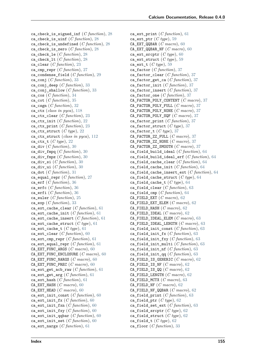ca\_check\_is\_signed\_inf (*C function*), [28](#page-33-0) ca\_check\_is\_uinf (*C function*), [28](#page-33-0) ca\_check\_is\_undefined (*C function*), [28](#page-33-0) ca\_check\_is\_zero (*C function*), [28](#page-33-0) ca\_check\_le (*C function*), [28](#page-33-0) ca\_check\_lt (*C function*), [28](#page-33-0) ca\_clear (*C function*), [23](#page-28-0) ca\_cmp\_repr (*C function*), [27](#page-32-0) ca\_condense\_field (*C function*), [29](#page-34-0) ca\_conj (*C function*), [33](#page-38-0) ca\_conj\_deep (*C function*), [33](#page-38-0) ca\_conj\_shallow (*C function*), [33](#page-38-0) ca\_cos (*C function*), [34](#page-39-0) ca\_cot (*C function*), [35](#page-40-0) ca\_csgn (*C function*), [32](#page-37-0) ca\_ctx (*class in pyca*), [118](#page-123-0) ca\_ctx\_clear (*C function*), [23](#page-28-0) ca\_ctx\_init (*C function*), [22](#page-27-0) ca\_ctx\_print (*C function*), [23](#page-28-0) ca\_ctx\_struct (*C type*), [22](#page-27-0) ca\_ctx\_struct (*class in pyca*), [112](#page-117-0) ca\_ctx\_t (*C type*), [22](#page-27-0) ca\_div (*C function*), [30](#page-35-0) ca\_div\_fmpq (*C function*), [30](#page-35-0) ca\_div\_fmpz (*C function*), [30](#page-35-0) ca\_div\_si (*C function*), [30](#page-35-0) ca\_div\_ui (*C function*), [30](#page-35-0) ca\_dot (*C function*), [31](#page-36-0) ca\_equal\_repr (*C function*), [27](#page-32-0) ca\_erf (*C function*), [36](#page-41-0) ca\_erfc (*C function*), [36](#page-41-0) ca\_erfi (*C function*), [36](#page-41-0) ca\_euler (*C function*), [25](#page-30-0) ca\_exp (*C function*), [33](#page-38-0) ca\_ext\_cache\_clear (*C function*), [61](#page-66-0) ca\_ext\_cache\_init (*C function*), [61](#page-66-0) ca\_ext\_cache\_insert (*C function*), [61](#page-66-0) ca\_ext\_cache\_struct (*C type*), [61](#page-66-0) ca\_ext\_cache\_t (*C type*), [61](#page-66-0) ca\_ext\_clear (*C function*), [60](#page-65-0) ca\_ext\_cmp\_repr (*C function*), [61](#page-66-0) ca\_ext\_equal\_repr (*C function*), [61](#page-66-0) CA\_EXT\_FUNC\_ARGS (*C macro*), [60](#page-65-0) CA\_EXT\_FUNC\_ENCLOSURE (*C macro*), [60](#page-65-0) CA\_EXT\_FUNC\_NARGS (*C macro*), [60](#page-65-0) CA\_EXT\_FUNC\_PREC (*C macro*), [60](#page-65-0) ca\_ext\_get\_acb\_raw (*C function*), [61](#page-66-0) ca\_ext\_get\_arg (*C function*), [61](#page-66-0) ca\_ext\_hash (*C function*), [61](#page-66-0) CA\_EXT\_HASH (*C macro*), [60](#page-65-0) CA\_EXT\_HEAD (*C macro*), [60](#page-65-0) ca\_ext\_init\_const (*C function*), [60](#page-65-0) ca\_ext\_init\_fx (*C function*), [60](#page-65-0) ca\_ext\_init\_fxn (*C function*), [60](#page-65-0) ca\_ext\_init\_fxy (*C function*), [60](#page-65-0) ca\_ext\_init\_qqbar (*C function*), [60](#page-65-0) ca\_ext\_init\_set (*C function*), [60](#page-65-0) ca\_ext\_nargs (*C function*), [61](#page-66-0)

ca\_ext\_print (*C function*), [61](#page-66-0) ca\_ext\_ptr (*C type*), [59](#page-64-0) CA\_EXT\_QQBAR (*C macro*), [60](#page-65-0) CA\_EXT\_QQBAR\_NF (*C macro*), [60](#page-65-0) ca\_ext\_srcptr (*C type*), [60](#page-65-0) ca\_ext\_struct (*C type*), [59](#page-64-0) ca\_ext\_t (*C type*), [59](#page-64-0) ca\_factor (*C function*), [37](#page-42-0) ca\_factor\_clear (*C function*), [37](#page-42-0) ca\_factor\_get\_ca (*C function*), [37](#page-42-0) ca\_factor\_init (*C function*), [37](#page-42-0) ca\_factor\_insert (*C function*), [37](#page-42-0) ca\_factor\_one (*C function*), [37](#page-42-0) CA\_FACTOR\_POLY\_CONTENT (*C macro*), [37](#page-42-0) CA\_FACTOR\_POLY\_FULL (*C macro*), [37](#page-42-0) CA\_FACTOR\_POLY\_NONE (*C macro*), [37](#page-42-0) CA\_FACTOR\_POLY\_SQF (*C macro*), [37](#page-42-0) ca\_factor\_print (*C function*), [37](#page-42-0) ca\_factor\_struct (*C type*), [37](#page-42-0) ca factor  $t$  (*C type*), [37](#page-42-0) CA\_FACTOR\_ZZ\_FULL (*C macro*), [37](#page-42-0) CA\_FACTOR\_ZZ\_NONE (*C macro*), [37](#page-42-0) CA\_FACTOR\_ZZ\_SMOOTH (*C macro*), [37](#page-42-0) ca\_field\_build\_ideal (*C function*), [64](#page-69-0) ca\_field\_build\_ideal\_erf (*C function*), [64](#page-69-0) ca\_field\_cache\_clear (*C function*), [64](#page-69-0) ca\_field\_cache\_init (*C function*), [64](#page-69-0) ca\_field\_cache\_insert\_ext (*C function*), [64](#page-69-0) ca\_field\_cache\_struct (*C type*), [64](#page-69-0) ca\_field\_cache\_t (*C type*), [64](#page-69-0) ca\_field\_clear (*C function*), [63](#page-68-0) ca\_field\_cmp (*C function*), [64](#page-69-0) CA\_FIELD\_EXT (*C macro*), [62](#page-67-0) CA\_FIELD\_EXT\_ELEM (*C macro*), [62](#page-67-0) CA\_FIELD\_HASH (*C macro*), [62](#page-67-0) CA\_FIELD\_IDEAL (*C macro*), [62](#page-67-0) CA\_FIELD\_IDEAL\_ELEM (*C macro*), [63](#page-68-0) CA\_FIELD\_IDEAL\_LENGTH (*C macro*), [63](#page-68-0) ca\_field\_init\_const (*C function*), [63](#page-68-0) ca\_field\_init\_fx (*C function*), [63](#page-68-0) ca\_field\_init\_fxy (*C function*), [63](#page-68-0) ca\_field\_init\_multi (*C function*), [63](#page-68-0) ca\_field\_init\_nf (*C function*), [63](#page-68-0) ca\_field\_init\_qq (*C function*), [63](#page-68-0) CA\_FIELD\_IS\_GENERIC (*C macro*), [62](#page-67-0) CA\_FIELD\_IS\_NF (*C macro*), [62](#page-67-0) CA\_FIELD\_IS\_QQ (*C macro*), [62](#page-67-0) CA\_FIELD\_LENGTH (*C macro*), [62](#page-67-0) CA\_FIELD\_MCTX (*C macro*), [63](#page-68-0) CA\_FIELD\_NF (*C macro*), [62](#page-67-0) CA\_FIELD\_NF\_QQBAR (*C macro*), [62](#page-67-0) ca\_field\_print (*C function*), [63](#page-68-0) ca\_field\_ptr (*C type*), [62](#page-67-0) ca\_field\_set\_ext (*C function*), [63](#page-68-0) ca\_field\_srcptr (*C type*), [62](#page-67-0) ca\_field\_struct (*C type*), [62](#page-67-0) ca\_field\_t (*C type*), [62](#page-67-0) ca\_floor (*C function*), [33](#page-38-0)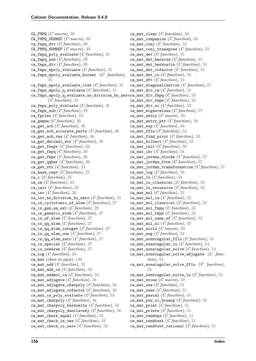CA\_FMPQ (*C macro*), [39](#page-44-0) CA\_FMPQ\_DENREF (*C macro*), [39](#page-44-0) ca\_fmpq\_div (*C function*), [30](#page-35-0) CA\_FMPQ\_NUMREF (*C macro*), [39](#page-44-0) ca\_fmpq\_poly\_evaluate (*C function*), [31](#page-36-0) ca\_fmpq\_sub (*C function*), [29](#page-34-0) ca\_fmpz\_div (*C function*), [30](#page-35-0) ca\_fmpz\_mpoly\_evaluate (*C function*), [31](#page-36-0) ca\_fmpz\_mpoly\_evaluate\_horner (*C function*), [31](#page-36-0) ca\_fmpz\_mpoly\_evaluate\_iter (*C function*), [31](#page-36-0) ca\_fmpz\_mpoly\_q\_evaluate (*C function*), [31](#page-36-0) ca\_fmpz\_mpoly\_q\_evaluate\_no\_division\_by\_zero ca\_mat\_div\_fmpq (*C function*), [53](#page-58-0) (*C function*), [31](#page-36-0) ca\_fmpz\_poly\_evaluate (*C function*), [31](#page-36-0) ca\_fmpz\_sub (*C function*), [29](#page-34-0) ca\_fprint (*C function*), [24](#page-29-0) ca\_gamma (*C function*), [36](#page-41-0) ca\_get\_acb (*C function*), [36](#page-41-0) ca\_get\_acb\_accurate\_parts (*C function*), [36](#page-41-0) ca\_get\_acb\_raw (*C function*), [36](#page-41-0) ca\_get\_decimal\_str (*C function*), [36](#page-41-0) ca\_get\_fexpr (*C function*), [23](#page-28-0) ca\_get\_fmpq (*C function*), [26](#page-31-0) ca\_get\_fmpz (*C function*), [26](#page-31-0) ca\_get\_qqbar (*C function*), [26](#page-31-0) ca\_get\_str (*C function*), [24](#page-29-0) ca\_hash\_repr (*C function*), [27](#page-32-0) ca\_i (*C function*), [25](#page-30-0) ca\_im (*C function*), [33](#page-38-0) ca\_init (*C function*), [23](#page-28-0) ca\_inv (*C function*), [30](#page-35-0) ca\_inv\_no\_division\_by\_zero (*C function*), [31](#page-36-0) ca\_is\_cyclotomic\_nf\_elem (*C function*), [27](#page-32-0) ca\_is\_gen\_as\_ext (*C function*), [29](#page-34-0) ca\_is\_generic\_elem (*C function*), [27](#page-32-0) ca\_is\_nf\_elem (*C function*), [27](#page-32-0) ca\_is\_qq\_elem (*C function*), [27](#page-32-0) ca\_is\_qq\_elem\_integer (*C function*), [27](#page-32-0) ca\_is\_qq\_elem\_one (*C function*), [27](#page-32-0) ca\_is\_qq\_elem\_zero (*C function*), [27](#page-32-0) ca\_is\_special (*C function*), [27](#page-32-0) ca\_is\_unknown (*C function*), [27](#page-32-0) ca\_log (*C function*), [33](#page-38-0) ca\_mat (*class in pyca*), [130](#page-135-0) ca\_mat\_add (*C function*), [52](#page-57-0) ca\_mat\_add\_ca (*C function*), [53](#page-58-0) ca\_mat\_addmul\_ca (*C function*), [53](#page-58-0) ca\_mat\_adjugate (*C function*), [56](#page-61-0) ca\_mat\_adjugate\_charpoly (*C function*), [56](#page-61-0) ca\_mat\_adjugate\_cofactor (*C function*), [56](#page-61-0) ca\_mat\_ca\_poly\_evaluate (*C function*), [53](#page-58-0) ca\_mat\_charpoly (*C function*), [56](#page-61-0) ca\_mat\_charpoly\_berkowitz (*C function*), [56](#page-61-0) ca\_mat\_charpoly\_danilevsky (*C function*), [56](#page-61-0) ca\_mat\_check\_equal (*C function*), [52](#page-57-0) ca\_mat\_check\_is\_one (*C function*), [52](#page-57-0) ca\_mat\_check\_is\_zero (*C function*), [52](#page-57-0)

ca\_mat\_clear (*C function*), [50](#page-55-0) ca\_mat\_companion (*C function*), [56](#page-61-0) ca\_mat\_conj (*C function*), [52](#page-57-0) ca\_mat\_conj\_transpose (*C function*), [52](#page-57-0) ca\_mat\_det (*C function*), [55](#page-60-0) ca\_mat\_det\_bareiss (*C function*), [55](#page-60-0) ca\_mat\_det\_berkowitz (*C function*), [55](#page-60-0) ca\_mat\_det\_cofactor (*C function*), [55](#page-60-0) ca\_mat\_det\_lu (*C function*), [55](#page-60-0) ca\_mat\_dft (*C function*), [52](#page-57-0) ca\_mat\_diagonalization (*C function*), [57](#page-62-0) ca\_mat\_div\_ca (*C function*), [53](#page-58-0) ca\_mat\_div\_fmpz (*C function*), [53](#page-58-0) ca\_mat\_div\_si (*C function*), [53](#page-58-0) ca\_mat\_eigenvalues (*C function*), [57](#page-62-0) ca\_mat\_entry (*C macro*), [50](#page-55-0) ca mat entry ptr  $(C$  function), [50](#page-55-0) ca\_mat\_exp (*C function*), [58](#page-63-0) ca\_mat\_fflu (*C function*), [54](#page-59-0) ca\_mat\_find\_pivot (*C function*), [53](#page-58-0) ca\_mat\_hilbert (*C function*), [52](#page-57-0) ca\_mat\_init (*C function*), [50](#page-55-0) ca\_mat\_inv (*C function*), [54](#page-59-0) ca\_mat\_jordan\_blocks (*C function*), [57](#page-62-0) ca\_mat\_jordan\_form (*C function*), [57](#page-62-0) ca\_mat\_jordan\_transformation (*C function*), [57](#page-62-0) ca\_mat\_log  $(C function)$ , [58](#page-63-0) ca\_mat\_lu (*C function*), [53](#page-58-0) ca\_mat\_lu\_classical (*C function*), [53](#page-58-0) ca\_mat\_lu\_recursive (*C function*), [53](#page-58-0) ca\_mat\_mul (*C function*), [52](#page-57-0) ca\_mat\_mul\_ca (*C function*), [52](#page-57-0) ca\_mat\_mul\_classical (*C function*), [52](#page-57-0) ca\_mat\_mul\_fmpq (*C function*), [52](#page-57-0) ca\_mat\_mul\_fmpz (*C function*), [52](#page-57-0) ca mat mul same nf  $(C function)$ , [52](#page-57-0) ca\_mat\_mul\_si (*C function*), [52](#page-57-0) ca\_mat\_ncols (*C macro*), [50](#page-55-0) ca\_mat\_neg  $(C$  function), [52](#page-57-0) ca\_mat\_nonsingular\_fflu (*C function*), [54](#page-59-0) ca\_mat\_nonsingular\_lu (*C function*), [54](#page-59-0) ca\_mat\_nonsingular\_solve (*C function*), [54](#page-59-0) ca\_mat\_nonsingular\_solve\_adjugate (*C function*), [54](#page-59-0) ca\_mat\_nonsingular\_solve\_fflu (*C function*), [54](#page-59-0) ca\_mat\_nonsingular\_solve\_lu (*C function*), [54](#page-59-0) ca\_mat\_nrows (*C macro*), [50](#page-55-0) ca\_mat\_one (*C function*), [51](#page-56-0) ca\_mat\_ones (*C function*), [51](#page-56-0) ca\_mat\_pascal (*C function*), [51](#page-56-0) ca\_mat\_pow\_ui\_binexp (*C function*), [53](#page-58-0) ca\_mat\_print (*C function*), [51](#page-56-0) ca\_mat\_printn (*C function*), [51](#page-56-0) ca\_mat\_randops (*C function*), [51](#page-56-0) ca\_mat\_randtest (*C function*), [51](#page-56-0) ca\_mat\_randtest\_rational (*C function*), [51](#page-56-0)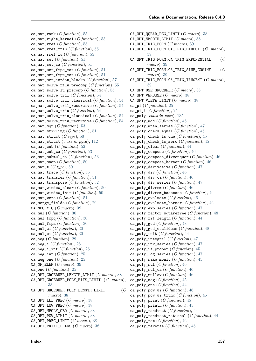ca\_mat\_rank (*C function*), [55](#page-60-0) ca\_mat\_right\_kernel (*C function*), [55](#page-60-0) ca\_mat\_rref (*C function*), [55](#page-60-0) ca\_mat\_rref\_fflu (*C function*), [55](#page-60-0) ca\_mat\_rref\_lu (*C function*), [55](#page-60-0) ca\_mat\_set (*C function*), [51](#page-56-0) ca\_mat\_set\_ca (*C function*), [51](#page-56-0) ca\_mat\_set\_fmpq\_mat  $(C function)$ , [51](#page-56-0) ca\_mat\_set\_fmpz\_mat (*C function*), [51](#page-56-0) ca\_mat\_set\_jordan\_blocks (*C function*), [57](#page-62-0) ca\_mat\_solve\_fflu\_precomp (*C function*), [55](#page-60-0) ca\_mat\_solve\_lu\_precomp (*C function*), [55](#page-60-0) ca\_mat\_solve\_tril (*C function*), [54](#page-59-0) ca\_mat\_solve\_tril\_classical (*C function*), [54](#page-59-0) ca\_mat\_solve\_tril\_recursive (*C function*), [54](#page-59-0) ca\_mat\_solve\_triu (*C function*), [54](#page-59-0) ca\_mat\_solve\_triu\_classical (*C function*), [54](#page-59-0) ca\_mat\_solve\_triu\_recursive (*C function*), [54](#page-59-0) ca\_mat\_sqr (*C function*), [53](#page-58-0) ca\_mat\_stirling (*C function*), [51](#page-56-0) ca\_mat\_struct  $(C \text{ type})$ , [50](#page-55-0) ca\_mat\_struct (*class in pyca*), [112](#page-117-0) ca\_mat\_sub (*C function*), [52](#page-57-0) ca\_mat\_sub\_ca (*C function*), [53](#page-58-0) ca\_mat\_submul\_ca (*C function*), [53](#page-58-0) ca\_mat\_swap (*C function*), [50](#page-55-0) ca\_mat\_t (*C type*), [50](#page-55-0) ca\_mat\_trace (*C function*), [55](#page-60-0) ca\_mat\_transfer (*C function*), [51](#page-56-0) ca\_mat\_transpose (*C function*), [52](#page-57-0) ca\_mat\_window\_clear (*C function*), [50](#page-55-0) ca\_mat\_window\_init (*C function*), [50](#page-55-0) ca\_mat\_zero (*C function*), [51](#page-56-0) ca\_merge\_fields (*C function*), [29](#page-34-0) CA\_MPOLY\_Q (*C macro*), [39](#page-44-0) ca\_mul (*C function*), [30](#page-35-0) ca\_mul\_fmpq (*C function*), [30](#page-35-0) ca\_mul\_fmpz (*C function*), [30](#page-35-0) ca\_mul\_si (*C function*), [30](#page-35-0) ca\_mul\_ui (*C function*), [30](#page-35-0) ca\_neg (*C function*), [29](#page-34-0) ca\_neg\_i (*C function*), [25](#page-30-0) ca\_neg\_i\_inf (*C function*), [25](#page-30-0) ca\_neg\_inf (*C function*), [25](#page-30-0) ca\_neg\_one (*C function*), [25](#page-30-0) CA\_NF\_ELEM (*C macro*), [39](#page-44-0) ca\_one (*C function*), [25](#page-30-0) CA\_OPT\_GROEBNER\_LENGTH\_LIMIT (*C macro*), [38](#page-43-0) CA\_OPT\_GROEBNER\_POLY\_BITS\_LIMIT (*C macro*), [38](#page-43-0) CA\_OPT\_GROEBNER\_POLY\_LENGTH\_LIMIT (*C macro*), [38](#page-43-0) CA\_OPT\_LLL\_PREC (*C macro*), [38](#page-43-0) CA\_OPT\_LOW\_PREC (*C macro*), [38](#page-43-0) CA\_OPT\_MPOLY\_ORD (*C macro*), [38](#page-43-0) CA\_OPT\_POW\_LIMIT (*C macro*), [38](#page-43-0) CA\_OPT\_PREC\_LIMIT (*C macro*), [38](#page-43-0) CA\_OPT\_PRINT\_FLAGS (*C macro*), [38](#page-43-0)

CA\_OPT\_QQBAR\_DEG\_LIMIT (*C macro*), [38](#page-43-0) CA\_OPT\_SMOOTH\_LIMIT (*C macro*), [38](#page-43-0) CA\_OPT\_TRIG\_FORM (*C macro*), [39](#page-44-0) CA\_OPT\_TRIG\_FORM.CA\_TRIG\_DIRECT (*C macro*), [39](#page-44-0) CA\_OPT\_TRIG\_FORM.CA\_TRIG\_EXPONENTIAL (*C macro*), [39](#page-44-0) CA\_OPT\_TRIG\_FORM.CA\_TRIG\_SINE\_COSINE (*C macro*), [39](#page-44-0) CA\_OPT\_TRIG\_FORM.CA\_TRIG\_TANGENT (*C macro*), [39](#page-44-0) CA\_OPT\_USE\_GROEBNER (*C macro*), [38](#page-43-0) CA\_OPT\_VERBOSE (*C macro*), [38](#page-43-0) CA\_OPT\_VIETA\_LIMIT (*C macro*), [38](#page-43-0) ca\_pi (*C function*), [25](#page-30-0) ca pi i  $(C$  *function*), [25](#page-30-0) ca\_poly (*class in pyca*), [135](#page-140-0) ca\_poly\_add (*C function*), [45](#page-50-0) ca\_poly\_atan\_series (*C function*), [47](#page-52-0) ca\_poly\_check\_equal (*C function*), [45](#page-50-0) ca\_poly\_check\_is\_one (*C function*), [45](#page-50-0) ca\_poly\_check\_is\_zero (*C function*), [45](#page-50-0) ca\_poly\_clear (*C function*), [44](#page-49-0) ca\_poly\_compose (*C function*), [46](#page-51-0) ca\_poly\_compose\_divconquer (*C function*), [46](#page-51-0) ca\_poly\_compose\_horner (*C function*), [46](#page-51-0) ca\_poly\_derivative (*C function*), [47](#page-52-0) ca\_poly\_div (*C function*), [46](#page-51-0) ca\_poly\_div\_ca (*C function*), [46](#page-51-0) ca\_poly\_div\_series (*C function*), [47](#page-52-0) ca\_poly\_divrem (*C function*), [46](#page-51-0) ca\_poly\_divrem\_basecase (*C function*), [46](#page-51-0) ca\_poly\_evaluate (*C function*), [46](#page-51-0) ca\_poly\_evaluate\_horner (*C function*), [46](#page-51-0) ca\_poly\_exp\_series (*C function*), [47](#page-52-0) ca\_poly\_factor\_squarefree (*C function*), [48](#page-53-0) ca\_poly\_fit\_length (*C function*), [44](#page-49-0) ca\_poly\_gcd (*C function*), [48](#page-53-0) ca\_poly\_gcd\_euclidean (*C function*), [48](#page-53-0) ca\_poly\_init (*C function*), [44](#page-49-0) ca\_poly\_integral (*C function*), [47](#page-52-0) ca\_poly\_inv\_series (*C function*), [47](#page-52-0) ca\_poly\_is\_proper (*C function*), [45](#page-50-0) ca\_poly\_log\_series (*C function*), [47](#page-52-0) ca\_poly\_make\_monic (*C function*), [45](#page-50-0) ca\_poly\_mul (*C function*), [46](#page-51-0) ca\_poly\_mul\_ca (*C function*), [46](#page-51-0) ca\_poly\_mullow (*C function*), [46](#page-51-0) ca\_poly\_neg (*C function*), [45](#page-50-0) ca\_poly\_one (*C function*), [44](#page-49-0)  $(C$  ca\_poly\_pow\_ui  $(C$  function), [46](#page-51-0) ca\_poly\_pow\_ui\_trunc (*C function*), [46](#page-51-0) ca\_poly\_print (*C function*), [45](#page-50-0) ca\_poly\_printn (*C function*), [45](#page-50-0) ca\_poly\_randtest (*C function*), [44](#page-49-0) ca\_poly\_randtest\_rational (*C function*), [44](#page-49-0) ca\_poly\_rem (*C function*), [46](#page-51-0) ca\_poly\_reverse (*C function*), [45](#page-50-0)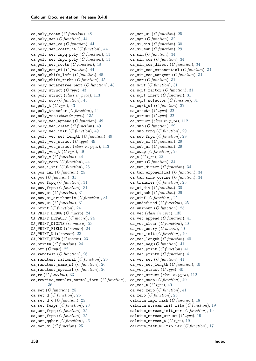ca\_poly\_roots (*C function*), [48](#page-53-0) ca\_poly\_set (*C function*), [44](#page-49-0) ca\_poly\_set\_ca (*C function*), [44](#page-49-0) ca\_poly\_set\_coeff\_ca (*C function*), [44](#page-49-0) ca\_poly\_set\_fmpq\_poly (*C function*), [44](#page-49-0) ca\_poly\_set\_fmpz\_poly (*C function*), [44](#page-49-0) ca\_poly\_set\_roots (*C function*), [48](#page-53-0) ca\_poly\_set\_si (*C function*), [44](#page-49-0) ca\_poly\_shift\_left (*C function*), [45](#page-50-0) ca\_poly\_shift\_right (*C function*), [45](#page-50-0) ca\_poly\_squarefree\_part (*C function*), [48](#page-53-0) ca\_poly\_struct (*C type*), [43](#page-48-0) ca\_poly\_struct (*class in pyca*), [113](#page-118-0) ca\_poly\_sub (*C function*), [45](#page-50-0) ca\_poly\_t (*C type*), [43](#page-48-0) ca\_poly\_transfer (*C function*), [44](#page-49-0) ca\_poly\_vec (*class in pyca*), [135](#page-140-0) ca\_poly\_vec\_append (*C function*), [49](#page-54-0) ca\_poly\_vec\_clear (*C function*), [49](#page-54-0) ca\_poly\_vec\_init (*C function*), [49](#page-54-0) ca\_poly\_vec\_set\_length (*C function*), [49](#page-54-0) ca\_poly\_vec\_struct (*C type*), [49](#page-54-0) ca\_poly\_vec\_struct (*class in pyca*), [113](#page-118-0) ca\_poly\_vec\_t (*C type*), [49](#page-54-0) ca\_poly\_x (*C function*), [44](#page-49-0) ca\_poly\_zero (*C function*), [44](#page-49-0) ca pos i inf  $(C function)$ , [25](#page-30-0) ca\_pos\_inf (*C function*), [25](#page-30-0) ca\_pow (*C function*), [31](#page-36-0) ca\_pow\_fmpq (*C function*), [31](#page-36-0) ca\_pow\_fmpz (*C function*), [31](#page-36-0) ca\_pow\_si (*C function*), [31](#page-36-0) ca\_pow\_si\_arithmetic (*C function*), [31](#page-36-0) ca\_pow\_ui (*C function*), [31](#page-36-0) ca\_print (*C function*), [24](#page-29-0) CA\_PRINT\_DEBUG (*C macro*), [24](#page-29-0) CA\_PRINT\_DEFAULT (*C macro*), [24](#page-29-0) CA\_PRINT\_DIGITS (*C macro*), [23](#page-28-0) CA\_PRINT\_FIELD (*C macro*), [24](#page-29-0) CA\_PRINT\_N (*C macro*), [23](#page-28-0) CA\_PRINT\_REPR (*C macro*), [23](#page-28-0) ca\_printn (*C function*), [24](#page-29-0) ca\_ptr (*C type*), [22](#page-27-0) ca\_randtest (*C function*), [26](#page-31-0) ca\_randtest\_rational (*C function*), [26](#page-31-0) ca\_randtest\_same\_nf (*C function*), [26](#page-31-0) ca\_randtest\_special (*C function*), [26](#page-31-0) ca\_re (*C function*), [33](#page-38-0) ca\_rewrite\_complex\_normal\_form (*C function*), [36](#page-41-0) ca\_set (*C function*), [25](#page-30-0) ca\_set\_d (*C function*), [25](#page-30-0) ca\_set\_d\_d (*C function*), [25](#page-30-0) ca\_set\_fexpr (*C function*), [23](#page-28-0) ca\_set\_fmpq (*C function*), [25](#page-30-0) ca\_set\_fmpz (*C function*), [25](#page-30-0) ca\_set\_qqbar (*C function*), [26](#page-31-0) ca\_set\_si (*C function*), [25](#page-30-0)

ca\_set\_ui (*C function*), [25](#page-30-0) ca\_sgn (*C function*), [32](#page-37-0) ca\_si\_div (*C function*), [30](#page-35-0) ca\_si\_sub (*C function*), [29](#page-34-0) ca\_sin (*C function*), [34](#page-39-0) ca\_sin\_cos (*C function*), [34](#page-39-0) ca\_sin\_cos\_direct (*C function*), [34](#page-39-0) ca\_sin\_cos\_exponential (*C function*), [34](#page-39-0) ca\_sin\_cos\_tangent (*C function*), [34](#page-39-0) ca\_sqr (*C function*), [31](#page-36-0) ca\_sqrt (*C function*), [31](#page-36-0) ca\_sqrt\_factor (*C function*), [31](#page-36-0) ca\_sqrt\_inert (*C function*), [31](#page-36-0) ca\_sqrt\_nofactor (*C function*), [31](#page-36-0) ca\_sqrt\_ui (*C function*), [32](#page-37-0) ca\_srcptr (*C type*), [22](#page-27-0) ca\_struct (*C type*), [22](#page-27-0) ca\_struct (*class in pyca*), [112](#page-117-0) ca\_sub (*C function*), [29](#page-34-0) ca\_sub\_fmpq (*C function*), [29](#page-34-0) ca\_sub\_fmpz (*C function*), [29](#page-34-0) ca\_sub\_si (*C function*), [29](#page-34-0) ca\_sub\_ui (*C function*), [29](#page-34-0) ca\_swap (*C function*), [23](#page-28-0) ca\_t (*C type*), [22](#page-27-0) ca\_tan (*C function*), [34](#page-39-0) ca\_tan\_direct (*C function*), [34](#page-39-0) ca\_tan\_exponential (*C function*), [34](#page-39-0) ca\_tan\_sine\_cosine (*C function*), [34](#page-39-0) ca\_transfer (*C function*), [25](#page-30-0) ca\_ui\_div (*C function*), [30](#page-35-0) ca\_ui\_sub (*C function*), [29](#page-34-0) ca\_uinf (*C function*), [25](#page-30-0) ca\_undefined (*C function*), [25](#page-30-0) ca\_unknown (*C function*), [25](#page-30-0) ca\_vec (*class in pyca*), [135](#page-140-0) ca\_vec\_append (*C function*), [41](#page-46-0) ca\_vec\_clear (*C function*), [40](#page-45-0) ca\_vec\_entry (*C macro*), [40](#page-45-0) ca\_vec\_init (*C function*), [40](#page-45-0) ca\_vec\_length (*C function*), [40](#page-45-0) ca\_vec\_neg (*C function*), [41](#page-46-0) ca\_vec\_print (*C function*), [41](#page-46-0) ca\_vec\_printn (*C function*), [41](#page-46-0) ca\_vec\_set (*C function*), [41](#page-46-0) ca\_vec\_set\_length (*C function*), [40](#page-45-0) ca\_vec\_struct (*C type*), [40](#page-45-0) ca\_vec\_struct (*class in pyca*), [112](#page-117-0) ca\_vec\_swap (*C function*), [40](#page-45-0) ca\_vec\_t (*C type*), [40](#page-45-0) ca\_vec\_zero (*C function*), [41](#page-46-0) ca\_zero (*C function*), [25](#page-30-0) calcium\_fmpz\_hash (*C function*), [18](#page-23-0) calcium\_stream\_init\_file (*C function*), [19](#page-24-0) calcium\_stream\_init\_str (*C function*), [19](#page-24-0) calcium\_stream\_struct (*C type*), [19](#page-24-0) calcium\_stream\_t (*C type*), [19](#page-24-0) calcium\_test\_multiplier (*C function*), [17](#page-22-0)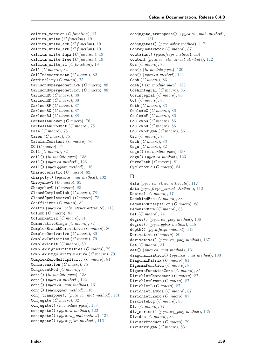calcium\_version (*C function*), [17](#page-22-0) calcium\_write (*C function*), [19](#page-24-0) calcium\_write\_acb (*C function*), [19](#page-24-0) calcium\_write\_arb (*C function*), [19](#page-24-0) calcium\_write\_fmpz (*C function*), [19](#page-24-0) calcium\_write\_free (*C function*), [19](#page-24-0) calcium\_write\_si (*C function*), [19](#page-24-0) Call (*C macro*), [82](#page-87-0) CallIndeterminate (*C macro*), [82](#page-87-0) Cardinality (*C macro*), [75](#page-80-0) CarlsonHypergeometricR (*C macro*), [88](#page-93-0) CarlsonHypergeometricT (*C macro*), [88](#page-93-0) CarlsonRC (*C macro*), [88](#page-93-0) CarlsonRD (*C macro*), [88](#page-93-0) CarlsonRF (*C macro*), [87](#page-92-0) CarlsonRG (*C macro*), [87](#page-92-0) CarlsonRJ (*C macro*), [88](#page-93-0) CartesianPower (*C macro*), [76](#page-81-0) CartesianProduct (*C macro*), [76](#page-81-0) Case (*C macro*), [75](#page-80-0) Cases (*C macro*), [75](#page-80-0) CatalanConstant (*C macro*), [76](#page-81-0) CC (*C macro*), [77](#page-82-0) Ceil (*C macro*), [82](#page-87-0) ceil() (*in module pyca*), [138](#page-143-0) ceil() (*pyca.ca method*), [123](#page-128-0) ceil() (*pyca.qqbar method*), [116](#page-121-0) Characteristic (*C macro*), [82](#page-87-0) charpoly() (*pyca.ca\_mat method*), [132](#page-137-0) ChebyshevT (*C macro*), [85](#page-90-0) ChebyshevU (*C macro*), [85](#page-90-0) ClosedComplexDisk (*C macro*), [78](#page-83-0) ClosedOpenInterval (*C macro*), [78](#page-83-0) Coefficient (*C macro*), [82](#page-87-0) coeffs (*pyca.ca\_poly\_struct attribute*), [113](#page-118-0) Column (*C macro*), [81](#page-86-0) ColumnMatrix (*C macro*), [81](#page-86-0) CommutativeRings (*C macro*), [82](#page-87-0) ComplexBranchDerivative (*C macro*), [80](#page-85-0) ComplexDerivative (*C macro*), [80](#page-85-0) ComplexInfinities (*C macro*), [79](#page-84-0) ComplexLimit (*C macro*), [80](#page-85-0) ComplexSignedInfinities (*C macro*), [79](#page-84-0) ComplexSingularityClosure (*C macro*), [79](#page-84-0) ComplexZeroMultiplicity (*C macro*), [81](#page-86-0) Concatenation (*C macro*), [75](#page-80-0) CongruentMod (*C macro*), [83](#page-88-0) conj() (*in module pyca*), [138](#page-143-0) conj() (*pyca.ca method*), [122](#page-127-0) conj() (*pyca.ca\_mat method*), [131](#page-136-0) conj() (*pyca.qqbar method*), [116](#page-121-0) conj\_transpose() (*pyca.ca\_mat method*), [131](#page-136-0) Conjugate (*C macro*), [82](#page-87-0) conjugate() (*in module pyca*), [138](#page-143-0) conjugate() (*pyca.ca method*), [122](#page-127-0) conjugate() (*pyca.ca\_mat method*), [131](#page-136-0) conjugate() (*pyca.qqbar method*), [116](#page-121-0)

conjugate\_transpose() (*pyca.ca\_mat method*), [131](#page-136-0) conjugates() (*pyca.qqbar method*), [117](#page-122-0) ConreyGenerator (*C macro*), [87](#page-92-0) contains() (*pyca.fexpr method*), [114](#page-119-0) content (*pyca.ca\_ctx\_struct attribute*), [112](#page-117-0) Cos (*C macro*), [83](#page-88-0) cos() (*in module pyca*), [139](#page-144-0) cos() (*pyca.ca method*), [126](#page-131-0) Cosh (*C macro*), [83](#page-88-0) cosh() (*in module pyca*), [139](#page-144-0) CoshIntegral (*C macro*), [86](#page-91-0) CosIntegral (*C macro*), [86](#page-91-0) Cot (*C macro*), [83](#page-88-0) Coth (*C macro*), [83](#page-88-0) CoulombC (*C macro*), [86](#page-91-0) CoulombF (*C macro*), [86](#page-91-0) CoulombG (*C macro*), [86](#page-91-0) CoulombH (*C macro*), [86](#page-91-0) CoulombSigma (*C macro*), [86](#page-91-0) Csc (*C macro*), [83](#page-88-0) Csch (*C macro*), [83](#page-88-0) Csgn (*C macro*), [82](#page-87-0) csgn() (*in module pyca*), [138](#page-143-0) csgn() (*pyca.ca method*), [123](#page-128-0) CurvePath (*C macro*), [81](#page-86-0) Cyclotomic (*C macro*), [84](#page-89-0)

### D

data (*pyca.ca\_struct attribute*), [112](#page-117-0) data (*pyca.fexpr\_struct attribute*), [112](#page-117-0) Decimal (*C macro*), [77](#page-82-0) DedekindEta (*C macro*), [88](#page-93-0) DedekindEtaEpsilon (*C macro*), [88](#page-93-0) DedekindSum (*C macro*), [88](#page-93-0) Def (*C macro*), [74](#page-79-0) degree() (*pyca.ca\_poly method*), [138](#page-143-0) degree() (*pyca.qqbar method*), [118](#page-123-0) depth() (*pyca.fexpr method*), [113](#page-118-0) Derivative (*C macro*), [80](#page-85-0) derivative() (*pyca.ca\_poly method*), [137](#page-142-0) Det (*C macro*), [81](#page-86-0) det() (*pyca.ca\_mat method*), [131](#page-136-0) diagonalization() (*pyca.ca\_mat method*), [133](#page-138-0) DiagonalMatrix (*C macro*), [81](#page-86-0) DigammaFunction (*C macro*), [85](#page-90-0) DigammaFunctionZero (*C macro*), [85](#page-90-0) DirichletCharacter (*C macro*), [87](#page-92-0) DirichletGroup (*C macro*), [87](#page-92-0) DirichletL (*C macro*), [87](#page-92-0) DirichletLambda (*C macro*), [87](#page-92-0) DirichletLZero (*C macro*), [87](#page-92-0) DiscreteLog (*C macro*), [83](#page-88-0) Div (*C macro*), [77](#page-82-0) div\_series() (*pyca.ca\_poly method*), [135](#page-140-0) Divides (*C macro*), [83](#page-88-0) DivisorProduct (*C macro*), [79](#page-84-0) DivisorSigma (*C macro*), [83](#page-88-0)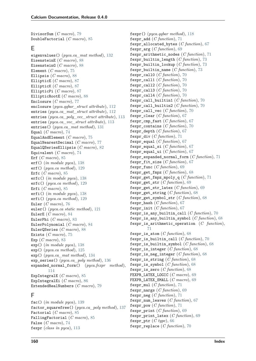DivisorSum (*C macro*), [79](#page-84-0) DoubleFactorial (*C macro*), [85](#page-90-0)

#### E

eigenvalues() (*pyca.ca\_mat method*), [132](#page-137-0) EisensteinE (*C macro*), [88](#page-93-0) EisensteinG (*C macro*), [88](#page-93-0) Element (*C macro*), [75](#page-80-0) Ellipsis (*C macro*), [88](#page-93-0) EllipticE (*C macro*), [87](#page-92-0) EllipticK (*C macro*), [87](#page-92-0) EllipticPi (*C macro*), [87](#page-92-0) EllipticRootE (*C macro*), [88](#page-93-0) Enclosure (*C macro*), [77](#page-82-0) enclosure (*pyca.qqbar\_struct attribute*), [112](#page-117-0) entries (*pyca.ca\_mat\_struct attribute*), [112](#page-117-0) entries (*pyca.ca\_poly\_vec\_struct attribute*), [113](#page-118-0) entries (*pyca.ca\_vec\_struct attribute*), [113](#page-118-0) entries() (*pyca.ca\_mat method*), [131](#page-136-0) Equal (*C macro*), [74](#page-79-0) EqualAndElement (*C macro*), [75](#page-80-0) EqualNearestDecimal (*C macro*), [77](#page-82-0) EqualQSeriesEllipsis (*C macro*), [82](#page-87-0) Equivalent (*C macro*), [74](#page-79-0) Erf (*C macro*), [85](#page-90-0) erf() (*in module pyca*), [138](#page-143-0) erf() (*pyca.ca method*), [129](#page-134-0) Erfc (*C macro*), [85](#page-90-0) erfc() (*in module pyca*), [138](#page-143-0) erfc() (*pyca.ca method*), [129](#page-134-0) Erfi (*C macro*), [85](#page-90-0) erfi() (*in module pyca*), [138](#page-143-0) erfi() (*pyca.ca method*), [129](#page-134-0) Euler (*C macro*), [76](#page-81-0) euler() (*pyca.ca static method*), [121](#page-126-0) EulerE (*C macro*), [84](#page-89-0) EulerPhi (*C macro*), [83](#page-88-0) EulerPolynomial (*C macro*), [84](#page-89-0) EulerQSeries (*C macro*), [88](#page-93-0) Exists (*C macro*), [75](#page-80-0) Exp (*C macro*), [83](#page-88-0) exp() (*in module pyca*), [138](#page-143-0) exp() (*pyca.ca method*), [125](#page-130-0) exp() (*pyca.ca\_mat method*), [134](#page-139-0) exp\_series() (*pyca.ca\_poly method*), [136](#page-141-0) expanded\_normal\_form() (*pyca.fexpr method*), [114](#page-119-0) ExpIntegralE (*C macro*), [85](#page-90-0) ExpIntegralEi (*C macro*), [86](#page-91-0) ExtendedRealNumbers (*C macro*), [79](#page-84-0)

### F

fac() (*in module pyca*), [139](#page-144-0) factor\_squarefree() (*pyca.ca\_poly method*), [137](#page-142-0) Factorial (*C macro*), [85](#page-90-0) FallingFactorial (*C macro*), [85](#page-90-0) False (*C macro*), [74](#page-79-0) fexpr (*class in pyca*), [113](#page-118-0)

fexpr() (*pyca.qqbar method*), [118](#page-123-0) fexpr\_add (*C function*), [71](#page-76-0) fexpr\_allocated\_bytes (*C function*), [67](#page-72-0) fexpr\_arg (*C function*), [69](#page-74-0) fexpr\_arithmetic\_nodes (*C function*), [71](#page-76-0) fexpr\_builtin\_length (*C function*), [73](#page-78-0) fexpr\_builtin\_lookup (*C function*), [73](#page-78-0) fexpr\_builtin\_name (*C function*), [73](#page-78-0) fexpr\_call0 (*C function*), [70](#page-75-0) fexpr\_call1 (*C function*), [70](#page-75-0) fexpr\_call2 (*C function*), [70](#page-75-0) fexpr\_call3 (*C function*), [70](#page-75-0) fexpr\_call4 (*C function*), [70](#page-75-0) fexpr\_call\_builtin1 (*C function*), [70](#page-75-0) fexpr\_call\_builtin2 (*C function*), [70](#page-75-0) fexpr call vec  $(C$  function), [70](#page-75-0) fexpr\_clear (*C function*), [67](#page-72-0) fexpr\_cmp\_fast (*C function*), [67](#page-72-0) fexpr\_contains (*C function*), [70](#page-75-0) fexpr\_depth (*C function*), [67](#page-72-0) fexpr\_div (*C function*), [71](#page-76-0) fexpr\_equal (*C function*), [67](#page-72-0) fexpr\_equal\_si (*C function*), [67](#page-72-0) fexpr\_equal\_ui (*C function*), [67](#page-72-0) fexpr\_expanded\_normal\_form (*C function*), [71](#page-76-0) fexpr\_fit\_size (*C function*), [67](#page-72-0) fexpr\_func (*C function*), [69](#page-74-0) fexpr\_get\_fmpz (*C function*), [68](#page-73-0) fexpr\_get\_fmpz\_mpoly\_q (*C function*), [71](#page-76-0) fexpr\_get\_str (*C function*), [69](#page-74-0) fexpr\_get\_str\_latex (*C function*), [69](#page-74-0) fexpr\_get\_string (*C function*), [68](#page-73-0) fexpr\_get\_symbol\_str (*C function*), [68](#page-73-0) fexpr\_hash (*C function*), [67](#page-72-0) fexpr\_init (*C function*), [67](#page-72-0) fexpr\_is\_any\_builtin\_call (*C function*), [70](#page-75-0) fexpr\_is\_any\_builtin\_symbol (*C function*), [68](#page-73-0) fexpr\_is\_arithmetic\_operation (*C function*), [71](#page-76-0) fexpr\_is\_atom (*C function*), [68](#page-73-0) fexpr\_is\_builtin\_call (*C function*), [70](#page-75-0) fexpr\_is\_builtin\_symbol (*C function*), [68](#page-73-0) fexpr\_is\_integer (*C function*), [68](#page-73-0) fexpr\_is\_neg\_integer (*C function*), [68](#page-73-0) fexpr\_is\_string (*C function*), [68](#page-73-0) fexpr\_is\_symbol (*C function*), [68](#page-73-0) fexpr\_is\_zero (*C function*), [68](#page-73-0) FEXPR\_LATEX\_LOGIC (*C macro*), [69](#page-74-0) FEXPR\_LATEX\_SMALL (*C macro*), [69](#page-74-0) fexpr\_mul (*C function*), [71](#page-76-0) fexpr\_nargs (*C function*), [69](#page-74-0) fexpr\_neg (*C function*), [71](#page-76-0) fexpr\_num\_leaves (*C function*), [67](#page-72-0) fexpr\_pow (*C function*), [71](#page-76-0) fexpr\_print (*C function*), [69](#page-74-0) fexpr\_print\_latex (*C function*), [69](#page-74-0) fexpr\_ptr (*C type*), [66](#page-71-0) fexpr\_replace (*C function*), [70](#page-75-0)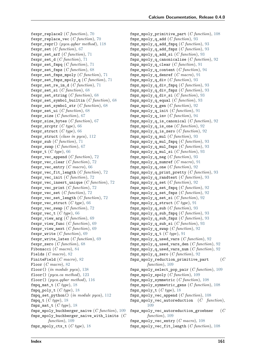fexpr\_replace2 (*C function*), [70](#page-75-0) fexpr\_replace\_vec (*C function*), [70](#page-75-0) fexpr\_repr() (*pyca.qqbar method*), [118](#page-123-0) fexpr\_set (*C function*), [67](#page-72-0) fexpr\_set\_arf (*C function*), [71](#page-76-0) fexpr\_set\_d (*C function*), [71](#page-76-0) fexpr\_set\_fmpq (*C function*), [71](#page-76-0) fexpr\_set\_fmpz (*C function*), [68](#page-73-0) fexpr\_set\_fmpz\_mpoly (*C function*), [71](#page-76-0) fexpr\_set\_fmpz\_mpoly\_q (*C function*), [71](#page-76-0) fexpr\_set\_re\_im\_d (*C function*), [71](#page-76-0) fexpr\_set\_si (*C function*), [68](#page-73-0) fexpr\_set\_string (*C function*), [68](#page-73-0) fexpr\_set\_symbol\_builtin (*C function*), [68](#page-73-0) fexpr\_set\_symbol\_str (*C function*), [68](#page-73-0) fexpr\_set\_ui (*C function*), [68](#page-73-0) fexpr\_size (*C function*), [67](#page-72-0) fexpr\_size\_bytes (*C function*), [67](#page-72-0) fexpr\_srcptr (*C type*), [66](#page-71-0) fexpr\_struct (*C type*), [66](#page-71-0) fexpr\_struct (*class in pyca*), [112](#page-117-0) fexpr\_sub (*C function*), [71](#page-76-0) fexpr\_swap (*C function*), [67](#page-72-0) fexpr\_t (*C type*), [66](#page-71-0) fexpr\_vec\_append (*C function*), [72](#page-77-0) fexpr\_vec\_clear (*C function*), [72](#page-77-0) fexpr\_vec\_entry (*C macro*), [66](#page-71-0) fexpr\_vec\_fit\_length (*C function*), [72](#page-77-0) fexpr\_vec\_init (*C function*), [72](#page-77-0) fexpr\_vec\_insert\_unique (*C function*), [72](#page-77-0) fexpr vec print  $(C function)$ , [72](#page-77-0) fexpr\_vec\_set (*C function*), [72](#page-77-0) fexpr\_vec\_set\_length (*C function*), [72](#page-77-0) fexpr\_vec\_struct (*C type*), [66](#page-71-0) fexpr\_vec\_swap (*C function*), [72](#page-77-0) fexpr vec t  $(C \text{ type})$ , [66](#page-71-0) fexpr\_view\_arg (*C function*), [69](#page-74-0) fexpr\_view\_func (*C function*), [69](#page-74-0) fexpr\_view\_next (*C function*), [69](#page-74-0) fexpr\_write (*C function*), [69](#page-74-0) fexpr\_write\_latex (*C function*), [69](#page-74-0) fexpr\_zero (*C function*), [68](#page-73-0) Fibonacci (*C macro*), [84](#page-89-0) Fields (*C macro*), [82](#page-87-0) FiniteField (*C macro*), [82](#page-87-0) Floor (*C macro*), [82](#page-87-0) floor() (*in module pyca*), [138](#page-143-0) floor() (*pyca.ca method*), [123](#page-128-0) floor() (*pyca.qqbar method*), [116](#page-121-0) fmpq mat t  $(C \text{ type})$ , [18](#page-23-0) fmpq\_poly\_t (*C type*), [18](#page-23-0) fmpq\_set\_python() (*in module pyca*), [112](#page-117-0) fmpq\_t (*C type*), [18](#page-23-0) fmpz\_mat\_t (*C type*), [18](#page-23-0) fmpz\_mpoly\_buchberger\_naive (*C function*), [109](#page-114-0) fmpz\_mpoly\_buchberger\_naive\_with\_limits (*C function*), [109](#page-114-0) fmpz\_mpoly\_ctx\_t (*C type*), [18](#page-23-0)

fmpz mpoly primitive part  $(C function)$ , [108](#page-113-0) fmpz mpoly q add  $(C function)$ , [93](#page-98-0) fmpz\_mpoly\_q\_add\_fmpq (*C function*), [93](#page-98-0) fmpz\_mpoly\_q\_add\_fmpz (*C function*), [93](#page-98-0) fmpz\_mpoly\_q\_add\_si (*C function*), [93](#page-98-0) fmpz\_mpoly\_q\_canonicalise (*C function*), [92](#page-97-0) fmpz\_mpoly\_q\_clear (*C function*), [91](#page-96-0) fmpz\_mpoly\_q\_content (*C function*), [94](#page-99-0) fmpz\_mpoly\_q\_denref (*C macro*), [91](#page-96-0) fmpz\_mpoly\_q\_div (*C function*), [93](#page-98-0) fmpz\_mpoly\_q\_div\_fmpq (*C function*), [93](#page-98-0) fmpz\_mpoly\_q\_div\_fmpz (*C function*), [93](#page-98-0) fmpz\_mpoly\_q\_div\_si (*C function*), [93](#page-98-0) fmpz\_mpoly\_q\_equal (*C function*), [93](#page-98-0) fmpz\_mpoly\_q\_gen (*C function*), [92](#page-97-0) fmpz mpoly q init  $(C$  function), [91](#page-96-0) fmpz mpoly  $q$  inv  $(C$  *function*), [94](#page-99-0) fmpz mpoly q is canonical  $(C function)$ , [92](#page-97-0) fmpz mpoly q is one  $(C$  function), [92](#page-97-0) fmpz mpoly q is zero  $(C$  function), [92](#page-97-0) fmpz mpoly q mul  $(C$  function), [93](#page-98-0) fmpz\_mpoly\_q\_mul\_fmpq (*C function*), [93](#page-98-0) fmpz\_mpoly\_q\_mul\_fmpz (*C function*), [93](#page-98-0) fmpz\_mpoly\_q\_mul\_si (*C function*), [93](#page-98-0) fmpz\_mpoly\_q\_neg (*C function*), [93](#page-98-0) fmpz\_mpoly\_q\_numref (*C macro*), [91](#page-96-0) fmpz mpoly q one  $(C$  function), [92](#page-97-0) fmpz\_mpoly\_q\_print\_pretty (*C function*), [93](#page-98-0) fmpz\_mpoly\_q\_randtest (*C function*), [93](#page-98-0) fmpz\_mpoly\_q\_set (*C function*), [92](#page-97-0) fmpz mpoly q set fmpq  $(C$  function), [92](#page-97-0) fmpz\_mpoly\_q\_set\_fmpz (*C function*), [92](#page-97-0) fmpz\_mpoly\_q\_set\_si (*C function*), [92](#page-97-0) fmpz\_mpoly\_q\_struct (*C type*), [91](#page-96-0) fmpz\_mpoly\_q\_sub (*C function*), [93](#page-98-0) fmpz\_mpoly\_q\_sub\_fmpq (*C function*), [93](#page-98-0) fmpz mpoly q sub fmpz  $(C$  function), [93](#page-98-0) fmpz\_mpoly\_q\_sub\_si (*C function*), [93](#page-98-0) fmpz\_mpoly\_q\_swap (*C function*), [92](#page-97-0) fmpz\_mpoly\_q\_t (*C type*), [91](#page-96-0) fmpz\_mpoly\_q\_used\_vars (*C function*), [92](#page-97-0) fmpz\_mpoly\_q\_used\_vars\_den (*C function*), [92](#page-97-0) fmpz\_mpoly\_q\_used\_vars\_num (*C function*), [92](#page-97-0) fmpz\_mpoly\_q\_zero (*C function*), [92](#page-97-0) fmpz\_mpoly\_reduction\_primitive\_part (*C function*), [109](#page-114-0) fmpz\_mpoly\_select\_pop\_pair (*C function*), [109](#page-114-0) fmpz\_mpoly\_spoly (*C function*), [109](#page-114-0) fmpz\_mpoly\_symmetric (*C function*), [108](#page-113-0) fmpz\_mpoly\_symmetric\_gens (*C function*), [108](#page-113-0) fmpz\_mpoly\_t (*C type*), [18](#page-23-0) fmpz\_mpoly\_vec\_append (*C function*), [108](#page-113-0) fmpz\_mpoly\_vec\_autoreduction (*C function*), [109](#page-114-0) fmpz\_mpoly\_vec\_autoreduction\_groebner (*C function*), [109](#page-114-0) fmpz\_mpoly\_vec\_entry (*C macro*), [108](#page-113-0) fmpz\_mpoly\_vec\_fit\_length (*C function*), [108](#page-113-0)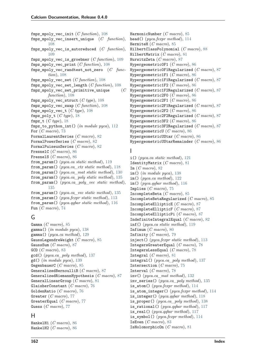fmpz mpoly vec init  $(C function)$ , [108](#page-113-0) fmpz\_mpoly\_vec\_insert\_unique (*C function*), [108](#page-113-0) fmpz\_mpoly\_vec\_is\_autoreduced (*C function*), [109](#page-114-0) fmpz\_mpoly\_vec\_is\_groebner (*C function*), [109](#page-114-0) fmpz\_mpoly\_vec\_print (*C function*), [108](#page-113-0) fmpz\_mpoly\_vec\_randtest\_not\_zero (*C function*), [108](#page-113-0) fmpz\_mpoly\_vec\_set (*C function*), [108](#page-113-0) fmpz\_mpoly\_vec\_set\_length (*C function*), [108](#page-113-0) fmpz\_mpoly\_vec\_set\_primitive\_unique (*C function*), [108](#page-113-0) fmpz\_mpoly\_vec\_struct (*C type*), [108](#page-113-0) fmpz\_mpoly\_vec\_swap (*C function*), [108](#page-113-0) fmpz\_mpoly\_vec\_t (*C type*), [108](#page-113-0) fmpz\_poly\_t (*C type*), [18](#page-23-0) fmpz\_t (*C type*), [18](#page-23-0) fmpz to python int() (*in module pyca*), [112](#page-117-0) For (*C macro*), [73](#page-78-0) FormalLaurentSeries (*C macro*), [82](#page-87-0) FormalPowerSeries (*C macro*), [82](#page-87-0) FormalPuiseuxSeries (*C macro*), [82](#page-87-0) FresnelC (*C macro*), [86](#page-91-0) FresnelS (*C macro*), [86](#page-91-0) from\_param() (*pyca.ca static method*), [119](#page-124-0) from\_param() (*pyca.ca\_ctx static method*), [118](#page-123-0) from\_param() (*pyca.ca\_mat static method*), [130](#page-135-0) from\_param() (*pyca.ca\_poly static method*), [135](#page-140-0) from\_param() (*pyca.ca\_poly\_vec static method*), [135](#page-140-0) from\_param() (*pyca.ca\_vec static method*), [135](#page-140-0) from\_param() (*pyca.fexpr static method*), [113](#page-118-0) from\_param() (*pyca.qqbar static method*), [116](#page-121-0) Fun (*C macro*), [74](#page-79-0)

## G

```
Gamma (C macro), 85
gamma() (in module pyca), 138
gamma() (pyca.ca method), 129
GaussLegendreWeight (C macro), 85
GaussSum (C macro), 87
GCD (C macro), 83
gcd() (pyca.ca_poly method), 137
gd() (in module pyca), 139
GegenbauerC (C macro), 85
GeneralizedBernoulliB (C macro), 87
GeneralizedRiemannHypothesis (C macro), 87
GeneralLinearGroup (C macro), 81
GlaisherConstant (C macro), 76
GoldenRatio (C macro), 76
Greater (C macro), 77
GreaterEqual (C macro), 77
Guess (C macro), 77
```
### H

HankelH1 (*C macro*), [86](#page-91-0) HankelH2 (*C macro*), [86](#page-91-0)

HarmonicNumber (*C macro*), [85](#page-90-0) head() (*pyca.fexpr method*), [114](#page-119-0) HermiteH (*C macro*), [85](#page-90-0) HilbertClassPolynomial (*C macro*), [88](#page-93-0) HilbertMatrix (*C macro*), [81](#page-86-0) HurwitzZeta (*C macro*), [87](#page-92-0) Hypergeometric0F1 (*C macro*), [86](#page-91-0) Hypergeometric0F1Regularized (*C macro*), [87](#page-92-0) Hypergeometric1F1 (*C macro*), [86](#page-91-0) Hypergeometric1F1Regularized (*C macro*), [87](#page-92-0) Hypergeometric1F2 (*C macro*), [86](#page-91-0) Hypergeometric1F2Regularized (*C macro*), [87](#page-92-0) Hypergeometric2F0 (*C macro*), [86](#page-91-0) Hypergeometric2F1 (*C macro*), [86](#page-91-0) Hypergeometric2F1Regularized (*C macro*), [87](#page-92-0) Hypergeometric2F2 (*C macro*), [86](#page-91-0) Hypergeometric2F2Regularized (*C macro*), [87](#page-92-0) Hypergeometric3F2 (*C macro*), [86](#page-91-0) Hypergeometric3F2Regularized (*C macro*), [87](#page-92-0) HypergeometricU (*C macro*), [86](#page-91-0) HypergeometricUStar (*C macro*), [86](#page-91-0) HypergeometricUStarRemainder (*C macro*), [86](#page-91-0)

#### I

i() (*pyca.ca static method*), [121](#page-126-0) IdentityMatrix (*C macro*), [81](#page-86-0) Im (*C macro*), [82](#page-87-0) im() (*in module pyca*), [138](#page-143-0) im() (*pyca.ca method*), [122](#page-127-0) im() (*pyca.qqbar method*), [116](#page-121-0) Implies (*C macro*), [75](#page-80-0) IncompleteBeta (*C macro*), [85](#page-90-0) IncompleteBetaRegularized (*C macro*), [85](#page-90-0) IncompleteEllipticE (*C macro*), [87](#page-92-0) IncompleteEllipticF (*C macro*), [87](#page-92-0) IncompleteEllipticPi (*C macro*), [87](#page-92-0) IndefiniteIntegralEqual (*C macro*), [82](#page-87-0) inf() (*pyca.ca static method*), [119](#page-124-0) Infimum (*C macro*), [80](#page-85-0) Infinity (*C macro*), [79](#page-84-0) inject() (*pyca.fexpr static method*), [113](#page-118-0) IntegersGreaterEqual (*C macro*), [78](#page-83-0) IntegersLessEqual (*C macro*), [78](#page-83-0) Integral (*C macro*), [81](#page-86-0) integral() (*pyca.ca\_poly method*), [137](#page-142-0) Intersection (*C macro*), [75](#page-80-0) Interval (*C macro*), [78](#page-83-0) inv() (*pyca.ca\_mat method*), [132](#page-137-0) inv\_series() (*pyca.ca\_poly method*), [135](#page-140-0) is\_atom() (*pyca.fexpr method*), [114](#page-119-0) is\_atom\_integer() (*pyca.fexpr method*), [114](#page-119-0) is\_integer() (*pyca.qqbar method*), [118](#page-123-0) is\_proper() (*pyca.ca\_poly method*), [138](#page-143-0) is\_rational() (*pyca.qqbar method*), [117](#page-122-0) is\_real() (*pyca.qqbar method*), [117](#page-122-0) is\_symbol() (*pyca.fexpr method*), [114](#page-119-0) IsEven (*C macro*), [83](#page-88-0) IsHolomorphicOn (*C macro*), [81](#page-86-0)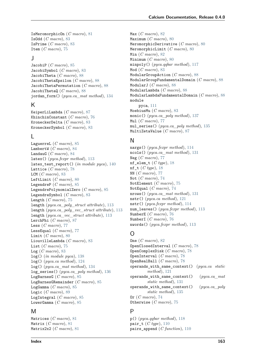IsMeromorphicOn (*C macro*), [81](#page-86-0) IsOdd (*C macro*), [83](#page-88-0) IsPrime (*C macro*), [83](#page-88-0) Item (*C macro*), [75](#page-80-0)

#### J

JacobiP (*C macro*), [85](#page-90-0) JacobiSymbol (*C macro*), [83](#page-88-0) JacobiTheta (*C macro*), [88](#page-93-0) JacobiThetaEpsilon (*C macro*), [88](#page-93-0) JacobiThetaPermutation (*C macro*), [88](#page-93-0) JacobiThetaQ (*C macro*), [88](#page-93-0) jordan\_form() (*pyca.ca\_mat method*), [134](#page-139-0)

### K

KeiperLiLambda (*C macro*), [87](#page-92-0) KhinchinConstant (*C macro*), [76](#page-81-0) KroneckerDelta (*C macro*), [83](#page-88-0) KroneckerSymbol (*C macro*), [83](#page-88-0)

### L

LaguerreL (*C macro*), [85](#page-90-0) LambertW (*C macro*), [84](#page-89-0) LandauG (*C macro*), [84](#page-89-0) latex() (*pyca.fexpr method*), [113](#page-118-0) latex\_test\_report() (*in module pyca*), [140](#page-145-0) Lattice (*C macro*), [78](#page-83-0) LCM (*C macro*), [83](#page-88-0) LeftLimit (*C macro*), [80](#page-85-0) LegendreP (*C macro*), [85](#page-90-0) LegendrePolynomialZero (*C macro*), [85](#page-90-0) LegendreSymbol (*C macro*), [83](#page-88-0) Length (*C macro*), [75](#page-80-0) length (*pyca.ca\_poly\_struct attribute*), [113](#page-118-0) length (*pyca.ca\_poly\_vec\_struct attribute*), [113](#page-118-0) length (*pyca.ca\_vec\_struct attribute*), [113](#page-118-0) LerchPhi (*C macro*), [87](#page-92-0) Less (*C macro*), [77](#page-82-0) LessEqual (*C macro*), [77](#page-82-0) Limit (*C macro*), [80](#page-85-0) LiouvilleLambda (*C macro*), [83](#page-88-0) List (*C macro*), [75](#page-80-0) Log (*C macro*), [83](#page-88-0) log() (*in module pyca*), [138](#page-143-0) log() (*pyca.ca method*), [124](#page-129-0) log() (*pyca.ca\_mat method*), [134](#page-139-0) log\_series() (*pyca.ca\_poly method*), [136](#page-141-0) LogBarnesG (*C macro*), [85](#page-90-0) LogBarnesGRemainder (*C macro*), [85](#page-90-0) LogGamma (*C macro*), [85](#page-90-0) Logic (*C macro*), [89](#page-94-0) LogIntegral (*C macro*), [85](#page-90-0) LowerGamma (*C macro*), [85](#page-90-0)

### M

Matrices (*C macro*), [81](#page-86-0) Matrix (*C macro*), [81](#page-86-0) Matrix2x2 (*C macro*), [81](#page-86-0) Max (*C macro*), [82](#page-87-0) Maximum (*C macro*), [80](#page-85-0) MeromorphicDerivative (*C macro*), [80](#page-85-0) MeromorphicLimit (*C macro*), [80](#page-85-0) Min (*C macro*), [82](#page-87-0) Minimum (*C macro*), [80](#page-85-0) minpoly() (*pyca.qqbar method*), [117](#page-122-0) Mod (*C macro*), [83](#page-88-0) ModularGroupAction (*C macro*), [88](#page-93-0) ModularGroupFundamentalDomain (*C macro*), [88](#page-93-0) ModularJ (*C macro*), [88](#page-93-0) ModularLambda (*C macro*), [88](#page-93-0) ModularLambdaFundamentalDomain (*C macro*), [88](#page-93-0) module pyca, [111](#page-116-1) MoebiusMu (*C macro*), [83](#page-88-0) monic() (*pyca.ca\_poly method*), [137](#page-142-0) Mul (*C macro*), [77](#page-82-0) mul\_series() (*pyca.ca\_poly method*), [135](#page-140-0) MultiZetaValue (*C macro*), [87](#page-92-0)

### N

nargs() (*pyca.fexpr method*), [114](#page-119-0) ncols() (*pyca.ca\_mat method*), [131](#page-136-0) Neg (*C macro*), [77](#page-82-0) nf\_elem\_t (*C type*), [18](#page-23-0) nf\_t (*C type*), [18](#page-23-0) NN (*C macro*), [77](#page-82-0) Not (*C macro*), [74](#page-79-0) NotElement (*C macro*), [75](#page-80-0) NotEqual (*C macro*), [74](#page-79-0) nrows() (*pyca.ca\_mat method*), [131](#page-136-0) nstr() (*pyca.ca method*), [121](#page-126-0) nstr() (*pyca.fexpr method*), [114](#page-119-0) num\_leaves() (*pyca.fexpr method*), [113](#page-118-0) NumberE (*C macro*), [76](#page-81-0) NumberI (*C macro*), [76](#page-81-0) nwords() (*pyca.fexpr method*), [113](#page-118-0)

### $\Omega$

One (*C macro*), [82](#page-87-0) OpenClosedInterval (*C macro*), [78](#page-83-0) OpenComplexDisk (*C macro*), [78](#page-83-0) OpenInterval (*C macro*), [78](#page-83-0) OpenRealBall (*C macro*), [78](#page-83-0) operands\_with\_same\_context() (*pyca.ca static method*), [121](#page-126-0) operands\_with\_same\_context() (*pyca.ca\_mat static method*), [131](#page-136-0) operands\_with\_same\_context() (*pyca.ca\_poly static method*), [135](#page-140-0) Or (*C macro*), [74](#page-79-0) Otherwise (*C macro*), [75](#page-80-0)

### P

p() (*pyca.qqbar method*), [118](#page-123-0) pair\_t (*C type*), [110](#page-115-0) pairs\_append (*C function*), [110](#page-115-0)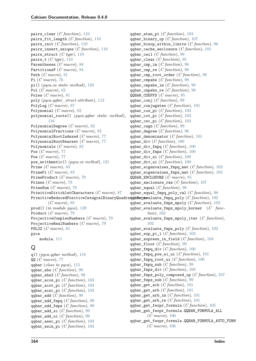pairs\_clear (*C function*), [110](#page-115-0) pairs\_fit\_length (*C function*), [110](#page-115-0) pairs\_init (*C function*), [110](#page-115-0) pairs\_insert\_unique (*C function*), [110](#page-115-0) pairs\_struct (*C type*), [110](#page-115-0) pairs\_t (*C type*), [110](#page-115-0) Parentheses (*C macro*), [88](#page-93-0) PartitionsP (*C macro*), [84](#page-89-0) Path (*C macro*), [81](#page-86-0) Pi (*C macro*), [76](#page-81-0) pi() (*pyca.ca static method*), [120](#page-125-0) Pol (*C macro*), [82](#page-87-0) Poles (*C macro*), [81](#page-86-0) poly (*pyca.qqbar\_struct attribute*), [112](#page-117-0) PolyLog (*C macro*), [87](#page-92-0) Polynomial (*C macro*), [82](#page-87-0) polynomial\_roots() (*pyca.qqbar static method*), [116](#page-121-0) PolynomialDegree (*C macro*), [82](#page-87-0) PolynomialFractions (*C macro*), [82](#page-87-0) PolynomialRootIndexed (*C macro*), [77](#page-82-0) PolynomialRootNearest (*C macro*), [77](#page-82-0) Polynomials (*C macro*), [82](#page-87-0) Pos (*C macro*), [77](#page-82-0) Pow (*C macro*), [77](#page-82-0) pow\_arithmetic() (*pyca.ca method*), [121](#page-126-0) Prime (*C macro*), [83](#page-88-0) PrimePi (*C macro*), [83](#page-88-0) PrimeProduct (*C macro*), [79](#page-84-0) Primes (*C macro*), [78](#page-83-0) PrimeSum (*C macro*), [79](#page-84-0) PrimitiveDirichletCharacters (*C macro*), [87](#page-92-0)  ${\tt PrimitiveReducedPositiveIntegralBinaryQuadra}$   ${\tt q\bar q\bar q\bar q\bar s}$   ${\tt S\bar s\bar s}$  aluate\_fmpq\_poly  $(C\ function),\ 102$  $(C\ function),\ 102$ (*C macro*), [88](#page-93-0) prod() (*in module pyca*), [139](#page-144-0) Product (*C macro*), [79](#page-84-0) ProjectiveComplexNumbers (*C macro*), [79](#page-84-0) ProjectiveRealNumbers (*C macro*), [79](#page-84-0) PSL2Z (*C macro*), [81](#page-86-0) pyca module, [111](#page-116-1)

### $\Omega$

q() (*pyca.qqbar method*), [118](#page-123-0) QQ (*C macro*), [77](#page-82-0) qqbar (*class in pyca*), [115](#page-120-0) qqbar\_abs (*C function*), [99](#page-104-0) qqbar\_abs2 (*C function*), [99](#page-104-0) qqbar\_acos\_pi (*C function*), [103](#page-108-0) qqbar\_acot\_pi (*C function*), [103](#page-108-0) qqbar\_acsc\_pi (*C function*), [103](#page-108-0) qqbar\_add (*C function*), [99](#page-104-0) qqbar\_add\_fmpq (*C function*), [99](#page-104-0) qqbar\_add\_fmpz (*C function*), [99](#page-104-0) qqbar\_add\_si (*C function*), [99](#page-104-0) qqbar\_add\_ui (*C function*), [99](#page-104-0) qqbar\_asec\_pi (*C function*), [103](#page-108-0) qqbar\_asin\_pi (*C function*), [103](#page-108-0) qqbar\_atan\_pi (*C function*), [103](#page-108-0) qqbar\_binary\_op (*C function*), [107](#page-112-0) qqbar\_binop\_within\_limits (*C function*), [96](#page-101-0) qqbar\_cache\_enclosure (*C function*), [101](#page-106-0) qqbar\_ceil (*C function*), [99](#page-104-0) qqbar\_clear (*C function*), [95](#page-100-0) qqbar\_cmp\_im (*C function*), [98](#page-103-0) qqbar\_cmp\_re (*C function*), [98](#page-103-0) qqbar\_cmp\_root\_order (*C function*), [98](#page-103-0) qqbar\_cmpabs (*C function*), [98](#page-103-0) qqbar\_cmpabs\_im (*C function*), [98](#page-103-0) qqbar\_cmpabs\_re (*C function*), [98](#page-103-0) QQBAR\_COEFFS (*C macro*), [95](#page-100-0) qqbar\_conj (*C function*), [99](#page-104-0) qqbar\_conjugates (*C function*), [101](#page-106-0) qqbar\_cos\_pi (*C function*), [103](#page-108-0) qqbar\_cot\_pi (*C function*), [103](#page-108-0) qqbar\_csc\_pi (*C function*), [103](#page-108-0) qqbar\_csgn (*C function*), [99](#page-104-0) qqbar\_degree (*C function*), [96](#page-101-0) qqbar\_denominator (*C function*), [101](#page-106-0) qqbar\_div (*C function*), [100](#page-105-0) qqbar\_div\_fmpq (*C function*), [100](#page-105-0) qqbar\_div\_fmpz (*C function*), [100](#page-105-0) qqbar\_div\_si (*C function*), [100](#page-105-0) qqbar\_div\_ui (*C function*), [100](#page-105-0) qqbar eigenvalues fmpq mat  $(C function)$ , [102](#page-107-0) qqbar eigenvalues fmpz mat  $(C function)$ , [102](#page-107-0) QQBAR\_ENCLOSURE (*C macro*), [95](#page-100-0) qqbar\_enclosure\_raw (*C function*), [107](#page-112-0) qqbar\_equal (*C function*), [98](#page-103-0) qqbar\_equal\_fmpq\_poly\_val (*C function*), [98](#page-103-0) qqbar\_evaluate\_fmpz\_mpoly (*C function*), [102](#page-107-0) qqbar\_evaluate\_fmpz\_mpoly\_horner (*C function*), [102](#page-107-0) qqbar evaluate fmpz mpoly iter  $(C$  function), [102](#page-107-0) qqbar\_evaluate\_fmpz\_poly (*C function*), [102](#page-107-0) qqbar exp pi i  $(C function)$ , [103](#page-108-0) qqbar\_express\_in\_field (*C function*), [104](#page-109-0) qqbar\_floor (*C function*), [99](#page-104-0) qqbar\_fmpq\_div (*C function*), [100](#page-105-0) qqbar\_fmpq\_pow\_si\_ui (*C function*), [101](#page-106-0) qqbar\_fmpq\_root\_ui (*C function*), [100](#page-105-0) qqbar\_fmpq\_sub (*C function*), [99](#page-104-0) qqbar\_fmpz\_div (*C function*), [100](#page-105-0) qqbar\_fmpz\_poly\_composed\_op (*C function*), [107](#page-112-0) qqbar\_fmpz\_sub (*C function*), [99](#page-104-0) qqbar get acb  $(C$  *function*), [101](#page-106-0) qqbar\_get\_arb (*C function*), [101](#page-106-0) qqbar\_get\_arb\_im (*C function*), [101](#page-106-0) qqbar\_get\_arb\_re (*C function*), [101](#page-106-0) qqbar\_get\_fexpr\_formula (*C function*), [105](#page-110-0) qqbar\_get\_fexpr\_formula.QQBAR\_FORMULA\_ALL (*C macro*), [106](#page-111-0) qqbar\_get\_fexpr\_formula.QQBAR\_FORMULA\_AUTO\_FORM (*C macro*), [106](#page-111-0)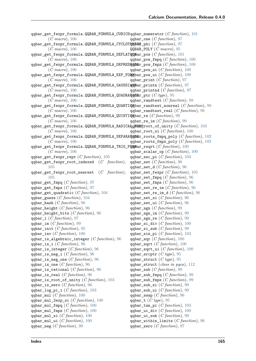qqbar\_get\_fexpr\_formula.QQBAR\_FORMULA\_CUBICS qqbar\_numerator (*C function*), [101](#page-106-0) (*C macro*), [106](#page-111-0) qqbar\_get\_fexpr\_formula.QQBAR\_FORMULA\_CYCLOTOMICS qqbar\_phi (*C function*), [97](#page-102-0) (*C macro*), [106](#page-111-0)  $\mathsf{q}\mathsf{q}\mathsf{bar\_f}$ expr\_formula.QQBAR\_FORMULA\_DEFLAT $\mathsf{q}\mathsf{q}\mathsf{bar\_pow}$   $(C\mathit{function}),\,101$  $(C\mathit{function}),\,101$ (*C macro*), [106](#page-111-0)  $\texttt{qqbar\_get\_fexpr\_formula}.$  QQBAR\_FORMULA\_DEPRES $\texttt{qqbar}$  ber $\texttt{qqbar}$   $\texttt{pow\_fmpz}$   $(C\textit{function}),\text{ 100}$  $(C\textit{function}),\text{ 100}$  $(C\textit{function}),\text{ 100}$ (*C macro*), [106](#page-111-0) qqbar\_get\_fexpr\_formula.QQBAR\_FORMULA\_EXP\_FORM qqbar\_pow\_ui (*C function*), [100](#page-105-0) (*C macro*), [106](#page-111-0) qqbar\_get\_fexpr\_formula.QQBAR\_FORMULA\_GAUSSIANS qqbar\_printn (*C function*), [97](#page-102-0) (*C macro*), [106](#page-111-0) qqbar\_get\_fexpr\_formula.QQBAR\_FORMULA\_QUADRAT**qC8**r\_ptr  $(C\ type)$ ,  $95$ (*C macro*), [106](#page-111-0) qqbar\_get\_fexpr\_formula.QQBAR\_FORMULA\_QUARTICS qqbar\_randtest\_nonreal (*C function*), [98](#page-103-0) (*C macro*), [106](#page-111-0) qqbar\_get\_fexpr\_formula.QQBAR\_FORMULA\_QUINTICS qqbar\_re (*C function*), [99](#page-104-0) (*C macro*), [106](#page-111-0)  $\mathtt{qqbar\_get\_fexpr\_formula}$ .QQBAR\_FORMULA\_RADICA**qqE@R**Mroot\_of\_unity  $(C\text{ function}),\ 103$  $(C\text{ function}),\ 103$ (*C macro*), [106](#page-111-0) qqbar\_get\_fexpr\_formula.QQBAR\_FORMULA\_SEPARATHONIr\_roots\_fmpq\_poly (*C function*), [102](#page-107-0) (*C macro*), [106](#page-111-0) qqbar\_get\_fexpr\_formula.QQBAR\_FORMULA\_TRIG\_FORM qqbar\_rsqrt (*C function*), [100](#page-105-0) (*C macro*), [106](#page-111-0) qqbar\_get\_fexpr\_repr (*C function*), [105](#page-110-0) qqbar\_get\_fexpr\_root\_indexed (*C function*), [105](#page-110-0) qqbar\_get\_fexpr\_root\_nearest (*C function*), [105](#page-110-0) qqbar\_get\_fmpq (*C function*), [97](#page-102-0) qqbar\_get\_fmpz (*C function*), [97](#page-102-0) qqbar\_get\_quadratic (*C function*), [104](#page-109-0) qqbar\_guess (*C function*), [104](#page-109-0) qqbar\_hash (*C function*), [98](#page-103-0) qqbar\_height (*C function*), [96](#page-101-0) qqbar\_height\_bits (*C function*), [96](#page-101-0) qqbar\_i (*C function*), [97](#page-102-0) qqbar\_im (*C function*), [99](#page-104-0) qqbar\_init (*C function*), [95](#page-100-0) qqbar\_inv (*C function*), [100](#page-105-0) qqbar\_is\_algebraic\_integer (*C function*), [96](#page-101-0) qqbar\_is\_i (*C function*), [96](#page-101-0) qqbar\_is\_integer (*C function*), [96](#page-101-0) qqbar\_is\_neg\_i (*C function*), [96](#page-101-0) qqbar\_is\_neg\_one (*C function*), [96](#page-101-0) qqbar\_is\_one (*C function*), [96](#page-101-0) qqbar\_is\_rational (*C function*), [96](#page-101-0) qqbar\_is\_real (*C function*), [96](#page-101-0) qqbar\_is\_root\_of\_unity (*C function*), [103](#page-108-0) qqbar\_is\_zero (*C function*), [96](#page-101-0) qqbar\_log\_pi\_i (*C function*), [103](#page-108-0) qqbar\_mul (*C function*), [100](#page-105-0) qqbar\_mul\_2exp\_si (*C function*), [100](#page-105-0) qqbar\_mul\_fmpq (*C function*), [100](#page-105-0) qqbar\_mul\_fmpz (*C function*), [100](#page-105-0) qqbar\_mul\_si (*C function*), [100](#page-105-0) qqbar\_mul\_ui (*C function*), [100](#page-105-0) qqbar\_neg (*C function*), [99](#page-104-0) qqbar\_one (*C function*), [97](#page-102-0) QQBAR\_POLY (*C macro*), [95](#page-100-0) qqbar\_pow\_fmpq (*C function*), [100](#page-105-0) qqbar\_pow\_si (*C function*), [100](#page-105-0) qqbar\_print (*C function*), [97](#page-102-0) qqbar\_printnd (*C function*), [97](#page-102-0) qqbar\_randtest (*C function*), [98](#page-103-0) qqbar\_randtest\_real (*C function*), [98](#page-103-0) qqbar\_re\_im (*C function*), [99](#page-104-0) qqbar\_root\_ui (*C function*), [100](#page-105-0) qqbar\_roots\_fmpz\_poly (*C function*), [102](#page-107-0) qqbar\_scalar\_op (*C function*), [100](#page-105-0) qqbar\_sec\_pi (*C function*), [103](#page-108-0) qqbar\_set (*C function*), [96](#page-101-0) qqbar\_set\_d (*C function*), [96](#page-101-0) qqbar\_set\_fexpr (*C function*), [105](#page-110-0) qqbar\_set\_fmpq (*C function*), [96](#page-101-0) qqbar\_set\_fmpz (*C function*), [96](#page-101-0) qqbar set re im  $(C$  *function*), [96](#page-101-0) qqbar\_set\_re\_im\_d (*C function*), [96](#page-101-0) qqbar\_set\_si (*C function*), [96](#page-101-0) qqbar\_set\_ui (*C function*), [96](#page-101-0) qqbar\_sgn (*C function*), [99](#page-104-0) qqbar\_sgn\_im (*C function*), [99](#page-104-0) qqbar\_sgn\_re (*C function*), [99](#page-104-0) qqbar\_si\_div (*C function*), [100](#page-105-0) qqbar\_si\_sub (*C function*), [99](#page-104-0) qqbar\_sin\_pi (*C function*), [103](#page-108-0) qqbar\_sqr (*C function*), [100](#page-105-0) qqbar\_sqrt (*C function*), [100](#page-105-0) qqbar\_sqrt\_ui (*C function*), [100](#page-105-0) qqbar\_srcptr (*C type*), [95](#page-100-0) qqbar\_struct (*C type*), [95](#page-100-0) qqbar\_struct (*class in pyca*), [112](#page-117-0) qqbar\_sub (*C function*), [99](#page-104-0) qqbar\_sub\_fmpq (*C function*), [99](#page-104-0) qqbar\_sub\_fmpz (*C function*), [99](#page-104-0) qqbar sub si  $(C$  *function*), [99](#page-104-0) qqbar\_sub\_ui (*C function*), [99](#page-104-0) qqbar\_swap (*C function*), [96](#page-101-0) qqbar\_t (*C type*), [95](#page-100-0) qqbar\_tan\_pi (*C function*), [103](#page-108-0) qqbar\_ui\_div (*C function*), [100](#page-105-0) qqbar\_ui\_sub (*C function*), [99](#page-104-0) qqbar\_within\_limits (*C function*), [96](#page-101-0) qqbar\_zero (*C function*), [97](#page-102-0)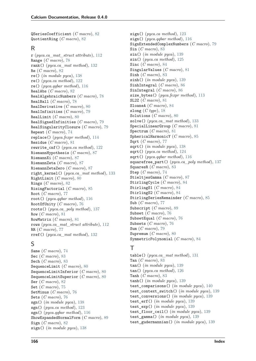QSeriesCoefficient (*C macro*), [82](#page-87-0) QuotientRing (*C macro*), [82](#page-87-0)

#### R

r (*pyca.ca\_mat\_struct attribute*), [112](#page-117-0) Range (*C macro*), [78](#page-83-0) rank() (*pyca.ca\_mat method*), [132](#page-137-0) Re (*C macro*), [82](#page-87-0) re() (*in module pyca*), [138](#page-143-0) re() (*pyca.ca method*), [122](#page-127-0) re() (*pyca.qqbar method*), [116](#page-121-0) RealAbs (*C macro*), [82](#page-87-0) RealAlgebraicNumbers (*C macro*), [78](#page-83-0) RealBall (*C macro*), [78](#page-83-0) RealDerivative (*C macro*), [80](#page-85-0) RealInfinities (*C macro*), [79](#page-84-0) RealLimit (*C macro*), [80](#page-85-0) RealSignedInfinities (*C macro*), [79](#page-84-0) RealSingularityClosure (*C macro*), [79](#page-84-0) Repeat (*C macro*), [74](#page-79-0) replace() (*pyca.fexpr method*), [114](#page-119-0) Residue (*C macro*), [81](#page-86-0) rewrite\_cnf() (*pyca.ca method*), [122](#page-127-0) RiemannHypothesis (*C macro*), [87](#page-92-0) RiemannXi (*C macro*), [87](#page-92-0) RiemannZeta (*C macro*), [87](#page-92-0) RiemannZetaZero (*C macro*), [87](#page-92-0) right\_kernel() (*pyca.ca\_mat method*), [133](#page-138-0) RightLimit (*C macro*), [80](#page-85-0) Rings (*C macro*), [82](#page-87-0) RisingFactorial (*C macro*), [85](#page-90-0) Root (*C macro*), [77](#page-82-0) root() (*pyca.qqbar method*), [116](#page-121-0) RootOfUnity (*C macro*), [76](#page-81-0) roots() (*pyca.ca\_poly method*), [137](#page-142-0) Row (*C macro*), [81](#page-86-0) RowMatrix (*C macro*), [81](#page-86-0) rows (*pyca.ca\_mat\_struct attribute*), [112](#page-117-0) RR (*C macro*), [77](#page-82-0) rref() (*pyca.ca\_mat method*), [132](#page-137-0)

### S

Same (*C macro*), [74](#page-79-0) Sec (*C macro*), [83](#page-88-0) Sech (*C macro*), [83](#page-88-0) SequenceLimit (*C macro*), [80](#page-85-0) SequenceLimitInferior (*C macro*), [80](#page-85-0) SequenceLimitSuperior (*C macro*), [80](#page-85-0) Ser (*C macro*), [82](#page-87-0) Set (*C macro*), [75](#page-80-0) SetMinus (*C macro*), [76](#page-81-0) Sets (*C macro*), [76](#page-81-0) sgn() (*in module pyca*), [138](#page-143-0) sgn() (*pyca.ca method*), [123](#page-128-0) sgn() (*pyca.qqbar method*), [116](#page-121-0) ShowExpandedNormalForm (*C macro*), [89](#page-94-0) Sign (*C macro*), [82](#page-87-0) sign() (*in module pyca*), [138](#page-143-0)

sign() (*pyca.ca method*), [123](#page-128-0) sign() (*pyca.qqbar method*), [116](#page-121-0) SignExtendedComplexNumbers (*C macro*), [79](#page-84-0) Sin (*C macro*), [83](#page-88-0) sin() (*in module pyca*), [139](#page-144-0) sin() (*pyca.ca method*), [125](#page-130-0) Sinc (*C macro*), [84](#page-89-0) SingularValues (*C macro*), [81](#page-86-0) Sinh (*C macro*), [83](#page-88-0) sinh() (*in module pyca*), [139](#page-144-0) SinhIntegral (*C macro*), [86](#page-91-0) SinIntegral (*C macro*), [86](#page-91-0) size\_bytes() (*pyca.fexpr method*), [113](#page-118-0) SL2Z (*C macro*), [81](#page-86-0) SloaneA (*C macro*), [84](#page-89-0) slong (*C type*), [18](#page-23-0) Solutions (*C macro*), [80](#page-85-0) solve() (*pyca.ca\_mat method*), [133](#page-138-0) SpecialLinearGroup (*C macro*), [81](#page-86-0) Spectrum (*C macro*), [81](#page-86-0) SphericalHarmonicY (*C macro*), [85](#page-90-0) Sqrt (*C macro*), [77](#page-82-0) sqrt() (*in module pyca*), [138](#page-143-0) sqrt() (*pyca.ca method*), [124](#page-129-0) sqrt() (*pyca.qqbar method*), [116](#page-121-0) squarefree\_part() (*pyca.ca\_poly method*), [137](#page-142-0) SquaresR (*C macro*), [83](#page-88-0) Step (*C macro*), [74](#page-79-0) StieltjesGamma (*C macro*), [87](#page-92-0) StirlingCycle (*C macro*), [84](#page-89-0) StirlingS1 (*C macro*), [84](#page-89-0) StirlingS2 (*C macro*), [84](#page-89-0) StirlingSeriesRemainder (*C macro*), [85](#page-90-0) Sub (*C macro*), [77](#page-82-0) Subscript (*C macro*), [89](#page-94-0) Subset (*C macro*), [76](#page-81-0) SubsetEqual (*C macro*), [76](#page-81-0) Subsets (*C macro*), [76](#page-81-0) Sum (*C macro*), [79](#page-84-0) Supremum (*C macro*), [80](#page-85-0) SymmetricPolynomial (*C macro*), [84](#page-89-0)

### $\top$

table() (*pyca.ca\_mat method*), [131](#page-136-0) Tan (*C macro*), [83](#page-88-0) tan() (*in module pyca*), [139](#page-144-0) tan() (*pyca.ca method*), [126](#page-131-0) Tanh (*C macro*), [83](#page-88-0) tanh() (*in module pyca*), [139](#page-144-0) test\_comparisons() (*in module pyca*), [140](#page-145-0) test\_context\_switch() (*in module pyca*), [139](#page-144-0) test\_conversions() (*in module pyca*), [139](#page-144-0) test\_erf() (*in module pyca*), [139](#page-144-0) test\_exp() (*in module pyca*), [139](#page-144-0) test\_floor\_ceil() (*in module pyca*), [139](#page-144-0) test\_gamma() (*in module pyca*), [139](#page-144-0) test\_gudermannian() (*in module pyca*), [139](#page-144-0)